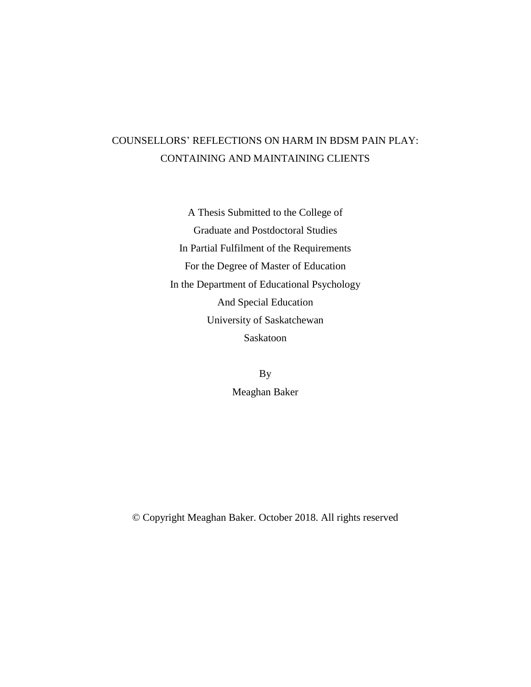# COUNSELLORS' REFLECTIONS ON HARM IN BDSM PAIN PLAY: CONTAINING AND MAINTAINING CLIENTS

A Thesis Submitted to the College of Graduate and Postdoctoral Studies In Partial Fulfilment of the Requirements For the Degree of Master of Education In the Department of Educational Psychology And Special Education University of Saskatchewan Saskatoon

> By Meaghan Baker

© Copyright Meaghan Baker. October 2018. All rights reserved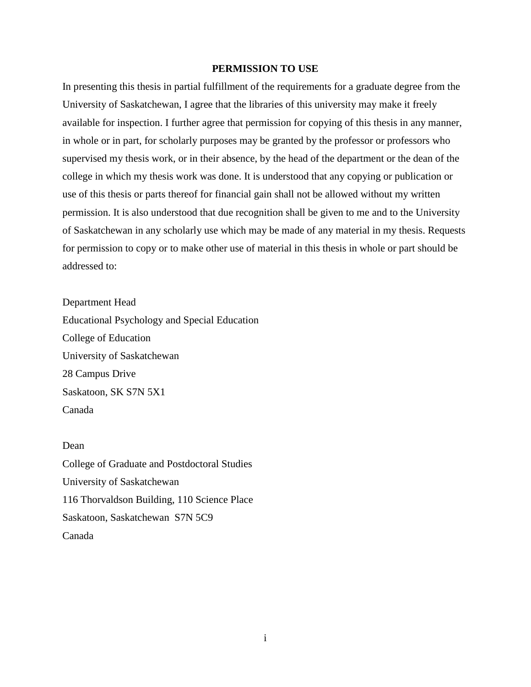#### **PERMISSION TO USE**

<span id="page-1-0"></span>In presenting this thesis in partial fulfillment of the requirements for a graduate degree from the University of Saskatchewan, I agree that the libraries of this university may make it freely available for inspection. I further agree that permission for copying of this thesis in any manner, in whole or in part, for scholarly purposes may be granted by the professor or professors who supervised my thesis work, or in their absence, by the head of the department or the dean of the college in which my thesis work was done. It is understood that any copying or publication or use of this thesis or parts thereof for financial gain shall not be allowed without my written permission. It is also understood that due recognition shall be given to me and to the University of Saskatchewan in any scholarly use which may be made of any material in my thesis. Requests for permission to copy or to make other use of material in this thesis in whole or part should be addressed to:

Department Head Educational Psychology and Special Education College of Education University of Saskatchewan 28 Campus Drive Saskatoon, SK S7N 5X1 Canada

# Dean

College of Graduate and Postdoctoral Studies University of Saskatchewan 116 Thorvaldson Building, 110 Science Place Saskatoon, Saskatchewan S7N 5C9 Canada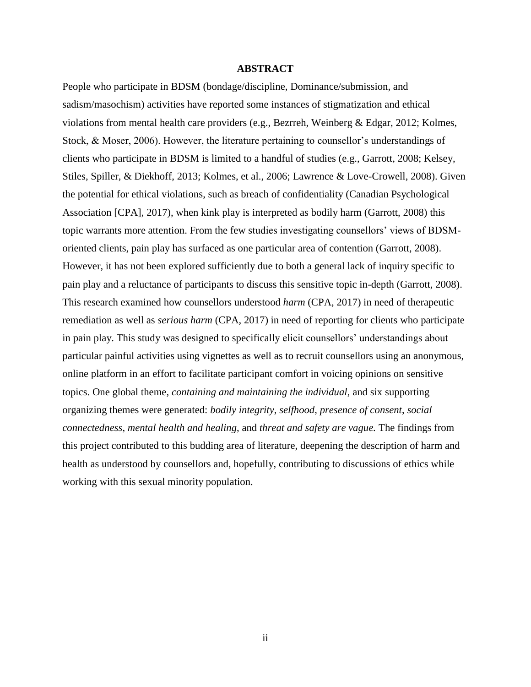### **ABSTRACT**

<span id="page-2-0"></span>People who participate in BDSM (bondage/discipline, Dominance/submission, and sadism/masochism) activities have reported some instances of stigmatization and ethical violations from mental health care providers (e.g., Bezrreh, Weinberg & Edgar, 2012; Kolmes, Stock, & Moser, 2006). However, the literature pertaining to counsellor's understandings of clients who participate in BDSM is limited to a handful of studies (e.g., Garrott, 2008; Kelsey, Stiles, Spiller, & Diekhoff, 2013; Kolmes, et al., 2006; Lawrence & Love-Crowell, 2008). Given the potential for ethical violations, such as breach of confidentiality (Canadian Psychological Association [CPA], 2017), when kink play is interpreted as bodily harm (Garrott, 2008) this topic warrants more attention. From the few studies investigating counsellors' views of BDSMoriented clients, pain play has surfaced as one particular area of contention (Garrott, 2008). However, it has not been explored sufficiently due to both a general lack of inquiry specific to pain play and a reluctance of participants to discuss this sensitive topic in-depth (Garrott, 2008). This research examined how counsellors understood *harm* (CPA, 2017) in need of therapeutic remediation as well as *serious harm* (CPA, 2017) in need of reporting for clients who participate in pain play. This study was designed to specifically elicit counsellors' understandings about particular painful activities using vignettes as well as to recruit counsellors using an anonymous, online platform in an effort to facilitate participant comfort in voicing opinions on sensitive topics. One global theme, *containing and maintaining the individual*, and six supporting organizing themes were generated: *bodily integrity*, *selfhood*, *presence of consent*, *social connectedness*, *mental health and healing*, and *threat and safety are vague.* The findings from this project contributed to this budding area of literature, deepening the description of harm and health as understood by counsellors and, hopefully, contributing to discussions of ethics while working with this sexual minority population.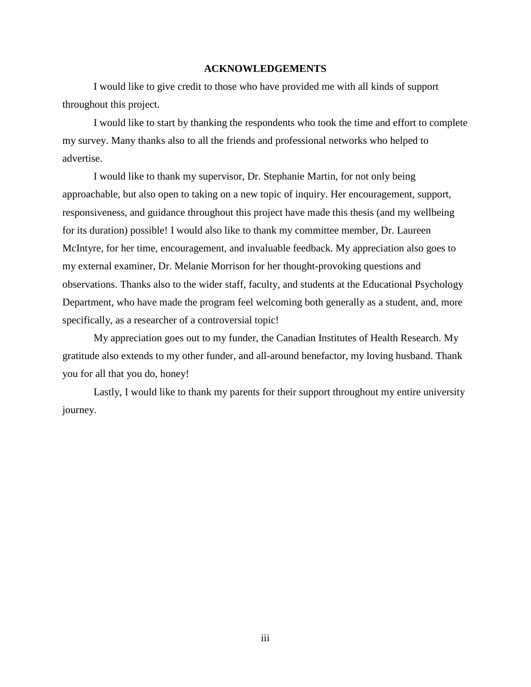### **ACKNOWLEDGEMENTS**

<span id="page-3-0"></span>I would like to give credit to those who have provided me with all kinds of support throughout this project.

I would like to start by thanking the respondents who took the time and effort to complete my survey. Many thanks also to all the friends and professional networks who helped to advertise.

I would like to thank my supervisor, Dr. Stephanie Martin, for not only being approachable, but also open to taking on a new topic of inquiry. Her encouragement, support, responsiveness, and guidance throughout this project have made this thesis (and my wellbeing for its duration) possible! I would also like to thank my committee member, Dr. Laureen McIntyre, for her time, encouragement, and invaluable feedback. My appreciation also goes to my external examiner, Dr. Melanie Morrison for her thought-provoking questions and observations. Thanks also to the wider staff, faculty, and students at the Educational Psychology Department, who have made the program feel welcoming both generally as a student, and, more specifically, as a researcher of a controversial topic!

My appreciation goes out to my funder, the Canadian Institutes of Health Research. My gratitude also extends to my other funder, and all-around benefactor, my loving husband. Thank you for all that you do, honey!

Lastly, I would like to thank my parents for their support throughout my entire university journey.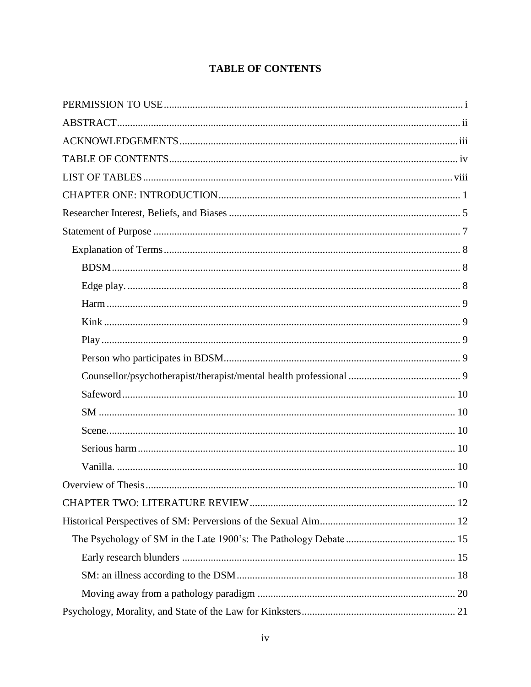# **TABLE OF CONTENTS**

<span id="page-4-0"></span>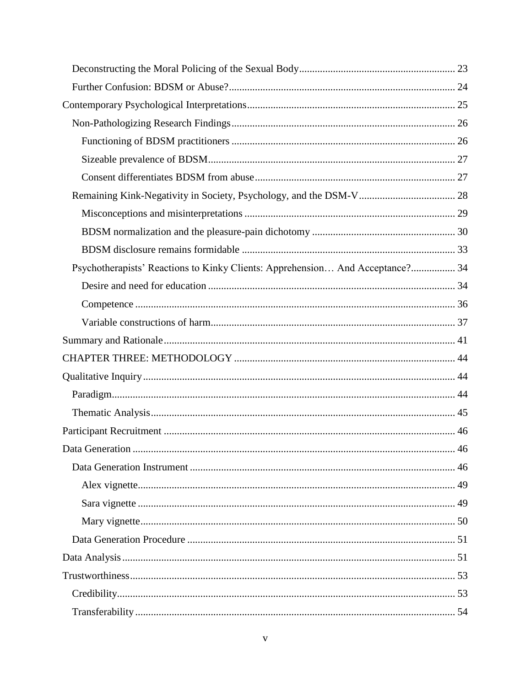| Psychotherapists' Reactions to Kinky Clients: Apprehension And Acceptance? 34 |      |
|-------------------------------------------------------------------------------|------|
|                                                                               |      |
|                                                                               |      |
|                                                                               |      |
|                                                                               |      |
|                                                                               |      |
|                                                                               |      |
|                                                                               |      |
|                                                                               |      |
|                                                                               |      |
| Data Generation                                                               | . 46 |
|                                                                               |      |
|                                                                               |      |
|                                                                               |      |
|                                                                               |      |
|                                                                               |      |
|                                                                               |      |
|                                                                               |      |
|                                                                               |      |
|                                                                               |      |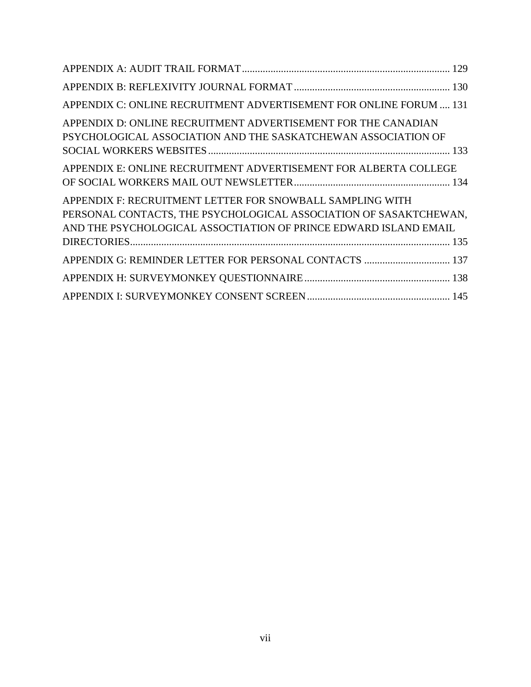| APPENDIX C: ONLINE RECRUITMENT ADVERTISEMENT FOR ONLINE FORUM  131                                                                                                                                 |
|----------------------------------------------------------------------------------------------------------------------------------------------------------------------------------------------------|
| APPENDIX D: ONLINE RECRUITMENT ADVERTISEMENT FOR THE CANADIAN<br>PSYCHOLOGICAL ASSOCIATION AND THE SASKATCHEWAN ASSOCIATION OF                                                                     |
| APPENDIX E: ONLINE RECRUITMENT ADVERTISEMENT FOR ALBERTA COLLEGE                                                                                                                                   |
| APPENDIX F: RECRUITMENT LETTER FOR SNOWBALL SAMPLING WITH<br>PERSONAL CONTACTS, THE PSYCHOLOGICAL ASSOCIATION OF SASAKTCHEWAN,<br>AND THE PSYCHOLOGICAL ASSOCTIATION OF PRINCE EDWARD ISLAND EMAIL |
| APPENDIX G: REMINDER LETTER FOR PERSONAL CONTACTS  137                                                                                                                                             |
|                                                                                                                                                                                                    |
|                                                                                                                                                                                                    |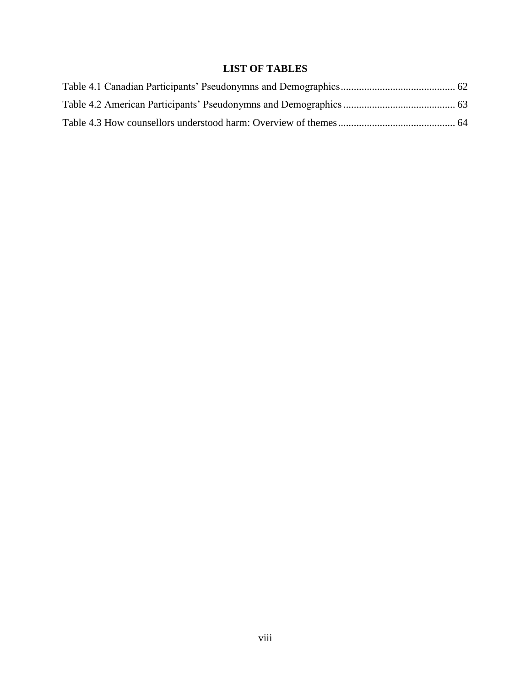# **LIST OF TABLES**

<span id="page-8-0"></span>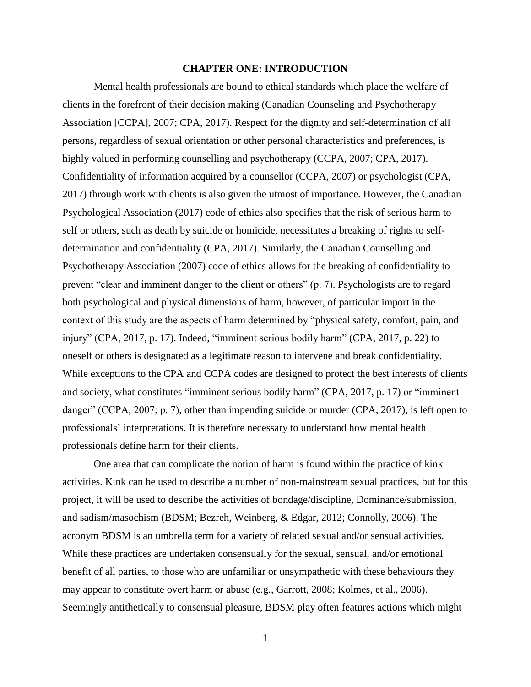#### **CHAPTER ONE: INTRODUCTION**

<span id="page-9-0"></span>Mental health professionals are bound to ethical standards which place the welfare of clients in the forefront of their decision making (Canadian Counseling and Psychotherapy Association [CCPA], 2007; CPA, 2017). Respect for the dignity and self-determination of all persons, regardless of sexual orientation or other personal characteristics and preferences, is highly valued in performing counselling and psychotherapy (CCPA, 2007; CPA, 2017). Confidentiality of information acquired by a counsellor (CCPA, 2007) or psychologist (CPA, 2017) through work with clients is also given the utmost of importance. However, the Canadian Psychological Association (2017) code of ethics also specifies that the risk of serious harm to self or others, such as death by suicide or homicide, necessitates a breaking of rights to selfdetermination and confidentiality (CPA, 2017). Similarly, the Canadian Counselling and Psychotherapy Association (2007) code of ethics allows for the breaking of confidentiality to prevent "clear and imminent danger to the client or others" (p. 7). Psychologists are to regard both psychological and physical dimensions of harm, however, of particular import in the context of this study are the aspects of harm determined by "physical safety, comfort, pain, and injury" (CPA, 2017, p. 17). Indeed, "imminent serious bodily harm" (CPA, 2017, p. 22) to oneself or others is designated as a legitimate reason to intervene and break confidentiality. While exceptions to the CPA and CCPA codes are designed to protect the best interests of clients and society, what constitutes "imminent serious bodily harm" (CPA, 2017, p. 17) or "imminent danger" (CCPA, 2007; p. 7), other than impending suicide or murder (CPA, 2017), is left open to professionals' interpretations. It is therefore necessary to understand how mental health professionals define harm for their clients.

One area that can complicate the notion of harm is found within the practice of kink activities. Kink can be used to describe a number of non-mainstream sexual practices, but for this project, it will be used to describe the activities of bondage/discipline, Dominance/submission, and sadism/masochism (BDSM; Bezreh, Weinberg, & Edgar, 2012; Connolly, 2006). The acronym BDSM is an umbrella term for a variety of related sexual and/or sensual activities. While these practices are undertaken consensually for the sexual, sensual, and/or emotional benefit of all parties, to those who are unfamiliar or unsympathetic with these behaviours they may appear to constitute overt harm or abuse (e.g., Garrott, 2008; Kolmes, et al., 2006). Seemingly antithetically to consensual pleasure, BDSM play often features actions which might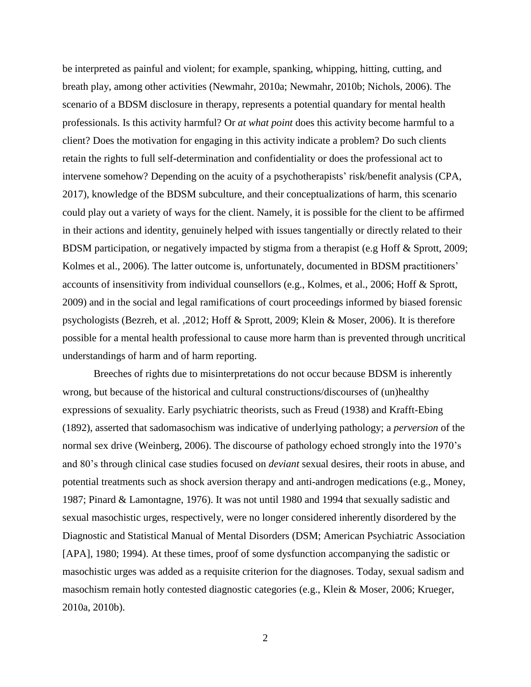be interpreted as painful and violent; for example, spanking, whipping, hitting, cutting, and breath play, among other activities (Newmahr, 2010a; Newmahr, 2010b; Nichols, 2006). The scenario of a BDSM disclosure in therapy, represents a potential quandary for mental health professionals. Is this activity harmful? Or *at what point* does this activity become harmful to a client? Does the motivation for engaging in this activity indicate a problem? Do such clients retain the rights to full self-determination and confidentiality or does the professional act to intervene somehow? Depending on the acuity of a psychotherapists' risk/benefit analysis (CPA, 2017), knowledge of the BDSM subculture, and their conceptualizations of harm, this scenario could play out a variety of ways for the client. Namely, it is possible for the client to be affirmed in their actions and identity, genuinely helped with issues tangentially or directly related to their BDSM participation, or negatively impacted by stigma from a therapist (e.g Hoff & Sprott, 2009; Kolmes et al., 2006). The latter outcome is, unfortunately, documented in BDSM practitioners' accounts of insensitivity from individual counsellors (e.g., Kolmes, et al., 2006; Hoff & Sprott, 2009) and in the social and legal ramifications of court proceedings informed by biased forensic psychologists (Bezreh, et al. ,2012; Hoff & Sprott, 2009; Klein & Moser, 2006). It is therefore possible for a mental health professional to cause more harm than is prevented through uncritical understandings of harm and of harm reporting.

Breeches of rights due to misinterpretations do not occur because BDSM is inherently wrong, but because of the historical and cultural constructions/discourses of (un)healthy expressions of sexuality. Early psychiatric theorists, such as Freud (1938) and Krafft-Ebing (1892), asserted that sadomasochism was indicative of underlying pathology; a *perversion* of the normal sex drive (Weinberg, 2006). The discourse of pathology echoed strongly into the 1970's and 80's through clinical case studies focused on *deviant* sexual desires, their roots in abuse, and potential treatments such as shock aversion therapy and anti-androgen medications (e.g., Money, 1987; Pinard & Lamontagne, 1976). It was not until 1980 and 1994 that sexually sadistic and sexual masochistic urges, respectively, were no longer considered inherently disordered by the Diagnostic and Statistical Manual of Mental Disorders (DSM; American Psychiatric Association [APA], 1980; 1994). At these times, proof of some dysfunction accompanying the sadistic or masochistic urges was added as a requisite criterion for the diagnoses. Today, sexual sadism and masochism remain hotly contested diagnostic categories (e.g., Klein & Moser, 2006; Krueger, 2010a, 2010b).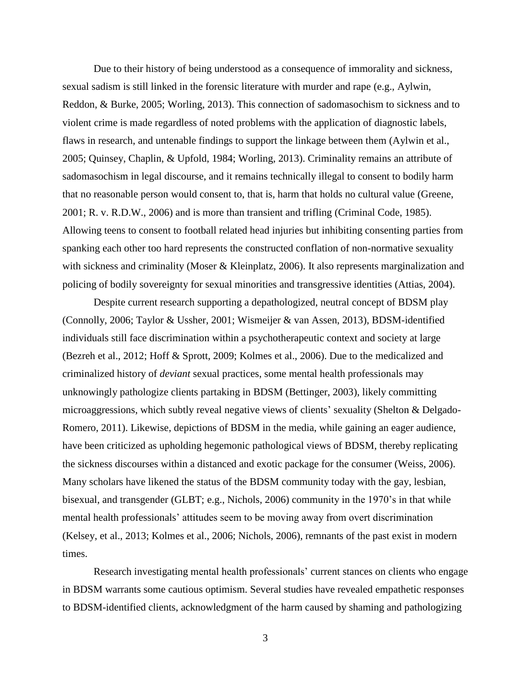Due to their history of being understood as a consequence of immorality and sickness, sexual sadism is still linked in the forensic literature with murder and rape (e.g., Aylwin, Reddon, & Burke, 2005; Worling, 2013). This connection of sadomasochism to sickness and to violent crime is made regardless of noted problems with the application of diagnostic labels, flaws in research, and untenable findings to support the linkage between them (Aylwin et al., 2005; Quinsey, Chaplin, & Upfold, 1984; Worling, 2013). Criminality remains an attribute of sadomasochism in legal discourse, and it remains technically illegal to consent to bodily harm that no reasonable person would consent to, that is, harm that holds no cultural value (Greene, 2001; R. v. R.D.W., 2006) and is more than transient and trifling (Criminal Code, 1985). Allowing teens to consent to football related head injuries but inhibiting consenting parties from spanking each other too hard represents the constructed conflation of non-normative sexuality with sickness and criminality (Moser & Kleinplatz, 2006). It also represents marginalization and policing of bodily sovereignty for sexual minorities and transgressive identities (Attias, 2004).

Despite current research supporting a depathologized, neutral concept of BDSM play (Connolly, 2006; Taylor & Ussher, 2001; Wismeijer & van Assen, 2013), BDSM-identified individuals still face discrimination within a psychotherapeutic context and society at large (Bezreh et al., 2012; Hoff & Sprott, 2009; Kolmes et al., 2006). Due to the medicalized and criminalized history of *deviant* sexual practices, some mental health professionals may unknowingly pathologize clients partaking in BDSM (Bettinger, 2003), likely committing microaggressions, which subtly reveal negative views of clients' sexuality (Shelton & Delgado-Romero, 2011). Likewise, depictions of BDSM in the media, while gaining an eager audience, have been criticized as upholding hegemonic pathological views of BDSM, thereby replicating the sickness discourses within a distanced and exotic package for the consumer (Weiss, 2006). Many scholars have likened the status of the BDSM community today with the gay, lesbian, bisexual, and transgender (GLBT; e.g., Nichols, 2006) community in the 1970's in that while mental health professionals' attitudes seem to be moving away from overt discrimination (Kelsey, et al., 2013; Kolmes et al., 2006; Nichols, 2006), remnants of the past exist in modern times.

Research investigating mental health professionals' current stances on clients who engage in BDSM warrants some cautious optimism. Several studies have revealed empathetic responses to BDSM-identified clients, acknowledgment of the harm caused by shaming and pathologizing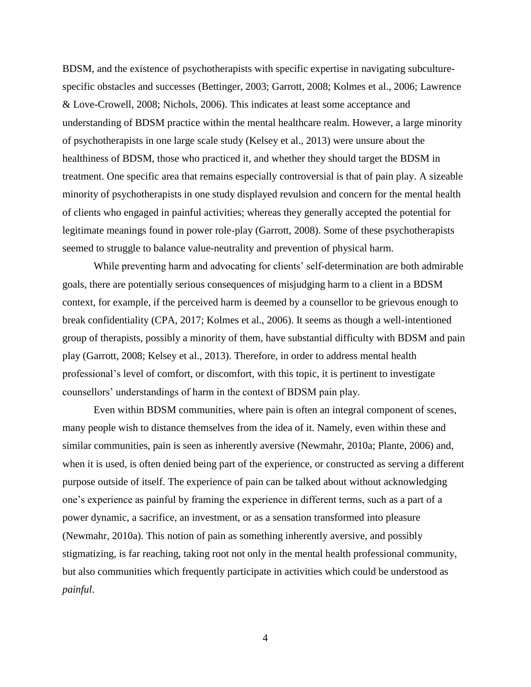BDSM, and the existence of psychotherapists with specific expertise in navigating subculturespecific obstacles and successes (Bettinger, 2003; Garrott, 2008; Kolmes et al., 2006; Lawrence & Love-Crowell, 2008; Nichols, 2006). This indicates at least some acceptance and understanding of BDSM practice within the mental healthcare realm. However, a large minority of psychotherapists in one large scale study (Kelsey et al., 2013) were unsure about the healthiness of BDSM, those who practiced it, and whether they should target the BDSM in treatment. One specific area that remains especially controversial is that of pain play. A sizeable minority of psychotherapists in one study displayed revulsion and concern for the mental health of clients who engaged in painful activities; whereas they generally accepted the potential for legitimate meanings found in power role-play (Garrott, 2008). Some of these psychotherapists seemed to struggle to balance value-neutrality and prevention of physical harm.

While preventing harm and advocating for clients' self-determination are both admirable goals, there are potentially serious consequences of misjudging harm to a client in a BDSM context, for example, if the perceived harm is deemed by a counsellor to be grievous enough to break confidentiality (CPA, 2017; Kolmes et al., 2006). It seems as though a well-intentioned group of therapists, possibly a minority of them, have substantial difficulty with BDSM and pain play (Garrott, 2008; Kelsey et al., 2013). Therefore, in order to address mental health professional's level of comfort, or discomfort, with this topic, it is pertinent to investigate counsellors' understandings of harm in the context of BDSM pain play.

Even within BDSM communities, where pain is often an integral component of scenes, many people wish to distance themselves from the idea of it. Namely, even within these and similar communities, pain is seen as inherently aversive (Newmahr, 2010a; Plante, 2006) and, when it is used, is often denied being part of the experience, or constructed as serving a different purpose outside of itself. The experience of pain can be talked about without acknowledging one's experience as painful by framing the experience in different terms, such as a part of a power dynamic, a sacrifice, an investment, or as a sensation transformed into pleasure (Newmahr, 2010a). This notion of pain as something inherently aversive, and possibly stigmatizing, is far reaching, taking root not only in the mental health professional community, but also communities which frequently participate in activities which could be understood as *painful*.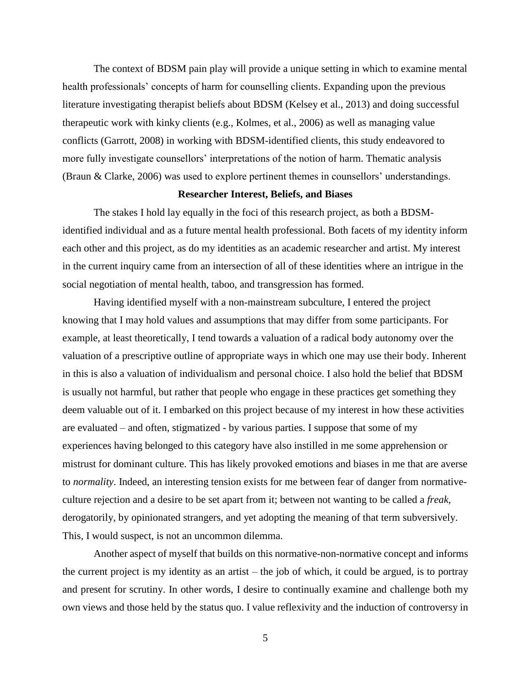The context of BDSM pain play will provide a unique setting in which to examine mental health professionals' concepts of harm for counselling clients. Expanding upon the previous literature investigating therapist beliefs about BDSM (Kelsey et al., 2013) and doing successful therapeutic work with kinky clients (e.g., Kolmes, et al., 2006) as well as managing value conflicts (Garrott, 2008) in working with BDSM-identified clients, this study endeavored to more fully investigate counsellors' interpretations of the notion of harm. Thematic analysis (Braun & Clarke, 2006) was used to explore pertinent themes in counsellors' understandings.

#### **Researcher Interest, Beliefs, and Biases**

<span id="page-13-0"></span>The stakes I hold lay equally in the foci of this research project, as both a BDSMidentified individual and as a future mental health professional. Both facets of my identity inform each other and this project, as do my identities as an academic researcher and artist. My interest in the current inquiry came from an intersection of all of these identities where an intrigue in the social negotiation of mental health, taboo, and transgression has formed.

Having identified myself with a non-mainstream subculture, I entered the project knowing that I may hold values and assumptions that may differ from some participants. For example, at least theoretically, I tend towards a valuation of a radical body autonomy over the valuation of a prescriptive outline of appropriate ways in which one may use their body. Inherent in this is also a valuation of individualism and personal choice. I also hold the belief that BDSM is usually not harmful, but rather that people who engage in these practices get something they deem valuable out of it. I embarked on this project because of my interest in how these activities are evaluated – and often, stigmatized - by various parties. I suppose that some of my experiences having belonged to this category have also instilled in me some apprehension or mistrust for dominant culture. This has likely provoked emotions and biases in me that are averse to *normality*. Indeed, an interesting tension exists for me between fear of danger from normativeculture rejection and a desire to be set apart from it; between not wanting to be called a *freak*, derogatorily, by opinionated strangers, and yet adopting the meaning of that term subversively. This, I would suspect, is not an uncommon dilemma.

Another aspect of myself that builds on this normative-non-normative concept and informs the current project is my identity as an artist – the job of which, it could be argued, is to portray and present for scrutiny. In other words, I desire to continually examine and challenge both my own views and those held by the status quo. I value reflexivity and the induction of controversy in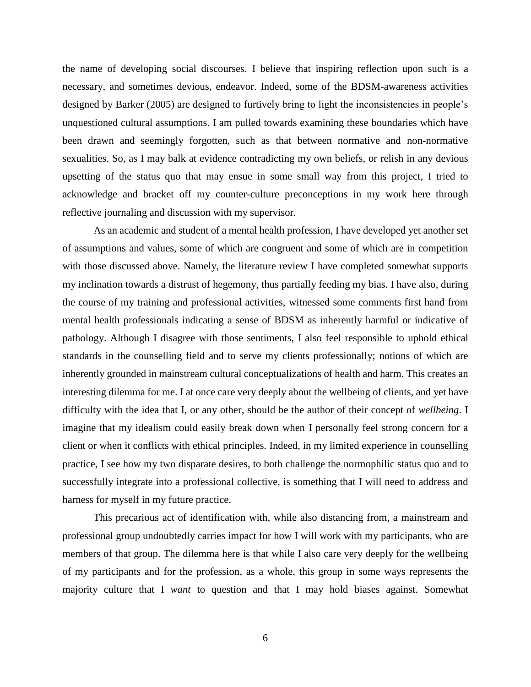the name of developing social discourses. I believe that inspiring reflection upon such is a necessary, and sometimes devious, endeavor. Indeed, some of the BDSM-awareness activities designed by Barker (2005) are designed to furtively bring to light the inconsistencies in people's unquestioned cultural assumptions. I am pulled towards examining these boundaries which have been drawn and seemingly forgotten, such as that between normative and non-normative sexualities. So, as I may balk at evidence contradicting my own beliefs, or relish in any devious upsetting of the status quo that may ensue in some small way from this project, I tried to acknowledge and bracket off my counter-culture preconceptions in my work here through reflective journaling and discussion with my supervisor.

As an academic and student of a mental health profession, I have developed yet another set of assumptions and values, some of which are congruent and some of which are in competition with those discussed above. Namely, the literature review I have completed somewhat supports my inclination towards a distrust of hegemony, thus partially feeding my bias. I have also, during the course of my training and professional activities, witnessed some comments first hand from mental health professionals indicating a sense of BDSM as inherently harmful or indicative of pathology. Although I disagree with those sentiments, I also feel responsible to uphold ethical standards in the counselling field and to serve my clients professionally; notions of which are inherently grounded in mainstream cultural conceptualizations of health and harm. This creates an interesting dilemma for me. I at once care very deeply about the wellbeing of clients, and yet have difficulty with the idea that I, or any other, should be the author of their concept of *wellbeing*. I imagine that my idealism could easily break down when I personally feel strong concern for a client or when it conflicts with ethical principles. Indeed, in my limited experience in counselling practice, I see how my two disparate desires, to both challenge the normophilic status quo and to successfully integrate into a professional collective, is something that I will need to address and harness for myself in my future practice.

This precarious act of identification with, while also distancing from, a mainstream and professional group undoubtedly carries impact for how I will work with my participants, who are members of that group. The dilemma here is that while I also care very deeply for the wellbeing of my participants and for the profession, as a whole, this group in some ways represents the majority culture that I *want* to question and that I may hold biases against. Somewhat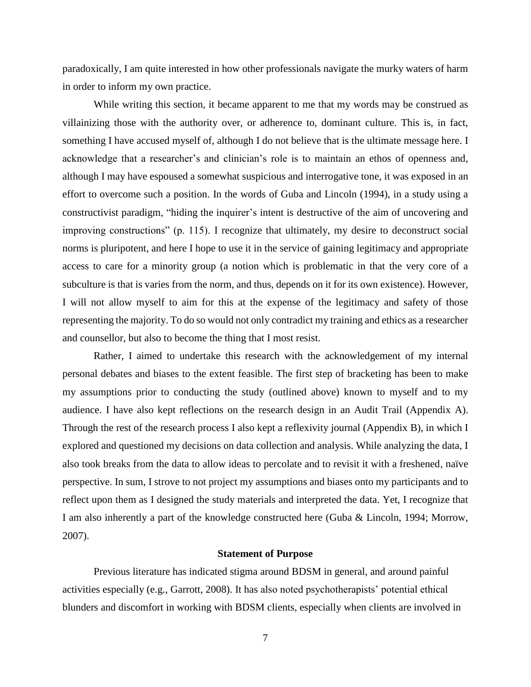paradoxically, I am quite interested in how other professionals navigate the murky waters of harm in order to inform my own practice.

While writing this section, it became apparent to me that my words may be construed as villainizing those with the authority over, or adherence to, dominant culture. This is, in fact, something I have accused myself of, although I do not believe that is the ultimate message here. I acknowledge that a researcher's and clinician's role is to maintain an ethos of openness and, although I may have espoused a somewhat suspicious and interrogative tone, it was exposed in an effort to overcome such a position. In the words of Guba and Lincoln (1994), in a study using a constructivist paradigm, "hiding the inquirer's intent is destructive of the aim of uncovering and improving constructions" (p. 115). I recognize that ultimately, my desire to deconstruct social norms is pluripotent, and here I hope to use it in the service of gaining legitimacy and appropriate access to care for a minority group (a notion which is problematic in that the very core of a subculture is that is varies from the norm, and thus, depends on it for its own existence). However, I will not allow myself to aim for this at the expense of the legitimacy and safety of those representing the majority. To do so would not only contradict my training and ethics as a researcher and counsellor, but also to become the thing that I most resist.

Rather, I aimed to undertake this research with the acknowledgement of my internal personal debates and biases to the extent feasible. The first step of bracketing has been to make my assumptions prior to conducting the study (outlined above) known to myself and to my audience. I have also kept reflections on the research design in an Audit Trail (Appendix A). Through the rest of the research process I also kept a reflexivity journal (Appendix B), in which I explored and questioned my decisions on data collection and analysis. While analyzing the data, I also took breaks from the data to allow ideas to percolate and to revisit it with a freshened, naïve perspective. In sum, I strove to not project my assumptions and biases onto my participants and to reflect upon them as I designed the study materials and interpreted the data. Yet, I recognize that I am also inherently a part of the knowledge constructed here (Guba & Lincoln, 1994; Morrow, 2007).

#### **Statement of Purpose**

<span id="page-15-0"></span>Previous literature has indicated stigma around BDSM in general, and around painful activities especially (e.g., Garrott, 2008). It has also noted psychotherapists' potential ethical blunders and discomfort in working with BDSM clients, especially when clients are involved in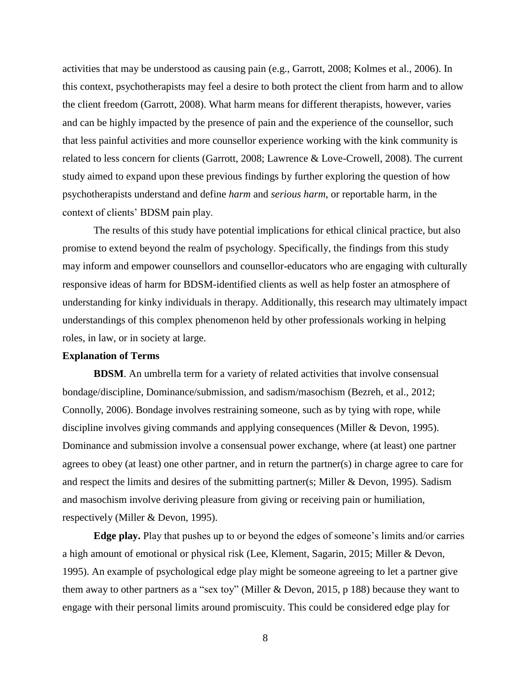activities that may be understood as causing pain (e.g., Garrott, 2008; Kolmes et al., 2006). In this context, psychotherapists may feel a desire to both protect the client from harm and to allow the client freedom (Garrott, 2008). What harm means for different therapists, however, varies and can be highly impacted by the presence of pain and the experience of the counsellor, such that less painful activities and more counsellor experience working with the kink community is related to less concern for clients (Garrott, 2008; Lawrence & Love-Crowell, 2008). The current study aimed to expand upon these previous findings by further exploring the question of how psychotherapists understand and define *harm* and *serious harm*, or reportable harm, in the context of clients' BDSM pain play.

The results of this study have potential implications for ethical clinical practice, but also promise to extend beyond the realm of psychology. Specifically, the findings from this study may inform and empower counsellors and counsellor-educators who are engaging with culturally responsive ideas of harm for BDSM-identified clients as well as help foster an atmosphere of understanding for kinky individuals in therapy. Additionally, this research may ultimately impact understandings of this complex phenomenon held by other professionals working in helping roles, in law, or in society at large.

### <span id="page-16-0"></span>**Explanation of Terms**

<span id="page-16-1"></span>**BDSM**. An umbrella term for a variety of related activities that involve consensual bondage/discipline, Dominance/submission, and sadism/masochism (Bezreh, et al., 2012; Connolly, 2006). Bondage involves restraining someone, such as by tying with rope, while discipline involves giving commands and applying consequences (Miller & Devon, 1995). Dominance and submission involve a consensual power exchange, where (at least) one partner agrees to obey (at least) one other partner, and in return the partner(s) in charge agree to care for and respect the limits and desires of the submitting partner(s; Miller & Devon, 1995). Sadism and masochism involve deriving pleasure from giving or receiving pain or humiliation, respectively (Miller & Devon, 1995).

<span id="page-16-2"></span>**Edge play.** Play that pushes up to or beyond the edges of someone's limits and/or carries a high amount of emotional or physical risk (Lee, Klement, Sagarin, 2015; Miller & Devon, 1995). An example of psychological edge play might be someone agreeing to let a partner give them away to other partners as a "sex toy" (Miller & Devon, 2015, p 188) because they want to engage with their personal limits around promiscuity. This could be considered edge play for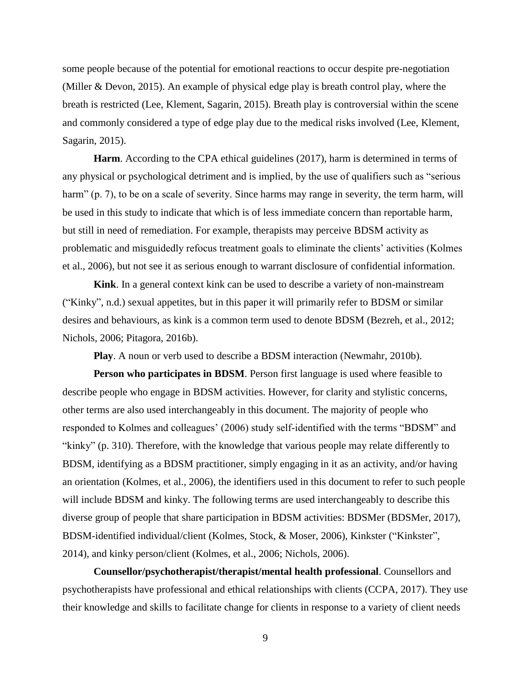some people because of the potential for emotional reactions to occur despite pre-negotiation (Miller & Devon, 2015). An example of physical edge play is breath control play, where the breath is restricted (Lee, Klement, Sagarin, 2015). Breath play is controversial within the scene and commonly considered a type of edge play due to the medical risks involved (Lee, Klement, Sagarin, 2015).

<span id="page-17-0"></span>**Harm**. According to the CPA ethical guidelines (2017), harm is determined in terms of any physical or psychological detriment and is implied, by the use of qualifiers such as "serious harm" (p. 7), to be on a scale of severity. Since harms may range in severity, the term harm, will be used in this study to indicate that which is of less immediate concern than reportable harm, but still in need of remediation. For example, therapists may perceive BDSM activity as problematic and misguidedly refocus treatment goals to eliminate the clients' activities (Kolmes et al., 2006), but not see it as serious enough to warrant disclosure of confidential information.

<span id="page-17-1"></span>**Kink**. In a general context kink can be used to describe a variety of non-mainstream ("Kinky", n.d.) sexual appetites, but in this paper it will primarily refer to BDSM or similar desires and behaviours, as kink is a common term used to denote BDSM (Bezreh, et al., 2012; Nichols, 2006; Pitagora, 2016b).

**Play**. A noun or verb used to describe a BDSM interaction (Newmahr, 2010b).

<span id="page-17-3"></span><span id="page-17-2"></span>**Person who participates in BDSM**. Person first language is used where feasible to describe people who engage in BDSM activities. However, for clarity and stylistic concerns, other terms are also used interchangeably in this document. The majority of people who responded to Kolmes and colleagues' (2006) study self-identified with the terms "BDSM" and "kinky" (p. 310). Therefore, with the knowledge that various people may relate differently to BDSM, identifying as a BDSM practitioner, simply engaging in it as an activity, and/or having an orientation (Kolmes, et al., 2006), the identifiers used in this document to refer to such people will include BDSM and kinky. The following terms are used interchangeably to describe this diverse group of people that share participation in BDSM activities: BDSMer (BDSMer, 2017), BDSM-identified individual/client (Kolmes, Stock, & Moser, 2006), Kinkster ("Kinkster", 2014), and kinky person/client (Kolmes, et al., 2006; Nichols, 2006).

<span id="page-17-4"></span>**Counsellor/psychotherapist/therapist/mental health professional**. Counsellors and psychotherapists have professional and ethical relationships with clients (CCPA, 2017). They use their knowledge and skills to facilitate change for clients in response to a variety of client needs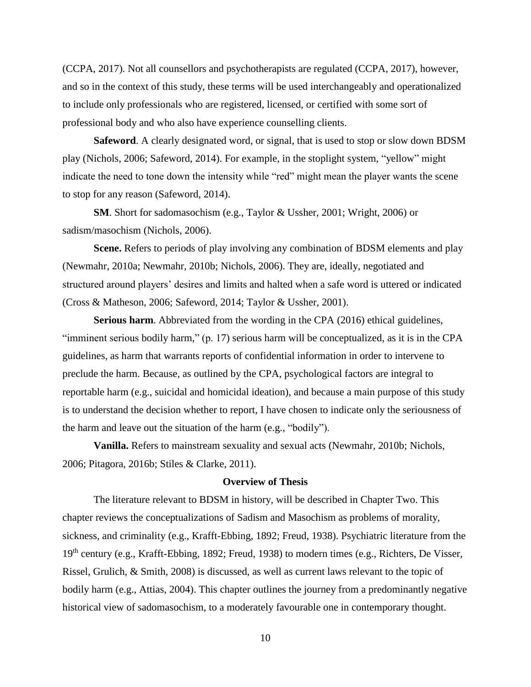(CCPA, 2017). Not all counsellors and psychotherapists are regulated (CCPA, 2017), however, and so in the context of this study, these terms will be used interchangeably and operationalized to include only professionals who are registered, licensed, or certified with some sort of professional body and who also have experience counselling clients.

<span id="page-18-0"></span>**Safeword**. A clearly designated word, or signal, that is used to stop or slow down BDSM play (Nichols, 2006; Safeword, 2014). For example, in the stoplight system, "yellow" might indicate the need to tone down the intensity while "red" might mean the player wants the scene to stop for any reason (Safeword, 2014).

<span id="page-18-1"></span>**SM**. Short for sadomasochism (e.g., Taylor & Ussher, 2001; Wright, 2006) or sadism/masochism (Nichols, 2006).

<span id="page-18-2"></span>**Scene.** Refers to periods of play involving any combination of BDSM elements and play (Newmahr, 2010a; Newmahr, 2010b; Nichols, 2006). They are, ideally, negotiated and structured around players' desires and limits and halted when a safe word is uttered or indicated (Cross & Matheson, 2006; Safeword, 2014; Taylor & Ussher, 2001).

<span id="page-18-3"></span>**Serious harm**. Abbreviated from the wording in the CPA (2016) ethical guidelines, "imminent serious bodily harm," (p. 17) serious harm will be conceptualized, as it is in the CPA guidelines, as harm that warrants reports of confidential information in order to intervene to preclude the harm. Because, as outlined by the CPA, psychological factors are integral to reportable harm (e.g., suicidal and homicidal ideation), and because a main purpose of this study is to understand the decision whether to report, I have chosen to indicate only the seriousness of the harm and leave out the situation of the harm (e.g., "bodily").

<span id="page-18-4"></span>**Vanilla.** Refers to mainstream sexuality and sexual acts (Newmahr, 2010b; Nichols, 2006; Pitagora, 2016b; Stiles & Clarke, 2011).

## **Overview of Thesis**

<span id="page-18-5"></span>The literature relevant to BDSM in history, will be described in Chapter Two. This chapter reviews the conceptualizations of Sadism and Masochism as problems of morality, sickness, and criminality (e.g., Krafft-Ebbing, 1892; Freud, 1938). Psychiatric literature from the 19<sup>th</sup> century (e.g., Krafft-Ebbing, 1892; Freud, 1938) to modern times (e.g., Richters, De Visser, Rissel, Grulich, & Smith, 2008) is discussed, as well as current laws relevant to the topic of bodily harm (e.g., Attias, 2004). This chapter outlines the journey from a predominantly negative historical view of sadomasochism, to a moderately favourable one in contemporary thought.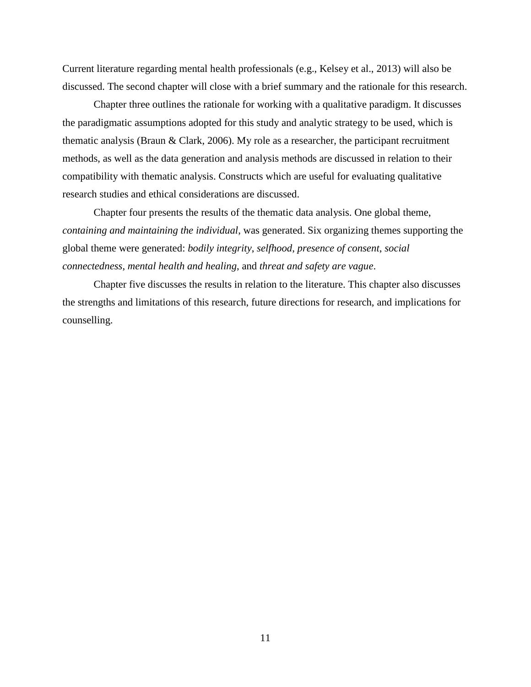Current literature regarding mental health professionals (e.g., Kelsey et al., 2013) will also be discussed. The second chapter will close with a brief summary and the rationale for this research.

Chapter three outlines the rationale for working with a qualitative paradigm. It discusses the paradigmatic assumptions adopted for this study and analytic strategy to be used, which is thematic analysis (Braun & Clark, 2006). My role as a researcher, the participant recruitment methods, as well as the data generation and analysis methods are discussed in relation to their compatibility with thematic analysis. Constructs which are useful for evaluating qualitative research studies and ethical considerations are discussed.

Chapter four presents the results of the thematic data analysis. One global theme, *containing and maintaining the individual*, was generated. Six organizing themes supporting the global theme were generated: *bodily integrity*, *selfhood*, *presence of consent*, *social connectedness*, *mental health and healing*, and *threat and safety are vague*.

Chapter five discusses the results in relation to the literature. This chapter also discusses the strengths and limitations of this research, future directions for research, and implications for counselling.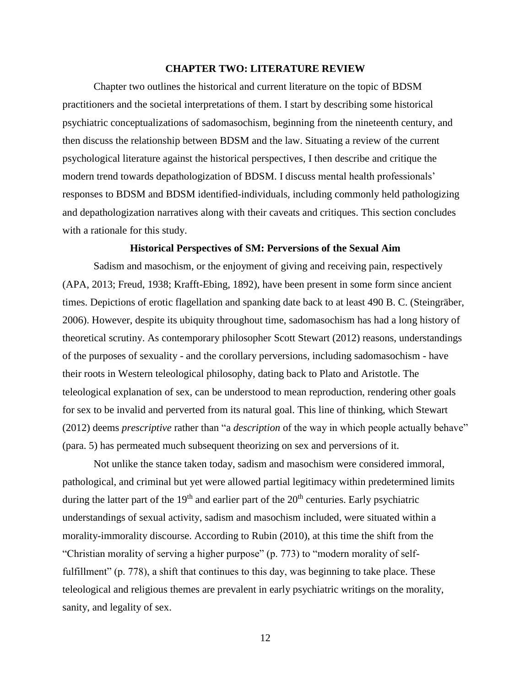#### **CHAPTER TWO: LITERATURE REVIEW**

<span id="page-20-0"></span>Chapter two outlines the historical and current literature on the topic of BDSM practitioners and the societal interpretations of them. I start by describing some historical psychiatric conceptualizations of sadomasochism, beginning from the nineteenth century, and then discuss the relationship between BDSM and the law. Situating a review of the current psychological literature against the historical perspectives, I then describe and critique the modern trend towards depathologization of BDSM. I discuss mental health professionals' responses to BDSM and BDSM identified-individuals, including commonly held pathologizing and depathologization narratives along with their caveats and critiques. This section concludes with a rationale for this study.

## **Historical Perspectives of SM: Perversions of the Sexual Aim**

<span id="page-20-1"></span>Sadism and masochism, or the enjoyment of giving and receiving pain, respectively (APA, 2013; Freud, 1938; Krafft-Ebing, 1892), have been present in some form since ancient times. Depictions of erotic flagellation and spanking date back to at least 490 B. C. (Steingräber, 2006). However, despite its ubiquity throughout time, sadomasochism has had a long history of theoretical scrutiny. As contemporary philosopher Scott Stewart (2012) reasons, understandings of the purposes of sexuality - and the corollary perversions, including sadomasochism - have their roots in Western teleological philosophy, dating back to Plato and Aristotle. The teleological explanation of sex, can be understood to mean reproduction, rendering other goals for sex to be invalid and perverted from its natural goal. This line of thinking, which Stewart (2012) deems *prescriptive* rather than "a *description* of the way in which people actually behave" (para. 5) has permeated much subsequent theorizing on sex and perversions of it.

Not unlike the stance taken today, sadism and masochism were considered immoral, pathological, and criminal but yet were allowed partial legitimacy within predetermined limits during the latter part of the  $19<sup>th</sup>$  and earlier part of the  $20<sup>th</sup>$  centuries. Early psychiatric understandings of sexual activity, sadism and masochism included, were situated within a morality-immorality discourse. According to Rubin (2010), at this time the shift from the "Christian morality of serving a higher purpose" (p. 773) to "modern morality of selffulfillment" (p. 778), a shift that continues to this day, was beginning to take place. These teleological and religious themes are prevalent in early psychiatric writings on the morality, sanity, and legality of sex.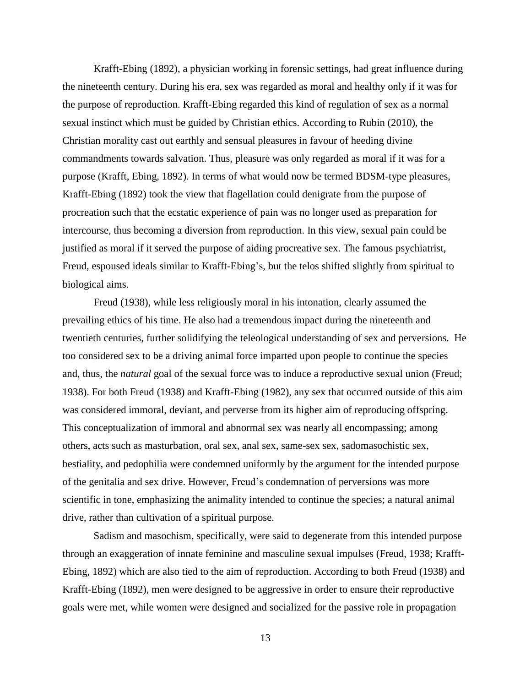Krafft-Ebing (1892), a physician working in forensic settings, had great influence during the nineteenth century. During his era, sex was regarded as moral and healthy only if it was for the purpose of reproduction. Krafft-Ebing regarded this kind of regulation of sex as a normal sexual instinct which must be guided by Christian ethics. According to Rubin (2010), the Christian morality cast out earthly and sensual pleasures in favour of heeding divine commandments towards salvation. Thus, pleasure was only regarded as moral if it was for a purpose (Krafft, Ebing, 1892). In terms of what would now be termed BDSM-type pleasures, Krafft-Ebing (1892) took the view that flagellation could denigrate from the purpose of procreation such that the ecstatic experience of pain was no longer used as preparation for intercourse, thus becoming a diversion from reproduction. In this view, sexual pain could be justified as moral if it served the purpose of aiding procreative sex. The famous psychiatrist, Freud, espoused ideals similar to Krafft-Ebing's, but the telos shifted slightly from spiritual to biological aims.

Freud (1938), while less religiously moral in his intonation, clearly assumed the prevailing ethics of his time. He also had a tremendous impact during the nineteenth and twentieth centuries, further solidifying the teleological understanding of sex and perversions. He too considered sex to be a driving animal force imparted upon people to continue the species and, thus, the *natural* goal of the sexual force was to induce a reproductive sexual union (Freud; 1938). For both Freud (1938) and Krafft-Ebing (1982), any sex that occurred outside of this aim was considered immoral, deviant, and perverse from its higher aim of reproducing offspring. This conceptualization of immoral and abnormal sex was nearly all encompassing; among others, acts such as masturbation, oral sex, anal sex, same-sex sex, sadomasochistic sex, bestiality, and pedophilia were condemned uniformly by the argument for the intended purpose of the genitalia and sex drive. However, Freud's condemnation of perversions was more scientific in tone, emphasizing the animality intended to continue the species; a natural animal drive, rather than cultivation of a spiritual purpose.

Sadism and masochism, specifically, were said to degenerate from this intended purpose through an exaggeration of innate feminine and masculine sexual impulses (Freud, 1938; Krafft-Ebing, 1892) which are also tied to the aim of reproduction. According to both Freud (1938) and Krafft-Ebing (1892), men were designed to be aggressive in order to ensure their reproductive goals were met, while women were designed and socialized for the passive role in propagation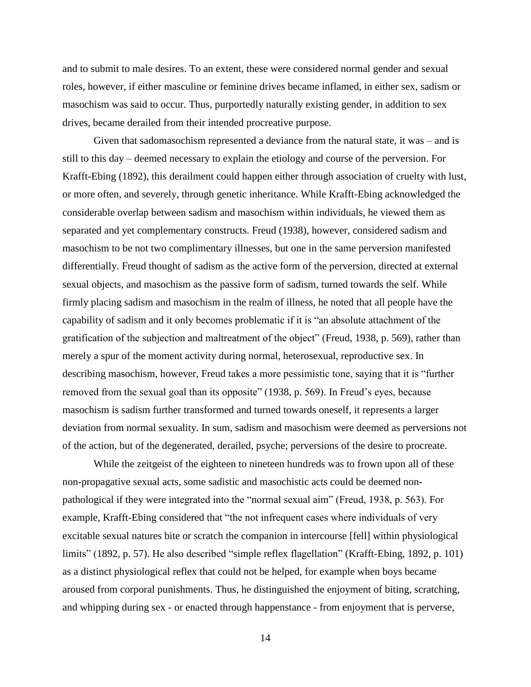and to submit to male desires. To an extent, these were considered normal gender and sexual roles, however, if either masculine or feminine drives became inflamed, in either sex, sadism or masochism was said to occur. Thus, purportedly naturally existing gender, in addition to sex drives, became derailed from their intended procreative purpose.

Given that sadomasochism represented a deviance from the natural state, it was – and is still to this day – deemed necessary to explain the etiology and course of the perversion. For Krafft-Ebing (1892), this derailment could happen either through association of cruelty with lust, or more often, and severely, through genetic inheritance. While Krafft-Ebing acknowledged the considerable overlap between sadism and masochism within individuals, he viewed them as separated and yet complementary constructs. Freud (1938), however, considered sadism and masochism to be not two complimentary illnesses, but one in the same perversion manifested differentially. Freud thought of sadism as the active form of the perversion, directed at external sexual objects, and masochism as the passive form of sadism, turned towards the self. While firmly placing sadism and masochism in the realm of illness, he noted that all people have the capability of sadism and it only becomes problematic if it is "an absolute attachment of the gratification of the subjection and maltreatment of the object" (Freud, 1938, p. 569), rather than merely a spur of the moment activity during normal, heterosexual, reproductive sex. In describing masochism, however, Freud takes a more pessimistic tone, saying that it is "further removed from the sexual goal than its opposite" (1938, p. 569). In Freud's eyes, because masochism is sadism further transformed and turned towards oneself, it represents a larger deviation from normal sexuality. In sum, sadism and masochism were deemed as perversions not of the action, but of the degenerated, derailed, psyche; perversions of the desire to procreate.

While the zeitgeist of the eighteen to nineteen hundreds was to frown upon all of these non-propagative sexual acts, some sadistic and masochistic acts could be deemed nonpathological if they were integrated into the "normal sexual aim" (Freud, 1938, p. 563). For example, Krafft-Ebing considered that "the not infrequent cases where individuals of very excitable sexual natures bite or scratch the companion in intercourse [fell] within physiological limits" (1892, p. 57). He also described "simple reflex flagellation" (Krafft-Ebing, 1892, p. 101) as a distinct physiological reflex that could not be helped, for example when boys became aroused from corporal punishments. Thus, he distinguished the enjoyment of biting, scratching, and whipping during sex - or enacted through happenstance - from enjoyment that is perverse,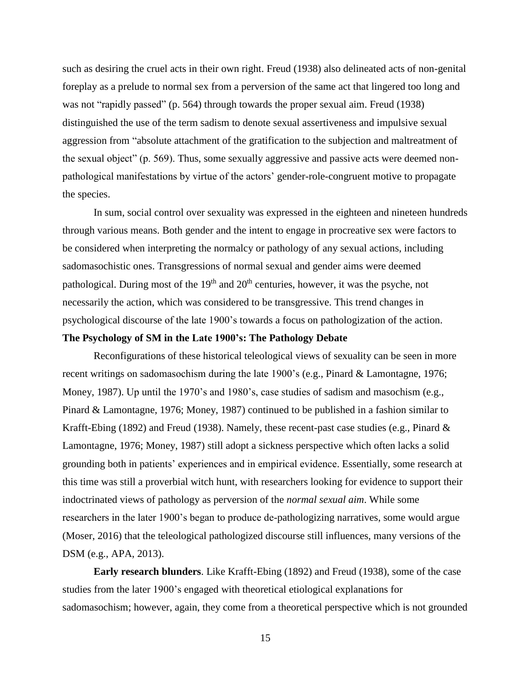such as desiring the cruel acts in their own right. Freud (1938) also delineated acts of non-genital foreplay as a prelude to normal sex from a perversion of the same act that lingered too long and was not "rapidly passed" (p. 564) through towards the proper sexual aim. Freud (1938) distinguished the use of the term sadism to denote sexual assertiveness and impulsive sexual aggression from "absolute attachment of the gratification to the subjection and maltreatment of the sexual object" (p. 569). Thus, some sexually aggressive and passive acts were deemed nonpathological manifestations by virtue of the actors' gender-role-congruent motive to propagate the species.

In sum, social control over sexuality was expressed in the eighteen and nineteen hundreds through various means. Both gender and the intent to engage in procreative sex were factors to be considered when interpreting the normalcy or pathology of any sexual actions, including sadomasochistic ones. Transgressions of normal sexual and gender aims were deemed pathological. During most of the  $19<sup>th</sup>$  and  $20<sup>th</sup>$  centuries, however, it was the psyche, not necessarily the action, which was considered to be transgressive. This trend changes in psychological discourse of the late 1900's towards a focus on pathologization of the action.

#### <span id="page-23-0"></span>**The Psychology of SM in the Late 1900's: The Pathology Debate**

Reconfigurations of these historical teleological views of sexuality can be seen in more recent writings on sadomasochism during the late 1900's (e.g., Pinard & Lamontagne, 1976; Money, 1987). Up until the 1970's and 1980's, case studies of sadism and masochism (e.g., Pinard & Lamontagne, 1976; Money, 1987) continued to be published in a fashion similar to Krafft-Ebing (1892) and Freud (1938). Namely, these recent-past case studies (e.g., Pinard  $\&$ Lamontagne, 1976; Money, 1987) still adopt a sickness perspective which often lacks a solid grounding both in patients' experiences and in empirical evidence. Essentially, some research at this time was still a proverbial witch hunt, with researchers looking for evidence to support their indoctrinated views of pathology as perversion of the *normal sexual aim*. While some researchers in the later 1900's began to produce de-pathologizing narratives, some would argue (Moser, 2016) that the teleological pathologized discourse still influences, many versions of the DSM (e.g., APA, 2013).

<span id="page-23-1"></span>**Early research blunders**. Like Krafft-Ebing (1892) and Freud (1938), some of the case studies from the later 1900's engaged with theoretical etiological explanations for sadomasochism; however, again, they come from a theoretical perspective which is not grounded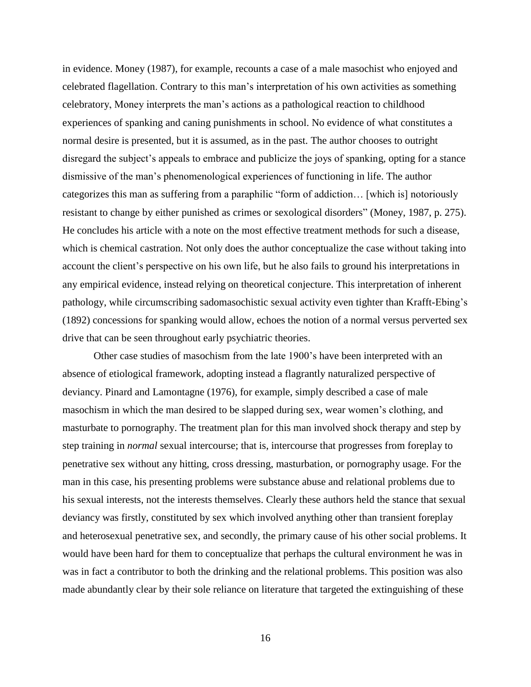in evidence. Money (1987), for example, recounts a case of a male masochist who enjoyed and celebrated flagellation. Contrary to this man's interpretation of his own activities as something celebratory, Money interprets the man's actions as a pathological reaction to childhood experiences of spanking and caning punishments in school. No evidence of what constitutes a normal desire is presented, but it is assumed, as in the past. The author chooses to outright disregard the subject's appeals to embrace and publicize the joys of spanking, opting for a stance dismissive of the man's phenomenological experiences of functioning in life. The author categorizes this man as suffering from a paraphilic "form of addiction… [which is] notoriously resistant to change by either punished as crimes or sexological disorders" (Money, 1987, p. 275). He concludes his article with a note on the most effective treatment methods for such a disease, which is chemical castration. Not only does the author conceptualize the case without taking into account the client's perspective on his own life, but he also fails to ground his interpretations in any empirical evidence, instead relying on theoretical conjecture. This interpretation of inherent pathology, while circumscribing sadomasochistic sexual activity even tighter than Krafft-Ebing's (1892) concessions for spanking would allow, echoes the notion of a normal versus perverted sex drive that can be seen throughout early psychiatric theories.

Other case studies of masochism from the late 1900's have been interpreted with an absence of etiological framework, adopting instead a flagrantly naturalized perspective of deviancy. Pinard and Lamontagne (1976), for example, simply described a case of male masochism in which the man desired to be slapped during sex, wear women's clothing, and masturbate to pornography. The treatment plan for this man involved shock therapy and step by step training in *normal* sexual intercourse; that is, intercourse that progresses from foreplay to penetrative sex without any hitting, cross dressing, masturbation, or pornography usage. For the man in this case, his presenting problems were substance abuse and relational problems due to his sexual interests, not the interests themselves. Clearly these authors held the stance that sexual deviancy was firstly, constituted by sex which involved anything other than transient foreplay and heterosexual penetrative sex, and secondly, the primary cause of his other social problems. It would have been hard for them to conceptualize that perhaps the cultural environment he was in was in fact a contributor to both the drinking and the relational problems. This position was also made abundantly clear by their sole reliance on literature that targeted the extinguishing of these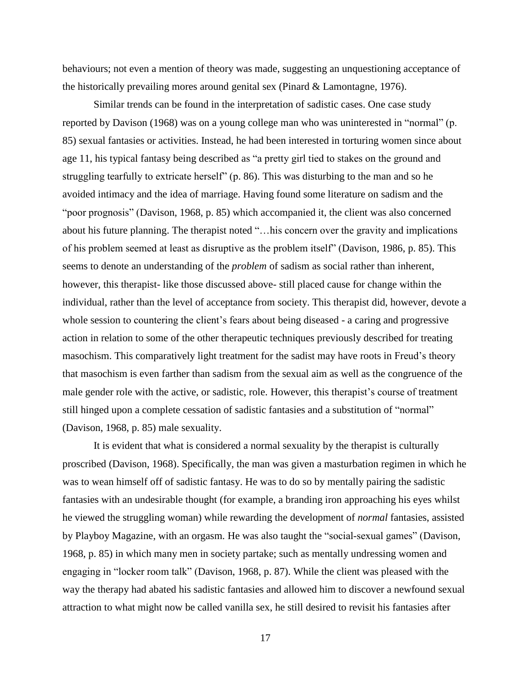behaviours; not even a mention of theory was made, suggesting an unquestioning acceptance of the historically prevailing mores around genital sex (Pinard  $&$  Lamontagne, 1976).

Similar trends can be found in the interpretation of sadistic cases. One case study reported by Davison (1968) was on a young college man who was uninterested in "normal" (p. 85) sexual fantasies or activities. Instead, he had been interested in torturing women since about age 11, his typical fantasy being described as "a pretty girl tied to stakes on the ground and struggling tearfully to extricate herself" (p. 86). This was disturbing to the man and so he avoided intimacy and the idea of marriage. Having found some literature on sadism and the "poor prognosis" (Davison, 1968, p. 85) which accompanied it, the client was also concerned about his future planning. The therapist noted "…his concern over the gravity and implications of his problem seemed at least as disruptive as the problem itself" (Davison, 1986, p. 85). This seems to denote an understanding of the *problem* of sadism as social rather than inherent, however, this therapist- like those discussed above- still placed cause for change within the individual, rather than the level of acceptance from society. This therapist did, however, devote a whole session to countering the client's fears about being diseased - a caring and progressive action in relation to some of the other therapeutic techniques previously described for treating masochism. This comparatively light treatment for the sadist may have roots in Freud's theory that masochism is even farther than sadism from the sexual aim as well as the congruence of the male gender role with the active, or sadistic, role. However, this therapist's course of treatment still hinged upon a complete cessation of sadistic fantasies and a substitution of "normal" (Davison, 1968, p. 85) male sexuality.

It is evident that what is considered a normal sexuality by the therapist is culturally proscribed (Davison, 1968). Specifically, the man was given a masturbation regimen in which he was to wean himself off of sadistic fantasy. He was to do so by mentally pairing the sadistic fantasies with an undesirable thought (for example, a branding iron approaching his eyes whilst he viewed the struggling woman) while rewarding the development of *normal* fantasies, assisted by Playboy Magazine, with an orgasm. He was also taught the "social-sexual games" (Davison, 1968, p. 85) in which many men in society partake; such as mentally undressing women and engaging in "locker room talk" (Davison, 1968, p. 87). While the client was pleased with the way the therapy had abated his sadistic fantasies and allowed him to discover a newfound sexual attraction to what might now be called vanilla sex, he still desired to revisit his fantasies after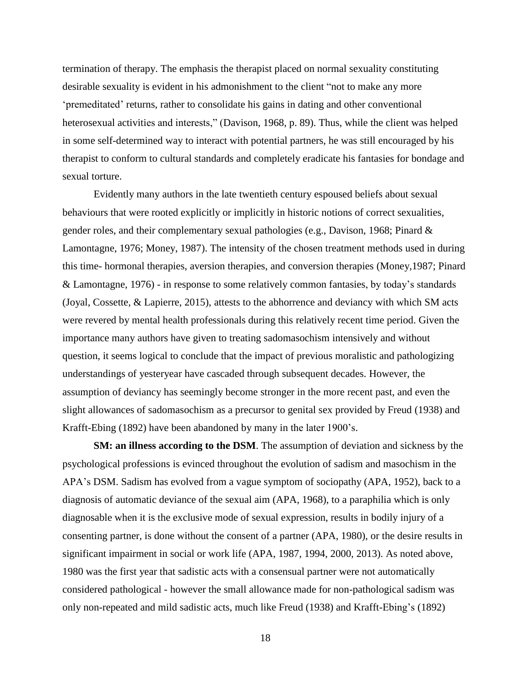termination of therapy. The emphasis the therapist placed on normal sexuality constituting desirable sexuality is evident in his admonishment to the client "not to make any more 'premeditated' returns, rather to consolidate his gains in dating and other conventional heterosexual activities and interests," (Davison, 1968, p. 89). Thus, while the client was helped in some self-determined way to interact with potential partners, he was still encouraged by his therapist to conform to cultural standards and completely eradicate his fantasies for bondage and sexual torture.

Evidently many authors in the late twentieth century espoused beliefs about sexual behaviours that were rooted explicitly or implicitly in historic notions of correct sexualities, gender roles, and their complementary sexual pathologies (e.g., Davison, 1968; Pinard & Lamontagne, 1976; Money, 1987). The intensity of the chosen treatment methods used in during this time- hormonal therapies, aversion therapies, and conversion therapies (Money,1987; Pinard & Lamontagne, 1976) - in response to some relatively common fantasies, by today's standards (Joyal, Cossette, & Lapierre, 2015), attests to the abhorrence and deviancy with which SM acts were revered by mental health professionals during this relatively recent time period. Given the importance many authors have given to treating sadomasochism intensively and without question, it seems logical to conclude that the impact of previous moralistic and pathologizing understandings of yesteryear have cascaded through subsequent decades. However, the assumption of deviancy has seemingly become stronger in the more recent past, and even the slight allowances of sadomasochism as a precursor to genital sex provided by Freud (1938) and Krafft-Ebing (1892) have been abandoned by many in the later 1900's.

<span id="page-26-0"></span>**SM: an illness according to the DSM**. The assumption of deviation and sickness by the psychological professions is evinced throughout the evolution of sadism and masochism in the APA's DSM. Sadism has evolved from a vague symptom of sociopathy (APA, 1952), back to a diagnosis of automatic deviance of the sexual aim (APA, 1968), to a paraphilia which is only diagnosable when it is the exclusive mode of sexual expression, results in bodily injury of a consenting partner, is done without the consent of a partner (APA, 1980), or the desire results in significant impairment in social or work life (APA, 1987, 1994, 2000, 2013). As noted above, 1980 was the first year that sadistic acts with a consensual partner were not automatically considered pathological - however the small allowance made for non-pathological sadism was only non-repeated and mild sadistic acts, much like Freud (1938) and Krafft-Ebing's (1892)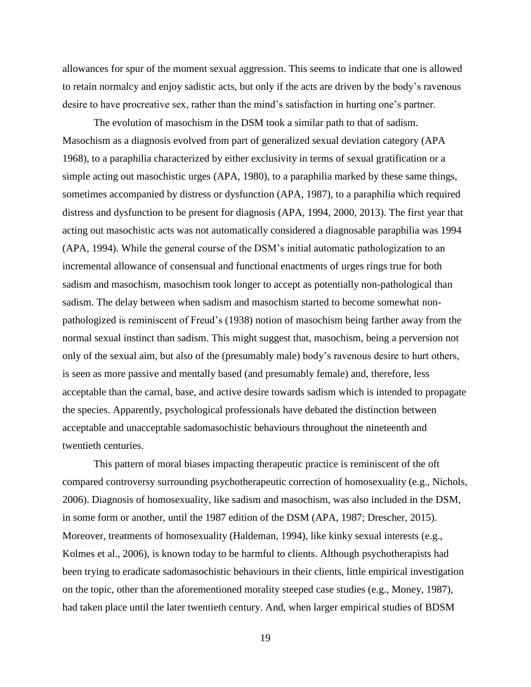allowances for spur of the moment sexual aggression. This seems to indicate that one is allowed to retain normalcy and enjoy sadistic acts, but only if the acts are driven by the body's ravenous desire to have procreative sex, rather than the mind's satisfaction in hurting one's partner.

The evolution of masochism in the DSM took a similar path to that of sadism. Masochism as a diagnosis evolved from part of generalized sexual deviation category (APA 1968), to a paraphilia characterized by either exclusivity in terms of sexual gratification or a simple acting out masochistic urges (APA, 1980), to a paraphilia marked by these same things, sometimes accompanied by distress or dysfunction (APA, 1987), to a paraphilia which required distress and dysfunction to be present for diagnosis (APA, 1994, 2000, 2013). The first year that acting out masochistic acts was not automatically considered a diagnosable paraphilia was 1994 (APA, 1994). While the general course of the DSM's initial automatic pathologization to an incremental allowance of consensual and functional enactments of urges rings true for both sadism and masochism, masochism took longer to accept as potentially non-pathological than sadism. The delay between when sadism and masochism started to become somewhat nonpathologized is reminiscent of Freud's (1938) notion of masochism being farther away from the normal sexual instinct than sadism. This might suggest that, masochism, being a perversion not only of the sexual aim, but also of the (presumably male) body's ravenous desire to hurt others, is seen as more passive and mentally based (and presumably female) and, therefore, less acceptable than the carnal, base, and active desire towards sadism which is intended to propagate the species. Apparently, psychological professionals have debated the distinction between acceptable and unacceptable sadomasochistic behaviours throughout the nineteenth and twentieth centuries.

This pattern of moral biases impacting therapeutic practice is reminiscent of the oft compared controversy surrounding psychotherapeutic correction of homosexuality (e.g., Nichols, 2006). Diagnosis of homosexuality, like sadism and masochism, was also included in the DSM, in some form or another, until the 1987 edition of the DSM (APA, 1987; Drescher, 2015). Moreover, treatments of homosexuality (Haldeman, 1994), like kinky sexual interests (e.g., Kolmes et al., 2006), is known today to be harmful to clients. Although psychotherapists had been trying to eradicate sadomasochistic behaviours in their clients, little empirical investigation on the topic, other than the aforementioned morality steeped case studies (e.g., Money, 1987), had taken place until the later twentieth century. And, when larger empirical studies of BDSM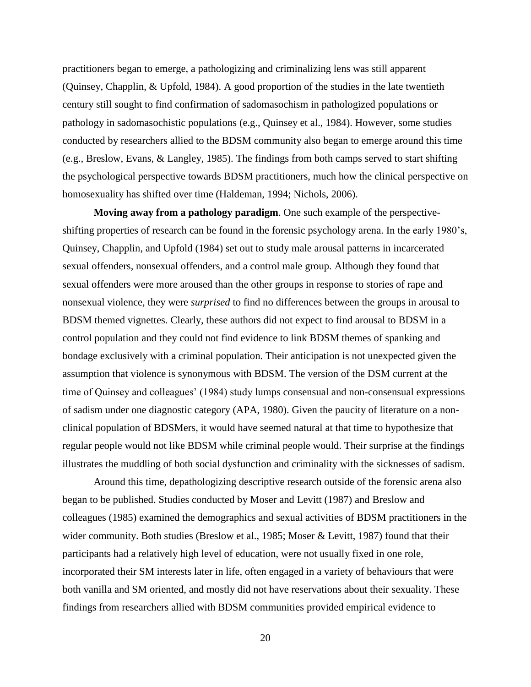practitioners began to emerge, a pathologizing and criminalizing lens was still apparent (Quinsey, Chapplin, & Upfold, 1984). A good proportion of the studies in the late twentieth century still sought to find confirmation of sadomasochism in pathologized populations or pathology in sadomasochistic populations (e.g., Quinsey et al., 1984). However, some studies conducted by researchers allied to the BDSM community also began to emerge around this time (e.g., Breslow, Evans, & Langley, 1985). The findings from both camps served to start shifting the psychological perspective towards BDSM practitioners, much how the clinical perspective on homosexuality has shifted over time (Haldeman, 1994; Nichols, 2006).

<span id="page-28-0"></span>**Moving away from a pathology paradigm**. One such example of the perspectiveshifting properties of research can be found in the forensic psychology arena. In the early 1980's, Quinsey, Chapplin, and Upfold (1984) set out to study male arousal patterns in incarcerated sexual offenders, nonsexual offenders, and a control male group. Although they found that sexual offenders were more aroused than the other groups in response to stories of rape and nonsexual violence, they were *surprised* to find no differences between the groups in arousal to BDSM themed vignettes. Clearly, these authors did not expect to find arousal to BDSM in a control population and they could not find evidence to link BDSM themes of spanking and bondage exclusively with a criminal population. Their anticipation is not unexpected given the assumption that violence is synonymous with BDSM. The version of the DSM current at the time of Quinsey and colleagues' (1984) study lumps consensual and non-consensual expressions of sadism under one diagnostic category (APA, 1980). Given the paucity of literature on a nonclinical population of BDSMers, it would have seemed natural at that time to hypothesize that regular people would not like BDSM while criminal people would. Their surprise at the findings illustrates the muddling of both social dysfunction and criminality with the sicknesses of sadism.

Around this time, depathologizing descriptive research outside of the forensic arena also began to be published. Studies conducted by Moser and Levitt (1987) and Breslow and colleagues (1985) examined the demographics and sexual activities of BDSM practitioners in the wider community. Both studies (Breslow et al., 1985; Moser & Levitt, 1987) found that their participants had a relatively high level of education, were not usually fixed in one role, incorporated their SM interests later in life, often engaged in a variety of behaviours that were both vanilla and SM oriented, and mostly did not have reservations about their sexuality. These findings from researchers allied with BDSM communities provided empirical evidence to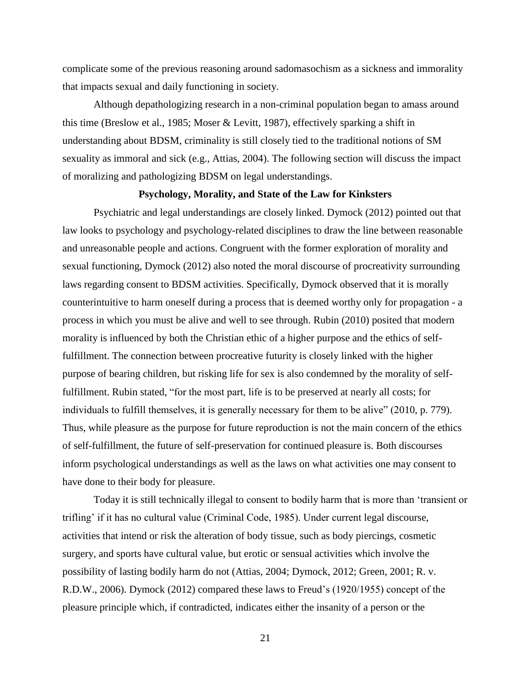complicate some of the previous reasoning around sadomasochism as a sickness and immorality that impacts sexual and daily functioning in society.

Although depathologizing research in a non-criminal population began to amass around this time (Breslow et al., 1985; Moser & Levitt, 1987), effectively sparking a shift in understanding about BDSM, criminality is still closely tied to the traditional notions of SM sexuality as immoral and sick (e.g., Attias, 2004). The following section will discuss the impact of moralizing and pathologizing BDSM on legal understandings.

#### **Psychology, Morality, and State of the Law for Kinksters**

<span id="page-29-0"></span>Psychiatric and legal understandings are closely linked. Dymock (2012) pointed out that law looks to psychology and psychology-related disciplines to draw the line between reasonable and unreasonable people and actions. Congruent with the former exploration of morality and sexual functioning, Dymock (2012) also noted the moral discourse of procreativity surrounding laws regarding consent to BDSM activities. Specifically, Dymock observed that it is morally counterintuitive to harm oneself during a process that is deemed worthy only for propagation - a process in which you must be alive and well to see through. Rubin (2010) posited that modern morality is influenced by both the Christian ethic of a higher purpose and the ethics of selffulfillment. The connection between procreative futurity is closely linked with the higher purpose of bearing children, but risking life for sex is also condemned by the morality of selffulfillment. Rubin stated, "for the most part, life is to be preserved at nearly all costs; for individuals to fulfill themselves, it is generally necessary for them to be alive" (2010, p. 779). Thus, while pleasure as the purpose for future reproduction is not the main concern of the ethics of self-fulfillment, the future of self-preservation for continued pleasure is. Both discourses inform psychological understandings as well as the laws on what activities one may consent to have done to their body for pleasure.

Today it is still technically illegal to consent to bodily harm that is more than 'transient or trifling' if it has no cultural value (Criminal Code, 1985). Under current legal discourse, activities that intend or risk the alteration of body tissue, such as body piercings, cosmetic surgery, and sports have cultural value, but erotic or sensual activities which involve the possibility of lasting bodily harm do not (Attias, 2004; Dymock, 2012; Green, 2001; R. v. R.D.W., 2006). Dymock (2012) compared these laws to Freud's (1920/1955) concept of the pleasure principle which, if contradicted, indicates either the insanity of a person or the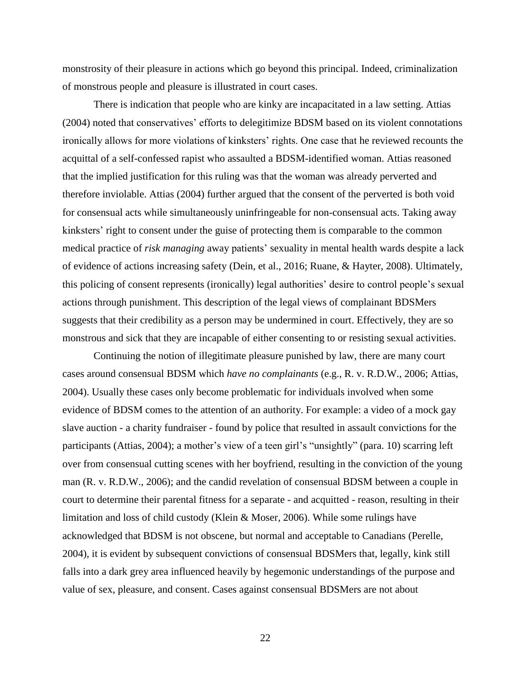monstrosity of their pleasure in actions which go beyond this principal. Indeed, criminalization of monstrous people and pleasure is illustrated in court cases.

There is indication that people who are kinky are incapacitated in a law setting. Attias (2004) noted that conservatives' efforts to delegitimize BDSM based on its violent connotations ironically allows for more violations of kinksters' rights. One case that he reviewed recounts the acquittal of a self-confessed rapist who assaulted a BDSM-identified woman. Attias reasoned that the implied justification for this ruling was that the woman was already perverted and therefore inviolable. Attias (2004) further argued that the consent of the perverted is both void for consensual acts while simultaneously uninfringeable for non-consensual acts. Taking away kinksters' right to consent under the guise of protecting them is comparable to the common medical practice of *risk managing* away patients' sexuality in mental health wards despite a lack of evidence of actions increasing safety (Dein, et al., 2016; Ruane, & Hayter, 2008). Ultimately, this policing of consent represents (ironically) legal authorities' desire to control people's sexual actions through punishment. This description of the legal views of complainant BDSMers suggests that their credibility as a person may be undermined in court. Effectively, they are so monstrous and sick that they are incapable of either consenting to or resisting sexual activities.

Continuing the notion of illegitimate pleasure punished by law, there are many court cases around consensual BDSM which *have no complainants* (e.g., R. v. R.D.W., 2006; Attias, 2004). Usually these cases only become problematic for individuals involved when some evidence of BDSM comes to the attention of an authority. For example: a video of a mock gay slave auction - a charity fundraiser - found by police that resulted in assault convictions for the participants (Attias, 2004); a mother's view of a teen girl's "unsightly" (para. 10) scarring left over from consensual cutting scenes with her boyfriend, resulting in the conviction of the young man (R. v. R.D.W., 2006); and the candid revelation of consensual BDSM between a couple in court to determine their parental fitness for a separate - and acquitted - reason, resulting in their limitation and loss of child custody (Klein & Moser, 2006). While some rulings have acknowledged that BDSM is not obscene, but normal and acceptable to Canadians (Perelle, 2004), it is evident by subsequent convictions of consensual BDSMers that, legally, kink still falls into a dark grey area influenced heavily by hegemonic understandings of the purpose and value of sex, pleasure, and consent. Cases against consensual BDSMers are not about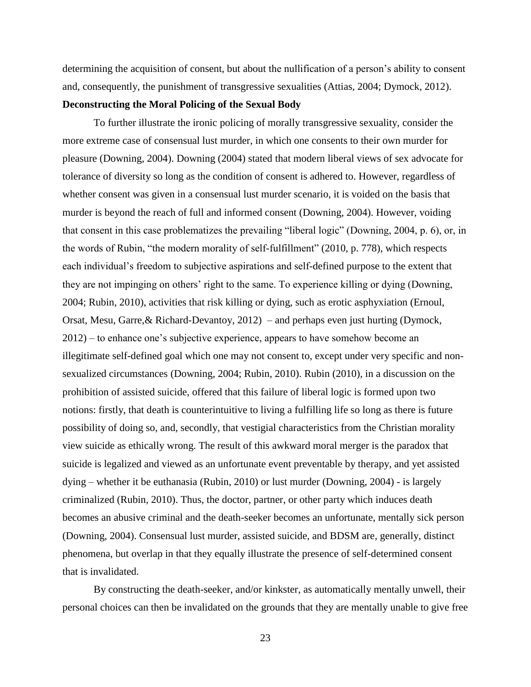determining the acquisition of consent, but about the nullification of a person's ability to consent and, consequently, the punishment of transgressive sexualities (Attias, 2004; Dymock, 2012).

### <span id="page-31-0"></span>**Deconstructing the Moral Policing of the Sexual Body**

To further illustrate the ironic policing of morally transgressive sexuality, consider the more extreme case of consensual lust murder, in which one consents to their own murder for pleasure (Downing, 2004). Downing (2004) stated that modern liberal views of sex advocate for tolerance of diversity so long as the condition of consent is adhered to. However, regardless of whether consent was given in a consensual lust murder scenario, it is voided on the basis that murder is beyond the reach of full and informed consent (Downing, 2004). However, voiding that consent in this case problematizes the prevailing "liberal logic" (Downing, 2004, p. 6), or, in the words of Rubin, "the modern morality of self-fulfillment" (2010, p. 778), which respects each individual's freedom to subjective aspirations and self-defined purpose to the extent that they are not impinging on others' right to the same. To experience killing or dying (Downing, 2004; Rubin, 2010), activities that risk killing or dying, such as erotic asphyxiation (Ernoul, Orsat, Mesu, Garre,& Richard-Devantoy, 2012) – and perhaps even just hurting (Dymock, 2012) – to enhance one's subjective experience, appears to have somehow become an illegitimate self-defined goal which one may not consent to, except under very specific and nonsexualized circumstances (Downing, 2004; Rubin, 2010). Rubin (2010), in a discussion on the prohibition of assisted suicide, offered that this failure of liberal logic is formed upon two notions: firstly, that death is counterintuitive to living a fulfilling life so long as there is future possibility of doing so, and, secondly, that vestigial characteristics from the Christian morality view suicide as ethically wrong. The result of this awkward moral merger is the paradox that suicide is legalized and viewed as an unfortunate event preventable by therapy, and yet assisted dying – whether it be euthanasia (Rubin, 2010) or lust murder (Downing, 2004) - is largely criminalized (Rubin, 2010). Thus, the doctor, partner, or other party which induces death becomes an abusive criminal and the death-seeker becomes an unfortunate, mentally sick person (Downing, 2004). Consensual lust murder, assisted suicide, and BDSM are, generally, distinct phenomena, but overlap in that they equally illustrate the presence of self-determined consent that is invalidated.

By constructing the death-seeker, and/or kinkster, as automatically mentally unwell, their personal choices can then be invalidated on the grounds that they are mentally unable to give free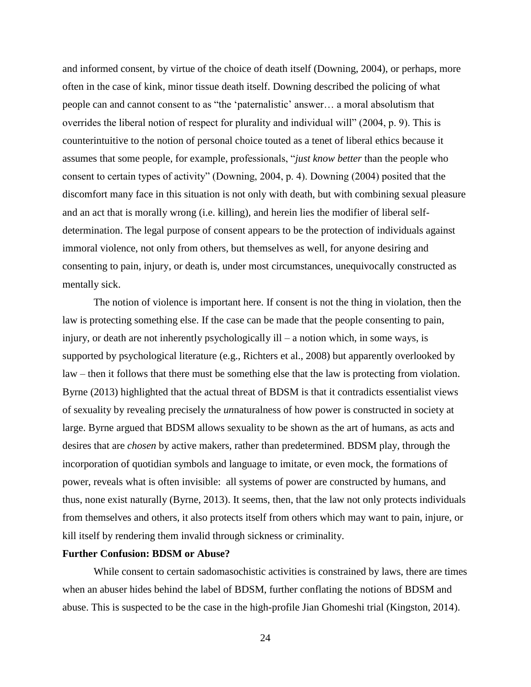and informed consent, by virtue of the choice of death itself (Downing, 2004), or perhaps, more often in the case of kink, minor tissue death itself. Downing described the policing of what people can and cannot consent to as "the 'paternalistic' answer… a moral absolutism that overrides the liberal notion of respect for plurality and individual will" (2004, p. 9). This is counterintuitive to the notion of personal choice touted as a tenet of liberal ethics because it assumes that some people, for example, professionals, "*just know better* than the people who consent to certain types of activity" (Downing, 2004, p. 4). Downing (2004) posited that the discomfort many face in this situation is not only with death, but with combining sexual pleasure and an act that is morally wrong (i.e. killing), and herein lies the modifier of liberal selfdetermination. The legal purpose of consent appears to be the protection of individuals against immoral violence, not only from others, but themselves as well, for anyone desiring and consenting to pain, injury, or death is, under most circumstances, unequivocally constructed as mentally sick.

The notion of violence is important here. If consent is not the thing in violation, then the law is protecting something else. If the case can be made that the people consenting to pain, injury, or death are not inherently psychologically ill – a notion which, in some ways, is supported by psychological literature (e.g., Richters et al., 2008) but apparently overlooked by law – then it follows that there must be something else that the law is protecting from violation. Byrne (2013) highlighted that the actual threat of BDSM is that it contradicts essentialist views of sexuality by revealing precisely the *un*naturalness of how power is constructed in society at large. Byrne argued that BDSM allows sexuality to be shown as the art of humans, as acts and desires that are *chosen* by active makers, rather than predetermined. BDSM play, through the incorporation of quotidian symbols and language to imitate, or even mock, the formations of power, reveals what is often invisible: all systems of power are constructed by humans, and thus, none exist naturally (Byrne, 2013). It seems, then, that the law not only protects individuals from themselves and others, it also protects itself from others which may want to pain, injure, or kill itself by rendering them invalid through sickness or criminality.

## <span id="page-32-0"></span>**Further Confusion: BDSM or Abuse?**

While consent to certain sadomasochistic activities is constrained by laws, there are times when an abuser hides behind the label of BDSM, further conflating the notions of BDSM and abuse. This is suspected to be the case in the high-profile Jian Ghomeshi trial (Kingston, 2014).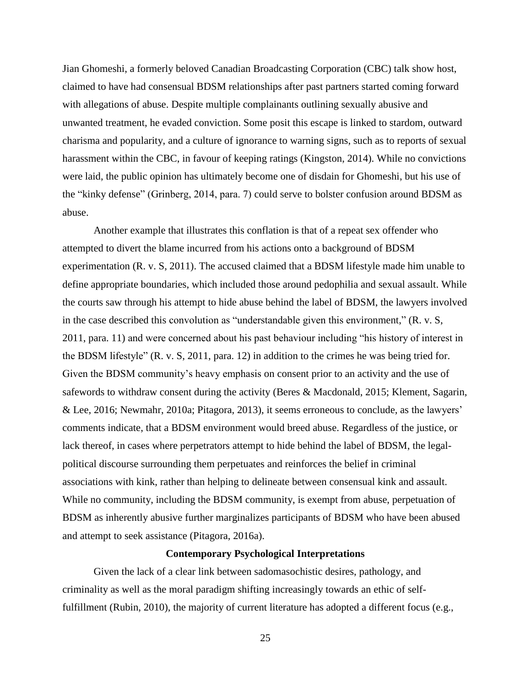Jian Ghomeshi, a formerly beloved Canadian Broadcasting Corporation (CBC) talk show host, claimed to have had consensual BDSM relationships after past partners started coming forward with allegations of abuse. Despite multiple complainants outlining sexually abusive and unwanted treatment, he evaded conviction. Some posit this escape is linked to stardom, outward charisma and popularity, and a culture of ignorance to warning signs, such as to reports of sexual harassment within the CBC, in favour of keeping ratings (Kingston, 2014). While no convictions were laid, the public opinion has ultimately become one of disdain for Ghomeshi, but his use of the "kinky defense" (Grinberg, 2014, para. 7) could serve to bolster confusion around BDSM as abuse.

Another example that illustrates this conflation is that of a repeat sex offender who attempted to divert the blame incurred from his actions onto a background of BDSM experimentation (R. v. S, 2011). The accused claimed that a BDSM lifestyle made him unable to define appropriate boundaries, which included those around pedophilia and sexual assault. While the courts saw through his attempt to hide abuse behind the label of BDSM, the lawyers involved in the case described this convolution as "understandable given this environment," (R. v. S, 2011, para. 11) and were concerned about his past behaviour including "his history of interest in the BDSM lifestyle" (R. v. S, 2011, para. 12) in addition to the crimes he was being tried for. Given the BDSM community's heavy emphasis on consent prior to an activity and the use of safewords to withdraw consent during the activity (Beres & Macdonald, 2015; Klement, Sagarin, & Lee, 2016; Newmahr, 2010a; Pitagora, 2013), it seems erroneous to conclude, as the lawyers' comments indicate, that a BDSM environment would breed abuse. Regardless of the justice, or lack thereof, in cases where perpetrators attempt to hide behind the label of BDSM, the legalpolitical discourse surrounding them perpetuates and reinforces the belief in criminal associations with kink, rather than helping to delineate between consensual kink and assault. While no community, including the BDSM community, is exempt from abuse, perpetuation of BDSM as inherently abusive further marginalizes participants of BDSM who have been abused and attempt to seek assistance (Pitagora, 2016a).

### **Contemporary Psychological Interpretations**

<span id="page-33-0"></span>Given the lack of a clear link between sadomasochistic desires, pathology, and criminality as well as the moral paradigm shifting increasingly towards an ethic of selffulfillment (Rubin, 2010), the majority of current literature has adopted a different focus (e.g.,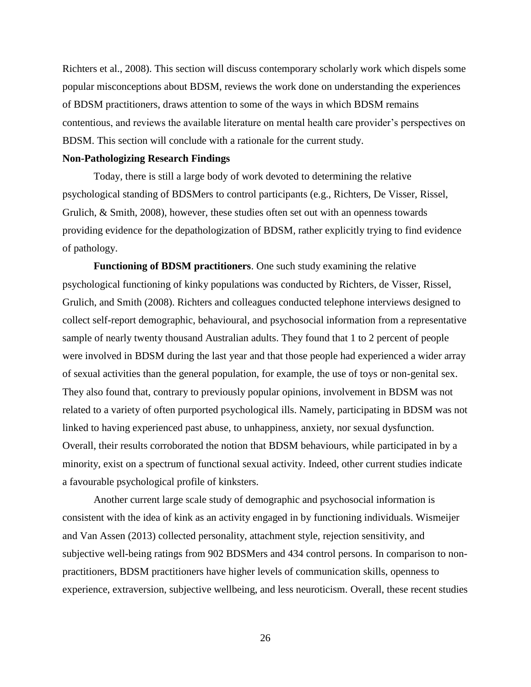Richters et al., 2008). This section will discuss contemporary scholarly work which dispels some popular misconceptions about BDSM, reviews the work done on understanding the experiences of BDSM practitioners, draws attention to some of the ways in which BDSM remains contentious, and reviews the available literature on mental health care provider's perspectives on BDSM. This section will conclude with a rationale for the current study.

#### <span id="page-34-0"></span>**Non-Pathologizing Research Findings**

Today, there is still a large body of work devoted to determining the relative psychological standing of BDSMers to control participants (e.g., Richters, De Visser, Rissel, Grulich, & Smith, 2008), however, these studies often set out with an openness towards providing evidence for the depathologization of BDSM, rather explicitly trying to find evidence of pathology.

<span id="page-34-1"></span>**Functioning of BDSM practitioners**. One such study examining the relative psychological functioning of kinky populations was conducted by Richters, de Visser, Rissel, Grulich, and Smith (2008). Richters and colleagues conducted telephone interviews designed to collect self-report demographic, behavioural, and psychosocial information from a representative sample of nearly twenty thousand Australian adults. They found that 1 to 2 percent of people were involved in BDSM during the last year and that those people had experienced a wider array of sexual activities than the general population, for example, the use of toys or non-genital sex. They also found that, contrary to previously popular opinions, involvement in BDSM was not related to a variety of often purported psychological ills. Namely, participating in BDSM was not linked to having experienced past abuse, to unhappiness, anxiety, nor sexual dysfunction. Overall, their results corroborated the notion that BDSM behaviours, while participated in by a minority, exist on a spectrum of functional sexual activity. Indeed, other current studies indicate a favourable psychological profile of kinksters.

Another current large scale study of demographic and psychosocial information is consistent with the idea of kink as an activity engaged in by functioning individuals. Wismeijer and Van Assen (2013) collected personality, attachment style, rejection sensitivity, and subjective well-being ratings from 902 BDSMers and 434 control persons. In comparison to nonpractitioners, BDSM practitioners have higher levels of communication skills, openness to experience, extraversion, subjective wellbeing, and less neuroticism. Overall, these recent studies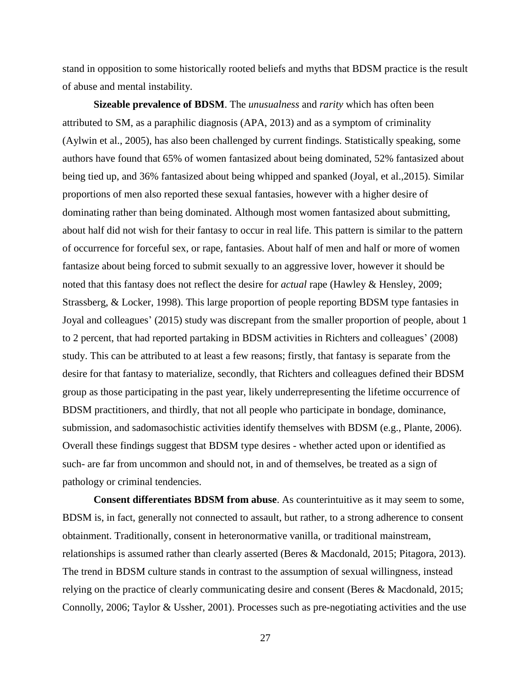stand in opposition to some historically rooted beliefs and myths that BDSM practice is the result of abuse and mental instability.

<span id="page-35-0"></span>**Sizeable prevalence of BDSM**. The *unusualness* and *rarity* which has often been attributed to SM, as a paraphilic diagnosis (APA, 2013) and as a symptom of criminality (Aylwin et al., 2005), has also been challenged by current findings. Statistically speaking, some authors have found that 65% of women fantasized about being dominated, 52% fantasized about being tied up, and 36% fantasized about being whipped and spanked (Joyal, et al.,2015). Similar proportions of men also reported these sexual fantasies, however with a higher desire of dominating rather than being dominated. Although most women fantasized about submitting, about half did not wish for their fantasy to occur in real life. This pattern is similar to the pattern of occurrence for forceful sex, or rape, fantasies. About half of men and half or more of women fantasize about being forced to submit sexually to an aggressive lover, however it should be noted that this fantasy does not reflect the desire for *actual* rape (Hawley & Hensley, 2009; Strassberg, & Locker, 1998). This large proportion of people reporting BDSM type fantasies in Joyal and colleagues' (2015) study was discrepant from the smaller proportion of people, about 1 to 2 percent, that had reported partaking in BDSM activities in Richters and colleagues' (2008) study. This can be attributed to at least a few reasons; firstly, that fantasy is separate from the desire for that fantasy to materialize, secondly, that Richters and colleagues defined their BDSM group as those participating in the past year, likely underrepresenting the lifetime occurrence of BDSM practitioners, and thirdly, that not all people who participate in bondage, dominance, submission, and sadomasochistic activities identify themselves with BDSM (e.g., Plante, 2006). Overall these findings suggest that BDSM type desires - whether acted upon or identified as such- are far from uncommon and should not, in and of themselves, be treated as a sign of pathology or criminal tendencies.

<span id="page-35-1"></span>**Consent differentiates BDSM from abuse**. As counterintuitive as it may seem to some, BDSM is, in fact, generally not connected to assault, but rather, to a strong adherence to consent obtainment. Traditionally, consent in heteronormative vanilla, or traditional mainstream, relationships is assumed rather than clearly asserted (Beres & Macdonald, 2015; Pitagora, 2013). The trend in BDSM culture stands in contrast to the assumption of sexual willingness, instead relying on the practice of clearly communicating desire and consent (Beres & Macdonald, 2015; Connolly, 2006; Taylor & Ussher, 2001). Processes such as pre-negotiating activities and the use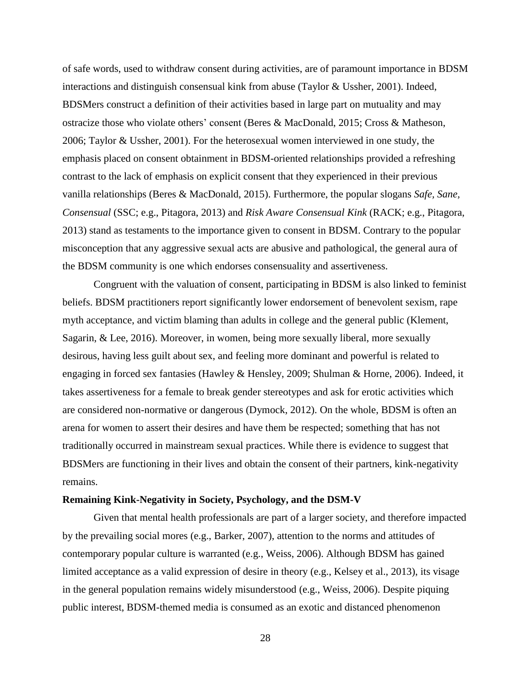of safe words, used to withdraw consent during activities, are of paramount importance in BDSM interactions and distinguish consensual kink from abuse (Taylor & Ussher, 2001). Indeed, BDSMers construct a definition of their activities based in large part on mutuality and may ostracize those who violate others' consent (Beres & MacDonald, 2015; Cross & Matheson, 2006; Taylor & Ussher, 2001). For the heterosexual women interviewed in one study, the emphasis placed on consent obtainment in BDSM-oriented relationships provided a refreshing contrast to the lack of emphasis on explicit consent that they experienced in their previous vanilla relationships (Beres & MacDonald, 2015). Furthermore, the popular slogans *Safe, Sane, Consensual* (SSC; e.g., Pitagora, 2013) and *Risk Aware Consensual Kink* (RACK; e.g., Pitagora, 2013) stand as testaments to the importance given to consent in BDSM. Contrary to the popular misconception that any aggressive sexual acts are abusive and pathological, the general aura of the BDSM community is one which endorses consensuality and assertiveness.

Congruent with the valuation of consent, participating in BDSM is also linked to feminist beliefs. BDSM practitioners report significantly lower endorsement of benevolent sexism, rape myth acceptance, and victim blaming than adults in college and the general public (Klement, Sagarin, & Lee, 2016). Moreover, in women, being more sexually liberal, more sexually desirous, having less guilt about sex, and feeling more dominant and powerful is related to engaging in forced sex fantasies (Hawley & Hensley, 2009; Shulman & Horne, 2006). Indeed, it takes assertiveness for a female to break gender stereotypes and ask for erotic activities which are considered non-normative or dangerous (Dymock, 2012). On the whole, BDSM is often an arena for women to assert their desires and have them be respected; something that has not traditionally occurred in mainstream sexual practices. While there is evidence to suggest that BDSMers are functioning in their lives and obtain the consent of their partners, kink-negativity remains.

#### **Remaining Kink-Negativity in Society, Psychology, and the DSM-V**

Given that mental health professionals are part of a larger society, and therefore impacted by the prevailing social mores (e.g., Barker, 2007), attention to the norms and attitudes of contemporary popular culture is warranted (e.g., Weiss, 2006). Although BDSM has gained limited acceptance as a valid expression of desire in theory (e.g., Kelsey et al., 2013), its visage in the general population remains widely misunderstood (e.g., Weiss, 2006). Despite piquing public interest, BDSM-themed media is consumed as an exotic and distanced phenomenon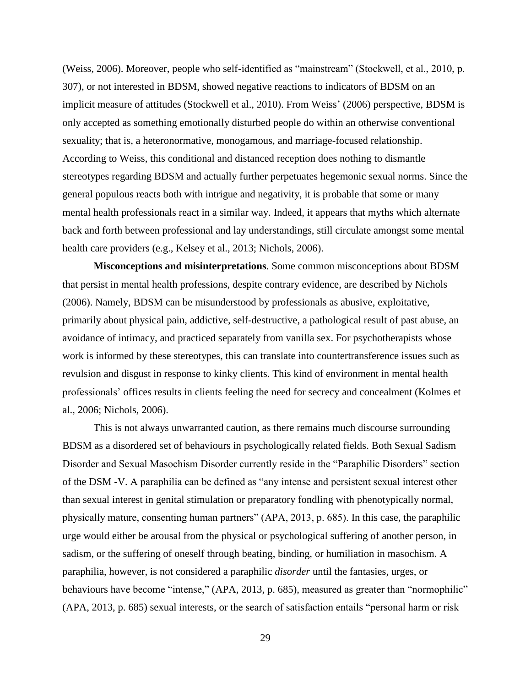(Weiss, 2006). Moreover, people who self-identified as "mainstream" (Stockwell, et al., 2010, p. 307), or not interested in BDSM, showed negative reactions to indicators of BDSM on an implicit measure of attitudes (Stockwell et al., 2010). From Weiss' (2006) perspective, BDSM is only accepted as something emotionally disturbed people do within an otherwise conventional sexuality; that is, a heteronormative, monogamous, and marriage-focused relationship. According to Weiss, this conditional and distanced reception does nothing to dismantle stereotypes regarding BDSM and actually further perpetuates hegemonic sexual norms. Since the general populous reacts both with intrigue and negativity, it is probable that some or many mental health professionals react in a similar way. Indeed, it appears that myths which alternate back and forth between professional and lay understandings, still circulate amongst some mental health care providers (e.g., Kelsey et al., 2013; Nichols, 2006).

**Misconceptions and misinterpretations**. Some common misconceptions about BDSM that persist in mental health professions, despite contrary evidence, are described by Nichols (2006). Namely, BDSM can be misunderstood by professionals as abusive, exploitative, primarily about physical pain, addictive, self-destructive, a pathological result of past abuse, an avoidance of intimacy, and practiced separately from vanilla sex. For psychotherapists whose work is informed by these stereotypes, this can translate into countertransference issues such as revulsion and disgust in response to kinky clients. This kind of environment in mental health professionals' offices results in clients feeling the need for secrecy and concealment (Kolmes et al., 2006; Nichols, 2006).

This is not always unwarranted caution, as there remains much discourse surrounding BDSM as a disordered set of behaviours in psychologically related fields. Both Sexual Sadism Disorder and Sexual Masochism Disorder currently reside in the "Paraphilic Disorders" section of the DSM -V. A paraphilia can be defined as "any intense and persistent sexual interest other than sexual interest in genital stimulation or preparatory fondling with phenotypically normal, physically mature, consenting human partners" (APA, 2013, p. 685). In this case, the paraphilic urge would either be arousal from the physical or psychological suffering of another person, in sadism, or the suffering of oneself through beating, binding, or humiliation in masochism. A paraphilia, however, is not considered a paraphilic *disorder* until the fantasies, urges, or behaviours have become "intense," (APA, 2013, p. 685), measured as greater than "normophilic" (APA, 2013, p. 685) sexual interests, or the search of satisfaction entails "personal harm or risk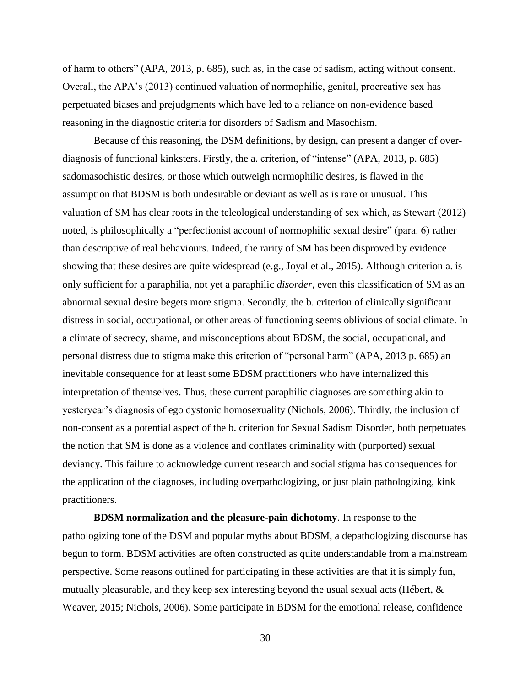of harm to others" (APA, 2013, p. 685), such as, in the case of sadism, acting without consent. Overall, the APA's (2013) continued valuation of normophilic, genital, procreative sex has perpetuated biases and prejudgments which have led to a reliance on non-evidence based reasoning in the diagnostic criteria for disorders of Sadism and Masochism.

Because of this reasoning, the DSM definitions, by design, can present a danger of overdiagnosis of functional kinksters. Firstly, the a. criterion, of "intense" (APA, 2013, p. 685) sadomasochistic desires, or those which outweigh normophilic desires, is flawed in the assumption that BDSM is both undesirable or deviant as well as is rare or unusual. This valuation of SM has clear roots in the teleological understanding of sex which, as Stewart (2012) noted, is philosophically a "perfectionist account of normophilic sexual desire" (para. 6) rather than descriptive of real behaviours. Indeed, the rarity of SM has been disproved by evidence showing that these desires are quite widespread (e.g., Joyal et al., 2015). Although criterion a. is only sufficient for a paraphilia, not yet a paraphilic *disorder,* even this classification of SM as an abnormal sexual desire begets more stigma. Secondly, the b. criterion of clinically significant distress in social, occupational, or other areas of functioning seems oblivious of social climate. In a climate of secrecy, shame, and misconceptions about BDSM, the social, occupational, and personal distress due to stigma make this criterion of "personal harm" (APA, 2013 p. 685) an inevitable consequence for at least some BDSM practitioners who have internalized this interpretation of themselves. Thus, these current paraphilic diagnoses are something akin to yesteryear's diagnosis of ego dystonic homosexuality (Nichols, 2006). Thirdly, the inclusion of non-consent as a potential aspect of the b. criterion for Sexual Sadism Disorder, both perpetuates the notion that SM is done as a violence and conflates criminality with (purported) sexual deviancy. This failure to acknowledge current research and social stigma has consequences for the application of the diagnoses, including overpathologizing, or just plain pathologizing, kink practitioners.

**BDSM normalization and the pleasure-pain dichotomy**. In response to the pathologizing tone of the DSM and popular myths about BDSM, a depathologizing discourse has begun to form. BDSM activities are often constructed as quite understandable from a mainstream perspective. Some reasons outlined for participating in these activities are that it is simply fun, mutually pleasurable, and they keep sex interesting beyond the usual sexual acts (Hébert, & Weaver, 2015; Nichols, 2006). Some participate in BDSM for the emotional release, confidence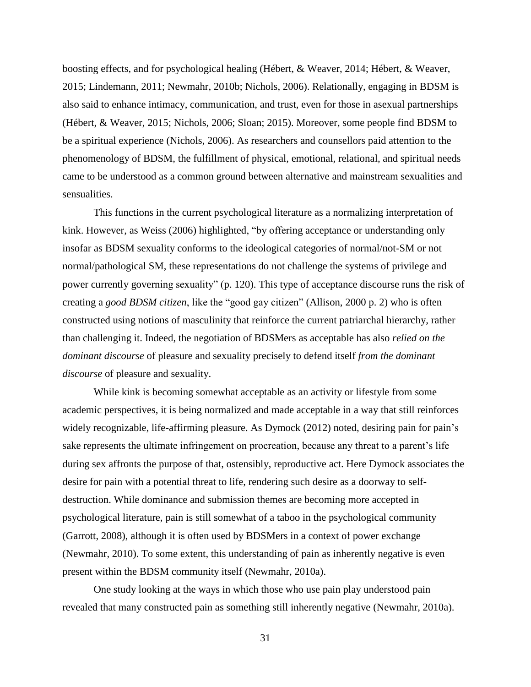boosting effects, and for psychological healing (Hébert, & Weaver, 2014; Hébert, & Weaver, 2015; Lindemann, 2011; Newmahr, 2010b; Nichols, 2006). Relationally, engaging in BDSM is also said to enhance intimacy, communication, and trust, even for those in asexual partnerships (Hébert, & Weaver, 2015; Nichols, 2006; Sloan; 2015). Moreover, some people find BDSM to be a spiritual experience (Nichols, 2006). As researchers and counsellors paid attention to the phenomenology of BDSM, the fulfillment of physical, emotional, relational, and spiritual needs came to be understood as a common ground between alternative and mainstream sexualities and sensualities.

This functions in the current psychological literature as a normalizing interpretation of kink. However, as Weiss (2006) highlighted, "by offering acceptance or understanding only insofar as BDSM sexuality conforms to the ideological categories of normal/not-SM or not normal/pathological SM, these representations do not challenge the systems of privilege and power currently governing sexuality" (p. 120). This type of acceptance discourse runs the risk of creating a *good BDSM citizen*, like the "good gay citizen" (Allison, 2000 p. 2) who is often constructed using notions of masculinity that reinforce the current patriarchal hierarchy, rather than challenging it. Indeed, the negotiation of BDSMers as acceptable has also *relied on the dominant discourse* of pleasure and sexuality precisely to defend itself *from the dominant discourse* of pleasure and sexuality.

While kink is becoming somewhat acceptable as an activity or lifestyle from some academic perspectives, it is being normalized and made acceptable in a way that still reinforces widely recognizable, life-affirming pleasure. As Dymock (2012) noted, desiring pain for pain's sake represents the ultimate infringement on procreation, because any threat to a parent's life during sex affronts the purpose of that, ostensibly, reproductive act. Here Dymock associates the desire for pain with a potential threat to life, rendering such desire as a doorway to selfdestruction. While dominance and submission themes are becoming more accepted in psychological literature, pain is still somewhat of a taboo in the psychological community (Garrott, 2008), although it is often used by BDSMers in a context of power exchange (Newmahr, 2010). To some extent, this understanding of pain as inherently negative is even present within the BDSM community itself (Newmahr, 2010a).

One study looking at the ways in which those who use pain play understood pain revealed that many constructed pain as something still inherently negative (Newmahr, 2010a).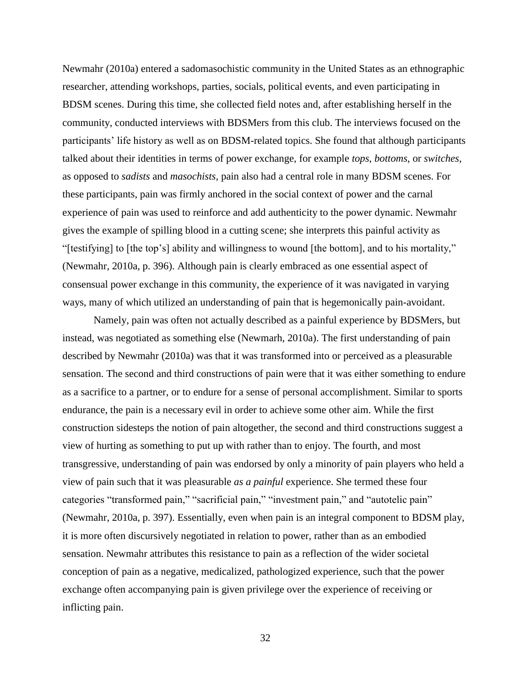Newmahr (2010a) entered a sadomasochistic community in the United States as an ethnographic researcher, attending workshops, parties, socials, political events, and even participating in BDSM scenes. During this time, she collected field notes and, after establishing herself in the community, conducted interviews with BDSMers from this club. The interviews focused on the participants' life history as well as on BDSM-related topics. She found that although participants talked about their identities in terms of power exchange, for example *tops*, *bottoms*, or *switches*, as opposed to *sadists* and *masochists,* pain also had a central role in many BDSM scenes. For these participants, pain was firmly anchored in the social context of power and the carnal experience of pain was used to reinforce and add authenticity to the power dynamic. Newmahr gives the example of spilling blood in a cutting scene; she interprets this painful activity as "[testifying] to [the top's] ability and willingness to wound [the bottom], and to his mortality," (Newmahr, 2010a, p. 396). Although pain is clearly embraced as one essential aspect of consensual power exchange in this community, the experience of it was navigated in varying ways, many of which utilized an understanding of pain that is hegemonically pain-avoidant.

Namely, pain was often not actually described as a painful experience by BDSMers, but instead, was negotiated as something else (Newmarh, 2010a). The first understanding of pain described by Newmahr (2010a) was that it was transformed into or perceived as a pleasurable sensation. The second and third constructions of pain were that it was either something to endure as a sacrifice to a partner, or to endure for a sense of personal accomplishment. Similar to sports endurance, the pain is a necessary evil in order to achieve some other aim. While the first construction sidesteps the notion of pain altogether, the second and third constructions suggest a view of hurting as something to put up with rather than to enjoy. The fourth, and most transgressive, understanding of pain was endorsed by only a minority of pain players who held a view of pain such that it was pleasurable *as a painful* experience. She termed these four categories "transformed pain," "sacrificial pain," "investment pain," and "autotelic pain" (Newmahr, 2010a, p. 397). Essentially, even when pain is an integral component to BDSM play, it is more often discursively negotiated in relation to power, rather than as an embodied sensation. Newmahr attributes this resistance to pain as a reflection of the wider societal conception of pain as a negative, medicalized, pathologized experience, such that the power exchange often accompanying pain is given privilege over the experience of receiving or inflicting pain.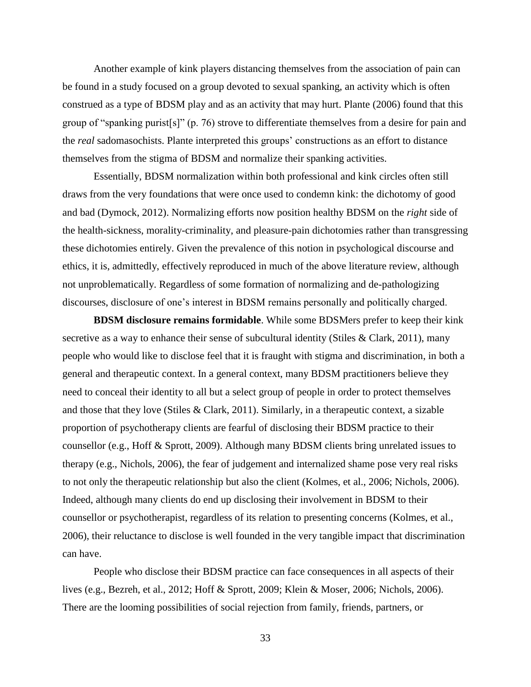Another example of kink players distancing themselves from the association of pain can be found in a study focused on a group devoted to sexual spanking, an activity which is often construed as a type of BDSM play and as an activity that may hurt. Plante (2006) found that this group of "spanking purist[s]" (p. 76) strove to differentiate themselves from a desire for pain and the *real* sadomasochists. Plante interpreted this groups' constructions as an effort to distance themselves from the stigma of BDSM and normalize their spanking activities.

Essentially, BDSM normalization within both professional and kink circles often still draws from the very foundations that were once used to condemn kink: the dichotomy of good and bad (Dymock, 2012). Normalizing efforts now position healthy BDSM on the *right* side of the health-sickness, morality-criminality, and pleasure-pain dichotomies rather than transgressing these dichotomies entirely. Given the prevalence of this notion in psychological discourse and ethics, it is, admittedly, effectively reproduced in much of the above literature review, although not unproblematically. Regardless of some formation of normalizing and de-pathologizing discourses, disclosure of one's interest in BDSM remains personally and politically charged.

**BDSM disclosure remains formidable**. While some BDSMers prefer to keep their kink secretive as a way to enhance their sense of subcultural identity (Stiles & Clark, 2011), many people who would like to disclose feel that it is fraught with stigma and discrimination, in both a general and therapeutic context. In a general context, many BDSM practitioners believe they need to conceal their identity to all but a select group of people in order to protect themselves and those that they love (Stiles & Clark, 2011). Similarly, in a therapeutic context, a sizable proportion of psychotherapy clients are fearful of disclosing their BDSM practice to their counsellor (e.g., Hoff & Sprott, 2009). Although many BDSM clients bring unrelated issues to therapy (e.g., Nichols, 2006), the fear of judgement and internalized shame pose very real risks to not only the therapeutic relationship but also the client (Kolmes, et al., 2006; Nichols, 2006). Indeed, although many clients do end up disclosing their involvement in BDSM to their counsellor or psychotherapist, regardless of its relation to presenting concerns (Kolmes, et al., 2006), their reluctance to disclose is well founded in the very tangible impact that discrimination can have.

People who disclose their BDSM practice can face consequences in all aspects of their lives (e.g., Bezreh, et al., 2012; Hoff & Sprott, 2009; Klein & Moser, 2006; Nichols, 2006). There are the looming possibilities of social rejection from family, friends, partners, or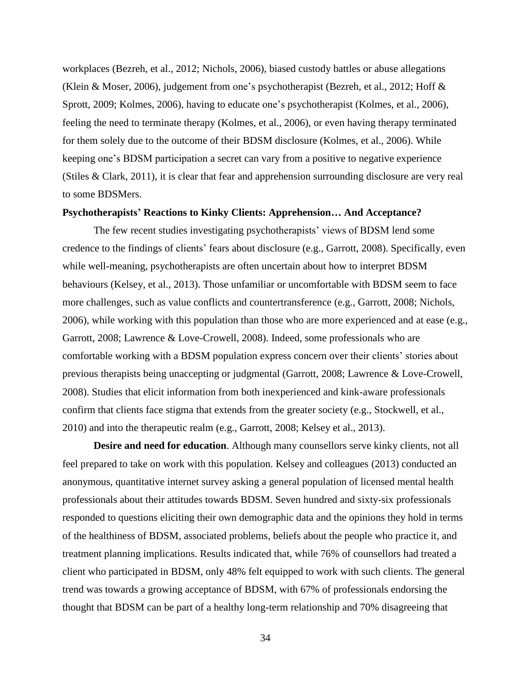workplaces (Bezreh, et al., 2012; Nichols, 2006), biased custody battles or abuse allegations (Klein & Moser, 2006), judgement from one's psychotherapist (Bezreh, et al., 2012; Hoff & Sprott, 2009; Kolmes, 2006), having to educate one's psychotherapist (Kolmes, et al., 2006), feeling the need to terminate therapy (Kolmes, et al., 2006), or even having therapy terminated for them solely due to the outcome of their BDSM disclosure (Kolmes, et al., 2006). While keeping one's BDSM participation a secret can vary from a positive to negative experience (Stiles & Clark, 2011), it is clear that fear and apprehension surrounding disclosure are very real to some BDSMers.

### **Psychotherapists' Reactions to Kinky Clients: Apprehension… And Acceptance?**

The few recent studies investigating psychotherapists' views of BDSM lend some credence to the findings of clients' fears about disclosure (e.g., Garrott, 2008). Specifically, even while well-meaning, psychotherapists are often uncertain about how to interpret BDSM behaviours (Kelsey, et al., 2013). Those unfamiliar or uncomfortable with BDSM seem to face more challenges, such as value conflicts and countertransference (e.g., Garrott, 2008; Nichols, 2006), while working with this population than those who are more experienced and at ease (e.g., Garrott, 2008; Lawrence & Love-Crowell, 2008). Indeed, some professionals who are comfortable working with a BDSM population express concern over their clients' stories about previous therapists being unaccepting or judgmental (Garrott, 2008; Lawrence & Love-Crowell, 2008). Studies that elicit information from both inexperienced and kink-aware professionals confirm that clients face stigma that extends from the greater society (e.g., Stockwell, et al., 2010) and into the therapeutic realm (e.g., Garrott, 2008; Kelsey et al., 2013).

**Desire and need for education**. Although many counsellors serve kinky clients, not all feel prepared to take on work with this population. Kelsey and colleagues (2013) conducted an anonymous, quantitative internet survey asking a general population of licensed mental health professionals about their attitudes towards BDSM. Seven hundred and sixty-six professionals responded to questions eliciting their own demographic data and the opinions they hold in terms of the healthiness of BDSM, associated problems, beliefs about the people who practice it, and treatment planning implications. Results indicated that, while 76% of counsellors had treated a client who participated in BDSM, only 48% felt equipped to work with such clients. The general trend was towards a growing acceptance of BDSM, with 67% of professionals endorsing the thought that BDSM can be part of a healthy long-term relationship and 70% disagreeing that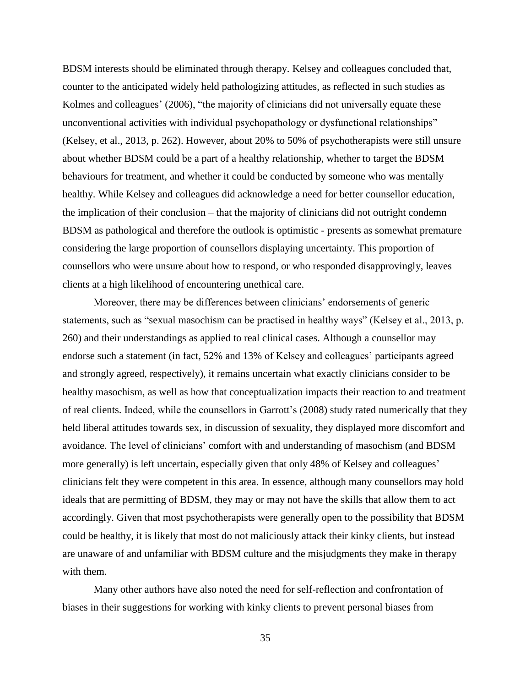BDSM interests should be eliminated through therapy. Kelsey and colleagues concluded that, counter to the anticipated widely held pathologizing attitudes, as reflected in such studies as Kolmes and colleagues' (2006), "the majority of clinicians did not universally equate these unconventional activities with individual psychopathology or dysfunctional relationships" (Kelsey, et al., 2013, p. 262). However, about 20% to 50% of psychotherapists were still unsure about whether BDSM could be a part of a healthy relationship, whether to target the BDSM behaviours for treatment, and whether it could be conducted by someone who was mentally healthy. While Kelsey and colleagues did acknowledge a need for better counsellor education, the implication of their conclusion – that the majority of clinicians did not outright condemn BDSM as pathological and therefore the outlook is optimistic - presents as somewhat premature considering the large proportion of counsellors displaying uncertainty. This proportion of counsellors who were unsure about how to respond, or who responded disapprovingly, leaves clients at a high likelihood of encountering unethical care.

Moreover, there may be differences between clinicians' endorsements of generic statements, such as "sexual masochism can be practised in healthy ways" (Kelsey et al., 2013, p. 260) and their understandings as applied to real clinical cases. Although a counsellor may endorse such a statement (in fact, 52% and 13% of Kelsey and colleagues' participants agreed and strongly agreed, respectively), it remains uncertain what exactly clinicians consider to be healthy masochism, as well as how that conceptualization impacts their reaction to and treatment of real clients. Indeed, while the counsellors in Garrott's (2008) study rated numerically that they held liberal attitudes towards sex, in discussion of sexuality, they displayed more discomfort and avoidance. The level of clinicians' comfort with and understanding of masochism (and BDSM more generally) is left uncertain, especially given that only 48% of Kelsey and colleagues' clinicians felt they were competent in this area. In essence, although many counsellors may hold ideals that are permitting of BDSM, they may or may not have the skills that allow them to act accordingly. Given that most psychotherapists were generally open to the possibility that BDSM could be healthy, it is likely that most do not maliciously attack their kinky clients, but instead are unaware of and unfamiliar with BDSM culture and the misjudgments they make in therapy with them.

Many other authors have also noted the need for self-reflection and confrontation of biases in their suggestions for working with kinky clients to prevent personal biases from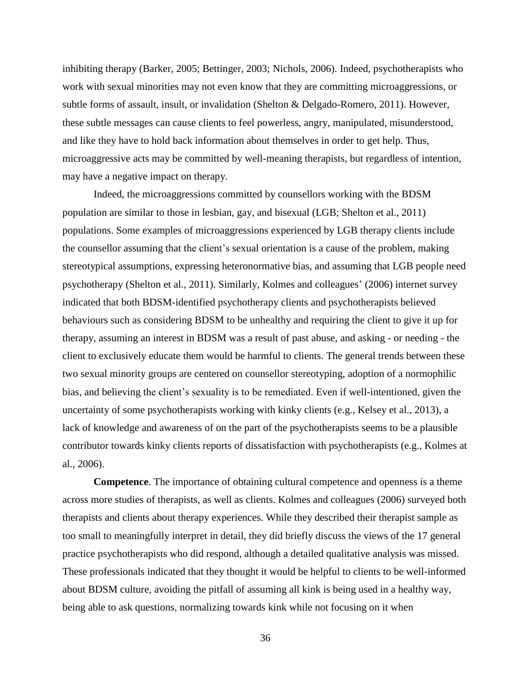inhibiting therapy (Barker, 2005; Bettinger, 2003; Nichols, 2006). Indeed, psychotherapists who work with sexual minorities may not even know that they are committing microaggressions, or subtle forms of assault, insult, or invalidation (Shelton & Delgado-Romero, 2011). However, these subtle messages can cause clients to feel powerless, angry, manipulated, misunderstood, and like they have to hold back information about themselves in order to get help. Thus, microaggressive acts may be committed by well-meaning therapists, but regardless of intention, may have a negative impact on therapy.

Indeed, the microaggressions committed by counsellors working with the BDSM population are similar to those in lesbian, gay, and bisexual (LGB; Shelton et al., 2011) populations. Some examples of microaggressions experienced by LGB therapy clients include the counsellor assuming that the client's sexual orientation is a cause of the problem, making stereotypical assumptions, expressing heteronormative bias, and assuming that LGB people need psychotherapy (Shelton et al., 2011). Similarly, Kolmes and colleagues' (2006) internet survey indicated that both BDSM-identified psychotherapy clients and psychotherapists believed behaviours such as considering BDSM to be unhealthy and requiring the client to give it up for therapy, assuming an interest in BDSM was a result of past abuse, and asking - or needing - the client to exclusively educate them would be harmful to clients. The general trends between these two sexual minority groups are centered on counsellor stereotyping, adoption of a normophilic bias, and believing the client's sexuality is to be remediated. Even if well-intentioned, given the uncertainty of some psychotherapists working with kinky clients (e.g., Kelsey et al., 2013), a lack of knowledge and awareness of on the part of the psychotherapists seems to be a plausible contributor towards kinky clients reports of dissatisfaction with psychotherapists (e.g., Kolmes at al., 2006).

**Competence**. The importance of obtaining cultural competence and openness is a theme across more studies of therapists, as well as clients. Kolmes and colleagues (2006) surveyed both therapists and clients about therapy experiences. While they described their therapist sample as too small to meaningfully interpret in detail, they did briefly discuss the views of the 17 general practice psychotherapists who did respond, although a detailed qualitative analysis was missed. These professionals indicated that they thought it would be helpful to clients to be well-informed about BDSM culture, avoiding the pitfall of assuming all kink is being used in a healthy way, being able to ask questions, normalizing towards kink while not focusing on it when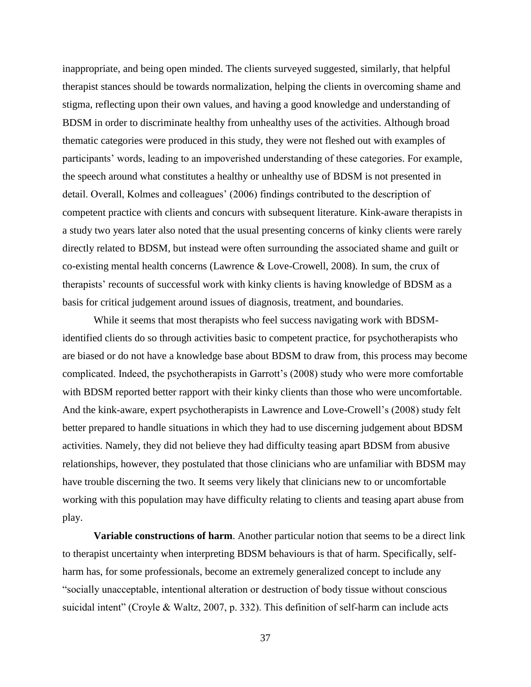inappropriate, and being open minded. The clients surveyed suggested, similarly, that helpful therapist stances should be towards normalization, helping the clients in overcoming shame and stigma, reflecting upon their own values, and having a good knowledge and understanding of BDSM in order to discriminate healthy from unhealthy uses of the activities. Although broad thematic categories were produced in this study, they were not fleshed out with examples of participants' words, leading to an impoverished understanding of these categories. For example, the speech around what constitutes a healthy or unhealthy use of BDSM is not presented in detail. Overall, Kolmes and colleagues' (2006) findings contributed to the description of competent practice with clients and concurs with subsequent literature. Kink-aware therapists in a study two years later also noted that the usual presenting concerns of kinky clients were rarely directly related to BDSM, but instead were often surrounding the associated shame and guilt or co-existing mental health concerns (Lawrence & Love-Crowell, 2008). In sum, the crux of therapists' recounts of successful work with kinky clients is having knowledge of BDSM as a basis for critical judgement around issues of diagnosis, treatment, and boundaries.

While it seems that most therapists who feel success navigating work with BDSMidentified clients do so through activities basic to competent practice, for psychotherapists who are biased or do not have a knowledge base about BDSM to draw from, this process may become complicated. Indeed, the psychotherapists in Garrott's (2008) study who were more comfortable with BDSM reported better rapport with their kinky clients than those who were uncomfortable. And the kink-aware, expert psychotherapists in Lawrence and Love-Crowell's (2008) study felt better prepared to handle situations in which they had to use discerning judgement about BDSM activities. Namely, they did not believe they had difficulty teasing apart BDSM from abusive relationships, however, they postulated that those clinicians who are unfamiliar with BDSM may have trouble discerning the two. It seems very likely that clinicians new to or uncomfortable working with this population may have difficulty relating to clients and teasing apart abuse from play.

**Variable constructions of harm**. Another particular notion that seems to be a direct link to therapist uncertainty when interpreting BDSM behaviours is that of harm. Specifically, selfharm has, for some professionals, become an extremely generalized concept to include any "socially unacceptable, intentional alteration or destruction of body tissue without conscious suicidal intent" (Croyle & Waltz, 2007, p. 332). This definition of self-harm can include acts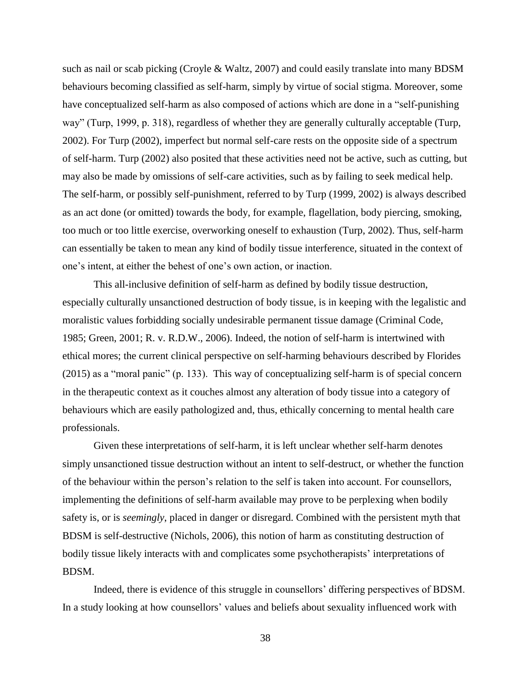such as nail or scab picking (Croyle & Waltz, 2007) and could easily translate into many BDSM behaviours becoming classified as self-harm, simply by virtue of social stigma. Moreover, some have conceptualized self-harm as also composed of actions which are done in a "self-punishing way" (Turp, 1999, p. 318), regardless of whether they are generally culturally acceptable (Turp, 2002). For Turp (2002), imperfect but normal self-care rests on the opposite side of a spectrum of self-harm. Turp (2002) also posited that these activities need not be active, such as cutting, but may also be made by omissions of self-care activities, such as by failing to seek medical help. The self-harm, or possibly self-punishment, referred to by Turp (1999, 2002) is always described as an act done (or omitted) towards the body, for example, flagellation, body piercing, smoking, too much or too little exercise, overworking oneself to exhaustion (Turp, 2002). Thus, self-harm can essentially be taken to mean any kind of bodily tissue interference, situated in the context of one's intent, at either the behest of one's own action, or inaction.

This all-inclusive definition of self-harm as defined by bodily tissue destruction, especially culturally unsanctioned destruction of body tissue, is in keeping with the legalistic and moralistic values forbidding socially undesirable permanent tissue damage (Criminal Code, 1985; Green, 2001; R. v. R.D.W., 2006). Indeed, the notion of self-harm is intertwined with ethical mores; the current clinical perspective on self-harming behaviours described by Florides (2015) as a "moral panic" (p. 133). This way of conceptualizing self-harm is of special concern in the therapeutic context as it couches almost any alteration of body tissue into a category of behaviours which are easily pathologized and, thus, ethically concerning to mental health care professionals.

Given these interpretations of self-harm, it is left unclear whether self-harm denotes simply unsanctioned tissue destruction without an intent to self-destruct, or whether the function of the behaviour within the person's relation to the self is taken into account. For counsellors, implementing the definitions of self-harm available may prove to be perplexing when bodily safety is, or is *seemingly*, placed in danger or disregard. Combined with the persistent myth that BDSM is self-destructive (Nichols, 2006), this notion of harm as constituting destruction of bodily tissue likely interacts with and complicates some psychotherapists' interpretations of BDSM.

Indeed, there is evidence of this struggle in counsellors' differing perspectives of BDSM. In a study looking at how counsellors' values and beliefs about sexuality influenced work with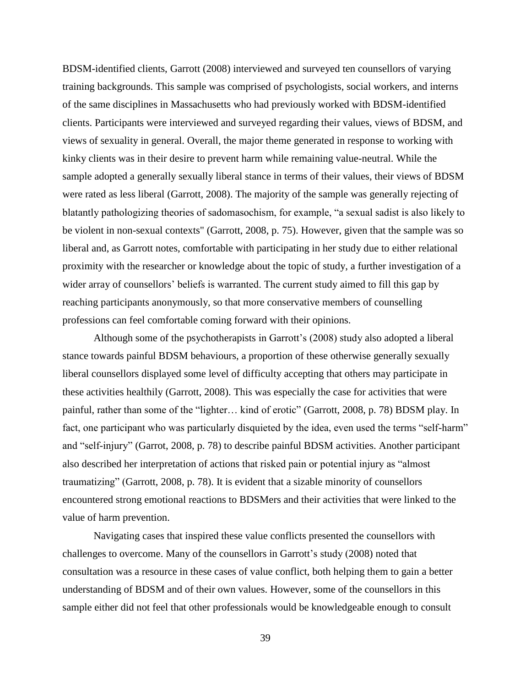BDSM-identified clients, Garrott (2008) interviewed and surveyed ten counsellors of varying training backgrounds. This sample was comprised of psychologists, social workers, and interns of the same disciplines in Massachusetts who had previously worked with BDSM-identified clients. Participants were interviewed and surveyed regarding their values, views of BDSM, and views of sexuality in general. Overall, the major theme generated in response to working with kinky clients was in their desire to prevent harm while remaining value-neutral. While the sample adopted a generally sexually liberal stance in terms of their values, their views of BDSM were rated as less liberal (Garrott, 2008). The majority of the sample was generally rejecting of blatantly pathologizing theories of sadomasochism, for example, "a sexual sadist is also likely to be violent in non-sexual contexts" (Garrott, 2008, p. 75). However, given that the sample was so liberal and, as Garrott notes, comfortable with participating in her study due to either relational proximity with the researcher or knowledge about the topic of study, a further investigation of a wider array of counsellors' beliefs is warranted. The current study aimed to fill this gap by reaching participants anonymously, so that more conservative members of counselling professions can feel comfortable coming forward with their opinions.

Although some of the psychotherapists in Garrott's (2008) study also adopted a liberal stance towards painful BDSM behaviours, a proportion of these otherwise generally sexually liberal counsellors displayed some level of difficulty accepting that others may participate in these activities healthily (Garrott, 2008). This was especially the case for activities that were painful, rather than some of the "lighter… kind of erotic" (Garrott, 2008, p. 78) BDSM play. In fact, one participant who was particularly disquieted by the idea, even used the terms "self-harm" and "self-injury" (Garrot, 2008, p. 78) to describe painful BDSM activities. Another participant also described her interpretation of actions that risked pain or potential injury as "almost traumatizing" (Garrott, 2008, p. 78). It is evident that a sizable minority of counsellors encountered strong emotional reactions to BDSMers and their activities that were linked to the value of harm prevention.

Navigating cases that inspired these value conflicts presented the counsellors with challenges to overcome. Many of the counsellors in Garrott's study (2008) noted that consultation was a resource in these cases of value conflict, both helping them to gain a better understanding of BDSM and of their own values. However, some of the counsellors in this sample either did not feel that other professionals would be knowledgeable enough to consult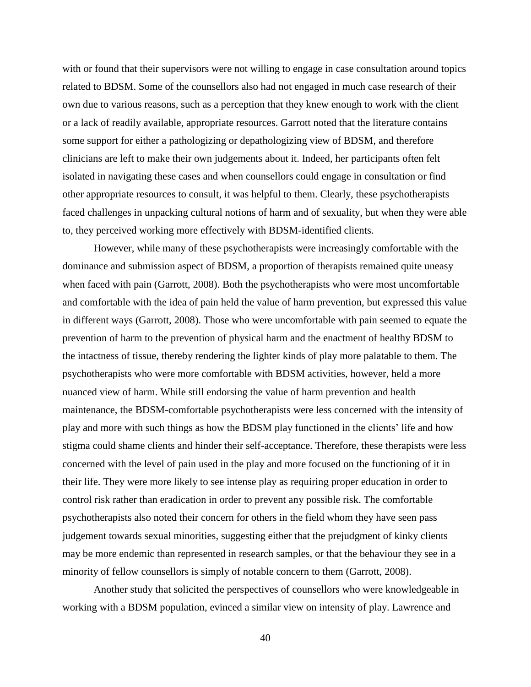with or found that their supervisors were not willing to engage in case consultation around topics related to BDSM. Some of the counsellors also had not engaged in much case research of their own due to various reasons, such as a perception that they knew enough to work with the client or a lack of readily available, appropriate resources. Garrott noted that the literature contains some support for either a pathologizing or depathologizing view of BDSM, and therefore clinicians are left to make their own judgements about it. Indeed, her participants often felt isolated in navigating these cases and when counsellors could engage in consultation or find other appropriate resources to consult, it was helpful to them. Clearly, these psychotherapists faced challenges in unpacking cultural notions of harm and of sexuality, but when they were able to, they perceived working more effectively with BDSM-identified clients.

However, while many of these psychotherapists were increasingly comfortable with the dominance and submission aspect of BDSM, a proportion of therapists remained quite uneasy when faced with pain (Garrott, 2008). Both the psychotherapists who were most uncomfortable and comfortable with the idea of pain held the value of harm prevention, but expressed this value in different ways (Garrott, 2008). Those who were uncomfortable with pain seemed to equate the prevention of harm to the prevention of physical harm and the enactment of healthy BDSM to the intactness of tissue, thereby rendering the lighter kinds of play more palatable to them. The psychotherapists who were more comfortable with BDSM activities, however, held a more nuanced view of harm. While still endorsing the value of harm prevention and health maintenance, the BDSM-comfortable psychotherapists were less concerned with the intensity of play and more with such things as how the BDSM play functioned in the clients' life and how stigma could shame clients and hinder their self-acceptance. Therefore, these therapists were less concerned with the level of pain used in the play and more focused on the functioning of it in their life. They were more likely to see intense play as requiring proper education in order to control risk rather than eradication in order to prevent any possible risk. The comfortable psychotherapists also noted their concern for others in the field whom they have seen pass judgement towards sexual minorities, suggesting either that the prejudgment of kinky clients may be more endemic than represented in research samples, or that the behaviour they see in a minority of fellow counsellors is simply of notable concern to them (Garrott, 2008).

Another study that solicited the perspectives of counsellors who were knowledgeable in working with a BDSM population, evinced a similar view on intensity of play. Lawrence and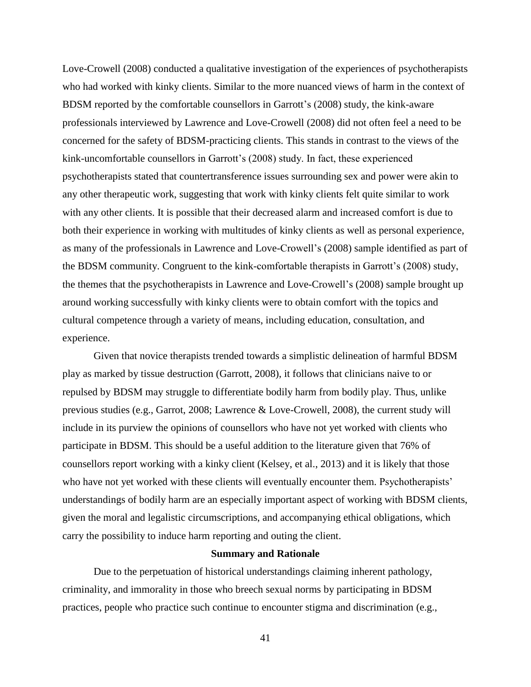Love-Crowell (2008) conducted a qualitative investigation of the experiences of psychotherapists who had worked with kinky clients. Similar to the more nuanced views of harm in the context of BDSM reported by the comfortable counsellors in Garrott's (2008) study, the kink-aware professionals interviewed by Lawrence and Love-Crowell (2008) did not often feel a need to be concerned for the safety of BDSM-practicing clients. This stands in contrast to the views of the kink-uncomfortable counsellors in Garrott's (2008) study. In fact, these experienced psychotherapists stated that countertransference issues surrounding sex and power were akin to any other therapeutic work, suggesting that work with kinky clients felt quite similar to work with any other clients. It is possible that their decreased alarm and increased comfort is due to both their experience in working with multitudes of kinky clients as well as personal experience, as many of the professionals in Lawrence and Love-Crowell's (2008) sample identified as part of the BDSM community. Congruent to the kink-comfortable therapists in Garrott's (2008) study, the themes that the psychotherapists in Lawrence and Love-Crowell's (2008) sample brought up around working successfully with kinky clients were to obtain comfort with the topics and cultural competence through a variety of means, including education, consultation, and experience.

Given that novice therapists trended towards a simplistic delineation of harmful BDSM play as marked by tissue destruction (Garrott, 2008), it follows that clinicians naive to or repulsed by BDSM may struggle to differentiate bodily harm from bodily play. Thus, unlike previous studies (e.g., Garrot, 2008; Lawrence & Love-Crowell, 2008), the current study will include in its purview the opinions of counsellors who have not yet worked with clients who participate in BDSM. This should be a useful addition to the literature given that 76% of counsellors report working with a kinky client (Kelsey, et al., 2013) and it is likely that those who have not yet worked with these clients will eventually encounter them. Psychotherapists' understandings of bodily harm are an especially important aspect of working with BDSM clients, given the moral and legalistic circumscriptions, and accompanying ethical obligations, which carry the possibility to induce harm reporting and outing the client.

# **Summary and Rationale**

Due to the perpetuation of historical understandings claiming inherent pathology, criminality, and immorality in those who breech sexual norms by participating in BDSM practices, people who practice such continue to encounter stigma and discrimination (e.g.,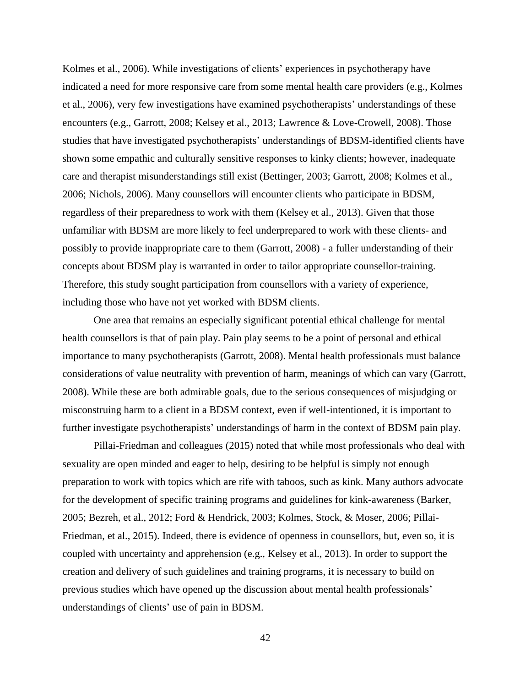Kolmes et al., 2006). While investigations of clients' experiences in psychotherapy have indicated a need for more responsive care from some mental health care providers (e.g., Kolmes et al., 2006), very few investigations have examined psychotherapists' understandings of these encounters (e.g., Garrott, 2008; Kelsey et al., 2013; Lawrence & Love-Crowell, 2008). Those studies that have investigated psychotherapists' understandings of BDSM-identified clients have shown some empathic and culturally sensitive responses to kinky clients; however, inadequate care and therapist misunderstandings still exist (Bettinger, 2003; Garrott, 2008; Kolmes et al., 2006; Nichols, 2006). Many counsellors will encounter clients who participate in BDSM, regardless of their preparedness to work with them (Kelsey et al., 2013). Given that those unfamiliar with BDSM are more likely to feel underprepared to work with these clients- and possibly to provide inappropriate care to them (Garrott, 2008) - a fuller understanding of their concepts about BDSM play is warranted in order to tailor appropriate counsellor-training. Therefore, this study sought participation from counsellors with a variety of experience, including those who have not yet worked with BDSM clients.

One area that remains an especially significant potential ethical challenge for mental health counsellors is that of pain play. Pain play seems to be a point of personal and ethical importance to many psychotherapists (Garrott, 2008). Mental health professionals must balance considerations of value neutrality with prevention of harm, meanings of which can vary (Garrott, 2008). While these are both admirable goals, due to the serious consequences of misjudging or misconstruing harm to a client in a BDSM context, even if well-intentioned, it is important to further investigate psychotherapists' understandings of harm in the context of BDSM pain play.

Pillai-Friedman and colleagues (2015) noted that while most professionals who deal with sexuality are open minded and eager to help, desiring to be helpful is simply not enough preparation to work with topics which are rife with taboos, such as kink. Many authors advocate for the development of specific training programs and guidelines for kink-awareness (Barker, 2005; Bezreh, et al., 2012; Ford & Hendrick, 2003; Kolmes, Stock, & Moser, 2006; Pillai-Friedman, et al., 2015). Indeed, there is evidence of openness in counsellors, but, even so, it is coupled with uncertainty and apprehension (e.g., Kelsey et al., 2013). In order to support the creation and delivery of such guidelines and training programs, it is necessary to build on previous studies which have opened up the discussion about mental health professionals' understandings of clients' use of pain in BDSM.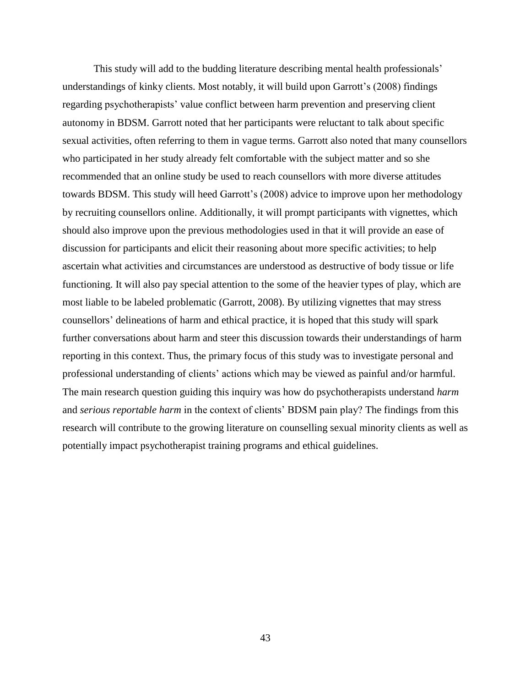This study will add to the budding literature describing mental health professionals' understandings of kinky clients. Most notably, it will build upon Garrott's (2008) findings regarding psychotherapists' value conflict between harm prevention and preserving client autonomy in BDSM. Garrott noted that her participants were reluctant to talk about specific sexual activities, often referring to them in vague terms. Garrott also noted that many counsellors who participated in her study already felt comfortable with the subject matter and so she recommended that an online study be used to reach counsellors with more diverse attitudes towards BDSM. This study will heed Garrott's (2008) advice to improve upon her methodology by recruiting counsellors online. Additionally, it will prompt participants with vignettes, which should also improve upon the previous methodologies used in that it will provide an ease of discussion for participants and elicit their reasoning about more specific activities; to help ascertain what activities and circumstances are understood as destructive of body tissue or life functioning. It will also pay special attention to the some of the heavier types of play, which are most liable to be labeled problematic (Garrott, 2008). By utilizing vignettes that may stress counsellors' delineations of harm and ethical practice, it is hoped that this study will spark further conversations about harm and steer this discussion towards their understandings of harm reporting in this context. Thus, the primary focus of this study was to investigate personal and professional understanding of clients' actions which may be viewed as painful and/or harmful. The main research question guiding this inquiry was how do psychotherapists understand *harm* and *serious reportable harm* in the context of clients' BDSM pain play? The findings from this research will contribute to the growing literature on counselling sexual minority clients as well as potentially impact psychotherapist training programs and ethical guidelines.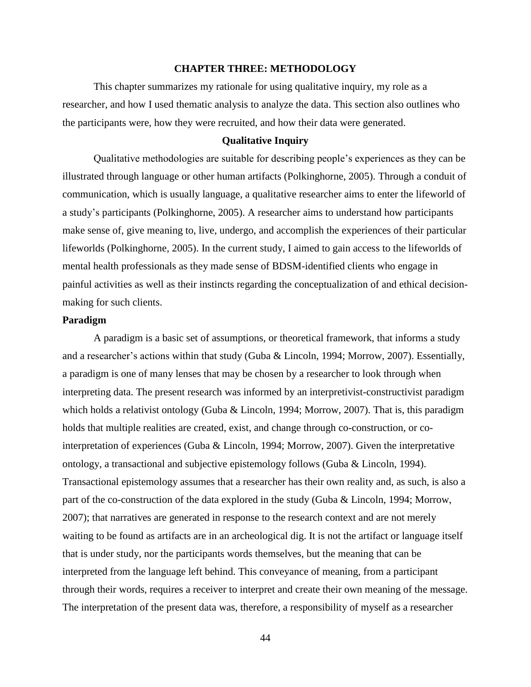## **CHAPTER THREE: METHODOLOGY**

This chapter summarizes my rationale for using qualitative inquiry, my role as a researcher, and how I used thematic analysis to analyze the data. This section also outlines who the participants were, how they were recruited, and how their data were generated.

#### **Qualitative Inquiry**

Qualitative methodologies are suitable for describing people's experiences as they can be illustrated through language or other human artifacts (Polkinghorne, 2005). Through a conduit of communication, which is usually language, a qualitative researcher aims to enter the lifeworld of a study's participants (Polkinghorne, 2005). A researcher aims to understand how participants make sense of, give meaning to, live, undergo, and accomplish the experiences of their particular lifeworlds (Polkinghorne, 2005). In the current study, I aimed to gain access to the lifeworlds of mental health professionals as they made sense of BDSM-identified clients who engage in painful activities as well as their instincts regarding the conceptualization of and ethical decisionmaking for such clients.

# **Paradigm**

A paradigm is a basic set of assumptions, or theoretical framework, that informs a study and a researcher's actions within that study (Guba & Lincoln, 1994; Morrow, 2007). Essentially, a paradigm is one of many lenses that may be chosen by a researcher to look through when interpreting data. The present research was informed by an interpretivist-constructivist paradigm which holds a relativist ontology (Guba & Lincoln, 1994; Morrow, 2007). That is, this paradigm holds that multiple realities are created, exist, and change through co-construction, or cointerpretation of experiences (Guba & Lincoln, 1994; Morrow, 2007). Given the interpretative ontology, a transactional and subjective epistemology follows (Guba & Lincoln, 1994). Transactional epistemology assumes that a researcher has their own reality and, as such, is also a part of the co-construction of the data explored in the study (Guba & Lincoln, 1994; Morrow, 2007); that narratives are generated in response to the research context and are not merely waiting to be found as artifacts are in an archeological dig. It is not the artifact or language itself that is under study, nor the participants words themselves, but the meaning that can be interpreted from the language left behind. This conveyance of meaning, from a participant through their words, requires a receiver to interpret and create their own meaning of the message. The interpretation of the present data was, therefore, a responsibility of myself as a researcher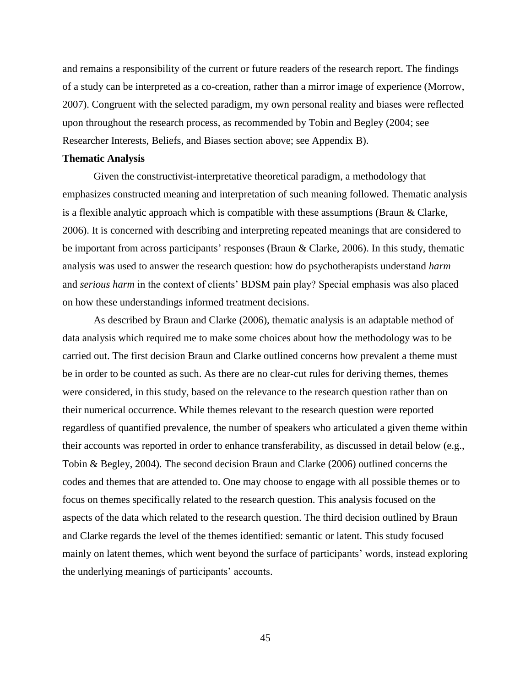and remains a responsibility of the current or future readers of the research report. The findings of a study can be interpreted as a co-creation, rather than a mirror image of experience (Morrow, 2007). Congruent with the selected paradigm, my own personal reality and biases were reflected upon throughout the research process, as recommended by Tobin and Begley (2004; see Researcher Interests, Beliefs, and Biases section above; see Appendix B).

## **Thematic Analysis**

Given the constructivist-interpretative theoretical paradigm, a methodology that emphasizes constructed meaning and interpretation of such meaning followed. Thematic analysis is a flexible analytic approach which is compatible with these assumptions (Braun & Clarke, 2006). It is concerned with describing and interpreting repeated meanings that are considered to be important from across participants' responses (Braun & Clarke, 2006). In this study, thematic analysis was used to answer the research question: how do psychotherapists understand *harm* and *serious harm* in the context of clients' BDSM pain play? Special emphasis was also placed on how these understandings informed treatment decisions.

As described by Braun and Clarke (2006), thematic analysis is an adaptable method of data analysis which required me to make some choices about how the methodology was to be carried out. The first decision Braun and Clarke outlined concerns how prevalent a theme must be in order to be counted as such. As there are no clear-cut rules for deriving themes, themes were considered, in this study, based on the relevance to the research question rather than on their numerical occurrence. While themes relevant to the research question were reported regardless of quantified prevalence, the number of speakers who articulated a given theme within their accounts was reported in order to enhance transferability, as discussed in detail below (e.g., Tobin & Begley, 2004). The second decision Braun and Clarke (2006) outlined concerns the codes and themes that are attended to. One may choose to engage with all possible themes or to focus on themes specifically related to the research question. This analysis focused on the aspects of the data which related to the research question. The third decision outlined by Braun and Clarke regards the level of the themes identified: semantic or latent. This study focused mainly on latent themes, which went beyond the surface of participants' words, instead exploring the underlying meanings of participants' accounts.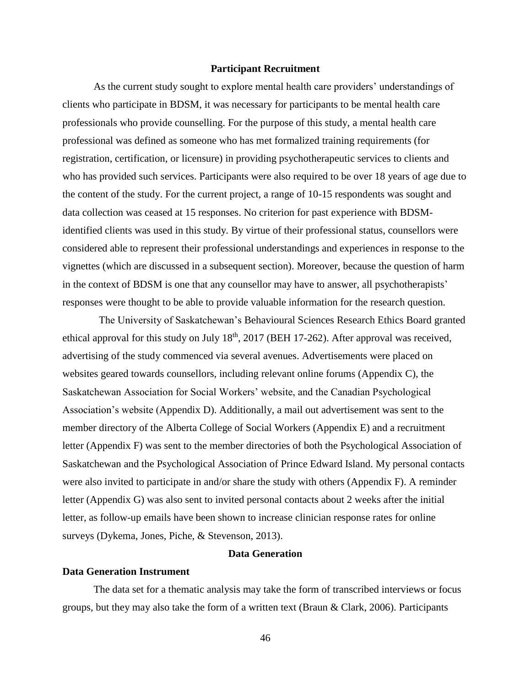### **Participant Recruitment**

As the current study sought to explore mental health care providers' understandings of clients who participate in BDSM, it was necessary for participants to be mental health care professionals who provide counselling. For the purpose of this study, a mental health care professional was defined as someone who has met formalized training requirements (for registration, certification, or licensure) in providing psychotherapeutic services to clients and who has provided such services. Participants were also required to be over 18 years of age due to the content of the study. For the current project, a range of 10-15 respondents was sought and data collection was ceased at 15 responses. No criterion for past experience with BDSMidentified clients was used in this study. By virtue of their professional status, counsellors were considered able to represent their professional understandings and experiences in response to the vignettes (which are discussed in a subsequent section). Moreover, because the question of harm in the context of BDSM is one that any counsellor may have to answer, all psychotherapists' responses were thought to be able to provide valuable information for the research question.

The University of Saskatchewan's Behavioural Sciences Research Ethics Board granted ethical approval for this study on July  $18<sup>th</sup>$ ,  $2017$  (BEH 17-262). After approval was received, advertising of the study commenced via several avenues. Advertisements were placed on websites geared towards counsellors, including relevant online forums (Appendix C), the Saskatchewan Association for Social Workers' website, and the Canadian Psychological Association's website (Appendix D). Additionally, a mail out advertisement was sent to the member directory of the Alberta College of Social Workers (Appendix E) and a recruitment letter (Appendix F) was sent to the member directories of both the Psychological Association of Saskatchewan and the Psychological Association of Prince Edward Island. My personal contacts were also invited to participate in and/or share the study with others (Appendix F). A reminder letter (Appendix G) was also sent to invited personal contacts about 2 weeks after the initial letter, as follow-up emails have been shown to increase clinician response rates for online surveys (Dykema, Jones, Piche, & Stevenson, 2013).

# **Data Generation**

# **Data Generation Instrument**

The data set for a thematic analysis may take the form of transcribed interviews or focus groups, but they may also take the form of a written text (Braun & Clark, 2006). Participants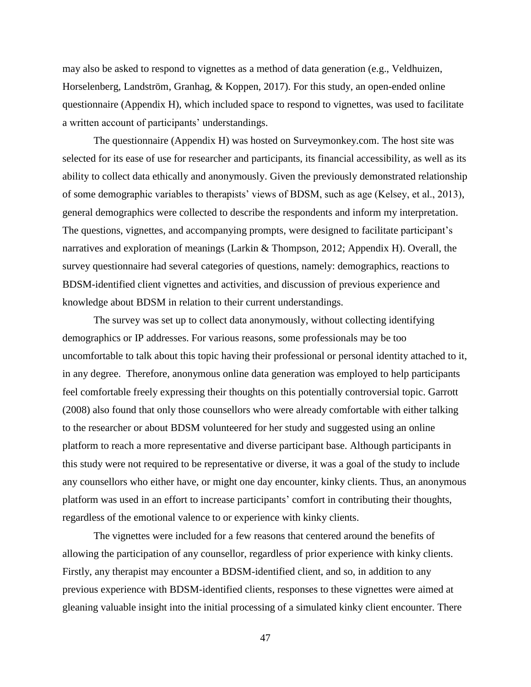may also be asked to respond to vignettes as a method of data generation (e.g., Veldhuizen, Horselenberg, Landström, Granhag, & Koppen, 2017). For this study, an open-ended online questionnaire (Appendix H), which included space to respond to vignettes, was used to facilitate a written account of participants' understandings.

The questionnaire (Appendix H) was hosted on Surveymonkey.com. The host site was selected for its ease of use for researcher and participants, its financial accessibility, as well as its ability to collect data ethically and anonymously. Given the previously demonstrated relationship of some demographic variables to therapists' views of BDSM, such as age (Kelsey, et al., 2013), general demographics were collected to describe the respondents and inform my interpretation. The questions, vignettes, and accompanying prompts, were designed to facilitate participant's narratives and exploration of meanings (Larkin & Thompson, 2012; Appendix H). Overall, the survey questionnaire had several categories of questions, namely: demographics, reactions to BDSM-identified client vignettes and activities, and discussion of previous experience and knowledge about BDSM in relation to their current understandings.

The survey was set up to collect data anonymously, without collecting identifying demographics or IP addresses. For various reasons, some professionals may be too uncomfortable to talk about this topic having their professional or personal identity attached to it, in any degree. Therefore, anonymous online data generation was employed to help participants feel comfortable freely expressing their thoughts on this potentially controversial topic. Garrott (2008) also found that only those counsellors who were already comfortable with either talking to the researcher or about BDSM volunteered for her study and suggested using an online platform to reach a more representative and diverse participant base. Although participants in this study were not required to be representative or diverse, it was a goal of the study to include any counsellors who either have, or might one day encounter, kinky clients. Thus, an anonymous platform was used in an effort to increase participants' comfort in contributing their thoughts, regardless of the emotional valence to or experience with kinky clients.

The vignettes were included for a few reasons that centered around the benefits of allowing the participation of any counsellor, regardless of prior experience with kinky clients. Firstly, any therapist may encounter a BDSM-identified client, and so, in addition to any previous experience with BDSM-identified clients, responses to these vignettes were aimed at gleaning valuable insight into the initial processing of a simulated kinky client encounter. There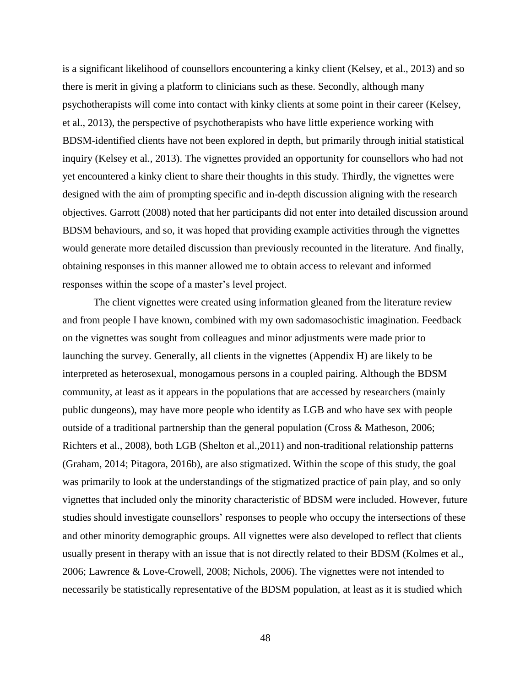is a significant likelihood of counsellors encountering a kinky client (Kelsey, et al., 2013) and so there is merit in giving a platform to clinicians such as these. Secondly, although many psychotherapists will come into contact with kinky clients at some point in their career (Kelsey, et al., 2013), the perspective of psychotherapists who have little experience working with BDSM-identified clients have not been explored in depth, but primarily through initial statistical inquiry (Kelsey et al., 2013). The vignettes provided an opportunity for counsellors who had not yet encountered a kinky client to share their thoughts in this study. Thirdly, the vignettes were designed with the aim of prompting specific and in-depth discussion aligning with the research objectives. Garrott (2008) noted that her participants did not enter into detailed discussion around BDSM behaviours, and so, it was hoped that providing example activities through the vignettes would generate more detailed discussion than previously recounted in the literature. And finally, obtaining responses in this manner allowed me to obtain access to relevant and informed responses within the scope of a master's level project.

The client vignettes were created using information gleaned from the literature review and from people I have known, combined with my own sadomasochistic imagination. Feedback on the vignettes was sought from colleagues and minor adjustments were made prior to launching the survey. Generally, all clients in the vignettes (Appendix H) are likely to be interpreted as heterosexual, monogamous persons in a coupled pairing. Although the BDSM community, at least as it appears in the populations that are accessed by researchers (mainly public dungeons), may have more people who identify as LGB and who have sex with people outside of a traditional partnership than the general population (Cross & Matheson, 2006; Richters et al., 2008), both LGB (Shelton et al.,2011) and non-traditional relationship patterns (Graham, 2014; Pitagora, 2016b), are also stigmatized. Within the scope of this study, the goal was primarily to look at the understandings of the stigmatized practice of pain play, and so only vignettes that included only the minority characteristic of BDSM were included. However, future studies should investigate counsellors' responses to people who occupy the intersections of these and other minority demographic groups. All vignettes were also developed to reflect that clients usually present in therapy with an issue that is not directly related to their BDSM (Kolmes et al., 2006; Lawrence & Love-Crowell, 2008; Nichols, 2006). The vignettes were not intended to necessarily be statistically representative of the BDSM population, at least as it is studied which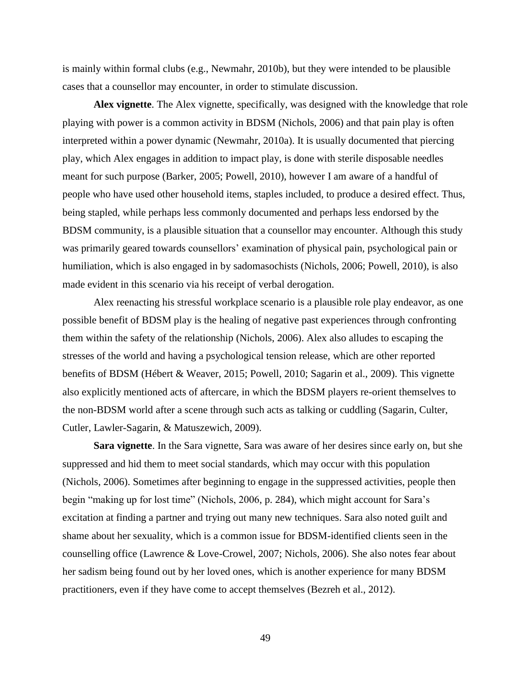is mainly within formal clubs (e.g., Newmahr, 2010b), but they were intended to be plausible cases that a counsellor may encounter, in order to stimulate discussion.

**Alex vignette**. The Alex vignette, specifically, was designed with the knowledge that role playing with power is a common activity in BDSM (Nichols, 2006) and that pain play is often interpreted within a power dynamic (Newmahr, 2010a). It is usually documented that piercing play, which Alex engages in addition to impact play, is done with sterile disposable needles meant for such purpose (Barker, 2005; Powell, 2010), however I am aware of a handful of people who have used other household items, staples included, to produce a desired effect. Thus, being stapled, while perhaps less commonly documented and perhaps less endorsed by the BDSM community, is a plausible situation that a counsellor may encounter. Although this study was primarily geared towards counsellors' examination of physical pain, psychological pain or humiliation, which is also engaged in by sadomasochists (Nichols, 2006; Powell, 2010), is also made evident in this scenario via his receipt of verbal derogation.

Alex reenacting his stressful workplace scenario is a plausible role play endeavor, as one possible benefit of BDSM play is the healing of negative past experiences through confronting them within the safety of the relationship (Nichols, 2006). Alex also alludes to escaping the stresses of the world and having a psychological tension release, which are other reported benefits of BDSM (Hébert & Weaver, 2015; Powell, 2010; Sagarin et al., 2009). This vignette also explicitly mentioned acts of aftercare, in which the BDSM players re-orient themselves to the non-BDSM world after a scene through such acts as talking or cuddling (Sagarin, Culter, Cutler, Lawler-Sagarin, & Matuszewich, 2009).

**Sara vignette**. In the Sara vignette, Sara was aware of her desires since early on, but she suppressed and hid them to meet social standards, which may occur with this population (Nichols, 2006). Sometimes after beginning to engage in the suppressed activities, people then begin "making up for lost time" (Nichols, 2006, p. 284), which might account for Sara's excitation at finding a partner and trying out many new techniques. Sara also noted guilt and shame about her sexuality, which is a common issue for BDSM-identified clients seen in the counselling office (Lawrence & Love-Crowel, 2007; Nichols, 2006). She also notes fear about her sadism being found out by her loved ones, which is another experience for many BDSM practitioners, even if they have come to accept themselves (Bezreh et al., 2012).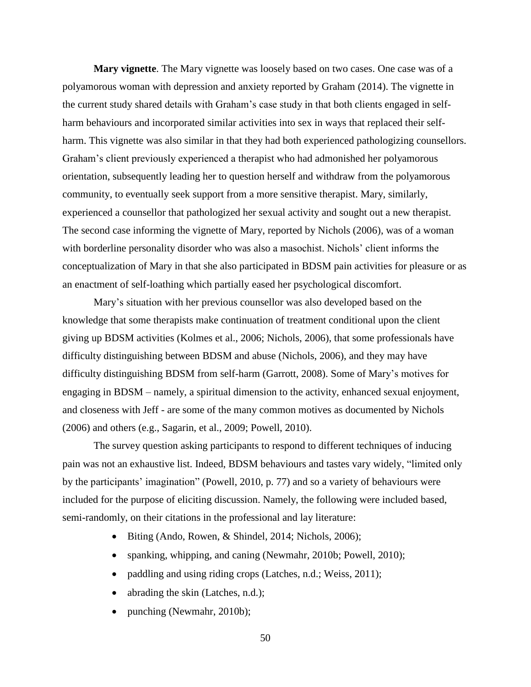**Mary vignette**. The Mary vignette was loosely based on two cases. One case was of a polyamorous woman with depression and anxiety reported by Graham (2014). The vignette in the current study shared details with Graham's case study in that both clients engaged in selfharm behaviours and incorporated similar activities into sex in ways that replaced their selfharm. This vignette was also similar in that they had both experienced pathologizing counsellors. Graham's client previously experienced a therapist who had admonished her polyamorous orientation, subsequently leading her to question herself and withdraw from the polyamorous community, to eventually seek support from a more sensitive therapist. Mary, similarly, experienced a counsellor that pathologized her sexual activity and sought out a new therapist. The second case informing the vignette of Mary, reported by Nichols (2006), was of a woman with borderline personality disorder who was also a masochist. Nichols' client informs the conceptualization of Mary in that she also participated in BDSM pain activities for pleasure or as an enactment of self-loathing which partially eased her psychological discomfort.

Mary's situation with her previous counsellor was also developed based on the knowledge that some therapists make continuation of treatment conditional upon the client giving up BDSM activities (Kolmes et al., 2006; Nichols, 2006), that some professionals have difficulty distinguishing between BDSM and abuse (Nichols, 2006), and they may have difficulty distinguishing BDSM from self-harm (Garrott, 2008). Some of Mary's motives for engaging in BDSM – namely, a spiritual dimension to the activity, enhanced sexual enjoyment, and closeness with Jeff - are some of the many common motives as documented by Nichols (2006) and others (e.g., Sagarin, et al., 2009; Powell, 2010).

The survey question asking participants to respond to different techniques of inducing pain was not an exhaustive list. Indeed, BDSM behaviours and tastes vary widely, "limited only by the participants' imagination" (Powell, 2010, p. 77) and so a variety of behaviours were included for the purpose of eliciting discussion. Namely, the following were included based, semi-randomly, on their citations in the professional and lay literature:

- Biting (Ando, Rowen, & Shindel, 2014; Nichols, 2006);
- spanking, whipping, and caning (Newmahr, 2010b; Powell, 2010);
- paddling and using riding crops (Latches, n.d.; Weiss, 2011);
- abrading the skin (Latches, n.d.);
- punching (Newmahr, 2010b);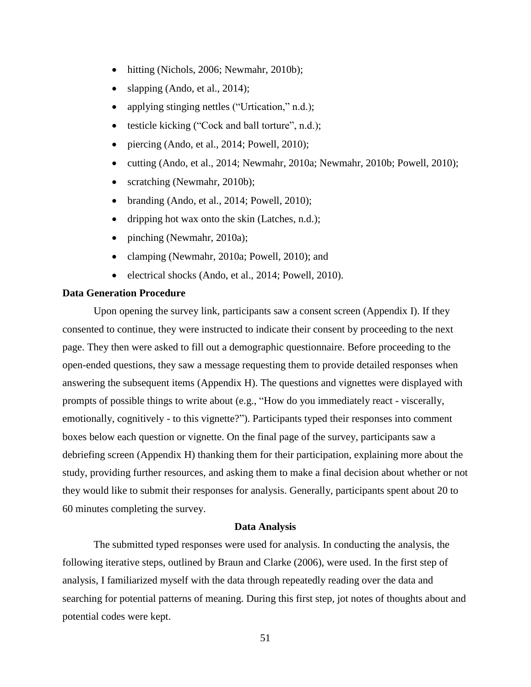- hitting (Nichols, 2006; Newmahr, 2010b);
- slapping (Ando, et al., 2014);
- applying stinging nettles ("Urtication," n.d.);
- testicle kicking ("Cock and ball torture", n.d.);
- piercing (Ando, et al., 2014; Powell, 2010);
- cutting (Ando, et al., 2014; Newmahr, 2010a; Newmahr, 2010b; Powell, 2010);
- scratching (Newmahr, 2010b);
- branding (Ando, et al., 2014; Powell, 2010);
- dripping hot wax onto the skin (Latches, n.d.);
- pinching (Newmahr, 2010a);
- clamping (Newmahr, 2010a; Powell, 2010); and
- electrical shocks (Ando, et al., 2014; Powell, 2010).

### **Data Generation Procedure**

Upon opening the survey link, participants saw a consent screen (Appendix I). If they consented to continue, they were instructed to indicate their consent by proceeding to the next page. They then were asked to fill out a demographic questionnaire. Before proceeding to the open-ended questions, they saw a message requesting them to provide detailed responses when answering the subsequent items (Appendix H). The questions and vignettes were displayed with prompts of possible things to write about (e.g., "How do you immediately react - viscerally, emotionally, cognitively - to this vignette?"). Participants typed their responses into comment boxes below each question or vignette. On the final page of the survey, participants saw a debriefing screen (Appendix H) thanking them for their participation, explaining more about the study, providing further resources, and asking them to make a final decision about whether or not they would like to submit their responses for analysis. Generally, participants spent about 20 to 60 minutes completing the survey.

## **Data Analysis**

The submitted typed responses were used for analysis. In conducting the analysis, the following iterative steps, outlined by Braun and Clarke (2006), were used. In the first step of analysis, I familiarized myself with the data through repeatedly reading over the data and searching for potential patterns of meaning. During this first step, jot notes of thoughts about and potential codes were kept.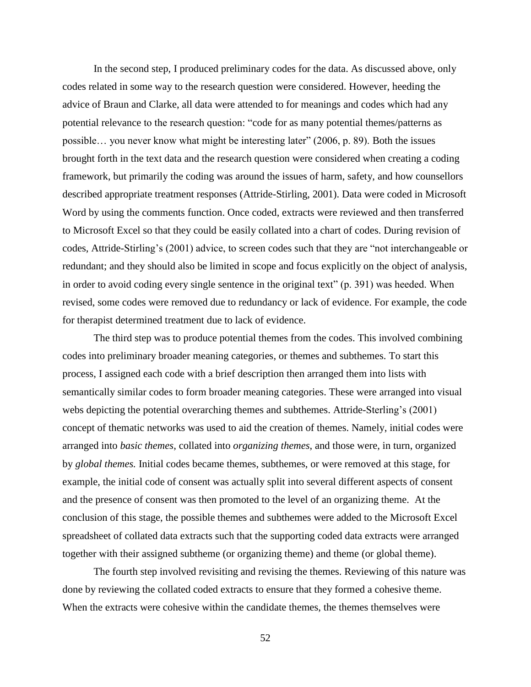In the second step, I produced preliminary codes for the data. As discussed above, only codes related in some way to the research question were considered. However, heeding the advice of Braun and Clarke, all data were attended to for meanings and codes which had any potential relevance to the research question: "code for as many potential themes/patterns as possible… you never know what might be interesting later" (2006, p. 89). Both the issues brought forth in the text data and the research question were considered when creating a coding framework, but primarily the coding was around the issues of harm, safety, and how counsellors described appropriate treatment responses (Attride-Stirling, 2001). Data were coded in Microsoft Word by using the comments function. Once coded, extracts were reviewed and then transferred to Microsoft Excel so that they could be easily collated into a chart of codes. During revision of codes, Attride-Stirling's (2001) advice, to screen codes such that they are "not interchangeable or redundant; and they should also be limited in scope and focus explicitly on the object of analysis, in order to avoid coding every single sentence in the original text" (p. 391) was heeded. When revised, some codes were removed due to redundancy or lack of evidence. For example, the code for therapist determined treatment due to lack of evidence.

The third step was to produce potential themes from the codes. This involved combining codes into preliminary broader meaning categories, or themes and subthemes. To start this process, I assigned each code with a brief description then arranged them into lists with semantically similar codes to form broader meaning categories. These were arranged into visual webs depicting the potential overarching themes and subthemes. Attride-Sterling's (2001) concept of thematic networks was used to aid the creation of themes. Namely, initial codes were arranged into *basic themes*, collated into *organizing themes*, and those were, in turn, organized by *global themes.* Initial codes became themes, subthemes, or were removed at this stage, for example, the initial code of consent was actually split into several different aspects of consent and the presence of consent was then promoted to the level of an organizing theme. At the conclusion of this stage, the possible themes and subthemes were added to the Microsoft Excel spreadsheet of collated data extracts such that the supporting coded data extracts were arranged together with their assigned subtheme (or organizing theme) and theme (or global theme).

The fourth step involved revisiting and revising the themes. Reviewing of this nature was done by reviewing the collated coded extracts to ensure that they formed a cohesive theme. When the extracts were cohesive within the candidate themes, the themes themselves were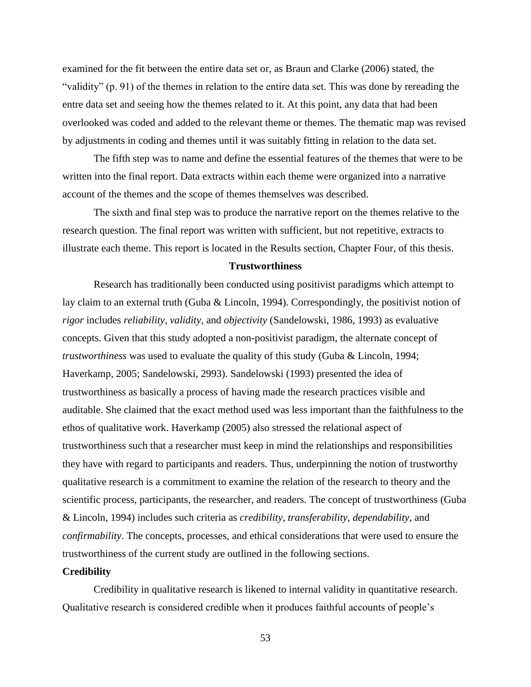examined for the fit between the entire data set or, as Braun and Clarke (2006) stated, the "validity" (p. 91) of the themes in relation to the entire data set. This was done by rereading the entre data set and seeing how the themes related to it. At this point, any data that had been overlooked was coded and added to the relevant theme or themes. The thematic map was revised by adjustments in coding and themes until it was suitably fitting in relation to the data set.

The fifth step was to name and define the essential features of the themes that were to be written into the final report. Data extracts within each theme were organized into a narrative account of the themes and the scope of themes themselves was described.

The sixth and final step was to produce the narrative report on the themes relative to the research question. The final report was written with sufficient, but not repetitive, extracts to illustrate each theme. This report is located in the Results section, Chapter Four, of this thesis.

#### **Trustworthiness**

Research has traditionally been conducted using positivist paradigms which attempt to lay claim to an external truth (Guba & Lincoln, 1994). Correspondingly, the positivist notion of *rigor* includes *reliability*, *validity*, and *objectivity* (Sandelowski, 1986, 1993) as evaluative concepts. Given that this study adopted a non-positivist paradigm, the alternate concept of *trustworthiness* was used to evaluate the quality of this study (Guba & Lincoln, 1994; Haverkamp, 2005; Sandelowski, 2993). Sandelowski (1993) presented the idea of trustworthiness as basically a process of having made the research practices visible and auditable. She claimed that the exact method used was less important than the faithfulness to the ethos of qualitative work. Haverkamp (2005) also stressed the relational aspect of trustworthiness such that a researcher must keep in mind the relationships and responsibilities they have with regard to participants and readers. Thus, underpinning the notion of trustworthy qualitative research is a commitment to examine the relation of the research to theory and the scientific process, participants, the researcher, and readers. The concept of trustworthiness (Guba & Lincoln, 1994) includes such criteria as *credibility*, *transferability*, *dependability*, and *confirmability*. The concepts, processes, and ethical considerations that were used to ensure the trustworthiness of the current study are outlined in the following sections.

#### **Credibility**

Credibility in qualitative research is likened to internal validity in quantitative research. Qualitative research is considered credible when it produces faithful accounts of people's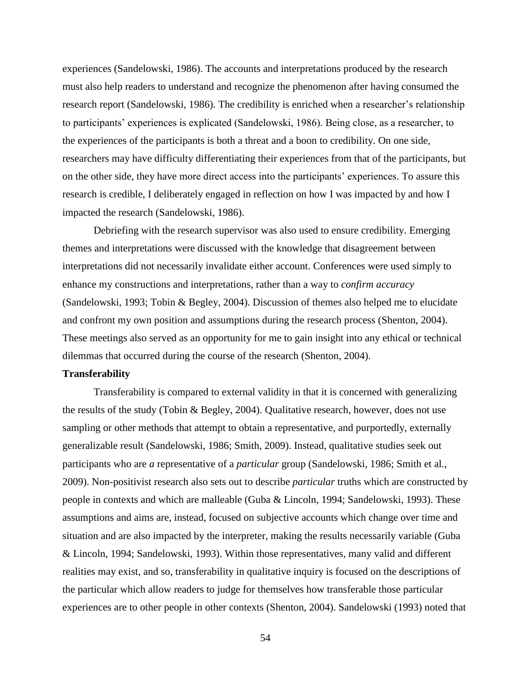experiences (Sandelowski, 1986). The accounts and interpretations produced by the research must also help readers to understand and recognize the phenomenon after having consumed the research report (Sandelowski, 1986). The credibility is enriched when a researcher's relationship to participants' experiences is explicated (Sandelowski, 1986). Being close, as a researcher, to the experiences of the participants is both a threat and a boon to credibility. On one side, researchers may have difficulty differentiating their experiences from that of the participants, but on the other side, they have more direct access into the participants' experiences. To assure this research is credible, I deliberately engaged in reflection on how I was impacted by and how I impacted the research (Sandelowski, 1986).

Debriefing with the research supervisor was also used to ensure credibility. Emerging themes and interpretations were discussed with the knowledge that disagreement between interpretations did not necessarily invalidate either account. Conferences were used simply to enhance my constructions and interpretations, rather than a way to *confirm accuracy* (Sandelowski, 1993; Tobin & Begley, 2004). Discussion of themes also helped me to elucidate and confront my own position and assumptions during the research process (Shenton, 2004). These meetings also served as an opportunity for me to gain insight into any ethical or technical dilemmas that occurred during the course of the research (Shenton, 2004).

## **Transferability**

Transferability is compared to external validity in that it is concerned with generalizing the results of the study (Tobin & Begley, 2004). Qualitative research, however, does not use sampling or other methods that attempt to obtain a representative, and purportedly, externally generalizable result (Sandelowski, 1986; Smith, 2009). Instead, qualitative studies seek out participants who are *a* representative of a *particular* group (Sandelowski, 1986; Smith et al., 2009). Non-positivist research also sets out to describe *particular* truths which are constructed by people in contexts and which are malleable (Guba & Lincoln, 1994; Sandelowski, 1993). These assumptions and aims are, instead, focused on subjective accounts which change over time and situation and are also impacted by the interpreter, making the results necessarily variable (Guba & Lincoln, 1994; Sandelowski, 1993). Within those representatives, many valid and different realities may exist, and so, transferability in qualitative inquiry is focused on the descriptions of the particular which allow readers to judge for themselves how transferable those particular experiences are to other people in other contexts (Shenton, 2004). Sandelowski (1993) noted that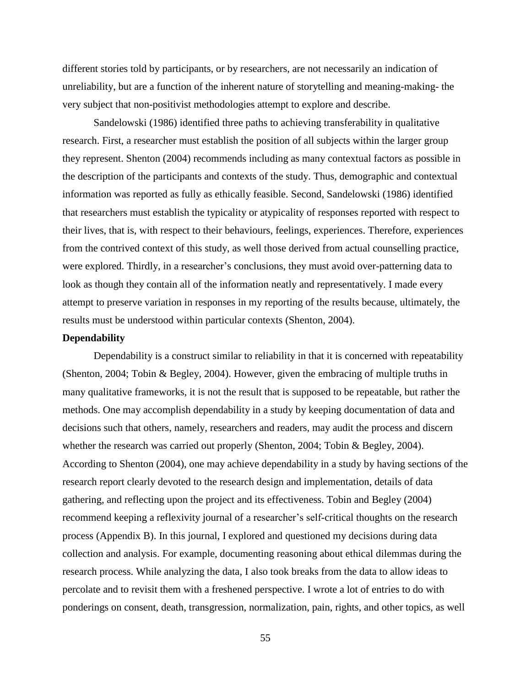different stories told by participants, or by researchers, are not necessarily an indication of unreliability, but are a function of the inherent nature of storytelling and meaning-making- the very subject that non-positivist methodologies attempt to explore and describe.

Sandelowski (1986) identified three paths to achieving transferability in qualitative research. First, a researcher must establish the position of all subjects within the larger group they represent. Shenton (2004) recommends including as many contextual factors as possible in the description of the participants and contexts of the study. Thus, demographic and contextual information was reported as fully as ethically feasible. Second, Sandelowski (1986) identified that researchers must establish the typicality or atypicality of responses reported with respect to their lives, that is, with respect to their behaviours, feelings, experiences. Therefore, experiences from the contrived context of this study, as well those derived from actual counselling practice, were explored. Thirdly, in a researcher's conclusions, they must avoid over-patterning data to look as though they contain all of the information neatly and representatively. I made every attempt to preserve variation in responses in my reporting of the results because, ultimately, the results must be understood within particular contexts (Shenton, 2004).

### **Dependability**

Dependability is a construct similar to reliability in that it is concerned with repeatability (Shenton, 2004; Tobin & Begley, 2004). However, given the embracing of multiple truths in many qualitative frameworks, it is not the result that is supposed to be repeatable, but rather the methods. One may accomplish dependability in a study by keeping documentation of data and decisions such that others, namely, researchers and readers, may audit the process and discern whether the research was carried out properly (Shenton, 2004; Tobin & Begley, 2004). According to Shenton (2004), one may achieve dependability in a study by having sections of the research report clearly devoted to the research design and implementation, details of data gathering, and reflecting upon the project and its effectiveness. Tobin and Begley (2004) recommend keeping a reflexivity journal of a researcher's self-critical thoughts on the research process (Appendix B). In this journal, I explored and questioned my decisions during data collection and analysis. For example, documenting reasoning about ethical dilemmas during the research process. While analyzing the data, I also took breaks from the data to allow ideas to percolate and to revisit them with a freshened perspective. I wrote a lot of entries to do with ponderings on consent, death, transgression, normalization, pain, rights, and other topics, as well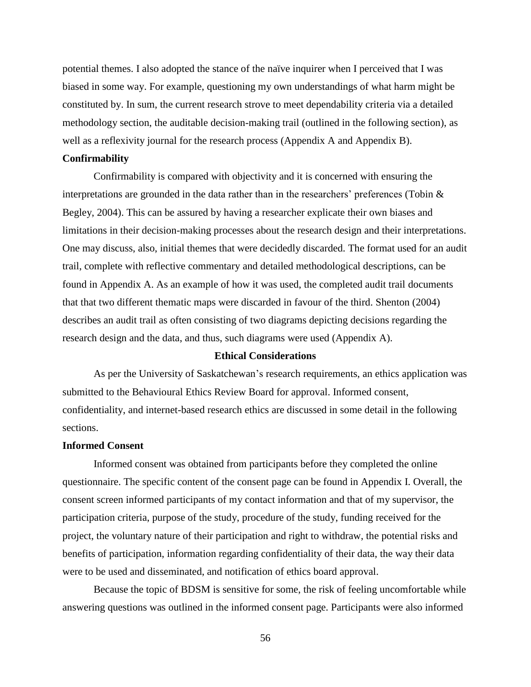potential themes. I also adopted the stance of the naïve inquirer when I perceived that I was biased in some way. For example, questioning my own understandings of what harm might be constituted by. In sum, the current research strove to meet dependability criteria via a detailed methodology section, the auditable decision-making trail (outlined in the following section), as well as a reflexivity journal for the research process (Appendix A and Appendix B).

## **Confirmability**

Confirmability is compared with objectivity and it is concerned with ensuring the interpretations are grounded in the data rather than in the researchers' preferences (Tobin & Begley, 2004). This can be assured by having a researcher explicate their own biases and limitations in their decision-making processes about the research design and their interpretations. One may discuss, also, initial themes that were decidedly discarded. The format used for an audit trail, complete with reflective commentary and detailed methodological descriptions, can be found in Appendix A. As an example of how it was used, the completed audit trail documents that that two different thematic maps were discarded in favour of the third. Shenton (2004) describes an audit trail as often consisting of two diagrams depicting decisions regarding the research design and the data, and thus, such diagrams were used (Appendix A).

## **Ethical Considerations**

As per the University of Saskatchewan's research requirements, an ethics application was submitted to the Behavioural Ethics Review Board for approval. Informed consent, confidentiality, and internet-based research ethics are discussed in some detail in the following sections.

# **Informed Consent**

Informed consent was obtained from participants before they completed the online questionnaire. The specific content of the consent page can be found in Appendix I. Overall, the consent screen informed participants of my contact information and that of my supervisor, the participation criteria, purpose of the study, procedure of the study, funding received for the project, the voluntary nature of their participation and right to withdraw, the potential risks and benefits of participation, information regarding confidentiality of their data, the way their data were to be used and disseminated, and notification of ethics board approval.

Because the topic of BDSM is sensitive for some, the risk of feeling uncomfortable while answering questions was outlined in the informed consent page. Participants were also informed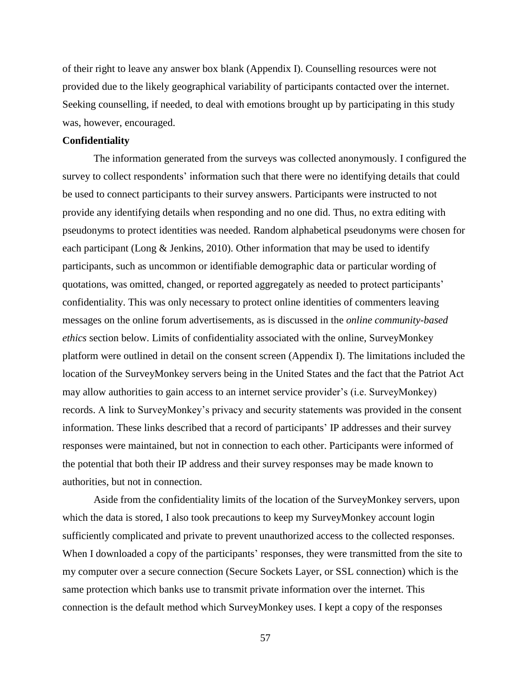of their right to leave any answer box blank (Appendix I). Counselling resources were not provided due to the likely geographical variability of participants contacted over the internet. Seeking counselling, if needed, to deal with emotions brought up by participating in this study was, however, encouraged.

#### **Confidentiality**

The information generated from the surveys was collected anonymously. I configured the survey to collect respondents' information such that there were no identifying details that could be used to connect participants to their survey answers. Participants were instructed to not provide any identifying details when responding and no one did. Thus, no extra editing with pseudonyms to protect identities was needed. Random alphabetical pseudonyms were chosen for each participant (Long & Jenkins, 2010). Other information that may be used to identify participants, such as uncommon or identifiable demographic data or particular wording of quotations, was omitted, changed, or reported aggregately as needed to protect participants' confidentiality. This was only necessary to protect online identities of commenters leaving messages on the online forum advertisements, as is discussed in the *online community-based ethics* section below. Limits of confidentiality associated with the online, SurveyMonkey platform were outlined in detail on the consent screen (Appendix I). The limitations included the location of the SurveyMonkey servers being in the United States and the fact that the Patriot Act may allow authorities to gain access to an internet service provider's (i.e. SurveyMonkey) records. A link to SurveyMonkey's privacy and security statements was provided in the consent information. These links described that a record of participants' IP addresses and their survey responses were maintained, but not in connection to each other. Participants were informed of the potential that both their IP address and their survey responses may be made known to authorities, but not in connection.

Aside from the confidentiality limits of the location of the SurveyMonkey servers, upon which the data is stored, I also took precautions to keep my SurveyMonkey account login sufficiently complicated and private to prevent unauthorized access to the collected responses. When I downloaded a copy of the participants' responses, they were transmitted from the site to my computer over a secure connection (Secure Sockets Layer, or SSL connection) which is the same protection which banks use to transmit private information over the internet. This connection is the default method which SurveyMonkey uses. I kept a copy of the responses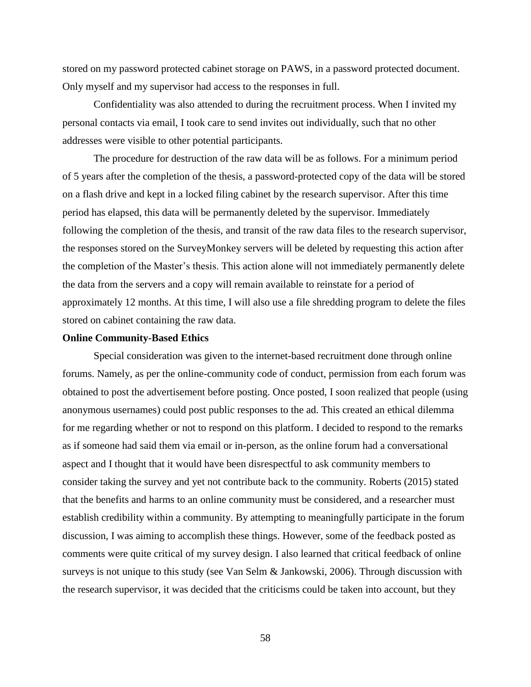stored on my password protected cabinet storage on PAWS, in a password protected document. Only myself and my supervisor had access to the responses in full.

Confidentiality was also attended to during the recruitment process. When I invited my personal contacts via email, I took care to send invites out individually, such that no other addresses were visible to other potential participants.

The procedure for destruction of the raw data will be as follows. For a minimum period of 5 years after the completion of the thesis, a password-protected copy of the data will be stored on a flash drive and kept in a locked filing cabinet by the research supervisor. After this time period has elapsed, this data will be permanently deleted by the supervisor. Immediately following the completion of the thesis, and transit of the raw data files to the research supervisor, the responses stored on the SurveyMonkey servers will be deleted by requesting this action after the completion of the Master's thesis. This action alone will not immediately permanently delete the data from the servers and a copy will remain available to reinstate for a period of approximately 12 months. At this time, I will also use a file shredding program to delete the files stored on cabinet containing the raw data.

### **Online Community-Based Ethics**

Special consideration was given to the internet-based recruitment done through online forums. Namely, as per the online-community code of conduct, permission from each forum was obtained to post the advertisement before posting. Once posted, I soon realized that people (using anonymous usernames) could post public responses to the ad. This created an ethical dilemma for me regarding whether or not to respond on this platform. I decided to respond to the remarks as if someone had said them via email or in-person, as the online forum had a conversational aspect and I thought that it would have been disrespectful to ask community members to consider taking the survey and yet not contribute back to the community. Roberts (2015) stated that the benefits and harms to an online community must be considered, and a researcher must establish credibility within a community. By attempting to meaningfully participate in the forum discussion, I was aiming to accomplish these things. However, some of the feedback posted as comments were quite critical of my survey design. I also learned that critical feedback of online surveys is not unique to this study (see Van Selm & Jankowski, 2006). Through discussion with the research supervisor, it was decided that the criticisms could be taken into account, but they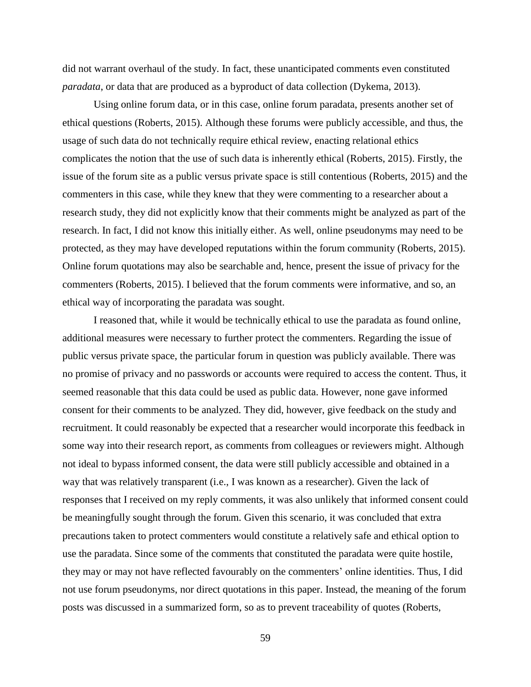did not warrant overhaul of the study. In fact, these unanticipated comments even constituted *paradata*, or data that are produced as a byproduct of data collection (Dykema, 2013).

Using online forum data, or in this case, online forum paradata, presents another set of ethical questions (Roberts, 2015). Although these forums were publicly accessible, and thus, the usage of such data do not technically require ethical review, enacting relational ethics complicates the notion that the use of such data is inherently ethical (Roberts, 2015). Firstly, the issue of the forum site as a public versus private space is still contentious (Roberts, 2015) and the commenters in this case, while they knew that they were commenting to a researcher about a research study, they did not explicitly know that their comments might be analyzed as part of the research. In fact, I did not know this initially either. As well, online pseudonyms may need to be protected, as they may have developed reputations within the forum community (Roberts, 2015). Online forum quotations may also be searchable and, hence, present the issue of privacy for the commenters (Roberts, 2015). I believed that the forum comments were informative, and so, an ethical way of incorporating the paradata was sought.

I reasoned that, while it would be technically ethical to use the paradata as found online, additional measures were necessary to further protect the commenters. Regarding the issue of public versus private space, the particular forum in question was publicly available. There was no promise of privacy and no passwords or accounts were required to access the content. Thus, it seemed reasonable that this data could be used as public data. However, none gave informed consent for their comments to be analyzed. They did, however, give feedback on the study and recruitment. It could reasonably be expected that a researcher would incorporate this feedback in some way into their research report, as comments from colleagues or reviewers might. Although not ideal to bypass informed consent, the data were still publicly accessible and obtained in a way that was relatively transparent (i.e., I was known as a researcher). Given the lack of responses that I received on my reply comments, it was also unlikely that informed consent could be meaningfully sought through the forum. Given this scenario, it was concluded that extra precautions taken to protect commenters would constitute a relatively safe and ethical option to use the paradata. Since some of the comments that constituted the paradata were quite hostile, they may or may not have reflected favourably on the commenters' online identities. Thus, I did not use forum pseudonyms, nor direct quotations in this paper. Instead, the meaning of the forum posts was discussed in a summarized form, so as to prevent traceability of quotes (Roberts,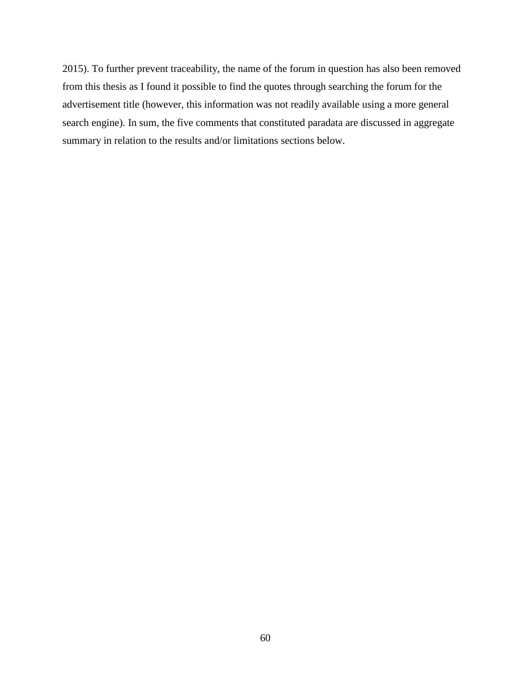2015). To further prevent traceability, the name of the forum in question has also been removed from this thesis as I found it possible to find the quotes through searching the forum for the advertisement title (however, this information was not readily available using a more general search engine). In sum, the five comments that constituted paradata are discussed in aggregate summary in relation to the results and/or limitations sections below.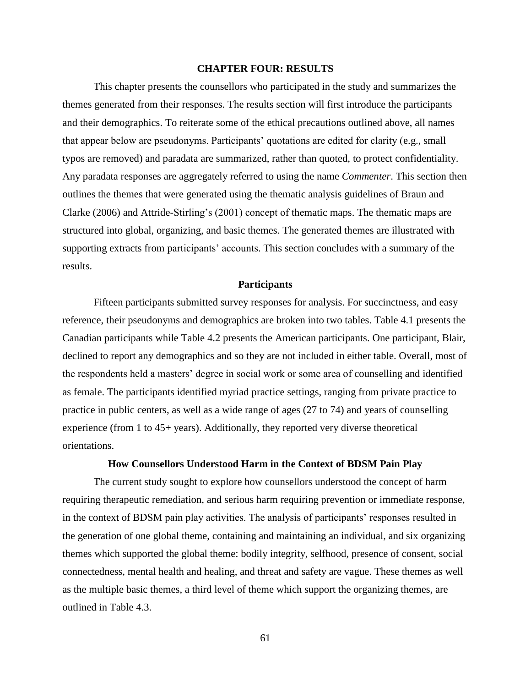## **CHAPTER FOUR: RESULTS**

This chapter presents the counsellors who participated in the study and summarizes the themes generated from their responses. The results section will first introduce the participants and their demographics. To reiterate some of the ethical precautions outlined above, all names that appear below are pseudonyms. Participants' quotations are edited for clarity (e.g., small typos are removed) and paradata are summarized, rather than quoted, to protect confidentiality. Any paradata responses are aggregately referred to using the name *Commenter*. This section then outlines the themes that were generated using the thematic analysis guidelines of Braun and Clarke (2006) and Attride-Stirling's (2001) concept of thematic maps. The thematic maps are structured into global, organizing, and basic themes. The generated themes are illustrated with supporting extracts from participants' accounts. This section concludes with a summary of the results.

#### **Participants**

Fifteen participants submitted survey responses for analysis. For succinctness, and easy reference, their pseudonyms and demographics are broken into two tables. Table 4.1 presents the Canadian participants while Table 4.2 presents the American participants. One participant, Blair, declined to report any demographics and so they are not included in either table. Overall, most of the respondents held a masters' degree in social work or some area of counselling and identified as female. The participants identified myriad practice settings, ranging from private practice to practice in public centers, as well as a wide range of ages (27 to 74) and years of counselling experience (from 1 to 45+ years). Additionally, they reported very diverse theoretical orientations.

### **How Counsellors Understood Harm in the Context of BDSM Pain Play**

The current study sought to explore how counsellors understood the concept of harm requiring therapeutic remediation, and serious harm requiring prevention or immediate response, in the context of BDSM pain play activities. The analysis of participants' responses resulted in the generation of one global theme, containing and maintaining an individual, and six organizing themes which supported the global theme: bodily integrity, selfhood, presence of consent, social connectedness, mental health and healing, and threat and safety are vague. These themes as well as the multiple basic themes, a third level of theme which support the organizing themes, are outlined in Table 4.3.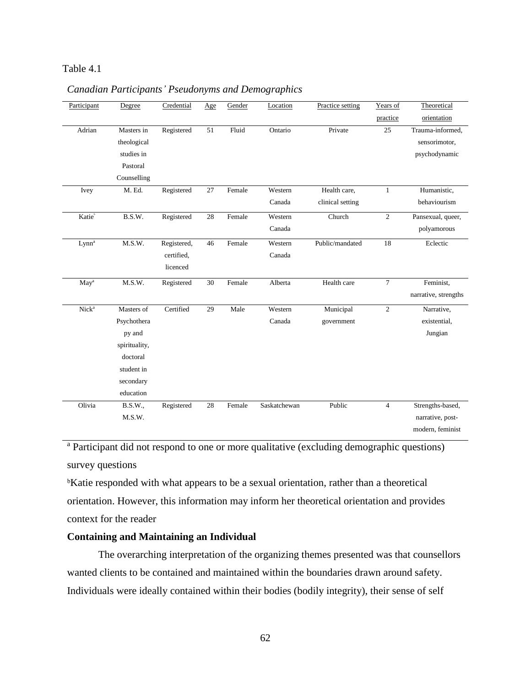# Table 4.1

| Participant        | Degree         | Credential  | Age    | Gender | Location     | Practice setting | Years of       | Theoretical          |
|--------------------|----------------|-------------|--------|--------|--------------|------------------|----------------|----------------------|
|                    |                |             |        |        |              |                  | practice       | orientation          |
| Adrian             | Masters in     | Registered  | 51     | Fluid  | Ontario      | Private          | 25             | Trauma-informed,     |
|                    | theological    |             |        |        |              |                  |                | sensorimotor,        |
|                    | studies in     |             |        |        |              |                  |                | psychodynamic        |
|                    | Pastoral       |             |        |        |              |                  |                |                      |
|                    | Counselling    |             |        |        |              |                  |                |                      |
| Ivey               | M. Ed.         | Registered  | 27     | Female | Western      | Health care,     | 1              | Humanistic,          |
|                    |                |             |        |        | Canada       | clinical setting |                | behaviourism         |
| Katie <sup>b</sup> | B.S.W.         | Registered  | $28\,$ | Female | Western      | Church           | $\overline{c}$ | Pansexual, queer,    |
|                    |                |             |        |        | Canada       |                  |                | polyamorous          |
| Lynn <sup>a</sup>  | M.S.W.         | Registered, | 46     | Female | Western      | Public/mandated  | 18             | Eclectic             |
|                    |                | certified.  |        |        | Canada       |                  |                |                      |
|                    |                | licenced    |        |        |              |                  |                |                      |
| May <sup>a</sup>   | M.S.W.         | Registered  | 30     | Female | Alberta      | Health care      | $\overline{7}$ | Feminist,            |
|                    |                |             |        |        |              |                  |                | narrative, strengths |
| Nick <sup>a</sup>  | Masters of     | Certified   | 29     | Male   | Western      | Municipal        | $\overline{c}$ | Narrative,           |
|                    | Psychothera    |             |        |        | Canada       | government       |                | existential,         |
|                    | py and         |             |        |        |              |                  |                | Jungian              |
|                    | spirituality,  |             |        |        |              |                  |                |                      |
|                    | doctoral       |             |        |        |              |                  |                |                      |
|                    | student in     |             |        |        |              |                  |                |                      |
|                    | secondary      |             |        |        |              |                  |                |                      |
|                    | education      |             |        |        |              |                  |                |                      |
| Olivia             | <b>B.S.W.,</b> | Registered  | 28     | Female | Saskatchewan | Public           | $\overline{4}$ | Strengths-based,     |
|                    | M.S.W.         |             |        |        |              |                  |                | narrative, post-     |
|                    |                |             |        |        |              |                  |                | modern, feminist     |

# *Canadian Participants' Pseudonyms and Demographics*

<sup>a</sup> Participant did not respond to one or more qualitative (excluding demographic questions) survey questions

<sup>b</sup>Katie responded with what appears to be a sexual orientation, rather than a theoretical orientation. However, this information may inform her theoretical orientation and provides context for the reader

# **Containing and Maintaining an Individual**

The overarching interpretation of the organizing themes presented was that counsellors wanted clients to be contained and maintained within the boundaries drawn around safety. Individuals were ideally contained within their bodies (bodily integrity), their sense of self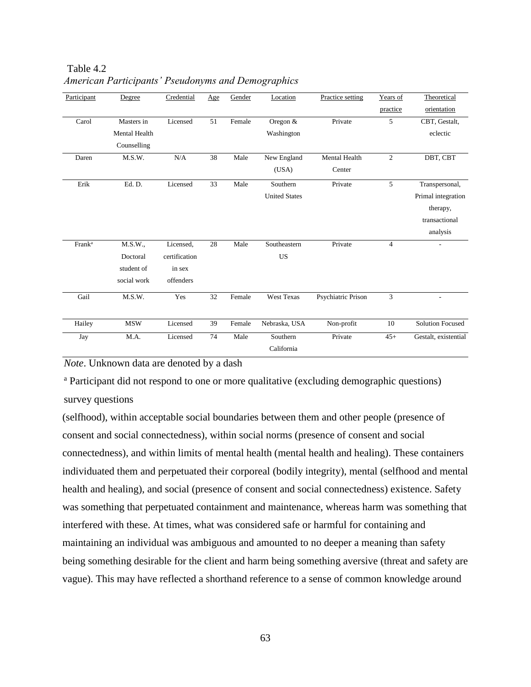| Participant        | Degree                                           | Credential                                        | Age | Gender | Location                         | Practice setting               | Years of<br>practice | Theoretical<br>orientation                                                    |
|--------------------|--------------------------------------------------|---------------------------------------------------|-----|--------|----------------------------------|--------------------------------|----------------------|-------------------------------------------------------------------------------|
| Carol              | Masters in<br>Mental Health<br>Counselling       | Licensed                                          | 51  | Female | Oregon $&$<br>Washington         | Private                        | 5                    | CBT, Gestalt,<br>eclectic                                                     |
| Daren              | M.S.W.                                           | N/A                                               | 38  | Male   | New England<br>(USA)             | <b>Mental Health</b><br>Center | $\overline{c}$       | DBT, CBT                                                                      |
| Erik               | Ed. D.                                           | Licensed                                          | 33  | Male   | Southern<br><b>United States</b> | Private                        | 5                    | Transpersonal,<br>Primal integration<br>therapy,<br>transactional<br>analysis |
| Frank <sup>a</sup> | M.S.W.,<br>Doctoral<br>student of<br>social work | Licensed,<br>certification<br>in sex<br>offenders | 28  | Male   | Southeastern<br><b>US</b>        | Private                        | $\overline{4}$       |                                                                               |
| Gail               | M.S.W.                                           | Yes                                               | 32  | Female | <b>West Texas</b>                | Psychiatric Prison             | 3                    | ٠                                                                             |
| Hailey             | <b>MSW</b>                                       | Licensed                                          | 39  | Female | Nebraska, USA                    | Non-profit                     | 10                   | <b>Solution Focused</b>                                                       |
| Jay                | M.A.                                             | Licensed                                          | 74  | Male   | Southern<br>California           | Private                        | $45+$                | Gestalt, existential                                                          |

Table 4.2 *American Participants' Pseudonyms and Demographics*

*Note*. Unknown data are denoted by a dash

<sup>a</sup> Participant did not respond to one or more qualitative (excluding demographic questions) survey questions

(selfhood), within acceptable social boundaries between them and other people (presence of consent and social connectedness), within social norms (presence of consent and social connectedness), and within limits of mental health (mental health and healing). These containers individuated them and perpetuated their corporeal (bodily integrity), mental (selfhood and mental health and healing), and social (presence of consent and social connectedness) existence. Safety was something that perpetuated containment and maintenance, whereas harm was something that interfered with these. At times, what was considered safe or harmful for containing and maintaining an individual was ambiguous and amounted to no deeper a meaning than safety being something desirable for the client and harm being something aversive (threat and safety are vague). This may have reflected a shorthand reference to a sense of common knowledge around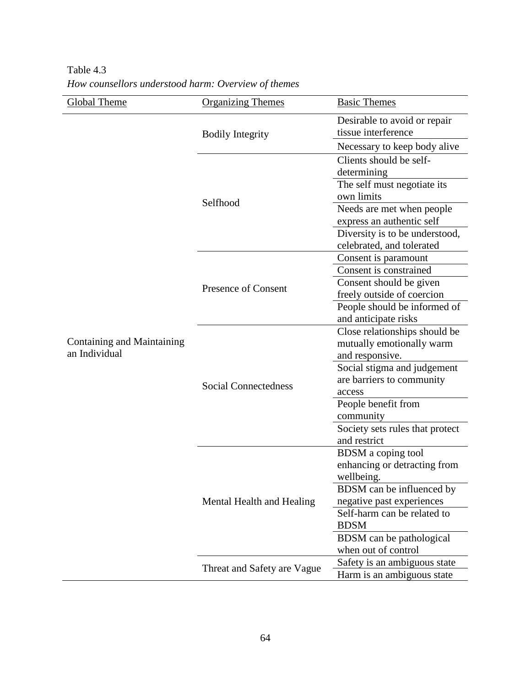| Global Theme                                | <b>Organizing Themes</b>    | <b>Basic Themes</b>                                 |
|---------------------------------------------|-----------------------------|-----------------------------------------------------|
| Containing and Maintaining<br>an Individual | <b>Bodily Integrity</b>     | Desirable to avoid or repair<br>tissue interference |
|                                             |                             | Necessary to keep body alive                        |
|                                             | Selfhood                    | Clients should be self-<br>determining              |
|                                             |                             | The self must negotiate its                         |
|                                             |                             | own limits                                          |
|                                             |                             | Needs are met when people                           |
|                                             |                             | express an authentic self                           |
|                                             |                             | Diversity is to be understood,                      |
|                                             |                             | celebrated, and tolerated                           |
|                                             | Presence of Consent         | Consent is paramount                                |
|                                             |                             | Consent is constrained                              |
|                                             |                             | Consent should be given                             |
|                                             |                             | freely outside of coercion                          |
|                                             |                             | People should be informed of                        |
|                                             |                             | and anticipate risks                                |
|                                             | <b>Social Connectedness</b> | Close relationships should be                       |
|                                             |                             | mutually emotionally warm                           |
|                                             |                             | and responsive.                                     |
|                                             |                             | Social stigma and judgement                         |
|                                             |                             | are barriers to community                           |
|                                             |                             | access                                              |
|                                             |                             | People benefit from                                 |
|                                             |                             | community                                           |
|                                             |                             | Society sets rules that protect<br>and restrict     |
|                                             |                             | <b>BDSM</b> a coping tool                           |
|                                             | Mental Health and Healing   | enhancing or detracting from                        |
|                                             |                             | wellbeing.                                          |
|                                             |                             | BDSM can be influenced by                           |
|                                             |                             | negative past experiences                           |
|                                             |                             | Self-harm can be related to                         |
|                                             |                             | <b>BDSM</b>                                         |
|                                             |                             | BDSM can be pathological                            |
|                                             |                             | when out of control                                 |
|                                             | Threat and Safety are Vague | Safety is an ambiguous state                        |
|                                             |                             | Harm is an ambiguous state                          |
|                                             |                             |                                                     |

Table 4.3 *How counsellors understood harm: Overview of themes*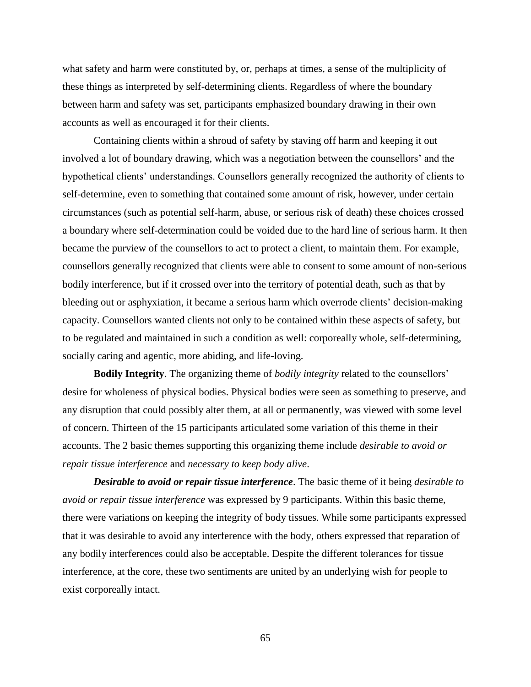what safety and harm were constituted by, or, perhaps at times, a sense of the multiplicity of these things as interpreted by self-determining clients. Regardless of where the boundary between harm and safety was set, participants emphasized boundary drawing in their own accounts as well as encouraged it for their clients.

Containing clients within a shroud of safety by staving off harm and keeping it out involved a lot of boundary drawing, which was a negotiation between the counsellors' and the hypothetical clients' understandings. Counsellors generally recognized the authority of clients to self-determine, even to something that contained some amount of risk, however, under certain circumstances (such as potential self-harm, abuse, or serious risk of death) these choices crossed a boundary where self-determination could be voided due to the hard line of serious harm. It then became the purview of the counsellors to act to protect a client, to maintain them. For example, counsellors generally recognized that clients were able to consent to some amount of non-serious bodily interference, but if it crossed over into the territory of potential death, such as that by bleeding out or asphyxiation, it became a serious harm which overrode clients' decision-making capacity. Counsellors wanted clients not only to be contained within these aspects of safety, but to be regulated and maintained in such a condition as well: corporeally whole, self-determining, socially caring and agentic, more abiding, and life-loving.

**Bodily Integrity**. The organizing theme of *bodily integrity* related to the counsellors' desire for wholeness of physical bodies. Physical bodies were seen as something to preserve, and any disruption that could possibly alter them, at all or permanently, was viewed with some level of concern. Thirteen of the 15 participants articulated some variation of this theme in their accounts. The 2 basic themes supporting this organizing theme include *desirable to avoid or repair tissue interference* and *necessary to keep body alive*.

*Desirable to avoid or repair tissue interference*. The basic theme of it being *desirable to avoid or repair tissue interference* was expressed by 9 participants. Within this basic theme, there were variations on keeping the integrity of body tissues. While some participants expressed that it was desirable to avoid any interference with the body, others expressed that reparation of any bodily interferences could also be acceptable. Despite the different tolerances for tissue interference, at the core, these two sentiments are united by an underlying wish for people to exist corporeally intact.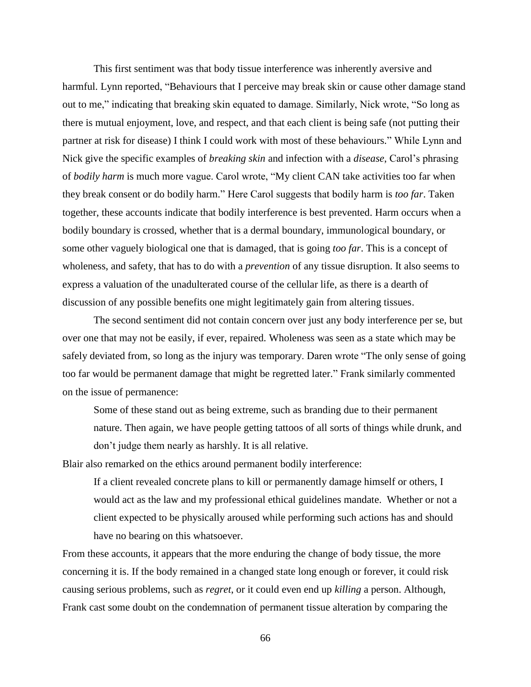This first sentiment was that body tissue interference was inherently aversive and harmful. Lynn reported, "Behaviours that I perceive may break skin or cause other damage stand out to me," indicating that breaking skin equated to damage. Similarly, Nick wrote, "So long as there is mutual enjoyment, love, and respect, and that each client is being safe (not putting their partner at risk for disease) I think I could work with most of these behaviours." While Lynn and Nick give the specific examples of *breaking skin* and infection with a *disease*, Carol's phrasing of *bodily harm* is much more vague. Carol wrote, "My client CAN take activities too far when they break consent or do bodily harm." Here Carol suggests that bodily harm is *too far*. Taken together, these accounts indicate that bodily interference is best prevented. Harm occurs when a bodily boundary is crossed, whether that is a dermal boundary, immunological boundary, or some other vaguely biological one that is damaged, that is going *too far*. This is a concept of wholeness, and safety, that has to do with a *prevention* of any tissue disruption. It also seems to express a valuation of the unadulterated course of the cellular life, as there is a dearth of discussion of any possible benefits one might legitimately gain from altering tissues.

The second sentiment did not contain concern over just any body interference per se, but over one that may not be easily, if ever, repaired. Wholeness was seen as a state which may be safely deviated from, so long as the injury was temporary. Daren wrote "The only sense of going too far would be permanent damage that might be regretted later." Frank similarly commented on the issue of permanence:

Some of these stand out as being extreme, such as branding due to their permanent nature. Then again, we have people getting tattoos of all sorts of things while drunk, and don't judge them nearly as harshly. It is all relative.

Blair also remarked on the ethics around permanent bodily interference:

If a client revealed concrete plans to kill or permanently damage himself or others, I would act as the law and my professional ethical guidelines mandate. Whether or not a client expected to be physically aroused while performing such actions has and should have no bearing on this whatsoever.

From these accounts, it appears that the more enduring the change of body tissue, the more concerning it is. If the body remained in a changed state long enough or forever, it could risk causing serious problems, such as *regret*, or it could even end up *killing* a person. Although, Frank cast some doubt on the condemnation of permanent tissue alteration by comparing the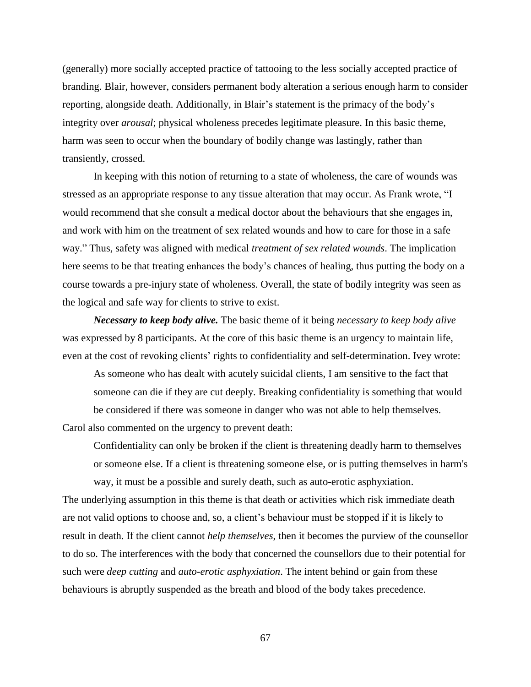(generally) more socially accepted practice of tattooing to the less socially accepted practice of branding. Blair, however, considers permanent body alteration a serious enough harm to consider reporting, alongside death. Additionally, in Blair's statement is the primacy of the body's integrity over *arousal*; physical wholeness precedes legitimate pleasure. In this basic theme, harm was seen to occur when the boundary of bodily change was lastingly, rather than transiently, crossed.

In keeping with this notion of returning to a state of wholeness, the care of wounds was stressed as an appropriate response to any tissue alteration that may occur. As Frank wrote, "I would recommend that she consult a medical doctor about the behaviours that she engages in, and work with him on the treatment of sex related wounds and how to care for those in a safe way." Thus, safety was aligned with medical *treatment of sex related wounds*. The implication here seems to be that treating enhances the body's chances of healing, thus putting the body on a course towards a pre-injury state of wholeness. Overall, the state of bodily integrity was seen as the logical and safe way for clients to strive to exist.

*Necessary to keep body alive.* The basic theme of it being *necessary to keep body alive* was expressed by 8 participants. At the core of this basic theme is an urgency to maintain life, even at the cost of revoking clients' rights to confidentiality and self-determination. Ivey wrote:

As someone who has dealt with acutely suicidal clients, I am sensitive to the fact that someone can die if they are cut deeply. Breaking confidentiality is something that would be considered if there was someone in danger who was not able to help themselves.

Carol also commented on the urgency to prevent death:

Confidentiality can only be broken if the client is threatening deadly harm to themselves or someone else. If a client is threatening someone else, or is putting themselves in harm's way, it must be a possible and surely death, such as auto-erotic asphyxiation.

The underlying assumption in this theme is that death or activities which risk immediate death are not valid options to choose and, so, a client's behaviour must be stopped if it is likely to result in death. If the client cannot *help themselves*, then it becomes the purview of the counsellor to do so. The interferences with the body that concerned the counsellors due to their potential for such were *deep cutting* and *auto-erotic asphyxiation*. The intent behind or gain from these behaviours is abruptly suspended as the breath and blood of the body takes precedence.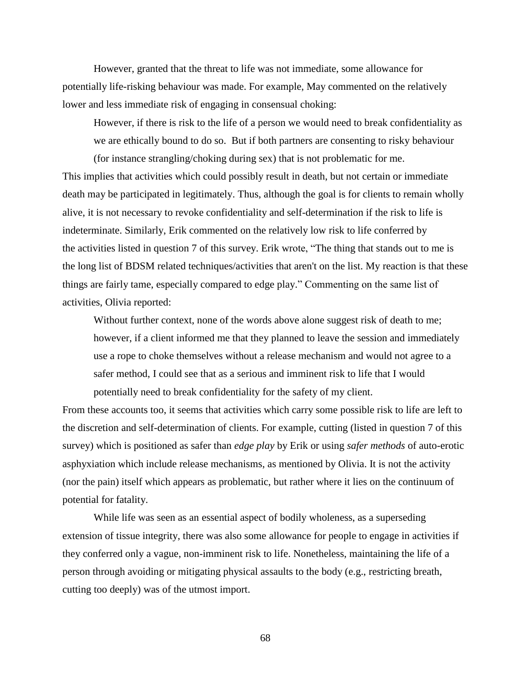However, granted that the threat to life was not immediate, some allowance for potentially life-risking behaviour was made. For example, May commented on the relatively lower and less immediate risk of engaging in consensual choking:

However, if there is risk to the life of a person we would need to break confidentiality as we are ethically bound to do so. But if both partners are consenting to risky behaviour (for instance strangling/choking during sex) that is not problematic for me.

This implies that activities which could possibly result in death, but not certain or immediate death may be participated in legitimately. Thus, although the goal is for clients to remain wholly alive, it is not necessary to revoke confidentiality and self-determination if the risk to life is indeterminate. Similarly, Erik commented on the relatively low risk to life conferred by the activities listed in question 7 of this survey. Erik wrote, "The thing that stands out to me is the long list of BDSM related techniques/activities that aren't on the list. My reaction is that these things are fairly tame, especially compared to edge play." Commenting on the same list of activities, Olivia reported:

Without further context, none of the words above alone suggest risk of death to me; however, if a client informed me that they planned to leave the session and immediately use a rope to choke themselves without a release mechanism and would not agree to a safer method, I could see that as a serious and imminent risk to life that I would potentially need to break confidentiality for the safety of my client.

From these accounts too, it seems that activities which carry some possible risk to life are left to the discretion and self-determination of clients. For example, cutting (listed in question 7 of this survey) which is positioned as safer than *edge play* by Erik or using *safer methods* of auto-erotic asphyxiation which include release mechanisms, as mentioned by Olivia. It is not the activity (nor the pain) itself which appears as problematic, but rather where it lies on the continuum of potential for fatality.

While life was seen as an essential aspect of bodily wholeness, as a superseding extension of tissue integrity, there was also some allowance for people to engage in activities if they conferred only a vague, non-imminent risk to life. Nonetheless, maintaining the life of a person through avoiding or mitigating physical assaults to the body (e.g., restricting breath, cutting too deeply) was of the utmost import.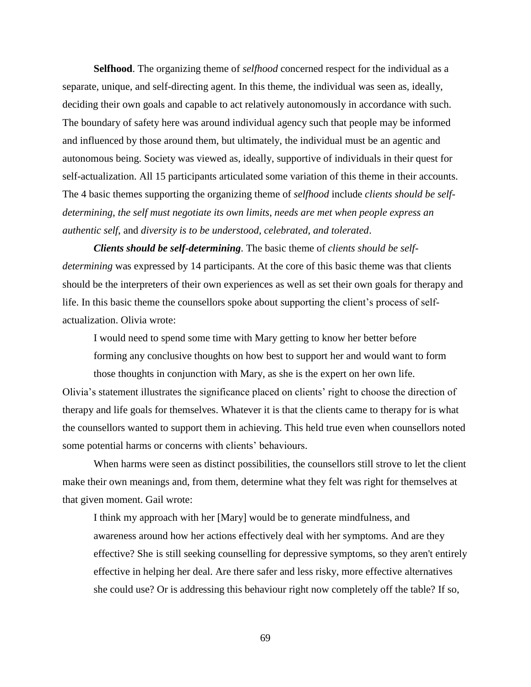**Selfhood**. The organizing theme of *selfhood* concerned respect for the individual as a separate, unique, and self-directing agent. In this theme, the individual was seen as, ideally, deciding their own goals and capable to act relatively autonomously in accordance with such. The boundary of safety here was around individual agency such that people may be informed and influenced by those around them, but ultimately, the individual must be an agentic and autonomous being. Society was viewed as, ideally, supportive of individuals in their quest for self-actualization. All 15 participants articulated some variation of this theme in their accounts. The 4 basic themes supporting the organizing theme of *selfhood* include *clients should be selfdetermining*, *the self must negotiate its own limits*, *needs are met when people express an authentic self*, and *diversity is to be understood, celebrated, and tolerated*.

*Clients should be self-determining*. The basic theme of *clients should be selfdetermining* was expressed by 14 participants. At the core of this basic theme was that clients should be the interpreters of their own experiences as well as set their own goals for therapy and life. In this basic theme the counsellors spoke about supporting the client's process of selfactualization. Olivia wrote:

I would need to spend some time with Mary getting to know her better before forming any conclusive thoughts on how best to support her and would want to form those thoughts in conjunction with Mary, as she is the expert on her own life.

Olivia's statement illustrates the significance placed on clients' right to choose the direction of therapy and life goals for themselves. Whatever it is that the clients came to therapy for is what the counsellors wanted to support them in achieving. This held true even when counsellors noted some potential harms or concerns with clients' behaviours.

When harms were seen as distinct possibilities, the counsellors still strove to let the client make their own meanings and, from them, determine what they felt was right for themselves at that given moment. Gail wrote:

I think my approach with her [Mary] would be to generate mindfulness, and awareness around how her actions effectively deal with her symptoms. And are they effective? She is still seeking counselling for depressive symptoms, so they aren't entirely effective in helping her deal. Are there safer and less risky, more effective alternatives she could use? Or is addressing this behaviour right now completely off the table? If so,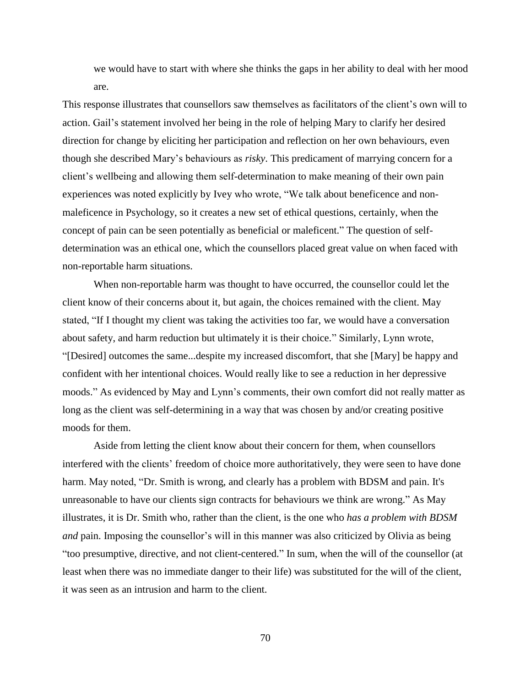we would have to start with where she thinks the gaps in her ability to deal with her mood are.

This response illustrates that counsellors saw themselves as facilitators of the client's own will to action. Gail's statement involved her being in the role of helping Mary to clarify her desired direction for change by eliciting her participation and reflection on her own behaviours, even though she described Mary's behaviours as *risky*. This predicament of marrying concern for a client's wellbeing and allowing them self-determination to make meaning of their own pain experiences was noted explicitly by Ivey who wrote, "We talk about beneficence and nonmaleficence in Psychology, so it creates a new set of ethical questions, certainly, when the concept of pain can be seen potentially as beneficial or maleficent." The question of selfdetermination was an ethical one, which the counsellors placed great value on when faced with non-reportable harm situations.

When non-reportable harm was thought to have occurred, the counsellor could let the client know of their concerns about it, but again, the choices remained with the client. May stated, "If I thought my client was taking the activities too far, we would have a conversation about safety, and harm reduction but ultimately it is their choice." Similarly, Lynn wrote, "[Desired] outcomes the same...despite my increased discomfort, that she [Mary] be happy and confident with her intentional choices. Would really like to see a reduction in her depressive moods." As evidenced by May and Lynn's comments, their own comfort did not really matter as long as the client was self-determining in a way that was chosen by and/or creating positive moods for them.

Aside from letting the client know about their concern for them, when counsellors interfered with the clients' freedom of choice more authoritatively, they were seen to have done harm. May noted, "Dr. Smith is wrong, and clearly has a problem with BDSM and pain. It's unreasonable to have our clients sign contracts for behaviours we think are wrong." As May illustrates, it is Dr. Smith who, rather than the client, is the one who *has a problem with BDSM and* pain. Imposing the counsellor's will in this manner was also criticized by Olivia as being "too presumptive, directive, and not client-centered." In sum, when the will of the counsellor (at least when there was no immediate danger to their life) was substituted for the will of the client, it was seen as an intrusion and harm to the client.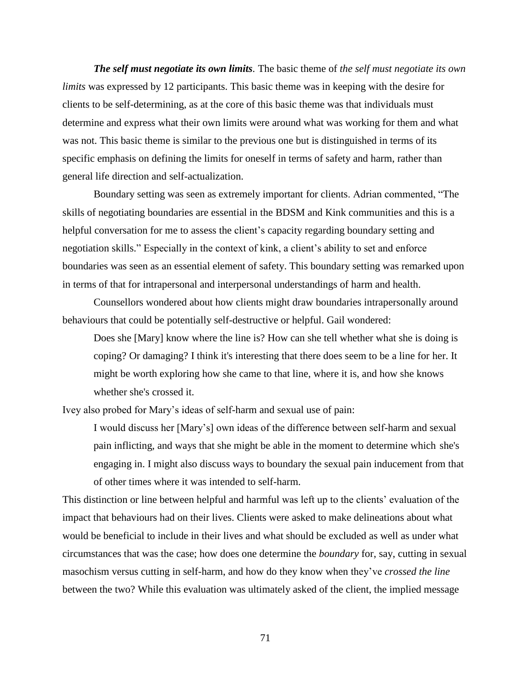*The self must negotiate its own limits.* The basic theme of *the self must negotiate its own limits* was expressed by 12 participants. This basic theme was in keeping with the desire for clients to be self-determining, as at the core of this basic theme was that individuals must determine and express what their own limits were around what was working for them and what was not. This basic theme is similar to the previous one but is distinguished in terms of its specific emphasis on defining the limits for oneself in terms of safety and harm, rather than general life direction and self-actualization.

Boundary setting was seen as extremely important for clients. Adrian commented, "The skills of negotiating boundaries are essential in the BDSM and Kink communities and this is a helpful conversation for me to assess the client's capacity regarding boundary setting and negotiation skills." Especially in the context of kink, a client's ability to set and enforce boundaries was seen as an essential element of safety. This boundary setting was remarked upon in terms of that for intrapersonal and interpersonal understandings of harm and health.

Counsellors wondered about how clients might draw boundaries intrapersonally around behaviours that could be potentially self-destructive or helpful. Gail wondered:

Does she [Mary] know where the line is? How can she tell whether what she is doing is coping? Or damaging? I think it's interesting that there does seem to be a line for her. It might be worth exploring how she came to that line, where it is, and how she knows whether she's crossed it.

Ivey also probed for Mary's ideas of self-harm and sexual use of pain:

I would discuss her [Mary's] own ideas of the difference between self-harm and sexual pain inflicting, and ways that she might be able in the moment to determine which she's engaging in. I might also discuss ways to boundary the sexual pain inducement from that of other times where it was intended to self-harm.

This distinction or line between helpful and harmful was left up to the clients' evaluation of the impact that behaviours had on their lives. Clients were asked to make delineations about what would be beneficial to include in their lives and what should be excluded as well as under what circumstances that was the case; how does one determine the *boundary* for, say, cutting in sexual masochism versus cutting in self-harm, and how do they know when they've *crossed the line* between the two? While this evaluation was ultimately asked of the client, the implied message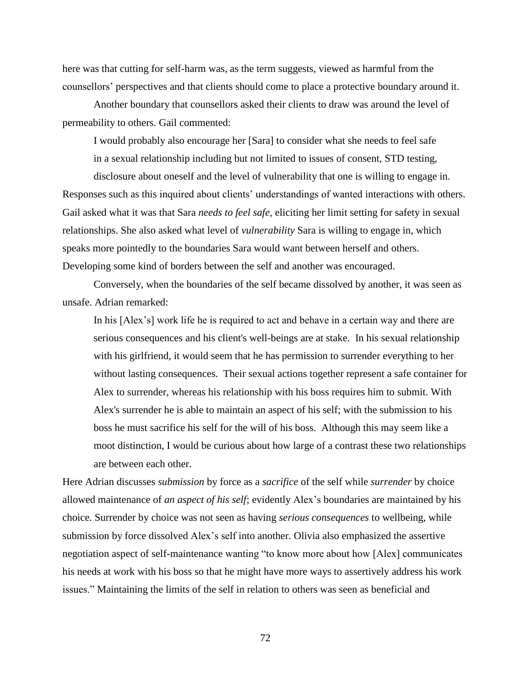here was that cutting for self-harm was, as the term suggests, viewed as harmful from the counsellors' perspectives and that clients should come to place a protective boundary around it.

Another boundary that counsellors asked their clients to draw was around the level of permeability to others. Gail commented:

I would probably also encourage her [Sara] to consider what she needs to feel safe in a sexual relationship including but not limited to issues of consent, STD testing,

disclosure about oneself and the level of vulnerability that one is willing to engage in. Responses such as this inquired about clients' understandings of wanted interactions with others. Gail asked what it was that Sara *needs to feel safe*, eliciting her limit setting for safety in sexual relationships. She also asked what level of *vulnerability* Sara is willing to engage in, which speaks more pointedly to the boundaries Sara would want between herself and others. Developing some kind of borders between the self and another was encouraged.

Conversely, when the boundaries of the self became dissolved by another, it was seen as unsafe. Adrian remarked:

In his [Alex's] work life he is required to act and behave in a certain way and there are serious consequences and his client's well-beings are at stake. In his sexual relationship with his girlfriend, it would seem that he has permission to surrender everything to her without lasting consequences. Their sexual actions together represent a safe container for Alex to surrender, whereas his relationship with his boss requires him to submit. With Alex's surrender he is able to maintain an aspect of his self; with the submission to his boss he must sacrifice his self for the will of his boss. Although this may seem like a moot distinction, I would be curious about how large of a contrast these two relationships are between each other.

Here Adrian discusses *submission* by force as a *sacrifice* of the self while *surrender* by choice allowed maintenance of *an aspect of his self*; evidently Alex's boundaries are maintained by his choice. Surrender by choice was not seen as having *serious consequences* to wellbeing, while submission by force dissolved Alex's self into another. Olivia also emphasized the assertive negotiation aspect of self-maintenance wanting "to know more about how [Alex] communicates his needs at work with his boss so that he might have more ways to assertively address his work issues." Maintaining the limits of the self in relation to others was seen as beneficial and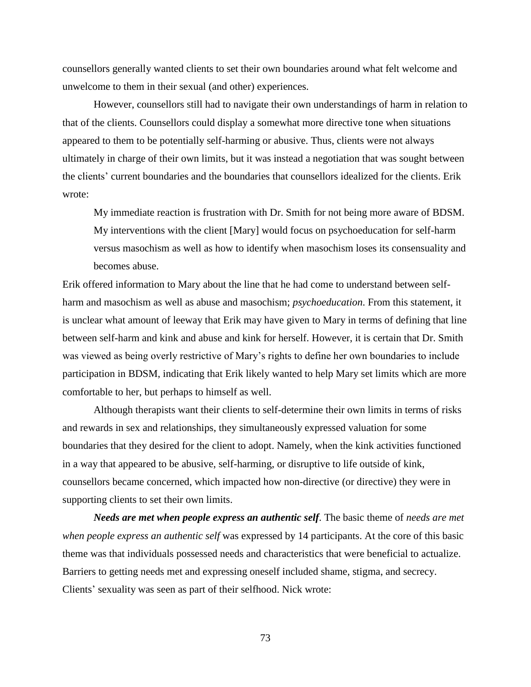counsellors generally wanted clients to set their own boundaries around what felt welcome and unwelcome to them in their sexual (and other) experiences.

However, counsellors still had to navigate their own understandings of harm in relation to that of the clients. Counsellors could display a somewhat more directive tone when situations appeared to them to be potentially self-harming or abusive. Thus, clients were not always ultimately in charge of their own limits, but it was instead a negotiation that was sought between the clients' current boundaries and the boundaries that counsellors idealized for the clients. Erik wrote:

My immediate reaction is frustration with Dr. Smith for not being more aware of BDSM. My interventions with the client [Mary] would focus on psychoeducation for self-harm versus masochism as well as how to identify when masochism loses its consensuality and becomes abuse.

Erik offered information to Mary about the line that he had come to understand between selfharm and masochism as well as abuse and masochism; *psychoeducation*. From this statement, it is unclear what amount of leeway that Erik may have given to Mary in terms of defining that line between self-harm and kink and abuse and kink for herself. However, it is certain that Dr. Smith was viewed as being overly restrictive of Mary's rights to define her own boundaries to include participation in BDSM, indicating that Erik likely wanted to help Mary set limits which are more comfortable to her, but perhaps to himself as well.

Although therapists want their clients to self-determine their own limits in terms of risks and rewards in sex and relationships, they simultaneously expressed valuation for some boundaries that they desired for the client to adopt. Namely, when the kink activities functioned in a way that appeared to be abusive, self-harming, or disruptive to life outside of kink, counsellors became concerned, which impacted how non-directive (or directive) they were in supporting clients to set their own limits.

*Needs are met when people express an authentic self*. The basic theme of *needs are met when people express an authentic self* was expressed by 14 participants. At the core of this basic theme was that individuals possessed needs and characteristics that were beneficial to actualize. Barriers to getting needs met and expressing oneself included shame, stigma, and secrecy. Clients' sexuality was seen as part of their selfhood. Nick wrote: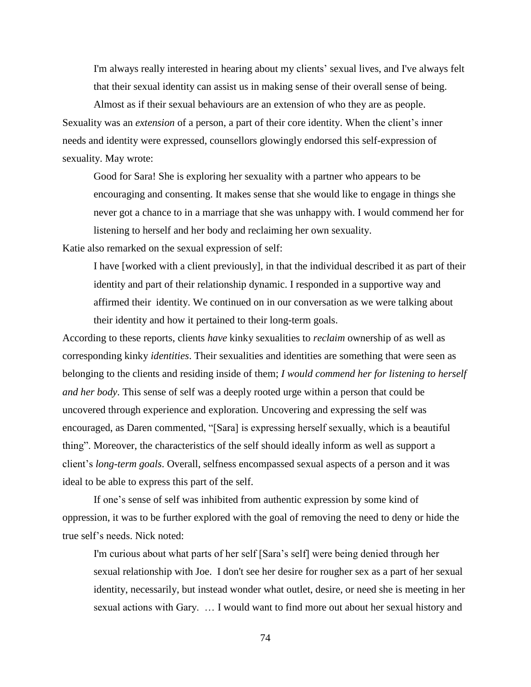I'm always really interested in hearing about my clients' sexual lives, and I've always felt that their sexual identity can assist us in making sense of their overall sense of being.

Almost as if their sexual behaviours are an extension of who they are as people. Sexuality was an *extension* of a person, a part of their core identity. When the client's inner needs and identity were expressed, counsellors glowingly endorsed this self-expression of sexuality. May wrote:

Good for Sara! She is exploring her sexuality with a partner who appears to be encouraging and consenting. It makes sense that she would like to engage in things she never got a chance to in a marriage that she was unhappy with. I would commend her for listening to herself and her body and reclaiming her own sexuality.

Katie also remarked on the sexual expression of self:

I have [worked with a client previously], in that the individual described it as part of their identity and part of their relationship dynamic. I responded in a supportive way and affirmed their identity. We continued on in our conversation as we were talking about their identity and how it pertained to their long-term goals.

According to these reports, clients *have* kinky sexualities to *reclaim* ownership of as well as corresponding kinky *identities*. Their sexualities and identities are something that were seen as belonging to the clients and residing inside of them; *I would commend her for listening to herself and her body*. This sense of self was a deeply rooted urge within a person that could be uncovered through experience and exploration. Uncovering and expressing the self was encouraged, as Daren commented, "[Sara] is expressing herself sexually, which is a beautiful thing". Moreover, the characteristics of the self should ideally inform as well as support a client's *long-term goals*. Overall, selfness encompassed sexual aspects of a person and it was ideal to be able to express this part of the self.

If one's sense of self was inhibited from authentic expression by some kind of oppression, it was to be further explored with the goal of removing the need to deny or hide the true self's needs. Nick noted:

I'm curious about what parts of her self [Sara's self] were being denied through her sexual relationship with Joe. I don't see her desire for rougher sex as a part of her sexual identity, necessarily, but instead wonder what outlet, desire, or need she is meeting in her sexual actions with Gary. … I would want to find more out about her sexual history and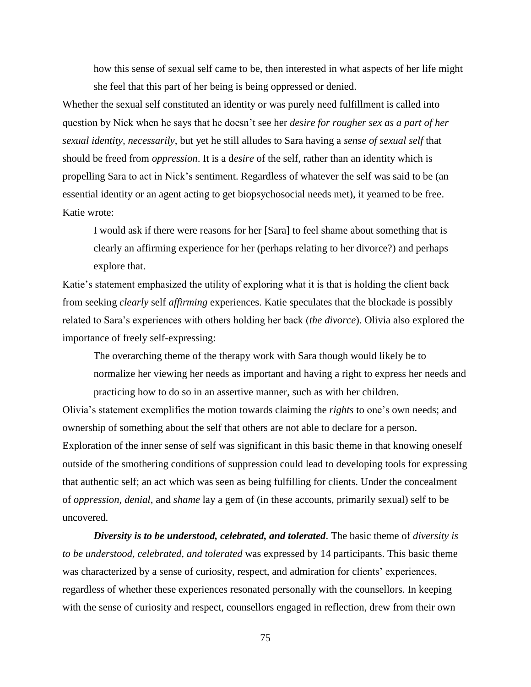how this sense of sexual self came to be, then interested in what aspects of her life might she feel that this part of her being is being oppressed or denied.

Whether the sexual self constituted an identity or was purely need fulfillment is called into question by Nick when he says that he doesn't see her *desire for rougher sex as a part of her sexual identity, necessarily*, but yet he still alludes to Sara having a *sense of sexual self* that should be freed from *oppression*. It is a d*esire* of the self, rather than an identity which is propelling Sara to act in Nick's sentiment. Regardless of whatever the self was said to be (an essential identity or an agent acting to get biopsychosocial needs met), it yearned to be free. Katie wrote:

I would ask if there were reasons for her [Sara] to feel shame about something that is clearly an affirming experience for her (perhaps relating to her divorce?) and perhaps explore that.

Katie's statement emphasized the utility of exploring what it is that is holding the client back from seeking *clearly* self *affirming* experiences. Katie speculates that the blockade is possibly related to Sara's experiences with others holding her back (*the divorce*). Olivia also explored the importance of freely self-expressing:

The overarching theme of the therapy work with Sara though would likely be to normalize her viewing her needs as important and having a right to express her needs and practicing how to do so in an assertive manner, such as with her children.

Olivia's statement exemplifies the motion towards claiming the *rights* to one's own needs; and ownership of something about the self that others are not able to declare for a person. Exploration of the inner sense of self was significant in this basic theme in that knowing oneself outside of the smothering conditions of suppression could lead to developing tools for expressing that authentic self; an act which was seen as being fulfilling for clients. Under the concealment of *oppression*, *denial*, and *shame* lay a gem of (in these accounts, primarily sexual) self to be uncovered.

*Diversity is to be understood, celebrated, and tolerated*. The basic theme of *diversity is to be understood, celebrated, and tolerated* was expressed by 14 participants. This basic theme was characterized by a sense of curiosity, respect, and admiration for clients' experiences, regardless of whether these experiences resonated personally with the counsellors. In keeping with the sense of curiosity and respect, counsellors engaged in reflection, drew from their own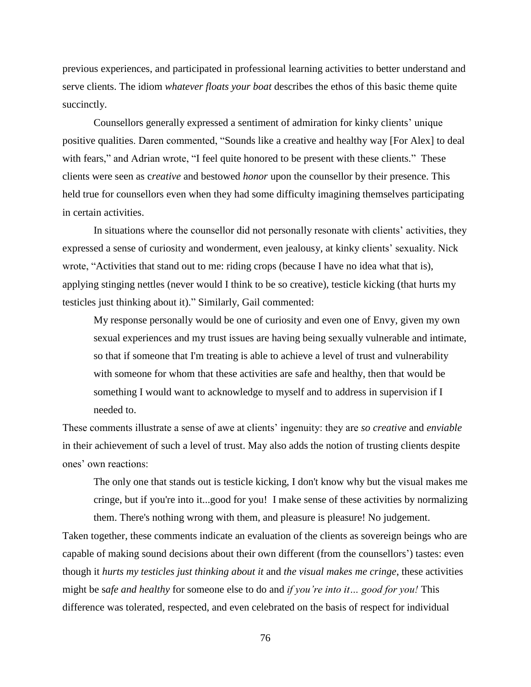previous experiences, and participated in professional learning activities to better understand and serve clients. The idiom *whatever floats your boat* describes the ethos of this basic theme quite succinctly.

Counsellors generally expressed a sentiment of admiration for kinky clients' unique positive qualities. Daren commented, "Sounds like a creative and healthy way [For Alex] to deal with fears," and Adrian wrote, "I feel quite honored to be present with these clients." These clients were seen as c*reative* and bestowed *honor* upon the counsellor by their presence. This held true for counsellors even when they had some difficulty imagining themselves participating in certain activities.

In situations where the counsellor did not personally resonate with clients' activities, they expressed a sense of curiosity and wonderment, even jealousy, at kinky clients' sexuality. Nick wrote, "Activities that stand out to me: riding crops (because I have no idea what that is), applying stinging nettles (never would I think to be so creative), testicle kicking (that hurts my testicles just thinking about it)." Similarly, Gail commented:

My response personally would be one of curiosity and even one of Envy, given my own sexual experiences and my trust issues are having being sexually vulnerable and intimate, so that if someone that I'm treating is able to achieve a level of trust and vulnerability with someone for whom that these activities are safe and healthy, then that would be something I would want to acknowledge to myself and to address in supervision if I needed to.

These comments illustrate a sense of awe at clients' ingenuity: they are *so creative* and *enviable* in their achievement of such a level of trust. May also adds the notion of trusting clients despite ones' own reactions:

The only one that stands out is testicle kicking, I don't know why but the visual makes me cringe, but if you're into it...good for you! I make sense of these activities by normalizing them. There's nothing wrong with them, and pleasure is pleasure! No judgement.

Taken together, these comments indicate an evaluation of the clients as sovereign beings who are capable of making sound decisions about their own different (from the counsellors') tastes: even though it *hurts my testicles just thinking about it* and *the visual makes me cringe*, these activities might be s*afe and healthy* for someone else to do and *if you're into it… good for you!* This difference was tolerated, respected, and even celebrated on the basis of respect for individual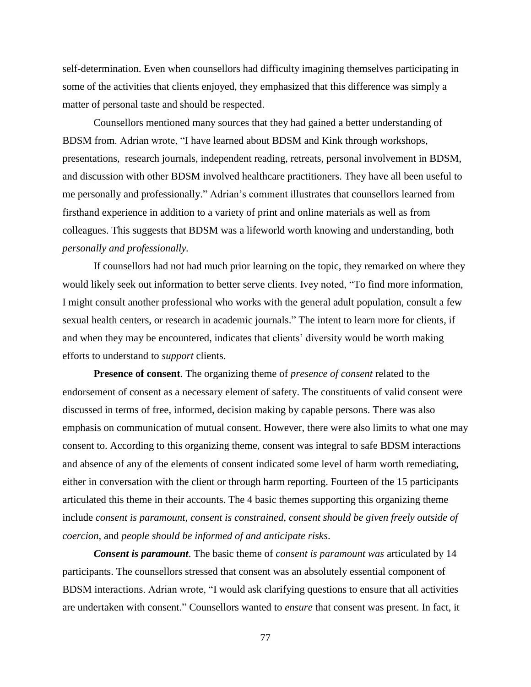self-determination. Even when counsellors had difficulty imagining themselves participating in some of the activities that clients enjoyed, they emphasized that this difference was simply a matter of personal taste and should be respected.

Counsellors mentioned many sources that they had gained a better understanding of BDSM from. Adrian wrote, "I have learned about BDSM and Kink through workshops, presentations, research journals, independent reading, retreats, personal involvement in BDSM, and discussion with other BDSM involved healthcare practitioners. They have all been useful to me personally and professionally." Adrian's comment illustrates that counsellors learned from firsthand experience in addition to a variety of print and online materials as well as from colleagues. This suggests that BDSM was a lifeworld worth knowing and understanding, both *personally and professionally.*

If counsellors had not had much prior learning on the topic, they remarked on where they would likely seek out information to better serve clients. Ivey noted, "To find more information, I might consult another professional who works with the general adult population, consult a few sexual health centers, or research in academic journals." The intent to learn more for clients, if and when they may be encountered, indicates that clients' diversity would be worth making efforts to understand to *support* clients.

**Presence of consent**. The organizing theme of *presence of consent* related to the endorsement of consent as a necessary element of safety. The constituents of valid consent were discussed in terms of free, informed, decision making by capable persons. There was also emphasis on communication of mutual consent. However, there were also limits to what one may consent to. According to this organizing theme, consent was integral to safe BDSM interactions and absence of any of the elements of consent indicated some level of harm worth remediating, either in conversation with the client or through harm reporting. Fourteen of the 15 participants articulated this theme in their accounts. The 4 basic themes supporting this organizing theme include *consent is paramount*, *consent is constrained*, *consent should be given freely outside of coercion*, and *people should be informed of and anticipate risks*.

*Consent is paramount*. The basic theme of *consent is paramount was* articulated by 14 participants. The counsellors stressed that consent was an absolutely essential component of BDSM interactions. Adrian wrote, "I would ask clarifying questions to ensure that all activities are undertaken with consent." Counsellors wanted to *ensure* that consent was present. In fact, it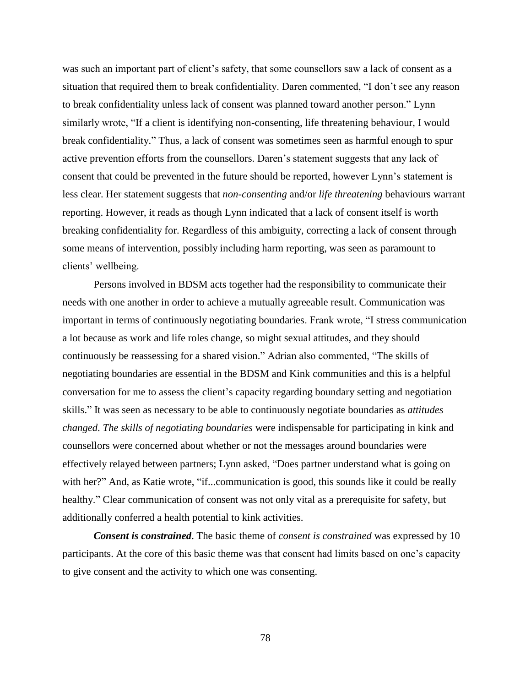was such an important part of client's safety, that some counsellors saw a lack of consent as a situation that required them to break confidentiality. Daren commented, "I don't see any reason to break confidentiality unless lack of consent was planned toward another person." Lynn similarly wrote, "If a client is identifying non-consenting, life threatening behaviour, I would break confidentiality." Thus, a lack of consent was sometimes seen as harmful enough to spur active prevention efforts from the counsellors. Daren's statement suggests that any lack of consent that could be prevented in the future should be reported, however Lynn's statement is less clear. Her statement suggests that *non-consenting* and/or *life threatening* behaviours warrant reporting. However, it reads as though Lynn indicated that a lack of consent itself is worth breaking confidentiality for. Regardless of this ambiguity, correcting a lack of consent through some means of intervention, possibly including harm reporting, was seen as paramount to clients' wellbeing.

Persons involved in BDSM acts together had the responsibility to communicate their needs with one another in order to achieve a mutually agreeable result. Communication was important in terms of continuously negotiating boundaries. Frank wrote, "I stress communication a lot because as work and life roles change, so might sexual attitudes, and they should continuously be reassessing for a shared vision." Adrian also commented, "The skills of negotiating boundaries are essential in the BDSM and Kink communities and this is a helpful conversation for me to assess the client's capacity regarding boundary setting and negotiation skills." It was seen as necessary to be able to continuously negotiate boundaries as *attitudes changed*. *The skills of negotiating boundaries* were indispensable for participating in kink and counsellors were concerned about whether or not the messages around boundaries were effectively relayed between partners; Lynn asked, "Does partner understand what is going on with her?" And, as Katie wrote, "if...communication is good, this sounds like it could be really healthy." Clear communication of consent was not only vital as a prerequisite for safety, but additionally conferred a health potential to kink activities.

*Consent is constrained*. The basic theme of *consent is constrained* was expressed by 10 participants. At the core of this basic theme was that consent had limits based on one's capacity to give consent and the activity to which one was consenting.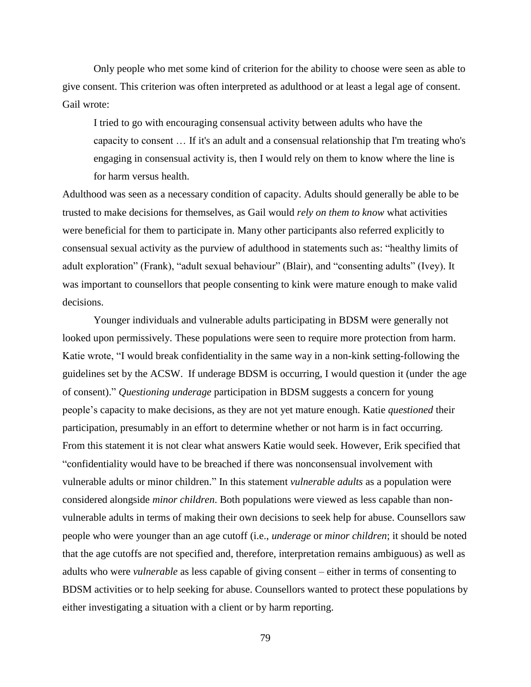Only people who met some kind of criterion for the ability to choose were seen as able to give consent. This criterion was often interpreted as adulthood or at least a legal age of consent. Gail wrote:

I tried to go with encouraging consensual activity between adults who have the capacity to consent … If it's an adult and a consensual relationship that I'm treating who's engaging in consensual activity is, then I would rely on them to know where the line is for harm versus health.

Adulthood was seen as a necessary condition of capacity. Adults should generally be able to be trusted to make decisions for themselves, as Gail would *rely on them to know* what activities were beneficial for them to participate in. Many other participants also referred explicitly to consensual sexual activity as the purview of adulthood in statements such as: "healthy limits of adult exploration" (Frank), "adult sexual behaviour" (Blair), and "consenting adults" (Ivey). It was important to counsellors that people consenting to kink were mature enough to make valid decisions.

Younger individuals and vulnerable adults participating in BDSM were generally not looked upon permissively. These populations were seen to require more protection from harm. Katie wrote, "I would break confidentiality in the same way in a non-kink setting-following the guidelines set by the ACSW. If underage BDSM is occurring, I would question it (under the age of consent)." *Questioning underage* participation in BDSM suggests a concern for young people's capacity to make decisions, as they are not yet mature enough. Katie *questioned* their participation, presumably in an effort to determine whether or not harm is in fact occurring. From this statement it is not clear what answers Katie would seek. However, Erik specified that "confidentiality would have to be breached if there was nonconsensual involvement with vulnerable adults or minor children." In this statement *vulnerable adults* as a population were considered alongside *minor children*. Both populations were viewed as less capable than nonvulnerable adults in terms of making their own decisions to seek help for abuse. Counsellors saw people who were younger than an age cutoff (i.e., *underage* or *minor children*; it should be noted that the age cutoffs are not specified and, therefore, interpretation remains ambiguous) as well as adults who were *vulnerable* as less capable of giving consent – either in terms of consenting to BDSM activities or to help seeking for abuse. Counsellors wanted to protect these populations by either investigating a situation with a client or by harm reporting.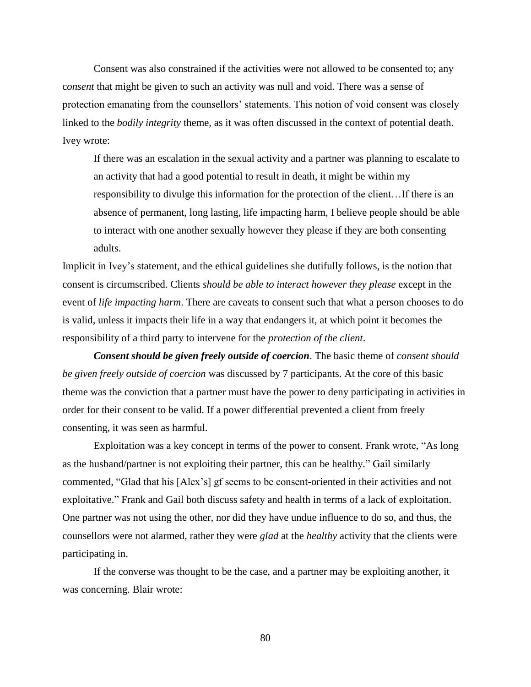Consent was also constrained if the activities were not allowed to be consented to; any c*onsent* that might be given to such an activity was null and void. There was a sense of protection emanating from the counsellors' statements. This notion of void consent was closely linked to the *bodily integrity* theme, as it was often discussed in the context of potential death. Ivey wrote:

If there was an escalation in the sexual activity and a partner was planning to escalate to an activity that had a good potential to result in death, it might be within my responsibility to divulge this information for the protection of the client…If there is an absence of permanent, long lasting, life impacting harm, I believe people should be able to interact with one another sexually however they please if they are both consenting adults.

Implicit in Ivey's statement, and the ethical guidelines she dutifully follows, is the notion that consent is circumscribed. Clients *should be able to interact however they please* except in the event of *life impacting harm*. There are caveats to consent such that what a person chooses to do is valid, unless it impacts their life in a way that endangers it, at which point it becomes the responsibility of a third party to intervene for the *protection of the client*.

*Consent should be given freely outside of coercion*. The basic theme of *consent should be given freely outside of coercion* was discussed by 7 participants. At the core of this basic theme was the conviction that a partner must have the power to deny participating in activities in order for their consent to be valid. If a power differential prevented a client from freely consenting, it was seen as harmful.

Exploitation was a key concept in terms of the power to consent. Frank wrote, "As long as the husband/partner is not exploiting their partner, this can be healthy." Gail similarly commented, "Glad that his [Alex's] gf seems to be consent-oriented in their activities and not exploitative." Frank and Gail both discuss safety and health in terms of a lack of exploitation. One partner was not using the other, nor did they have undue influence to do so, and thus, the counsellors were not alarmed, rather they were *glad* at the *healthy* activity that the clients were participating in.

If the converse was thought to be the case, and a partner may be exploiting another, it was concerning. Blair wrote: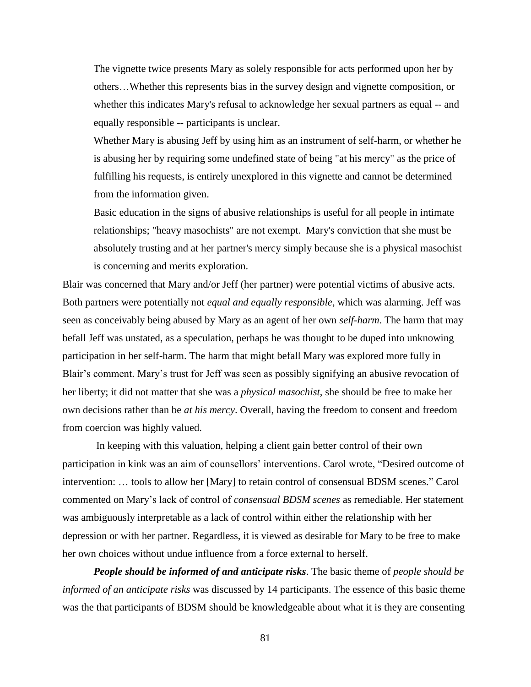The vignette twice presents Mary as solely responsible for acts performed upon her by others…Whether this represents bias in the survey design and vignette composition, or whether this indicates Mary's refusal to acknowledge her sexual partners as equal -- and equally responsible -- participants is unclear.

Whether Mary is abusing Jeff by using him as an instrument of self-harm, or whether he is abusing her by requiring some undefined state of being "at his mercy" as the price of fulfilling his requests, is entirely unexplored in this vignette and cannot be determined from the information given.

Basic education in the signs of abusive relationships is useful for all people in intimate relationships; "heavy masochists" are not exempt. Mary's conviction that she must be absolutely trusting and at her partner's mercy simply because she is a physical masochist is concerning and merits exploration.

Blair was concerned that Mary and/or Jeff (her partner) were potential victims of abusive acts. Both partners were potentially not *equal and equally responsible*, which was alarming. Jeff was seen as conceivably being abused by Mary as an agent of her own *self-harm*. The harm that may befall Jeff was unstated, as a speculation, perhaps he was thought to be duped into unknowing participation in her self-harm. The harm that might befall Mary was explored more fully in Blair's comment. Mary's trust for Jeff was seen as possibly signifying an abusive revocation of her liberty; it did not matter that she was a *physical masochist*, she should be free to make her own decisions rather than be *at his mercy*. Overall, having the freedom to consent and freedom from coercion was highly valued.

In keeping with this valuation, helping a client gain better control of their own participation in kink was an aim of counsellors' interventions. Carol wrote, "Desired outcome of intervention: … tools to allow her [Mary] to retain control of consensual BDSM scenes." Carol commented on Mary's lack of control of *consensual BDSM scenes* as remediable. Her statement was ambiguously interpretable as a lack of control within either the relationship with her depression or with her partner. Regardless, it is viewed as desirable for Mary to be free to make her own choices without undue influence from a force external to herself.

*People should be informed of and anticipate risks*. The basic theme of *people should be informed of an anticipate risks* was discussed by 14 participants. The essence of this basic theme was the that participants of BDSM should be knowledgeable about what it is they are consenting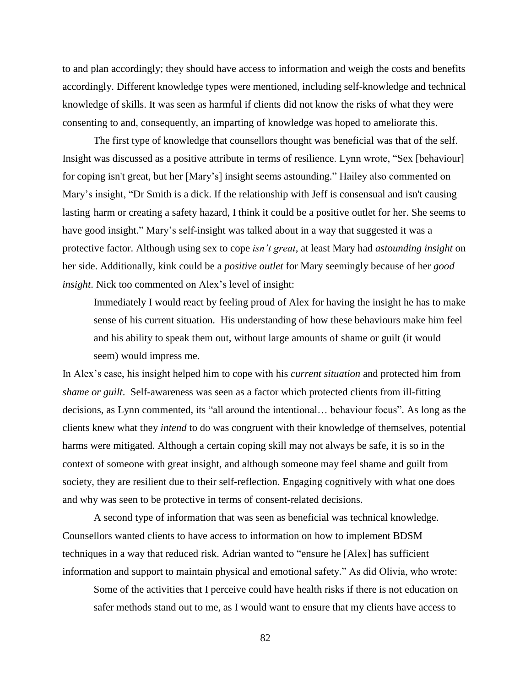to and plan accordingly; they should have access to information and weigh the costs and benefits accordingly. Different knowledge types were mentioned, including self-knowledge and technical knowledge of skills. It was seen as harmful if clients did not know the risks of what they were consenting to and, consequently, an imparting of knowledge was hoped to ameliorate this.

The first type of knowledge that counsellors thought was beneficial was that of the self. Insight was discussed as a positive attribute in terms of resilience. Lynn wrote, "Sex [behaviour] for coping isn't great, but her [Mary's] insight seems astounding." Hailey also commented on Mary's insight, "Dr Smith is a dick. If the relationship with Jeff is consensual and isn't causing lasting harm or creating a safety hazard, I think it could be a positive outlet for her. She seems to have good insight." Mary's self-insight was talked about in a way that suggested it was a protective factor. Although using sex to cope *isn't great*, at least Mary had *astounding insight* on her side. Additionally, kink could be a *positive outlet* for Mary seemingly because of her *good insight*. Nick too commented on Alex's level of insight:

Immediately I would react by feeling proud of Alex for having the insight he has to make sense of his current situation. His understanding of how these behaviours make him feel and his ability to speak them out, without large amounts of shame or guilt (it would seem) would impress me.

In Alex's case, his insight helped him to cope with his *current situation* and protected him from *shame or guilt*. Self-awareness was seen as a factor which protected clients from ill-fitting decisions, as Lynn commented, its "all around the intentional… behaviour focus". As long as the clients knew what they *intend* to do was congruent with their knowledge of themselves, potential harms were mitigated. Although a certain coping skill may not always be safe, it is so in the context of someone with great insight, and although someone may feel shame and guilt from society, they are resilient due to their self-reflection. Engaging cognitively with what one does and why was seen to be protective in terms of consent-related decisions.

A second type of information that was seen as beneficial was technical knowledge. Counsellors wanted clients to have access to information on how to implement BDSM techniques in a way that reduced risk. Adrian wanted to "ensure he [Alex] has sufficient information and support to maintain physical and emotional safety." As did Olivia, who wrote:

Some of the activities that I perceive could have health risks if there is not education on safer methods stand out to me, as I would want to ensure that my clients have access to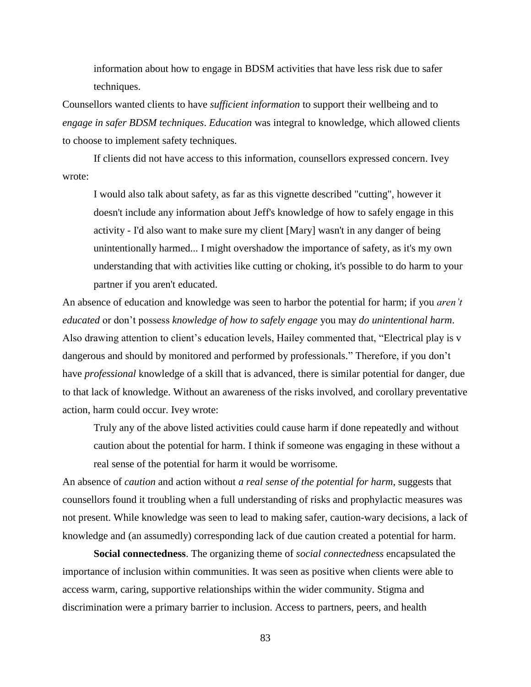information about how to engage in BDSM activities that have less risk due to safer techniques.

Counsellors wanted clients to have *sufficient information* to support their wellbeing and to *engage in safer BDSM techniques*. *Education* was integral to knowledge, which allowed clients to choose to implement safety techniques.

If clients did not have access to this information, counsellors expressed concern. Ivey wrote:

I would also talk about safety, as far as this vignette described "cutting", however it doesn't include any information about Jeff's knowledge of how to safely engage in this activity - I'd also want to make sure my client [Mary] wasn't in any danger of being unintentionally harmed... I might overshadow the importance of safety, as it's my own understanding that with activities like cutting or choking, it's possible to do harm to your partner if you aren't educated.

An absence of education and knowledge was seen to harbor the potential for harm; if you *aren't educated* or don't possess *knowledge of how to safely engage* you may *do unintentional harm*. Also drawing attention to client's education levels, Hailey commented that, "Electrical play is v dangerous and should by monitored and performed by professionals." Therefore, if you don't have *professional* knowledge of a skill that is advanced, there is similar potential for danger, due to that lack of knowledge. Without an awareness of the risks involved, and corollary preventative action, harm could occur. Ivey wrote:

Truly any of the above listed activities could cause harm if done repeatedly and without caution about the potential for harm. I think if someone was engaging in these without a real sense of the potential for harm it would be worrisome.

An absence of *caution* and action without *a real sense of the potential for harm*, suggests that counsellors found it troubling when a full understanding of risks and prophylactic measures was not present. While knowledge was seen to lead to making safer, caution-wary decisions, a lack of knowledge and (an assumedly) corresponding lack of due caution created a potential for harm.

**Social connectedness**. The organizing theme of *social connectedness* encapsulated the importance of inclusion within communities. It was seen as positive when clients were able to access warm, caring, supportive relationships within the wider community. Stigma and discrimination were a primary barrier to inclusion. Access to partners, peers, and health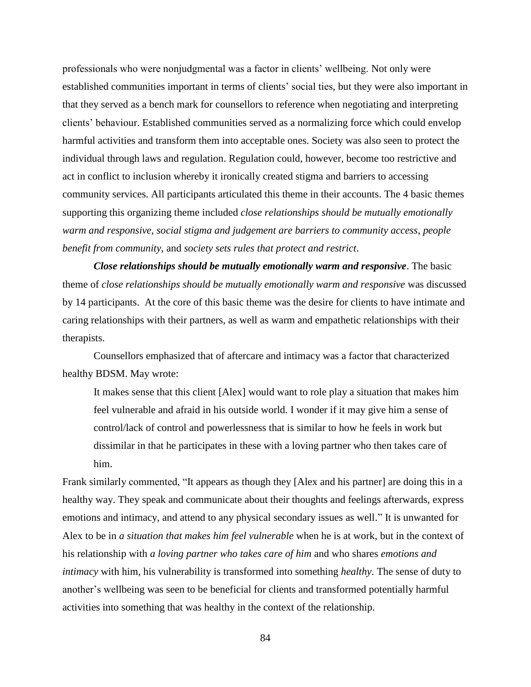professionals who were nonjudgmental was a factor in clients' wellbeing. Not only were established communities important in terms of clients' social ties, but they were also important in that they served as a bench mark for counsellors to reference when negotiating and interpreting clients' behaviour. Established communities served as a normalizing force which could envelop harmful activities and transform them into acceptable ones. Society was also seen to protect the individual through laws and regulation. Regulation could, however, become too restrictive and act in conflict to inclusion whereby it ironically created stigma and barriers to accessing community services. All participants articulated this theme in their accounts. The 4 basic themes supporting this organizing theme included *close relationships should be mutually emotionally warm and responsive*, *social stigma and judgement are barriers to community access*, *people benefit from community*, and *society sets rules that protect and restrict*.

*Close relationships should be mutually emotionally warm and responsive*. The basic theme of *close relationships should be mutually emotionally warm and responsive* was discussed by 14 participants. At the core of this basic theme was the desire for clients to have intimate and caring relationships with their partners, as well as warm and empathetic relationships with their therapists.

Counsellors emphasized that of aftercare and intimacy was a factor that characterized healthy BDSM. May wrote:

It makes sense that this client [Alex] would want to role play a situation that makes him feel vulnerable and afraid in his outside world. I wonder if it may give him a sense of control/lack of control and powerlessness that is similar to how he feels in work but dissimilar in that he participates in these with a loving partner who then takes care of him.

Frank similarly commented, "It appears as though they [Alex and his partner] are doing this in a healthy way. They speak and communicate about their thoughts and feelings afterwards, express emotions and intimacy, and attend to any physical secondary issues as well." It is unwanted for Alex to be in *a situation that makes him feel vulnerable* when he is at work, but in the context of his relationship with *a loving partner who takes care of him* and who shares *emotions and intimacy* with him, his vulnerability is transformed into something *healthy*. The sense of duty to another's wellbeing was seen to be beneficial for clients and transformed potentially harmful activities into something that was healthy in the context of the relationship.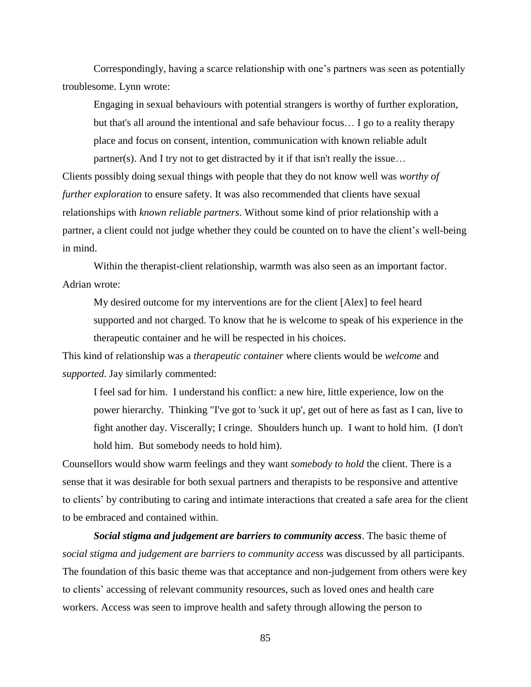Correspondingly, having a scarce relationship with one's partners was seen as potentially troublesome. Lynn wrote:

Engaging in sexual behaviours with potential strangers is worthy of further exploration, but that's all around the intentional and safe behaviour focus… I go to a reality therapy place and focus on consent, intention, communication with known reliable adult partner(s). And I try not to get distracted by it if that isn't really the issue…

Clients possibly doing sexual things with people that they do not know well was *worthy of further exploration* to ensure safety. It was also recommended that clients have sexual relationships with *known reliable partners*. Without some kind of prior relationship with a partner, a client could not judge whether they could be counted on to have the client's well-being in mind.

Within the therapist-client relationship, warmth was also seen as an important factor. Adrian wrote:

My desired outcome for my interventions are for the client [Alex] to feel heard supported and not charged. To know that he is welcome to speak of his experience in the therapeutic container and he will be respected in his choices.

This kind of relationship was a *therapeutic container* where clients would be *welcome* and *supported*. Jay similarly commented:

I feel sad for him. I understand his conflict: a new hire, little experience, low on the power hierarchy. Thinking "I've got to 'suck it up', get out of here as fast as I can, live to fight another day. Viscerally; I cringe. Shoulders hunch up. I want to hold him. (I don't hold him. But somebody needs to hold him).

Counsellors would show warm feelings and they want *somebody to hold* the client. There is a sense that it was desirable for both sexual partners and therapists to be responsive and attentive to clients' by contributing to caring and intimate interactions that created a safe area for the client to be embraced and contained within.

*Social stigma and judgement are barriers to community access*. The basic theme of *social stigma and judgement are barriers to community access* was discussed by all participants. The foundation of this basic theme was that acceptance and non-judgement from others were key to clients' accessing of relevant community resources, such as loved ones and health care workers. Access was seen to improve health and safety through allowing the person to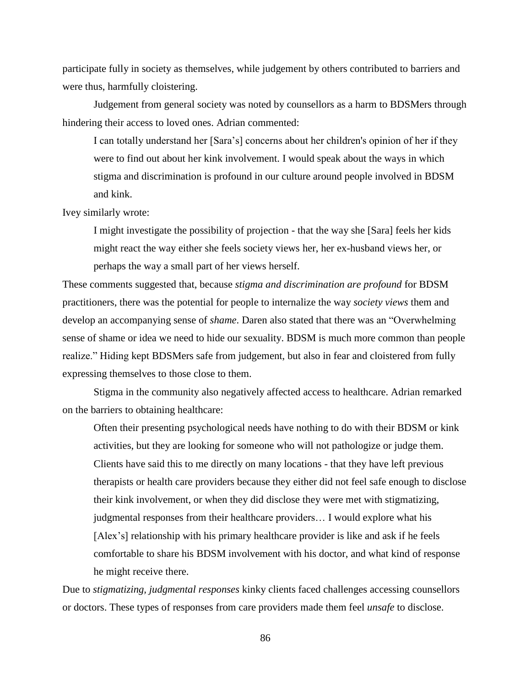participate fully in society as themselves, while judgement by others contributed to barriers and were thus, harmfully cloistering.

Judgement from general society was noted by counsellors as a harm to BDSMers through hindering their access to loved ones. Adrian commented:

I can totally understand her [Sara's] concerns about her children's opinion of her if they were to find out about her kink involvement. I would speak about the ways in which stigma and discrimination is profound in our culture around people involved in BDSM and kink.

Ivey similarly wrote:

I might investigate the possibility of projection - that the way she [Sara] feels her kids might react the way either she feels society views her, her ex-husband views her, or perhaps the way a small part of her views herself.

These comments suggested that, because *stigma and discrimination are profound* for BDSM practitioners, there was the potential for people to internalize the way *society views* them and develop an accompanying sense of *shame*. Daren also stated that there was an "Overwhelming sense of shame or idea we need to hide our sexuality. BDSM is much more common than people realize." Hiding kept BDSMers safe from judgement, but also in fear and cloistered from fully expressing themselves to those close to them.

Stigma in the community also negatively affected access to healthcare. Adrian remarked on the barriers to obtaining healthcare:

Often their presenting psychological needs have nothing to do with their BDSM or kink activities, but they are looking for someone who will not pathologize or judge them. Clients have said this to me directly on many locations - that they have left previous therapists or health care providers because they either did not feel safe enough to disclose their kink involvement, or when they did disclose they were met with stigmatizing, judgmental responses from their healthcare providers… I would explore what his [Alex's] relationship with his primary healthcare provider is like and ask if he feels comfortable to share his BDSM involvement with his doctor, and what kind of response he might receive there.

Due to *stigmatizing, judgmental responses* kinky clients faced challenges accessing counsellors or doctors. These types of responses from care providers made them feel *unsafe* to disclose.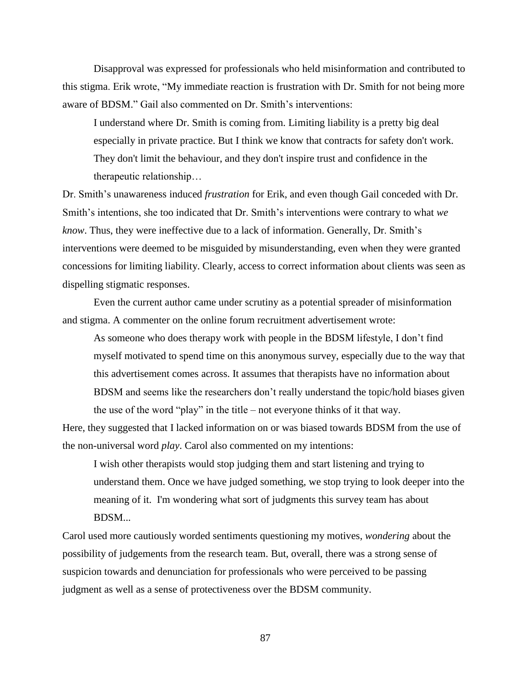Disapproval was expressed for professionals who held misinformation and contributed to this stigma. Erik wrote, "My immediate reaction is frustration with Dr. Smith for not being more aware of BDSM." Gail also commented on Dr. Smith's interventions:

I understand where Dr. Smith is coming from. Limiting liability is a pretty big deal especially in private practice. But I think we know that contracts for safety don't work. They don't limit the behaviour, and they don't inspire trust and confidence in the therapeutic relationship…

Dr. Smith's unawareness induced *frustration* for Erik, and even though Gail conceded with Dr. Smith's intentions, she too indicated that Dr. Smith's interventions were contrary to what *we know*. Thus, they were ineffective due to a lack of information. Generally, Dr. Smith's interventions were deemed to be misguided by misunderstanding, even when they were granted concessions for limiting liability. Clearly, access to correct information about clients was seen as dispelling stigmatic responses.

Even the current author came under scrutiny as a potential spreader of misinformation and stigma. A commenter on the online forum recruitment advertisement wrote:

As someone who does therapy work with people in the BDSM lifestyle, I don't find myself motivated to spend time on this anonymous survey, especially due to the way that this advertisement comes across. It assumes that therapists have no information about BDSM and seems like the researchers don't really understand the topic/hold biases given the use of the word "play" in the title – not everyone thinks of it that way.

Here, they suggested that I lacked information on or was biased towards BDSM from the use of the non-universal word *play*. Carol also commented on my intentions:

I wish other therapists would stop judging them and start listening and trying to understand them. Once we have judged something, we stop trying to look deeper into the meaning of it. I'm wondering what sort of judgments this survey team has about BDSM...

Carol used more cautiously worded sentiments questioning my motives, *wondering* about the possibility of judgements from the research team. But, overall, there was a strong sense of suspicion towards and denunciation for professionals who were perceived to be passing judgment as well as a sense of protectiveness over the BDSM community.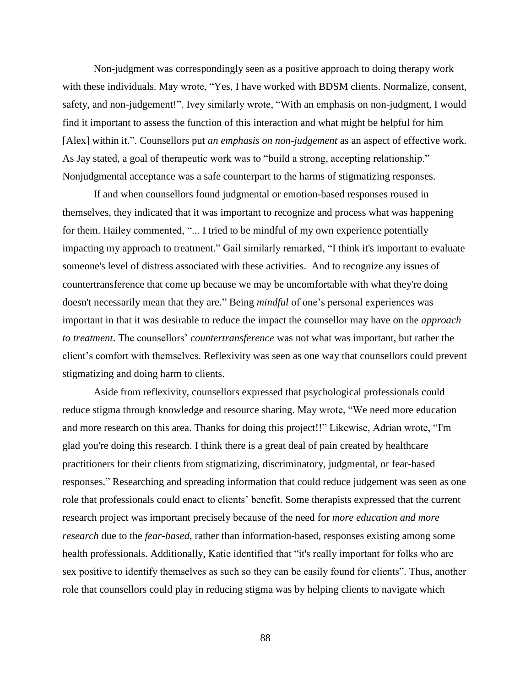Non-judgment was correspondingly seen as a positive approach to doing therapy work with these individuals. May wrote, "Yes, I have worked with BDSM clients. Normalize, consent, safety, and non-judgement!". Ivey similarly wrote, "With an emphasis on non-judgment, I would find it important to assess the function of this interaction and what might be helpful for him [Alex] within it.". Counsellors put *an emphasis on non-judgement* as an aspect of effective work. As Jay stated, a goal of therapeutic work was to "build a strong, accepting relationship." Nonjudgmental acceptance was a safe counterpart to the harms of stigmatizing responses.

If and when counsellors found judgmental or emotion-based responses roused in themselves, they indicated that it was important to recognize and process what was happening for them. Hailey commented, "... I tried to be mindful of my own experience potentially impacting my approach to treatment." Gail similarly remarked, "I think it's important to evaluate someone's level of distress associated with these activities. And to recognize any issues of countertransference that come up because we may be uncomfortable with what they're doing doesn't necessarily mean that they are." Being *mindful* of one's personal experiences was important in that it was desirable to reduce the impact the counsellor may have on the *approach to treatment*. The counsellors' *countertransference* was not what was important, but rather the client's comfort with themselves. Reflexivity was seen as one way that counsellors could prevent stigmatizing and doing harm to clients.

Aside from reflexivity, counsellors expressed that psychological professionals could reduce stigma through knowledge and resource sharing. May wrote, "We need more education and more research on this area. Thanks for doing this project!!" Likewise, Adrian wrote, "I'm glad you're doing this research. I think there is a great deal of pain created by healthcare practitioners for their clients from stigmatizing, discriminatory, judgmental, or fear-based responses." Researching and spreading information that could reduce judgement was seen as one role that professionals could enact to clients' benefit. Some therapists expressed that the current research project was important precisely because of the need for *more education and more research* due to the *fear-based*, rather than information-based, responses existing among some health professionals. Additionally, Katie identified that "it's really important for folks who are sex positive to identify themselves as such so they can be easily found for clients". Thus, another role that counsellors could play in reducing stigma was by helping clients to navigate which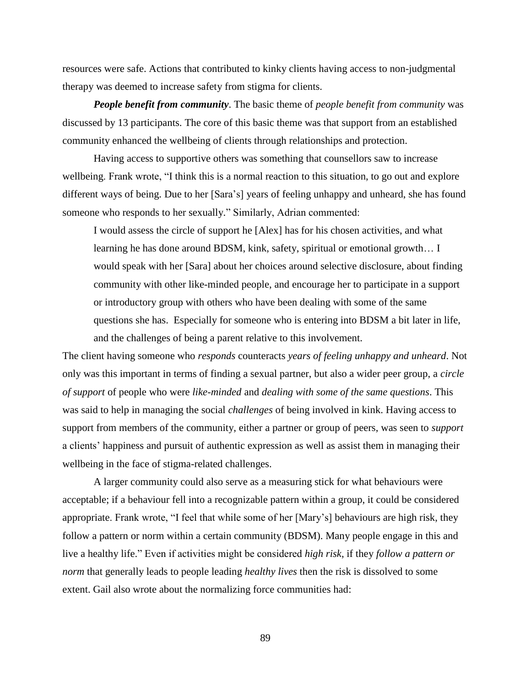resources were safe. Actions that contributed to kinky clients having access to non-judgmental therapy was deemed to increase safety from stigma for clients.

*People benefit from community*. The basic theme of *people benefit from community* was discussed by 13 participants. The core of this basic theme was that support from an established community enhanced the wellbeing of clients through relationships and protection.

Having access to supportive others was something that counsellors saw to increase wellbeing. Frank wrote, "I think this is a normal reaction to this situation, to go out and explore different ways of being. Due to her [Sara's] years of feeling unhappy and unheard, she has found someone who responds to her sexually." Similarly, Adrian commented:

I would assess the circle of support he [Alex] has for his chosen activities, and what learning he has done around BDSM, kink, safety, spiritual or emotional growth… I would speak with her [Sara] about her choices around selective disclosure, about finding community with other like-minded people, and encourage her to participate in a support or introductory group with others who have been dealing with some of the same questions she has. Especially for someone who is entering into BDSM a bit later in life, and the challenges of being a parent relative to this involvement.

The client having someone who *responds* counteracts *years of feeling unhappy and unheard*. Not only was this important in terms of finding a sexual partner, but also a wider peer group, a *circle of support* of people who were *like-minded* and *dealing with some of the same questions*. This was said to help in managing the social *challenges* of being involved in kink. Having access to support from members of the community, either a partner or group of peers, was seen to *support* a clients' happiness and pursuit of authentic expression as well as assist them in managing their wellbeing in the face of stigma-related challenges.

A larger community could also serve as a measuring stick for what behaviours were acceptable; if a behaviour fell into a recognizable pattern within a group, it could be considered appropriate. Frank wrote, "I feel that while some of her [Mary's] behaviours are high risk, they follow a pattern or norm within a certain community (BDSM). Many people engage in this and live a healthy life." Even if activities might be considered *high risk*, if they *follow a pattern or norm* that generally leads to people leading *healthy lives* then the risk is dissolved to some extent. Gail also wrote about the normalizing force communities had: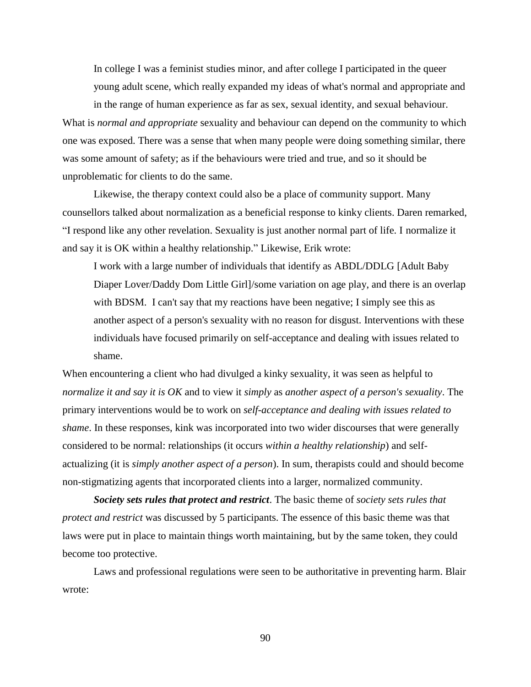In college I was a feminist studies minor, and after college I participated in the queer young adult scene, which really expanded my ideas of what's normal and appropriate and

in the range of human experience as far as sex, sexual identity, and sexual behaviour.

What is *normal and appropriate* sexuality and behaviour can depend on the community to which one was exposed. There was a sense that when many people were doing something similar, there was some amount of safety; as if the behaviours were tried and true, and so it should be unproblematic for clients to do the same.

Likewise, the therapy context could also be a place of community support. Many counsellors talked about normalization as a beneficial response to kinky clients. Daren remarked, "I respond like any other revelation. Sexuality is just another normal part of life. I normalize it and say it is OK within a healthy relationship." Likewise, Erik wrote:

I work with a large number of individuals that identify as ABDL/DDLG [Adult Baby Diaper Lover/Daddy Dom Little Girl]/some variation on age play, and there is an overlap with BDSM. I can't say that my reactions have been negative; I simply see this as another aspect of a person's sexuality with no reason for disgust. Interventions with these individuals have focused primarily on self-acceptance and dealing with issues related to shame.

When encountering a client who had divulged a kinky sexuality, it was seen as helpful to *normalize it and say it is OK* and to view it *simply* as *another aspect of a person's sexuality*. The primary interventions would be to work on *self-acceptance and dealing with issues related to shame*. In these responses, kink was incorporated into two wider discourses that were generally considered to be normal: relationships (it occurs *within a healthy relationship*) and selfactualizing (it is *simply another aspect of a person*). In sum, therapists could and should become non-stigmatizing agents that incorporated clients into a larger, normalized community.

*Society sets rules that protect and restrict*. The basic theme of *society sets rules that protect and restrict* was discussed by 5 participants. The essence of this basic theme was that laws were put in place to maintain things worth maintaining, but by the same token, they could become too protective.

Laws and professional regulations were seen to be authoritative in preventing harm. Blair wrote: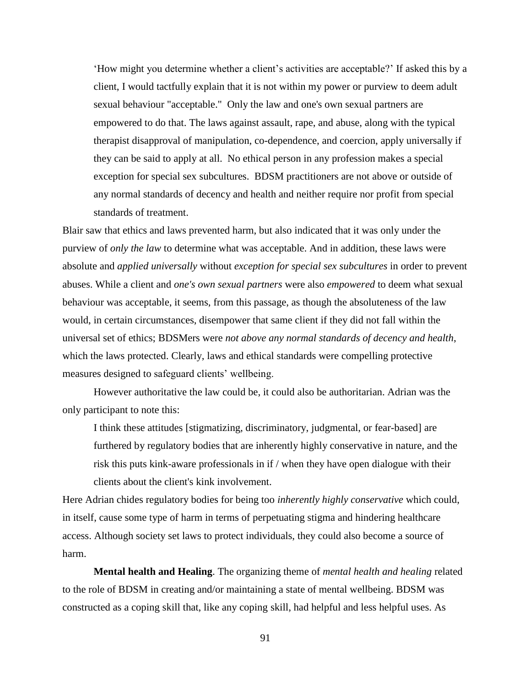'How might you determine whether a client's activities are acceptable?' If asked this by a client, I would tactfully explain that it is not within my power or purview to deem adult sexual behaviour "acceptable." Only the law and one's own sexual partners are empowered to do that. The laws against assault, rape, and abuse, along with the typical therapist disapproval of manipulation, co-dependence, and coercion, apply universally if they can be said to apply at all. No ethical person in any profession makes a special exception for special sex subcultures. BDSM practitioners are not above or outside of any normal standards of decency and health and neither require nor profit from special standards of treatment.

Blair saw that ethics and laws prevented harm, but also indicated that it was only under the purview of *only the law* to determine what was acceptable. And in addition, these laws were absolute and *applied universally* without *exception for special sex subcultures* in order to prevent abuses. While a client and *one's own sexual partners* were also *empowered* to deem what sexual behaviour was acceptable, it seems, from this passage, as though the absoluteness of the law would, in certain circumstances, disempower that same client if they did not fall within the universal set of ethics; BDSMers were *not above any normal standards of decency and health*, which the laws protected. Clearly, laws and ethical standards were compelling protective measures designed to safeguard clients' wellbeing.

However authoritative the law could be, it could also be authoritarian. Adrian was the only participant to note this:

I think these attitudes [stigmatizing, discriminatory, judgmental, or fear-based] are furthered by regulatory bodies that are inherently highly conservative in nature, and the risk this puts kink-aware professionals in if / when they have open dialogue with their clients about the client's kink involvement.

Here Adrian chides regulatory bodies for being too *inherently highly conservative* which could, in itself, cause some type of harm in terms of perpetuating stigma and hindering healthcare access. Although society set laws to protect individuals, they could also become a source of harm.

**Mental health and Healing**. The organizing theme of *mental health and healing* related to the role of BDSM in creating and/or maintaining a state of mental wellbeing. BDSM was constructed as a coping skill that, like any coping skill, had helpful and less helpful uses. As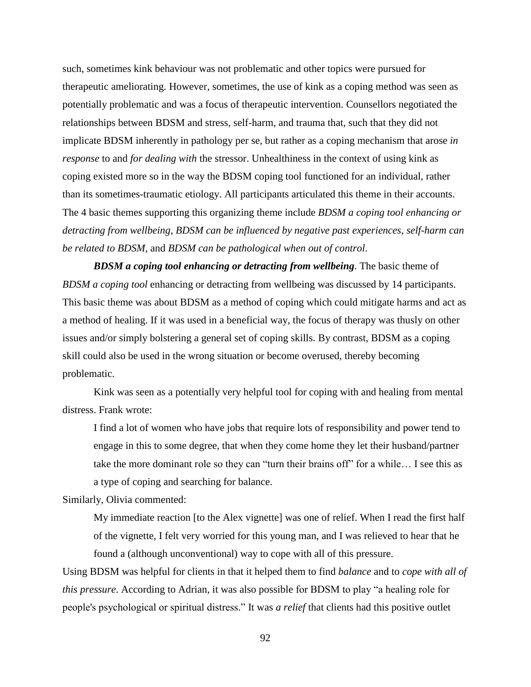such, sometimes kink behaviour was not problematic and other topics were pursued for therapeutic ameliorating. However, sometimes, the use of kink as a coping method was seen as potentially problematic and was a focus of therapeutic intervention. Counsellors negotiated the relationships between BDSM and stress, self-harm, and trauma that, such that they did not implicate BDSM inherently in pathology per se, but rather as a coping mechanism that arose *in response* to and *for dealing with* the stressor. Unhealthiness in the context of using kink as coping existed more so in the way the BDSM coping tool functioned for an individual, rather than its sometimes-traumatic etiology. All participants articulated this theme in their accounts. The 4 basic themes supporting this organizing theme include *BDSM a coping tool enhancing or detracting from wellbeing*, *BDSM can be influenced by negative past experiences*, *self-harm can be related to BDSM*, and *BDSM can be pathological when out of control*.

*BDSM a coping tool enhancing or detracting from wellbeing*. The basic theme of *BDSM a coping tool* enhancing or detracting from wellbeing was discussed by 14 participants. This basic theme was about BDSM as a method of coping which could mitigate harms and act as a method of healing. If it was used in a beneficial way, the focus of therapy was thusly on other issues and/or simply bolstering a general set of coping skills. By contrast, BDSM as a coping skill could also be used in the wrong situation or become overused, thereby becoming problematic.

Kink was seen as a potentially very helpful tool for coping with and healing from mental distress. Frank wrote:

I find a lot of women who have jobs that require lots of responsibility and power tend to engage in this to some degree, that when they come home they let their husband/partner take the more dominant role so they can "turn their brains off" for a while… I see this as a type of coping and searching for balance.

Similarly, Olivia commented:

My immediate reaction [to the Alex vignette] was one of relief. When I read the first half of the vignette, I felt very worried for this young man, and I was relieved to hear that he found a (although unconventional) way to cope with all of this pressure.

Using BDSM was helpful for clients in that it helped them to find *balance* and to *cope with all of this pressure*. According to Adrian, it was also possible for BDSM to play "a healing role for people's psychological or spiritual distress." It was *a relief* that clients had this positive outlet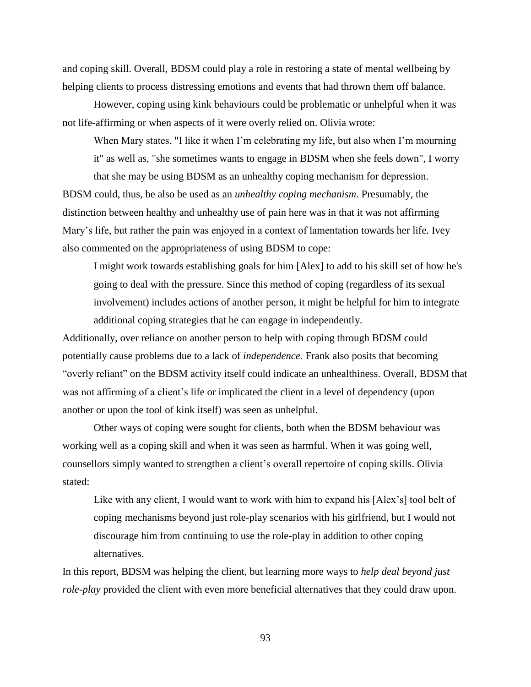and coping skill. Overall, BDSM could play a role in restoring a state of mental wellbeing by helping clients to process distressing emotions and events that had thrown them off balance.

However, coping using kink behaviours could be problematic or unhelpful when it was not life-affirming or when aspects of it were overly relied on. Olivia wrote:

When Mary states, "I like it when I'm celebrating my life, but also when I'm mourning it" as well as, "she sometimes wants to engage in BDSM when she feels down", I worry

that she may be using BDSM as an unhealthy coping mechanism for depression. BDSM could, thus, be also be used as an *unhealthy coping mechanism*. Presumably, the distinction between healthy and unhealthy use of pain here was in that it was not affirming Mary's life, but rather the pain was enjoyed in a context of lamentation towards her life. Ivey also commented on the appropriateness of using BDSM to cope:

I might work towards establishing goals for him [Alex] to add to his skill set of how he's going to deal with the pressure. Since this method of coping (regardless of its sexual involvement) includes actions of another person, it might be helpful for him to integrate additional coping strategies that he can engage in independently.

Additionally, over reliance on another person to help with coping through BDSM could potentially cause problems due to a lack of *independence.* Frank also posits that becoming "overly reliant" on the BDSM activity itself could indicate an unhealthiness. Overall, BDSM that was not affirming of a client's life or implicated the client in a level of dependency (upon another or upon the tool of kink itself) was seen as unhelpful.

Other ways of coping were sought for clients, both when the BDSM behaviour was working well as a coping skill and when it was seen as harmful. When it was going well, counsellors simply wanted to strengthen a client's overall repertoire of coping skills. Olivia stated:

Like with any client, I would want to work with him to expand his [Alex's] tool belt of coping mechanisms beyond just role-play scenarios with his girlfriend, but I would not discourage him from continuing to use the role-play in addition to other coping alternatives.

In this report, BDSM was helping the client, but learning more ways to *help deal beyond just role-play* provided the client with even more beneficial alternatives that they could draw upon.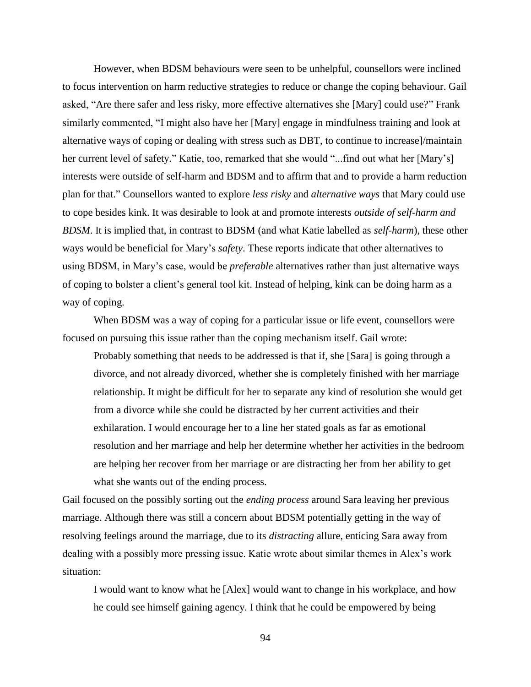However, when BDSM behaviours were seen to be unhelpful, counsellors were inclined to focus intervention on harm reductive strategies to reduce or change the coping behaviour. Gail asked, "Are there safer and less risky, more effective alternatives she [Mary] could use?" Frank similarly commented, "I might also have her [Mary] engage in mindfulness training and look at alternative ways of coping or dealing with stress such as DBT, to continue to increase]/maintain her current level of safety." Katie, too, remarked that she would "...find out what her [Mary's] interests were outside of self-harm and BDSM and to affirm that and to provide a harm reduction plan for that." Counsellors wanted to explore *less risky* and *alternative ways* that Mary could use to cope besides kink. It was desirable to look at and promote interests *outside of self-harm and BDSM*. It is implied that, in contrast to BDSM (and what Katie labelled as *self-harm*), these other ways would be beneficial for Mary's *safety*. These reports indicate that other alternatives to using BDSM, in Mary's case, would be *preferable* alternatives rather than just alternative ways of coping to bolster a client's general tool kit. Instead of helping, kink can be doing harm as a way of coping.

When BDSM was a way of coping for a particular issue or life event, counsellors were focused on pursuing this issue rather than the coping mechanism itself. Gail wrote:

Probably something that needs to be addressed is that if, she [Sara] is going through a divorce, and not already divorced, whether she is completely finished with her marriage relationship. It might be difficult for her to separate any kind of resolution she would get from a divorce while she could be distracted by her current activities and their exhilaration. I would encourage her to a line her stated goals as far as emotional resolution and her marriage and help her determine whether her activities in the bedroom are helping her recover from her marriage or are distracting her from her ability to get what she wants out of the ending process.

Gail focused on the possibly sorting out the *ending process* around Sara leaving her previous marriage. Although there was still a concern about BDSM potentially getting in the way of resolving feelings around the marriage, due to its *distracting* allure, enticing Sara away from dealing with a possibly more pressing issue. Katie wrote about similar themes in Alex's work situation:

I would want to know what he [Alex] would want to change in his workplace, and how he could see himself gaining agency. I think that he could be empowered by being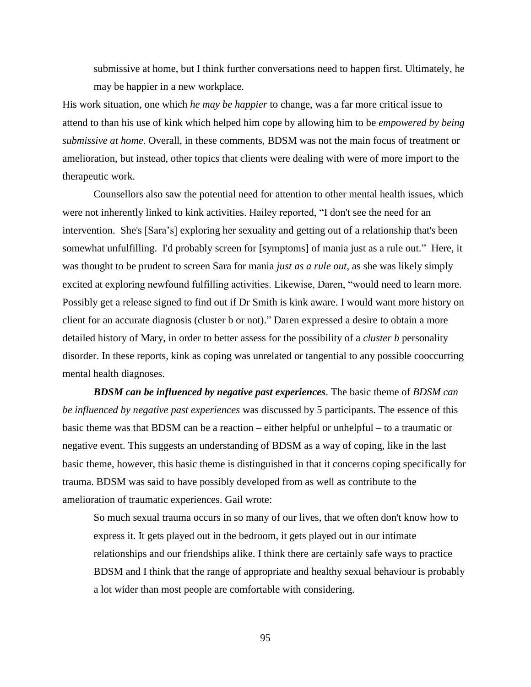submissive at home, but I think further conversations need to happen first. Ultimately, he may be happier in a new workplace.

His work situation, one which *he may be happier* to change, was a far more critical issue to attend to than his use of kink which helped him cope by allowing him to be *empowered by being submissive at home*. Overall, in these comments, BDSM was not the main focus of treatment or amelioration, but instead, other topics that clients were dealing with were of more import to the therapeutic work.

Counsellors also saw the potential need for attention to other mental health issues, which were not inherently linked to kink activities. Hailey reported, "I don't see the need for an intervention. She's [Sara's] exploring her sexuality and getting out of a relationship that's been somewhat unfulfilling. I'd probably screen for [symptoms] of mania just as a rule out." Here, it was thought to be prudent to screen Sara for mania *just as a rule out*, as she was likely simply excited at exploring newfound fulfilling activities. Likewise, Daren, "would need to learn more. Possibly get a release signed to find out if Dr Smith is kink aware. I would want more history on client for an accurate diagnosis (cluster b or not)." Daren expressed a desire to obtain a more detailed history of Mary, in order to better assess for the possibility of a *cluster b* personality disorder. In these reports, kink as coping was unrelated or tangential to any possible cooccurring mental health diagnoses.

*BDSM can be influenced by negative past experiences*. The basic theme of *BDSM can be influenced by negative past experiences* was discussed by 5 participants. The essence of this basic theme was that BDSM can be a reaction – either helpful or unhelpful – to a traumatic or negative event. This suggests an understanding of BDSM as a way of coping, like in the last basic theme, however, this basic theme is distinguished in that it concerns coping specifically for trauma. BDSM was said to have possibly developed from as well as contribute to the amelioration of traumatic experiences. Gail wrote:

So much sexual trauma occurs in so many of our lives, that we often don't know how to express it. It gets played out in the bedroom, it gets played out in our intimate relationships and our friendships alike. I think there are certainly safe ways to practice BDSM and I think that the range of appropriate and healthy sexual behaviour is probably a lot wider than most people are comfortable with considering.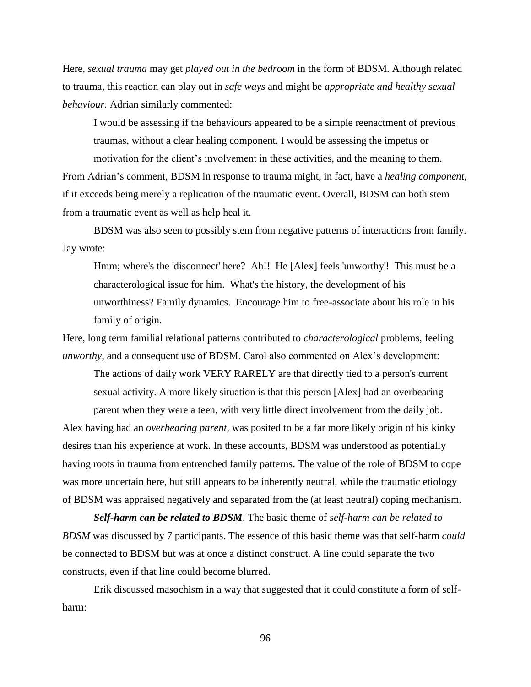Here, *sexual trauma* may get *played out in the bedroom* in the form of BDSM. Although related to trauma, this reaction can play out in *safe ways* and might be *appropriate and healthy sexual behaviour.* Adrian similarly commented:

I would be assessing if the behaviours appeared to be a simple reenactment of previous traumas, without a clear healing component. I would be assessing the impetus or motivation for the client's involvement in these activities, and the meaning to them.

From Adrian's comment, BDSM in response to trauma might, in fact, have a *healing component*, if it exceeds being merely a replication of the traumatic event. Overall, BDSM can both stem from a traumatic event as well as help heal it.

BDSM was also seen to possibly stem from negative patterns of interactions from family. Jay wrote:

Hmm; where's the 'disconnect' here? Ah!! He [Alex] feels 'unworthy'! This must be a characterological issue for him. What's the history, the development of his unworthiness? Family dynamics. Encourage him to free-associate about his role in his family of origin.

Here, long term familial relational patterns contributed to *characterological* problems, feeling *unworthy*, and a consequent use of BDSM. Carol also commented on Alex's development:

The actions of daily work VERY RARELY are that directly tied to a person's current sexual activity. A more likely situation is that this person [Alex] had an overbearing

parent when they were a teen, with very little direct involvement from the daily job. Alex having had an *overbearing parent*, was posited to be a far more likely origin of his kinky desires than his experience at work. In these accounts, BDSM was understood as potentially having roots in trauma from entrenched family patterns. The value of the role of BDSM to cope was more uncertain here, but still appears to be inherently neutral, while the traumatic etiology of BDSM was appraised negatively and separated from the (at least neutral) coping mechanism.

*Self-harm can be related to BDSM*. The basic theme of *self-harm can be related to BDSM* was discussed by 7 participants. The essence of this basic theme was that self-harm *could*  be connected to BDSM but was at once a distinct construct. A line could separate the two constructs, even if that line could become blurred.

Erik discussed masochism in a way that suggested that it could constitute a form of selfharm: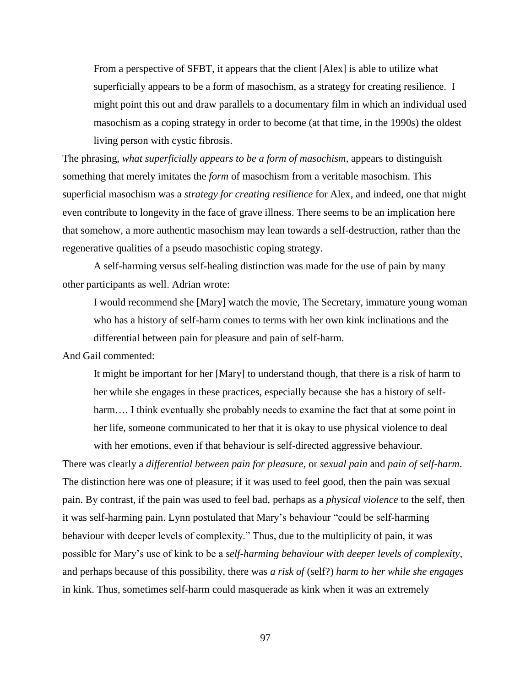From a perspective of SFBT, it appears that the client [Alex] is able to utilize what superficially appears to be a form of masochism, as a strategy for creating resilience. I might point this out and draw parallels to a documentary film in which an individual used masochism as a coping strategy in order to become (at that time, in the 1990s) the oldest living person with cystic fibrosis.

The phrasing, *what superficially appears to be a form of masochism,* appears to distinguish something that merely imitates the *form* of masochism from a veritable masochism. This superficial masochism was a *strategy for creating resilience* for Alex, and indeed, one that might even contribute to longevity in the face of grave illness. There seems to be an implication here that somehow, a more authentic masochism may lean towards a self-destruction, rather than the regenerative qualities of a pseudo masochistic coping strategy.

A self-harming versus self-healing distinction was made for the use of pain by many other participants as well. Adrian wrote:

I would recommend she [Mary] watch the movie, The Secretary, immature young woman who has a history of self-harm comes to terms with her own kink inclinations and the differential between pain for pleasure and pain of self-harm.

And Gail commented:

It might be important for her [Mary] to understand though, that there is a risk of harm to her while she engages in these practices, especially because she has a history of selfharm.... I think eventually she probably needs to examine the fact that at some point in her life, someone communicated to her that it is okay to use physical violence to deal with her emotions, even if that behaviour is self-directed aggressive behaviour.

There was clearly a *differential between pain for pleasure*, or *sexual pain* and *pain of self-harm*. The distinction here was one of pleasure; if it was used to feel good, then the pain was sexual pain. By contrast, if the pain was used to feel bad, perhaps as a *physical violence* to the self, then it was self-harming pain. Lynn postulated that Mary's behaviour "could be self-harming behaviour with deeper levels of complexity." Thus, due to the multiplicity of pain, it was possible for Mary's use of kink to be a *self-harming behaviour with deeper levels of complexity*, and perhaps because of this possibility, there was *a risk of* (self?) *harm to her while she engages* in kink. Thus, sometimes self-harm could masquerade as kink when it was an extremely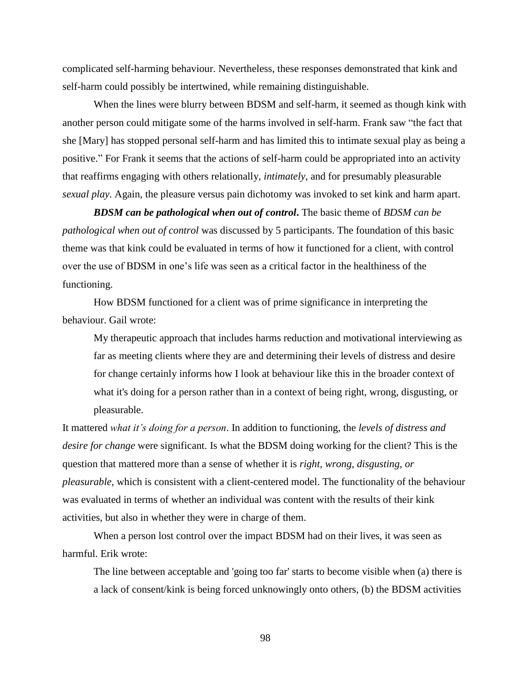complicated self-harming behaviour. Nevertheless, these responses demonstrated that kink and self-harm could possibly be intertwined, while remaining distinguishable.

When the lines were blurry between BDSM and self-harm, it seemed as though kink with another person could mitigate some of the harms involved in self-harm. Frank saw "the fact that she [Mary] has stopped personal self-harm and has limited this to intimate sexual play as being a positive." For Frank it seems that the actions of self-harm could be appropriated into an activity that reaffirms engaging with others relationally, *intimately*, and for presumably pleasurable *sexual play*. Again, the pleasure versus pain dichotomy was invoked to set kink and harm apart.

*BDSM can be pathological when out of control***.** The basic theme of *BDSM can be pathological when out of control* was discussed by 5 participants. The foundation of this basic theme was that kink could be evaluated in terms of how it functioned for a client, with control over the use of BDSM in one's life was seen as a critical factor in the healthiness of the functioning.

How BDSM functioned for a client was of prime significance in interpreting the behaviour. Gail wrote:

My therapeutic approach that includes harms reduction and motivational interviewing as far as meeting clients where they are and determining their levels of distress and desire for change certainly informs how I look at behaviour like this in the broader context of what it's doing for a person rather than in a context of being right, wrong, disgusting, or pleasurable.

It mattered *what it's doing for a person*. In addition to functioning, the *levels of distress and desire for change* were significant. Is what the BDSM doing working for the client? This is the question that mattered more than a sense of whether it is *right, wrong, disgusting, or pleasurable*, which is consistent with a client-centered model. The functionality of the behaviour was evaluated in terms of whether an individual was content with the results of their kink activities, but also in whether they were in charge of them.

When a person lost control over the impact BDSM had on their lives, it was seen as harmful. Erik wrote:

The line between acceptable and 'going too far' starts to become visible when (a) there is a lack of consent/kink is being forced unknowingly onto others, (b) the BDSM activities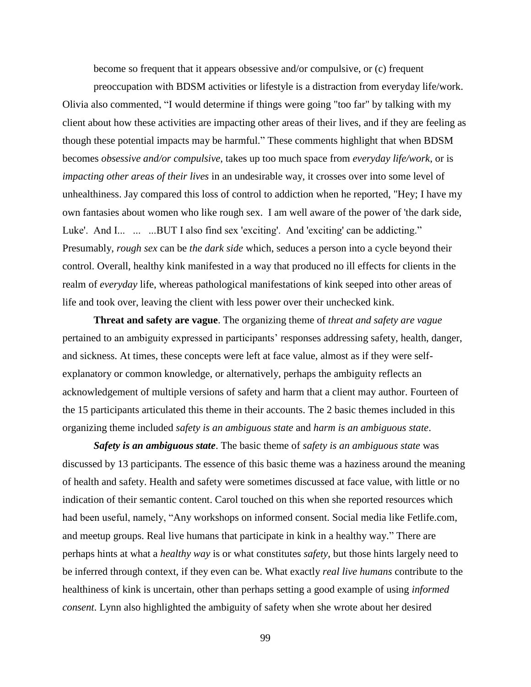become so frequent that it appears obsessive and/or compulsive, or (c) frequent

preoccupation with BDSM activities or lifestyle is a distraction from everyday life/work. Olivia also commented, "I would determine if things were going "too far" by talking with my client about how these activities are impacting other areas of their lives, and if they are feeling as though these potential impacts may be harmful." These comments highlight that when BDSM becomes *obsessive and/or compulsive*, takes up too much space from *everyday life/work*, or is *impacting other areas of their lives* in an undesirable way, it crosses over into some level of unhealthiness. Jay compared this loss of control to addiction when he reported, "Hey; I have my own fantasies about women who like rough sex. I am well aware of the power of 'the dark side, Luke'. And I... ... ...BUT I also find sex 'exciting'. And 'exciting' can be addicting." Presumably, *rough sex* can be *the dark side* which, seduces a person into a cycle beyond their control. Overall, healthy kink manifested in a way that produced no ill effects for clients in the realm of *everyday* life, whereas pathological manifestations of kink seeped into other areas of life and took over, leaving the client with less power over their unchecked kink.

**Threat and safety are vague**. The organizing theme of *threat and safety are vague* pertained to an ambiguity expressed in participants' responses addressing safety, health, danger, and sickness. At times, these concepts were left at face value, almost as if they were selfexplanatory or common knowledge, or alternatively, perhaps the ambiguity reflects an acknowledgement of multiple versions of safety and harm that a client may author. Fourteen of the 15 participants articulated this theme in their accounts. The 2 basic themes included in this organizing theme included *safety is an ambiguous state* and *harm is an ambiguous state*.

*Safety is an ambiguous state*. The basic theme of *safety is an ambiguous state* was discussed by 13 participants. The essence of this basic theme was a haziness around the meaning of health and safety. Health and safety were sometimes discussed at face value, with little or no indication of their semantic content. Carol touched on this when she reported resources which had been useful, namely, "Any workshops on informed consent. Social media like Fetlife.com, and meetup groups. Real live humans that participate in kink in a healthy way." There are perhaps hints at what a *healthy way* is or what constitutes *safety*, but those hints largely need to be inferred through context, if they even can be. What exactly *real live humans* contribute to the healthiness of kink is uncertain, other than perhaps setting a good example of using *informed consent*. Lynn also highlighted the ambiguity of safety when she wrote about her desired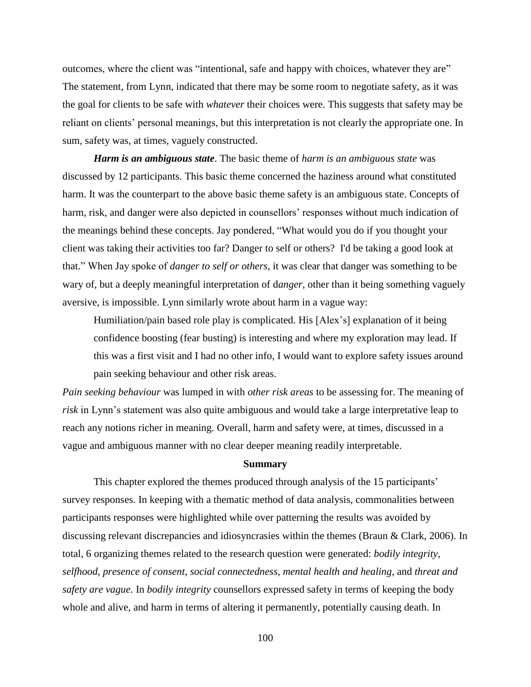outcomes, where the client was "intentional, safe and happy with choices, whatever they are" The statement, from Lynn, indicated that there may be some room to negotiate safety, as it was the goal for clients to be safe with *whatever* their choices were. This suggests that safety may be reliant on clients' personal meanings, but this interpretation is not clearly the appropriate one. In sum, safety was, at times, vaguely constructed.

*Harm is an ambiguous state*. The basic theme of *harm is an ambiguous state* was discussed by 12 participants. This basic theme concerned the haziness around what constituted harm. It was the counterpart to the above basic theme safety is an ambiguous state. Concepts of harm, risk, and danger were also depicted in counsellors' responses without much indication of the meanings behind these concepts. Jay pondered, "What would you do if you thought your client was taking their activities too far? Danger to self or others? I'd be taking a good look at that." When Jay spoke of *danger to self or others*, it was clear that danger was something to be wary of, but a deeply meaningful interpretation of d*anger*, other than it being something vaguely aversive, is impossible. Lynn similarly wrote about harm in a vague way:

Humiliation/pain based role play is complicated. His [Alex's] explanation of it being confidence boosting (fear busting) is interesting and where my exploration may lead. If this was a first visit and I had no other info, I would want to explore safety issues around pain seeking behaviour and other risk areas.

*Pain seeking behaviour* was lumped in with *other risk areas* to be assessing for. The meaning of *risk* in Lynn's statement was also quite ambiguous and would take a large interpretative leap to reach any notions richer in meaning. Overall, harm and safety were, at times, discussed in a vague and ambiguous manner with no clear deeper meaning readily interpretable.

### **Summary**

This chapter explored the themes produced through analysis of the 15 participants' survey responses. In keeping with a thematic method of data analysis, commonalities between participants responses were highlighted while over patterning the results was avoided by discussing relevant discrepancies and idiosyncrasies within the themes (Braun & Clark, 2006). In total, 6 organizing themes related to the research question were generated: *bodily integrity*, *selfhood*, *presence of consent*, *social connectedness*, *mental health and healing*, and *threat and safety are vague*. In *bodily integrity* counsellors expressed safety in terms of keeping the body whole and alive, and harm in terms of altering it permanently, potentially causing death. In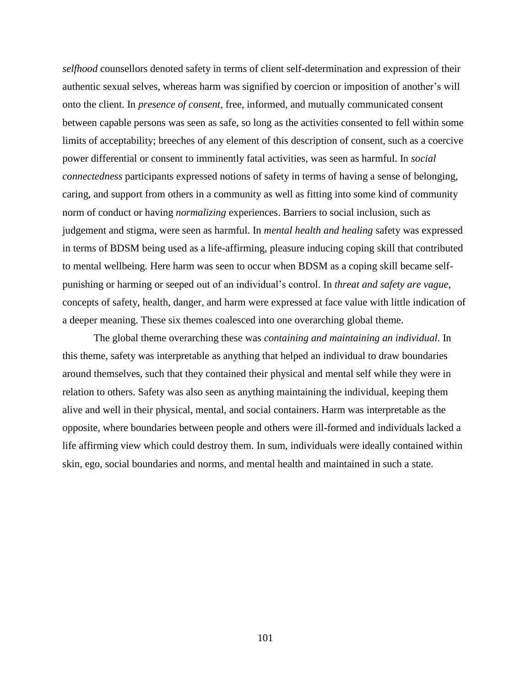*selfhood* counsellors denoted safety in terms of client self-determination and expression of their authentic sexual selves, whereas harm was signified by coercion or imposition of another's will onto the client. In *presence of consent*, free, informed, and mutually communicated consent between capable persons was seen as safe, so long as the activities consented to fell within some limits of acceptability; breeches of any element of this description of consent, such as a coercive power differential or consent to imminently fatal activities, was seen as harmful. In *social connectedness* participants expressed notions of safety in terms of having a sense of belonging, caring, and support from others in a community as well as fitting into some kind of community norm of conduct or having *normalizing* experiences. Barriers to social inclusion, such as judgement and stigma, were seen as harmful. In *mental health and healing* safety was expressed in terms of BDSM being used as a life-affirming, pleasure inducing coping skill that contributed to mental wellbeing. Here harm was seen to occur when BDSM as a coping skill became selfpunishing or harming or seeped out of an individual's control. In *threat and safety are vague*, concepts of safety, health, danger, and harm were expressed at face value with little indication of a deeper meaning. These six themes coalesced into one overarching global theme.

The global theme overarching these was *containing and maintaining an individual*. In this theme, safety was interpretable as anything that helped an individual to draw boundaries around themselves, such that they contained their physical and mental self while they were in relation to others. Safety was also seen as anything maintaining the individual, keeping them alive and well in their physical, mental, and social containers. Harm was interpretable as the opposite, where boundaries between people and others were ill-formed and individuals lacked a life affirming view which could destroy them. In sum, individuals were ideally contained within skin, ego, social boundaries and norms, and mental health and maintained in such a state.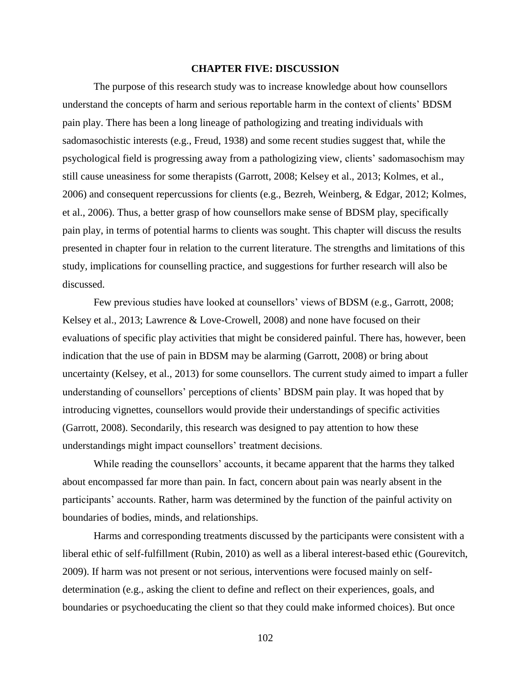### **CHAPTER FIVE: DISCUSSION**

The purpose of this research study was to increase knowledge about how counsellors understand the concepts of harm and serious reportable harm in the context of clients' BDSM pain play. There has been a long lineage of pathologizing and treating individuals with sadomasochistic interests (e.g., Freud, 1938) and some recent studies suggest that, while the psychological field is progressing away from a pathologizing view, clients' sadomasochism may still cause uneasiness for some therapists (Garrott, 2008; Kelsey et al., 2013; Kolmes, et al., 2006) and consequent repercussions for clients (e.g., Bezreh, Weinberg, & Edgar, 2012; Kolmes, et al., 2006). Thus, a better grasp of how counsellors make sense of BDSM play, specifically pain play, in terms of potential harms to clients was sought. This chapter will discuss the results presented in chapter four in relation to the current literature. The strengths and limitations of this study, implications for counselling practice, and suggestions for further research will also be discussed.

Few previous studies have looked at counsellors' views of BDSM (e.g., Garrott, 2008; Kelsey et al., 2013; Lawrence & Love-Crowell, 2008) and none have focused on their evaluations of specific play activities that might be considered painful. There has, however, been indication that the use of pain in BDSM may be alarming (Garrott, 2008) or bring about uncertainty (Kelsey, et al., 2013) for some counsellors. The current study aimed to impart a fuller understanding of counsellors' perceptions of clients' BDSM pain play. It was hoped that by introducing vignettes, counsellors would provide their understandings of specific activities (Garrott, 2008). Secondarily, this research was designed to pay attention to how these understandings might impact counsellors' treatment decisions.

While reading the counsellors' accounts, it became apparent that the harms they talked about encompassed far more than pain. In fact, concern about pain was nearly absent in the participants' accounts. Rather, harm was determined by the function of the painful activity on boundaries of bodies, minds, and relationships.

Harms and corresponding treatments discussed by the participants were consistent with a liberal ethic of self-fulfillment (Rubin, 2010) as well as a liberal interest-based ethic (Gourevitch, 2009). If harm was not present or not serious, interventions were focused mainly on selfdetermination (e.g., asking the client to define and reflect on their experiences, goals, and boundaries or psychoeducating the client so that they could make informed choices). But once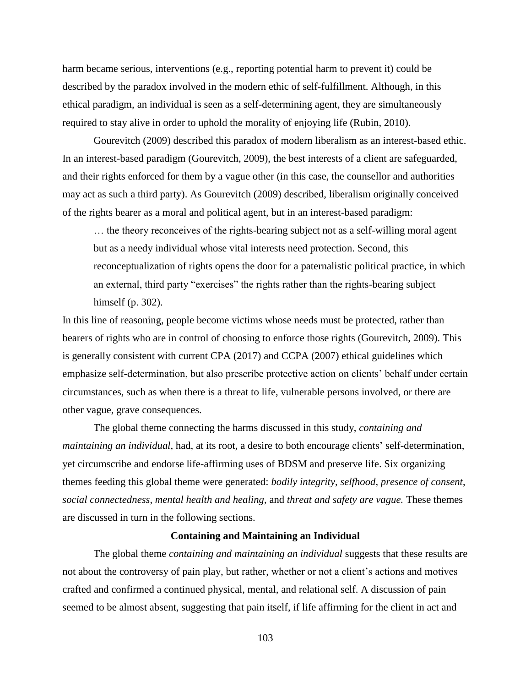harm became serious, interventions (e.g., reporting potential harm to prevent it) could be described by the paradox involved in the modern ethic of self-fulfillment. Although, in this ethical paradigm, an individual is seen as a self-determining agent, they are simultaneously required to stay alive in order to uphold the morality of enjoying life (Rubin, 2010).

Gourevitch (2009) described this paradox of modern liberalism as an interest-based ethic. In an interest-based paradigm (Gourevitch, 2009), the best interests of a client are safeguarded, and their rights enforced for them by a vague other (in this case, the counsellor and authorities may act as such a third party). As Gourevitch (2009) described, liberalism originally conceived of the rights bearer as a moral and political agent, but in an interest-based paradigm:

… the theory reconceives of the rights-bearing subject not as a self-willing moral agent but as a needy individual whose vital interests need protection. Second, this reconceptualization of rights opens the door for a paternalistic political practice, in which an external, third party "exercises" the rights rather than the rights-bearing subject himself (p. 302).

In this line of reasoning, people become victims whose needs must be protected, rather than bearers of rights who are in control of choosing to enforce those rights (Gourevitch, 2009). This is generally consistent with current CPA (2017) and CCPA (2007) ethical guidelines which emphasize self-determination, but also prescribe protective action on clients' behalf under certain circumstances, such as when there is a threat to life, vulnerable persons involved, or there are other vague, grave consequences.

The global theme connecting the harms discussed in this study, *containing and maintaining an individual*, had, at its root, a desire to both encourage clients' self-determination, yet circumscribe and endorse life-affirming uses of BDSM and preserve life. Six organizing themes feeding this global theme were generated: *bodily integrity*, *selfhood*, *presence of consent*, *social connectedness*, *mental health and healing*, and *threat and safety are vague.* These themes are discussed in turn in the following sections.

### **Containing and Maintaining an Individual**

The global theme *containing and maintaining an individual* suggests that these results are not about the controversy of pain play, but rather, whether or not a client's actions and motives crafted and confirmed a continued physical, mental, and relational self. A discussion of pain seemed to be almost absent, suggesting that pain itself, if life affirming for the client in act and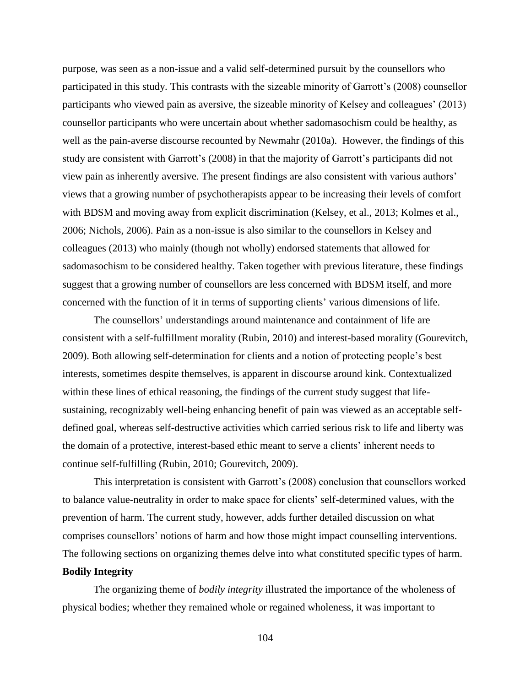purpose, was seen as a non-issue and a valid self-determined pursuit by the counsellors who participated in this study. This contrasts with the sizeable minority of Garrott's (2008) counsellor participants who viewed pain as aversive, the sizeable minority of Kelsey and colleagues' (2013) counsellor participants who were uncertain about whether sadomasochism could be healthy, as well as the pain-averse discourse recounted by Newmahr (2010a). However, the findings of this study are consistent with Garrott's (2008) in that the majority of Garrott's participants did not view pain as inherently aversive. The present findings are also consistent with various authors' views that a growing number of psychotherapists appear to be increasing their levels of comfort with BDSM and moving away from explicit discrimination (Kelsey, et al., 2013; Kolmes et al., 2006; Nichols, 2006). Pain as a non-issue is also similar to the counsellors in Kelsey and colleagues (2013) who mainly (though not wholly) endorsed statements that allowed for sadomasochism to be considered healthy. Taken together with previous literature, these findings suggest that a growing number of counsellors are less concerned with BDSM itself, and more concerned with the function of it in terms of supporting clients' various dimensions of life.

The counsellors' understandings around maintenance and containment of life are consistent with a self-fulfillment morality (Rubin, 2010) and interest-based morality (Gourevitch, 2009). Both allowing self-determination for clients and a notion of protecting people's best interests, sometimes despite themselves, is apparent in discourse around kink. Contextualized within these lines of ethical reasoning, the findings of the current study suggest that lifesustaining, recognizably well-being enhancing benefit of pain was viewed as an acceptable selfdefined goal, whereas self-destructive activities which carried serious risk to life and liberty was the domain of a protective, interest-based ethic meant to serve a clients' inherent needs to continue self-fulfilling (Rubin, 2010; Gourevitch, 2009).

This interpretation is consistent with Garrott's (2008) conclusion that counsellors worked to balance value-neutrality in order to make space for clients' self-determined values, with the prevention of harm. The current study, however, adds further detailed discussion on what comprises counsellors' notions of harm and how those might impact counselling interventions. The following sections on organizing themes delve into what constituted specific types of harm.

# **Bodily Integrity**

The organizing theme of *bodily integrity* illustrated the importance of the wholeness of physical bodies; whether they remained whole or regained wholeness, it was important to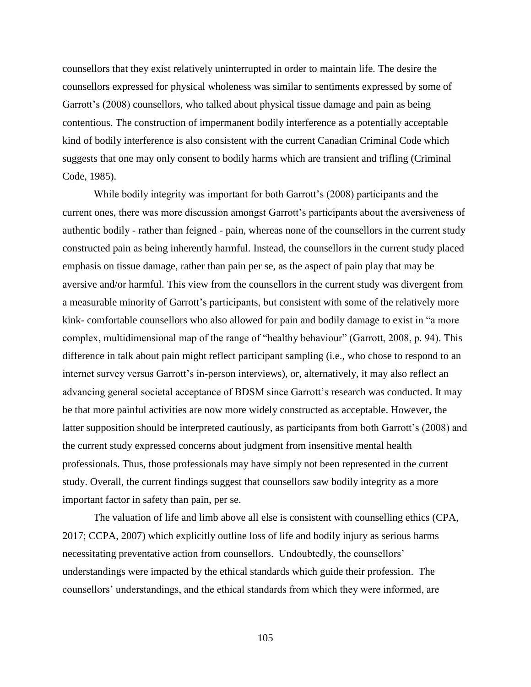counsellors that they exist relatively uninterrupted in order to maintain life. The desire the counsellors expressed for physical wholeness was similar to sentiments expressed by some of Garrott's (2008) counsellors, who talked about physical tissue damage and pain as being contentious. The construction of impermanent bodily interference as a potentially acceptable kind of bodily interference is also consistent with the current Canadian Criminal Code which suggests that one may only consent to bodily harms which are transient and trifling (Criminal Code, 1985).

While bodily integrity was important for both Garrott's (2008) participants and the current ones, there was more discussion amongst Garrott's participants about the aversiveness of authentic bodily - rather than feigned - pain, whereas none of the counsellors in the current study constructed pain as being inherently harmful. Instead, the counsellors in the current study placed emphasis on tissue damage, rather than pain per se, as the aspect of pain play that may be aversive and/or harmful. This view from the counsellors in the current study was divergent from a measurable minority of Garrott's participants, but consistent with some of the relatively more kink- comfortable counsellors who also allowed for pain and bodily damage to exist in "a more complex, multidimensional map of the range of "healthy behaviour" (Garrott, 2008, p. 94). This difference in talk about pain might reflect participant sampling (i.e., who chose to respond to an internet survey versus Garrott's in-person interviews), or, alternatively, it may also reflect an advancing general societal acceptance of BDSM since Garrott's research was conducted. It may be that more painful activities are now more widely constructed as acceptable. However, the latter supposition should be interpreted cautiously, as participants from both Garrott's (2008) and the current study expressed concerns about judgment from insensitive mental health professionals. Thus, those professionals may have simply not been represented in the current study. Overall, the current findings suggest that counsellors saw bodily integrity as a more important factor in safety than pain, per se.

The valuation of life and limb above all else is consistent with counselling ethics (CPA, 2017; CCPA, 2007) which explicitly outline loss of life and bodily injury as serious harms necessitating preventative action from counsellors. Undoubtedly, the counsellors' understandings were impacted by the ethical standards which guide their profession. The counsellors' understandings, and the ethical standards from which they were informed, are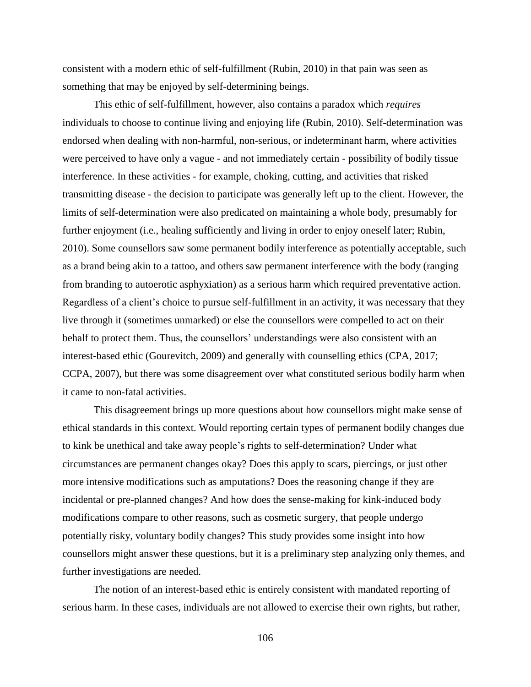consistent with a modern ethic of self-fulfillment (Rubin, 2010) in that pain was seen as something that may be enjoyed by self-determining beings.

This ethic of self-fulfillment, however, also contains a paradox which *requires* individuals to choose to continue living and enjoying life (Rubin, 2010). Self-determination was endorsed when dealing with non-harmful, non-serious, or indeterminant harm, where activities were perceived to have only a vague - and not immediately certain - possibility of bodily tissue interference. In these activities - for example, choking, cutting, and activities that risked transmitting disease - the decision to participate was generally left up to the client. However, the limits of self-determination were also predicated on maintaining a whole body, presumably for further enjoyment (i.e., healing sufficiently and living in order to enjoy oneself later; Rubin, 2010). Some counsellors saw some permanent bodily interference as potentially acceptable, such as a brand being akin to a tattoo, and others saw permanent interference with the body (ranging from branding to autoerotic asphyxiation) as a serious harm which required preventative action. Regardless of a client's choice to pursue self-fulfillment in an activity, it was necessary that they live through it (sometimes unmarked) or else the counsellors were compelled to act on their behalf to protect them. Thus, the counsellors' understandings were also consistent with an interest-based ethic (Gourevitch, 2009) and generally with counselling ethics (CPA, 2017; CCPA, 2007), but there was some disagreement over what constituted serious bodily harm when it came to non-fatal activities.

This disagreement brings up more questions about how counsellors might make sense of ethical standards in this context. Would reporting certain types of permanent bodily changes due to kink be unethical and take away people's rights to self-determination? Under what circumstances are permanent changes okay? Does this apply to scars, piercings, or just other more intensive modifications such as amputations? Does the reasoning change if they are incidental or pre-planned changes? And how does the sense-making for kink-induced body modifications compare to other reasons, such as cosmetic surgery, that people undergo potentially risky, voluntary bodily changes? This study provides some insight into how counsellors might answer these questions, but it is a preliminary step analyzing only themes, and further investigations are needed.

The notion of an interest-based ethic is entirely consistent with mandated reporting of serious harm. In these cases, individuals are not allowed to exercise their own rights, but rather,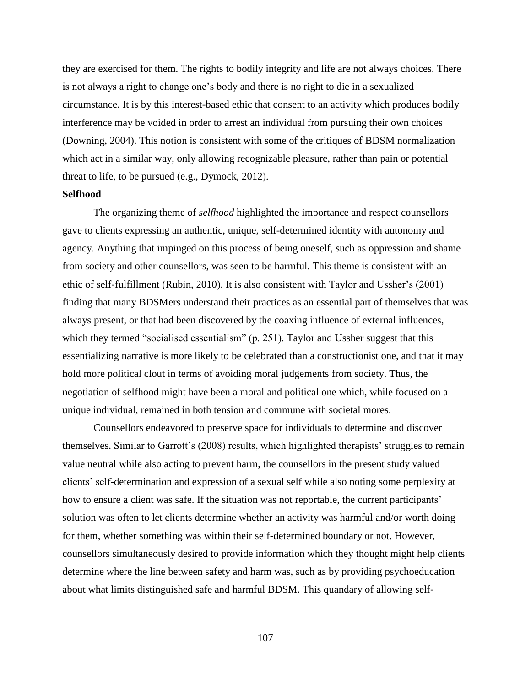they are exercised for them. The rights to bodily integrity and life are not always choices. There is not always a right to change one's body and there is no right to die in a sexualized circumstance. It is by this interest-based ethic that consent to an activity which produces bodily interference may be voided in order to arrest an individual from pursuing their own choices (Downing, 2004). This notion is consistent with some of the critiques of BDSM normalization which act in a similar way, only allowing recognizable pleasure, rather than pain or potential threat to life, to be pursued (e.g., Dymock, 2012).

### **Selfhood**

The organizing theme of *selfhood* highlighted the importance and respect counsellors gave to clients expressing an authentic, unique, self-determined identity with autonomy and agency. Anything that impinged on this process of being oneself, such as oppression and shame from society and other counsellors, was seen to be harmful. This theme is consistent with an ethic of self-fulfillment (Rubin, 2010). It is also consistent with Taylor and Ussher's (2001) finding that many BDSMers understand their practices as an essential part of themselves that was always present, or that had been discovered by the coaxing influence of external influences, which they termed "socialised essentialism" (p. 251). Taylor and Ussher suggest that this essentializing narrative is more likely to be celebrated than a constructionist one, and that it may hold more political clout in terms of avoiding moral judgements from society. Thus, the negotiation of selfhood might have been a moral and political one which, while focused on a unique individual, remained in both tension and commune with societal mores.

Counsellors endeavored to preserve space for individuals to determine and discover themselves. Similar to Garrott's (2008) results, which highlighted therapists' struggles to remain value neutral while also acting to prevent harm, the counsellors in the present study valued clients' self-determination and expression of a sexual self while also noting some perplexity at how to ensure a client was safe. If the situation was not reportable, the current participants' solution was often to let clients determine whether an activity was harmful and/or worth doing for them, whether something was within their self-determined boundary or not. However, counsellors simultaneously desired to provide information which they thought might help clients determine where the line between safety and harm was, such as by providing psychoeducation about what limits distinguished safe and harmful BDSM. This quandary of allowing self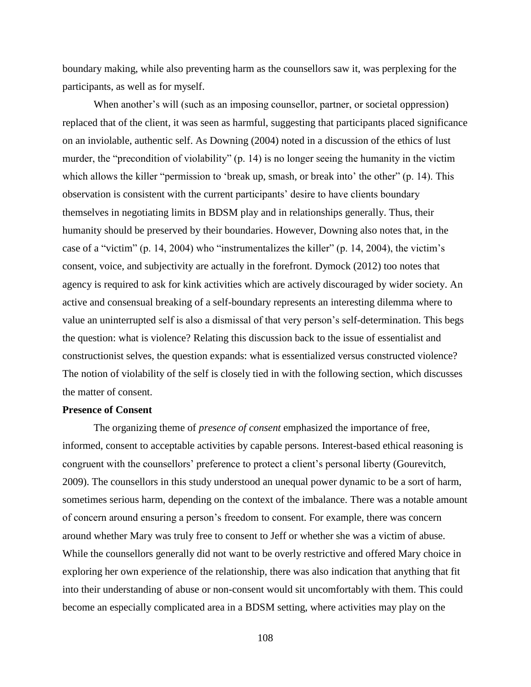boundary making, while also preventing harm as the counsellors saw it, was perplexing for the participants, as well as for myself.

When another's will (such as an imposing counsellor, partner, or societal oppression) replaced that of the client, it was seen as harmful, suggesting that participants placed significance on an inviolable, authentic self. As Downing (2004) noted in a discussion of the ethics of lust murder, the "precondition of violability" (p. 14) is no longer seeing the humanity in the victim which allows the killer "permission to 'break up, smash, or break into' the other" (p. 14). This observation is consistent with the current participants' desire to have clients boundary themselves in negotiating limits in BDSM play and in relationships generally. Thus, their humanity should be preserved by their boundaries. However, Downing also notes that, in the case of a "victim" (p. 14, 2004) who "instrumentalizes the killer" (p. 14, 2004), the victim's consent, voice, and subjectivity are actually in the forefront. Dymock (2012) too notes that agency is required to ask for kink activities which are actively discouraged by wider society. An active and consensual breaking of a self-boundary represents an interesting dilemma where to value an uninterrupted self is also a dismissal of that very person's self-determination. This begs the question: what is violence? Relating this discussion back to the issue of essentialist and constructionist selves, the question expands: what is essentialized versus constructed violence? The notion of violability of the self is closely tied in with the following section, which discusses the matter of consent.

### **Presence of Consent**

The organizing theme of *presence of consent* emphasized the importance of free, informed, consent to acceptable activities by capable persons. Interest-based ethical reasoning is congruent with the counsellors' preference to protect a client's personal liberty (Gourevitch, 2009). The counsellors in this study understood an unequal power dynamic to be a sort of harm, sometimes serious harm, depending on the context of the imbalance. There was a notable amount of concern around ensuring a person's freedom to consent. For example, there was concern around whether Mary was truly free to consent to Jeff or whether she was a victim of abuse. While the counsellors generally did not want to be overly restrictive and offered Mary choice in exploring her own experience of the relationship, there was also indication that anything that fit into their understanding of abuse or non-consent would sit uncomfortably with them. This could become an especially complicated area in a BDSM setting, where activities may play on the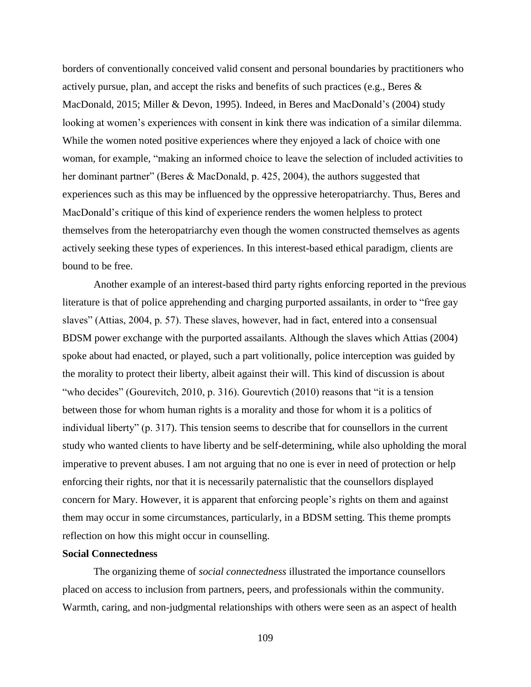borders of conventionally conceived valid consent and personal boundaries by practitioners who actively pursue, plan, and accept the risks and benefits of such practices (e.g., Beres & MacDonald, 2015; Miller & Devon, 1995). Indeed, in Beres and MacDonald's (2004) study looking at women's experiences with consent in kink there was indication of a similar dilemma. While the women noted positive experiences where they enjoyed a lack of choice with one woman, for example, "making an informed choice to leave the selection of included activities to her dominant partner" (Beres & MacDonald, p. 425, 2004), the authors suggested that experiences such as this may be influenced by the oppressive heteropatriarchy. Thus, Beres and MacDonald's critique of this kind of experience renders the women helpless to protect themselves from the heteropatriarchy even though the women constructed themselves as agents actively seeking these types of experiences. In this interest-based ethical paradigm, clients are bound to be free.

Another example of an interest-based third party rights enforcing reported in the previous literature is that of police apprehending and charging purported assailants, in order to "free gay slaves" (Attias, 2004, p. 57). These slaves, however, had in fact, entered into a consensual BDSM power exchange with the purported assailants. Although the slaves which Attias (2004) spoke about had enacted, or played, such a part volitionally, police interception was guided by the morality to protect their liberty, albeit against their will. This kind of discussion is about "who decides" (Gourevitch, 2010, p. 316). Gourevtich (2010) reasons that "it is a tension between those for whom human rights is a morality and those for whom it is a politics of individual liberty" (p. 317). This tension seems to describe that for counsellors in the current study who wanted clients to have liberty and be self-determining, while also upholding the moral imperative to prevent abuses. I am not arguing that no one is ever in need of protection or help enforcing their rights, nor that it is necessarily paternalistic that the counsellors displayed concern for Mary. However, it is apparent that enforcing people's rights on them and against them may occur in some circumstances, particularly, in a BDSM setting. This theme prompts reflection on how this might occur in counselling.

## **Social Connectedness**

The organizing theme of *social connectedness* illustrated the importance counsellors placed on access to inclusion from partners, peers, and professionals within the community. Warmth, caring, and non-judgmental relationships with others were seen as an aspect of health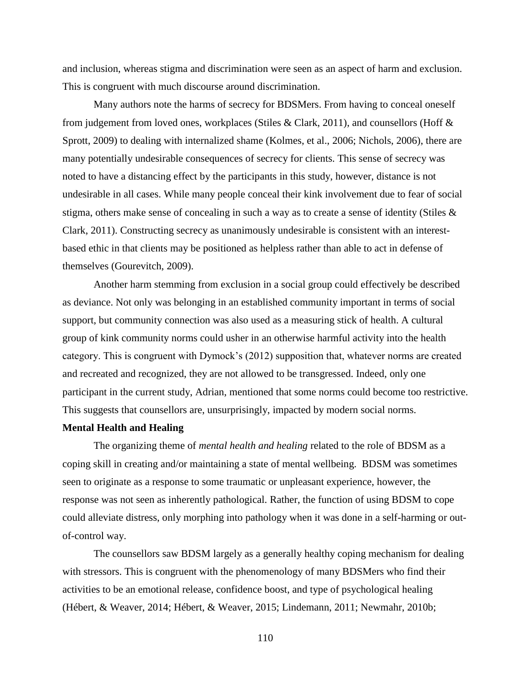and inclusion, whereas stigma and discrimination were seen as an aspect of harm and exclusion. This is congruent with much discourse around discrimination.

Many authors note the harms of secrecy for BDSMers. From having to conceal oneself from judgement from loved ones, workplaces (Stiles & Clark, 2011), and counsellors (Hoff & Sprott, 2009) to dealing with internalized shame (Kolmes, et al., 2006; Nichols, 2006), there are many potentially undesirable consequences of secrecy for clients. This sense of secrecy was noted to have a distancing effect by the participants in this study, however, distance is not undesirable in all cases. While many people conceal their kink involvement due to fear of social stigma, others make sense of concealing in such a way as to create a sense of identity (Stiles & Clark, 2011). Constructing secrecy as unanimously undesirable is consistent with an interestbased ethic in that clients may be positioned as helpless rather than able to act in defense of themselves (Gourevitch, 2009).

Another harm stemming from exclusion in a social group could effectively be described as deviance. Not only was belonging in an established community important in terms of social support, but community connection was also used as a measuring stick of health. A cultural group of kink community norms could usher in an otherwise harmful activity into the health category. This is congruent with Dymock's (2012) supposition that, whatever norms are created and recreated and recognized, they are not allowed to be transgressed. Indeed, only one participant in the current study, Adrian, mentioned that some norms could become too restrictive. This suggests that counsellors are, unsurprisingly, impacted by modern social norms.

### **Mental Health and Healing**

The organizing theme of *mental health and healing* related to the role of BDSM as a coping skill in creating and/or maintaining a state of mental wellbeing. BDSM was sometimes seen to originate as a response to some traumatic or unpleasant experience, however, the response was not seen as inherently pathological. Rather, the function of using BDSM to cope could alleviate distress, only morphing into pathology when it was done in a self-harming or outof-control way.

The counsellors saw BDSM largely as a generally healthy coping mechanism for dealing with stressors. This is congruent with the phenomenology of many BDSMers who find their activities to be an emotional release, confidence boost, and type of psychological healing (Hébert, & Weaver, 2014; Hébert, & Weaver, 2015; Lindemann, 2011; Newmahr, 2010b;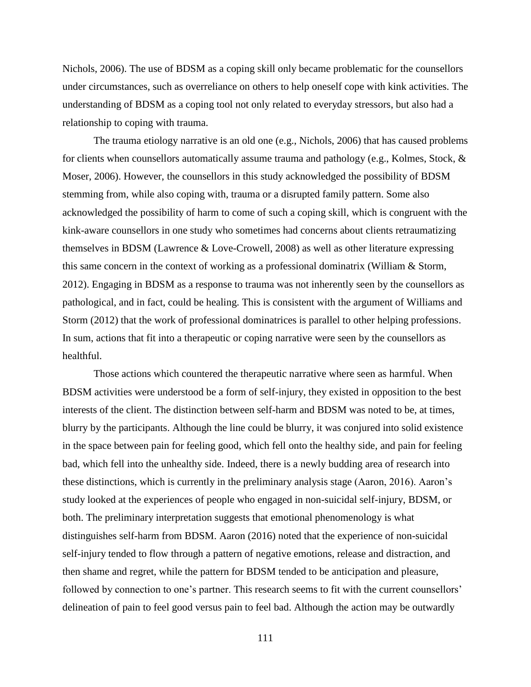Nichols, 2006). The use of BDSM as a coping skill only became problematic for the counsellors under circumstances, such as overreliance on others to help oneself cope with kink activities. The understanding of BDSM as a coping tool not only related to everyday stressors, but also had a relationship to coping with trauma.

The trauma etiology narrative is an old one (e.g., Nichols, 2006) that has caused problems for clients when counsellors automatically assume trauma and pathology (e.g., Kolmes, Stock, & Moser, 2006). However, the counsellors in this study acknowledged the possibility of BDSM stemming from, while also coping with, trauma or a disrupted family pattern. Some also acknowledged the possibility of harm to come of such a coping skill, which is congruent with the kink-aware counsellors in one study who sometimes had concerns about clients retraumatizing themselves in BDSM (Lawrence & Love-Crowell, 2008) as well as other literature expressing this same concern in the context of working as a professional dominatrix (William & Storm, 2012). Engaging in BDSM as a response to trauma was not inherently seen by the counsellors as pathological, and in fact, could be healing. This is consistent with the argument of Williams and Storm (2012) that the work of professional dominatrices is parallel to other helping professions. In sum, actions that fit into a therapeutic or coping narrative were seen by the counsellors as healthful.

Those actions which countered the therapeutic narrative where seen as harmful. When BDSM activities were understood be a form of self-injury, they existed in opposition to the best interests of the client. The distinction between self-harm and BDSM was noted to be, at times, blurry by the participants. Although the line could be blurry, it was conjured into solid existence in the space between pain for feeling good, which fell onto the healthy side, and pain for feeling bad, which fell into the unhealthy side. Indeed, there is a newly budding area of research into these distinctions, which is currently in the preliminary analysis stage (Aaron, 2016). Aaron's study looked at the experiences of people who engaged in non-suicidal self-injury, BDSM, or both. The preliminary interpretation suggests that emotional phenomenology is what distinguishes self-harm from BDSM. Aaron (2016) noted that the experience of non-suicidal self-injury tended to flow through a pattern of negative emotions, release and distraction, and then shame and regret, while the pattern for BDSM tended to be anticipation and pleasure, followed by connection to one's partner. This research seems to fit with the current counsellors' delineation of pain to feel good versus pain to feel bad. Although the action may be outwardly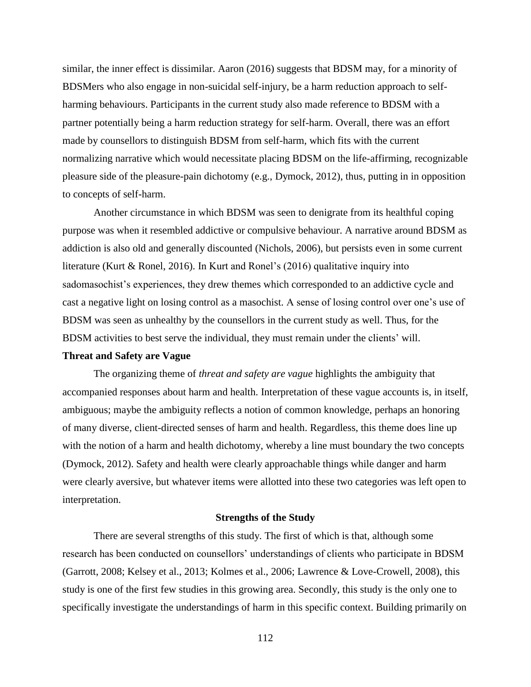similar, the inner effect is dissimilar. Aaron (2016) suggests that BDSM may, for a minority of BDSMers who also engage in non-suicidal self-injury, be a harm reduction approach to selfharming behaviours. Participants in the current study also made reference to BDSM with a partner potentially being a harm reduction strategy for self-harm. Overall, there was an effort made by counsellors to distinguish BDSM from self-harm, which fits with the current normalizing narrative which would necessitate placing BDSM on the life-affirming, recognizable pleasure side of the pleasure-pain dichotomy (e.g., Dymock, 2012), thus, putting in in opposition to concepts of self-harm.

Another circumstance in which BDSM was seen to denigrate from its healthful coping purpose was when it resembled addictive or compulsive behaviour. A narrative around BDSM as addiction is also old and generally discounted (Nichols, 2006), but persists even in some current literature (Kurt & Ronel, 2016). In Kurt and Ronel's (2016) qualitative inquiry into sadomasochist's experiences, they drew themes which corresponded to an addictive cycle and cast a negative light on losing control as a masochist. A sense of losing control over one's use of BDSM was seen as unhealthy by the counsellors in the current study as well. Thus, for the BDSM activities to best serve the individual, they must remain under the clients' will.

### **Threat and Safety are Vague**

The organizing theme of *threat and safety are vague* highlights the ambiguity that accompanied responses about harm and health. Interpretation of these vague accounts is, in itself, ambiguous; maybe the ambiguity reflects a notion of common knowledge, perhaps an honoring of many diverse, client-directed senses of harm and health. Regardless, this theme does line up with the notion of a harm and health dichotomy, whereby a line must boundary the two concepts (Dymock, 2012). Safety and health were clearly approachable things while danger and harm were clearly aversive, but whatever items were allotted into these two categories was left open to interpretation.

#### **Strengths of the Study**

There are several strengths of this study. The first of which is that, although some research has been conducted on counsellors' understandings of clients who participate in BDSM (Garrott, 2008; Kelsey et al., 2013; Kolmes et al., 2006; Lawrence & Love-Crowell, 2008), this study is one of the first few studies in this growing area. Secondly, this study is the only one to specifically investigate the understandings of harm in this specific context. Building primarily on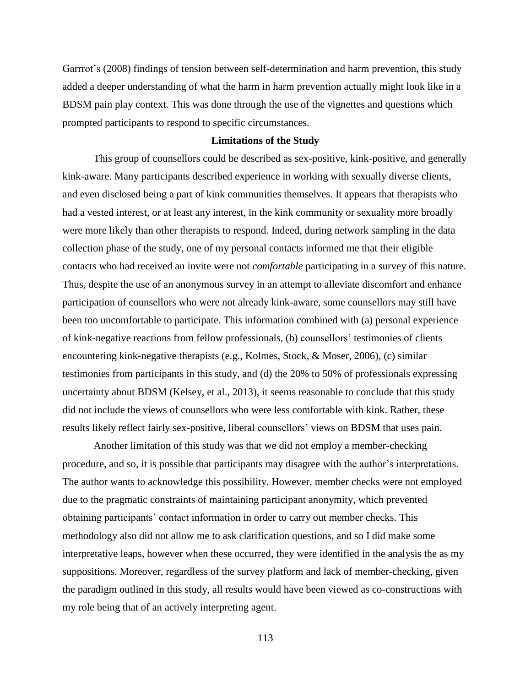Garrrot's (2008) findings of tension between self-determination and harm prevention, this study added a deeper understanding of what the harm in harm prevention actually might look like in a BDSM pain play context. This was done through the use of the vignettes and questions which prompted participants to respond to specific circumstances.

## **Limitations of the Study**

This group of counsellors could be described as sex-positive, kink-positive, and generally kink-aware. Many participants described experience in working with sexually diverse clients, and even disclosed being a part of kink communities themselves. It appears that therapists who had a vested interest, or at least any interest, in the kink community or sexuality more broadly were more likely than other therapists to respond. Indeed, during network sampling in the data collection phase of the study, one of my personal contacts informed me that their eligible contacts who had received an invite were not *comfortable* participating in a survey of this nature. Thus, despite the use of an anonymous survey in an attempt to alleviate discomfort and enhance participation of counsellors who were not already kink-aware, some counsellors may still have been too uncomfortable to participate. This information combined with (a) personal experience of kink-negative reactions from fellow professionals, (b) counsellors' testimonies of clients encountering kink-negative therapists (e.g., Kolmes, Stock, & Moser, 2006), (c) similar testimonies from participants in this study, and (d) the 20% to 50% of professionals expressing uncertainty about BDSM (Kelsey, et al., 2013), it seems reasonable to conclude that this study did not include the views of counsellors who were less comfortable with kink. Rather, these results likely reflect fairly sex-positive, liberal counsellors' views on BDSM that uses pain.

Another limitation of this study was that we did not employ a member-checking procedure, and so, it is possible that participants may disagree with the author's interpretations. The author wants to acknowledge this possibility. However, member checks were not employed due to the pragmatic constraints of maintaining participant anonymity, which prevented obtaining participants' contact information in order to carry out member checks. This methodology also did not allow me to ask clarification questions, and so I did make some interpretative leaps, however when these occurred, they were identified in the analysis the as my suppositions. Moreover, regardless of the survey platform and lack of member-checking, given the paradigm outlined in this study, all results would have been viewed as co-constructions with my role being that of an actively interpreting agent.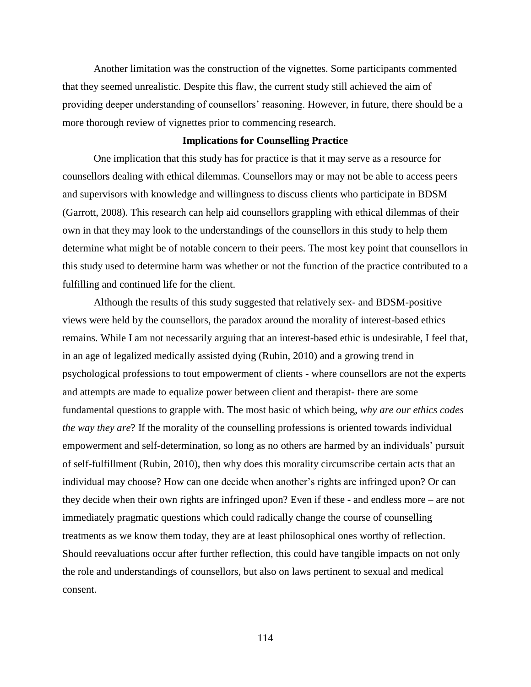Another limitation was the construction of the vignettes. Some participants commented that they seemed unrealistic. Despite this flaw, the current study still achieved the aim of providing deeper understanding of counsellors' reasoning. However, in future, there should be a more thorough review of vignettes prior to commencing research.

### **Implications for Counselling Practice**

One implication that this study has for practice is that it may serve as a resource for counsellors dealing with ethical dilemmas. Counsellors may or may not be able to access peers and supervisors with knowledge and willingness to discuss clients who participate in BDSM (Garrott, 2008). This research can help aid counsellors grappling with ethical dilemmas of their own in that they may look to the understandings of the counsellors in this study to help them determine what might be of notable concern to their peers. The most key point that counsellors in this study used to determine harm was whether or not the function of the practice contributed to a fulfilling and continued life for the client.

Although the results of this study suggested that relatively sex- and BDSM-positive views were held by the counsellors, the paradox around the morality of interest-based ethics remains. While I am not necessarily arguing that an interest-based ethic is undesirable, I feel that, in an age of legalized medically assisted dying (Rubin, 2010) and a growing trend in psychological professions to tout empowerment of clients - where counsellors are not the experts and attempts are made to equalize power between client and therapist- there are some fundamental questions to grapple with. The most basic of which being, *why are our ethics codes the way they are*? If the morality of the counselling professions is oriented towards individual empowerment and self-determination, so long as no others are harmed by an individuals' pursuit of self-fulfillment (Rubin, 2010), then why does this morality circumscribe certain acts that an individual may choose? How can one decide when another's rights are infringed upon? Or can they decide when their own rights are infringed upon? Even if these - and endless more – are not immediately pragmatic questions which could radically change the course of counselling treatments as we know them today, they are at least philosophical ones worthy of reflection. Should reevaluations occur after further reflection, this could have tangible impacts on not only the role and understandings of counsellors, but also on laws pertinent to sexual and medical consent.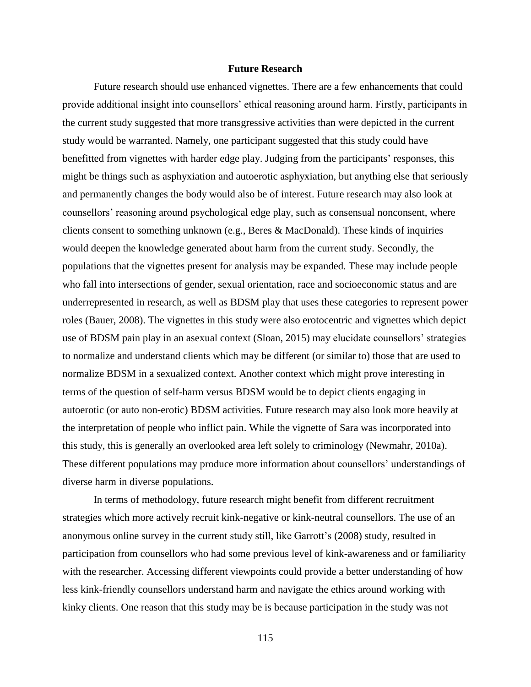### **Future Research**

Future research should use enhanced vignettes. There are a few enhancements that could provide additional insight into counsellors' ethical reasoning around harm. Firstly, participants in the current study suggested that more transgressive activities than were depicted in the current study would be warranted. Namely, one participant suggested that this study could have benefitted from vignettes with harder edge play. Judging from the participants' responses, this might be things such as asphyxiation and autoerotic asphyxiation, but anything else that seriously and permanently changes the body would also be of interest. Future research may also look at counsellors' reasoning around psychological edge play, such as consensual nonconsent, where clients consent to something unknown (e.g., Beres & MacDonald). These kinds of inquiries would deepen the knowledge generated about harm from the current study. Secondly, the populations that the vignettes present for analysis may be expanded. These may include people who fall into intersections of gender, sexual orientation, race and socioeconomic status and are underrepresented in research, as well as BDSM play that uses these categories to represent power roles (Bauer, 2008). The vignettes in this study were also erotocentric and vignettes which depict use of BDSM pain play in an asexual context (Sloan, 2015) may elucidate counsellors' strategies to normalize and understand clients which may be different (or similar to) those that are used to normalize BDSM in a sexualized context. Another context which might prove interesting in terms of the question of self-harm versus BDSM would be to depict clients engaging in autoerotic (or auto non-erotic) BDSM activities. Future research may also look more heavily at the interpretation of people who inflict pain. While the vignette of Sara was incorporated into this study, this is generally an overlooked area left solely to criminology (Newmahr, 2010a). These different populations may produce more information about counsellors' understandings of diverse harm in diverse populations.

In terms of methodology, future research might benefit from different recruitment strategies which more actively recruit kink-negative or kink-neutral counsellors. The use of an anonymous online survey in the current study still, like Garrott's (2008) study, resulted in participation from counsellors who had some previous level of kink-awareness and or familiarity with the researcher. Accessing different viewpoints could provide a better understanding of how less kink-friendly counsellors understand harm and navigate the ethics around working with kinky clients. One reason that this study may be is because participation in the study was not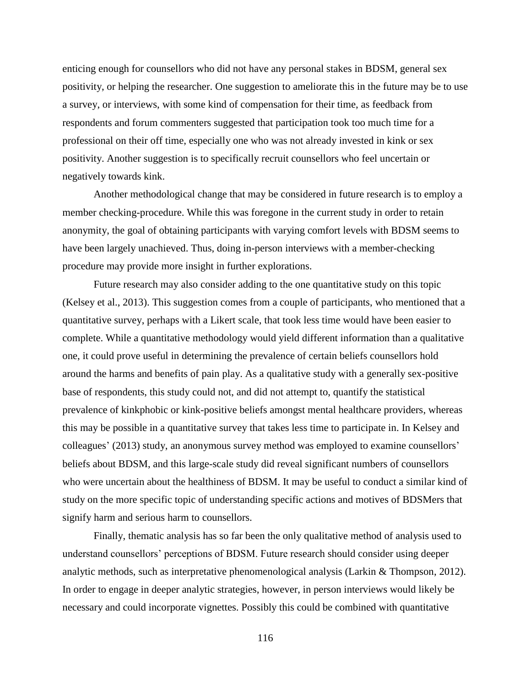enticing enough for counsellors who did not have any personal stakes in BDSM, general sex positivity, or helping the researcher. One suggestion to ameliorate this in the future may be to use a survey, or interviews, with some kind of compensation for their time, as feedback from respondents and forum commenters suggested that participation took too much time for a professional on their off time, especially one who was not already invested in kink or sex positivity. Another suggestion is to specifically recruit counsellors who feel uncertain or negatively towards kink.

Another methodological change that may be considered in future research is to employ a member checking-procedure. While this was foregone in the current study in order to retain anonymity, the goal of obtaining participants with varying comfort levels with BDSM seems to have been largely unachieved. Thus, doing in-person interviews with a member-checking procedure may provide more insight in further explorations.

Future research may also consider adding to the one quantitative study on this topic (Kelsey et al., 2013). This suggestion comes from a couple of participants, who mentioned that a quantitative survey, perhaps with a Likert scale, that took less time would have been easier to complete. While a quantitative methodology would yield different information than a qualitative one, it could prove useful in determining the prevalence of certain beliefs counsellors hold around the harms and benefits of pain play. As a qualitative study with a generally sex-positive base of respondents, this study could not, and did not attempt to, quantify the statistical prevalence of kinkphobic or kink-positive beliefs amongst mental healthcare providers, whereas this may be possible in a quantitative survey that takes less time to participate in. In Kelsey and colleagues' (2013) study, an anonymous survey method was employed to examine counsellors' beliefs about BDSM, and this large-scale study did reveal significant numbers of counsellors who were uncertain about the healthiness of BDSM. It may be useful to conduct a similar kind of study on the more specific topic of understanding specific actions and motives of BDSMers that signify harm and serious harm to counsellors.

Finally, thematic analysis has so far been the only qualitative method of analysis used to understand counsellors' perceptions of BDSM. Future research should consider using deeper analytic methods, such as interpretative phenomenological analysis (Larkin & Thompson, 2012). In order to engage in deeper analytic strategies, however, in person interviews would likely be necessary and could incorporate vignettes. Possibly this could be combined with quantitative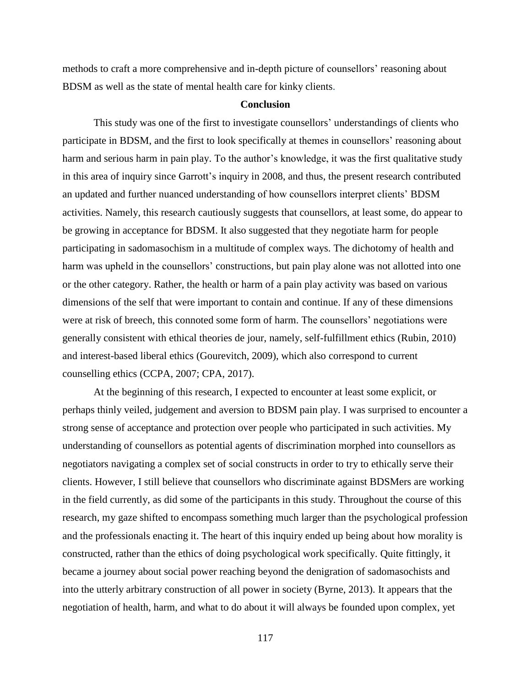methods to craft a more comprehensive and in-depth picture of counsellors' reasoning about BDSM as well as the state of mental health care for kinky clients.

### **Conclusion**

This study was one of the first to investigate counsellors' understandings of clients who participate in BDSM, and the first to look specifically at themes in counsellors' reasoning about harm and serious harm in pain play. To the author's knowledge, it was the first qualitative study in this area of inquiry since Garrott's inquiry in 2008, and thus, the present research contributed an updated and further nuanced understanding of how counsellors interpret clients' BDSM activities. Namely, this research cautiously suggests that counsellors, at least some, do appear to be growing in acceptance for BDSM. It also suggested that they negotiate harm for people participating in sadomasochism in a multitude of complex ways. The dichotomy of health and harm was upheld in the counsellors' constructions, but pain play alone was not allotted into one or the other category. Rather, the health or harm of a pain play activity was based on various dimensions of the self that were important to contain and continue. If any of these dimensions were at risk of breech, this connoted some form of harm. The counsellors' negotiations were generally consistent with ethical theories de jour, namely, self-fulfillment ethics (Rubin, 2010) and interest-based liberal ethics (Gourevitch, 2009), which also correspond to current counselling ethics (CCPA, 2007; CPA, 2017).

At the beginning of this research, I expected to encounter at least some explicit, or perhaps thinly veiled, judgement and aversion to BDSM pain play. I was surprised to encounter a strong sense of acceptance and protection over people who participated in such activities. My understanding of counsellors as potential agents of discrimination morphed into counsellors as negotiators navigating a complex set of social constructs in order to try to ethically serve their clients. However, I still believe that counsellors who discriminate against BDSMers are working in the field currently, as did some of the participants in this study. Throughout the course of this research, my gaze shifted to encompass something much larger than the psychological profession and the professionals enacting it. The heart of this inquiry ended up being about how morality is constructed, rather than the ethics of doing psychological work specifically. Quite fittingly, it became a journey about social power reaching beyond the denigration of sadomasochists and into the utterly arbitrary construction of all power in society (Byrne, 2013). It appears that the negotiation of health, harm, and what to do about it will always be founded upon complex, yet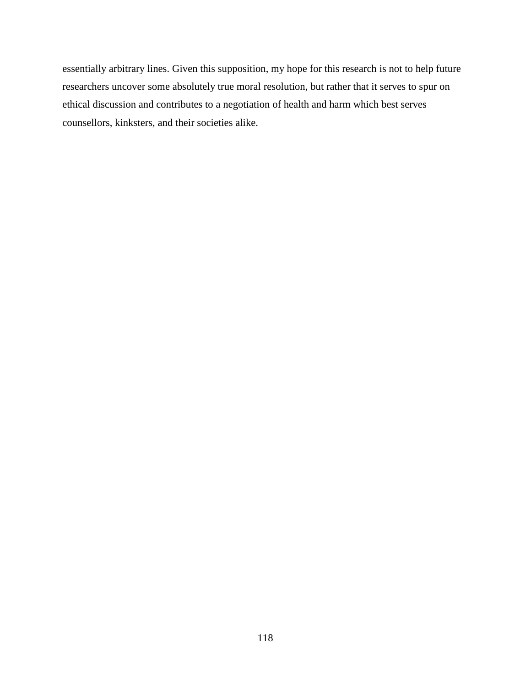essentially arbitrary lines. Given this supposition, my hope for this research is not to help future researchers uncover some absolutely true moral resolution, but rather that it serves to spur on ethical discussion and contributes to a negotiation of health and harm which best serves counsellors, kinksters, and their societies alike.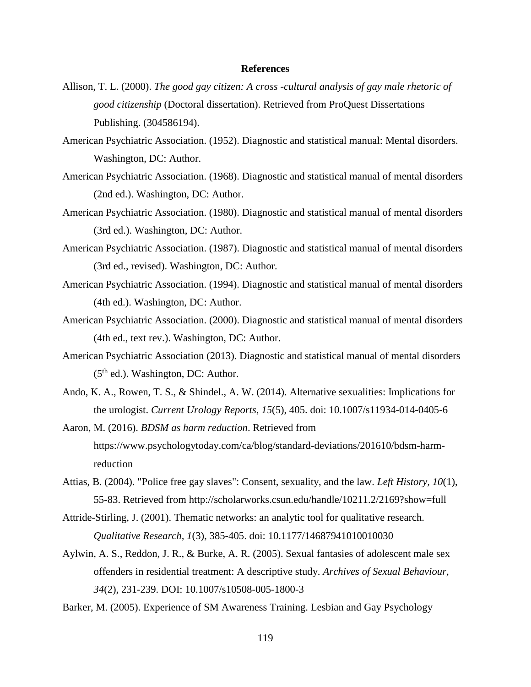#### **References**

- Allison, T. L. (2000). *The good gay citizen: A cross -cultural analysis of gay male rhetoric of good citizenship* (Doctoral dissertation). Retrieved from ProQuest Dissertations Publishing. (304586194).
- American Psychiatric Association. (1952). Diagnostic and statistical manual: Mental disorders. Washington, DC: Author.
- American Psychiatric Association. (1968). Diagnostic and statistical manual of mental disorders (2nd ed.). Washington, DC: Author.
- American Psychiatric Association. (1980). Diagnostic and statistical manual of mental disorders (3rd ed.). Washington, DC: Author.
- American Psychiatric Association. (1987). Diagnostic and statistical manual of mental disorders (3rd ed., revised). Washington, DC: Author.
- American Psychiatric Association. (1994). Diagnostic and statistical manual of mental disorders (4th ed.). Washington, DC: Author.
- American Psychiatric Association. (2000). Diagnostic and statistical manual of mental disorders (4th ed., text rev.). Washington, DC: Author.
- American Psychiatric Association (2013). Diagnostic and statistical manual of mental disorders  $(5<sup>th</sup>$  ed.). Washington, DC: Author.
- Ando, K. A., Rowen, T. S., & Shindel., A. W. (2014). Alternative sexualities: Implications for the urologist. *Current Urology Reports*, *15*(5), 405. doi: 10.1007/s11934-014-0405-6
- Aaron, M. (2016). *BDSM as harm reduction*. Retrieved from https://www.psychologytoday.com/ca/blog/standard-deviations/201610/bdsm-harmreduction
- Attias, B. (2004). "Police free gay slaves": Consent, sexuality, and the law. *Left History, 10*(1), 55-83. Retrieved from http://scholarworks.csun.edu/handle/10211.2/2169?show=full
- Attride-Stirling, J. (2001). Thematic networks: an analytic tool for qualitative research. *Qualitative Research, 1*(3), 385-405. doi: 10.1177/14687941010010030
- Aylwin, A. S., Reddon, J. R., & Burke, A. R. (2005). Sexual fantasies of adolescent male sex offenders in residential treatment: A descriptive study. *Archives of Sexual Behaviour, 34*(2), 231-239. DOI: 10.1007/s10508-005-1800-3

Barker, M. (2005). Experience of SM Awareness Training. Lesbian and Gay Psychology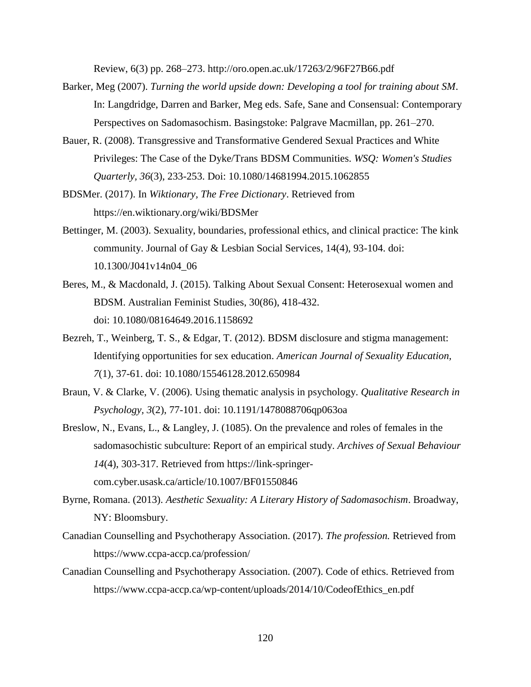Review, 6(3) pp. 268–273. http://oro.open.ac.uk/17263/2/96F27B66.pdf

- Barker, Meg (2007). *Turning the world upside down: Developing a tool for training about SM*. In: Langdridge, Darren and Barker, Meg eds. Safe, Sane and Consensual: Contemporary Perspectives on Sadomasochism. Basingstoke: Palgrave Macmillan, pp. 261–270.
- Bauer, R. (2008). Transgressive and Transformative Gendered Sexual Practices and White Privileges: The Case of the Dyke/Trans BDSM Communities. *WSQ: Women's Studies Quarterly, 36*(3), 233-253. Doi: 10.1080/14681994.2015.1062855
- BDSMer. (2017). In *Wiktionary, The Free Dictionary*. Retrieved from <https://en.wiktionary.org/wiki/BDSMer>
- Bettinger, M. (2003). Sexuality, boundaries, professional ethics, and clinical practice: The kink community. Journal of Gay & Lesbian Social Services, 14(4), 93-104. doi: 10.1300/J041v14n04\_06
- Beres, M., & Macdonald, J. (2015). Talking About Sexual Consent: Heterosexual women and BDSM. Australian Feminist Studies, 30(86), 418-432. doi: 10.1080/08164649.2016.1158692
- Bezreh, T., Weinberg, T. S., & Edgar, T. (2012). BDSM disclosure and stigma management: Identifying opportunities for sex education. *American Journal of Sexuality Education, 7*(1), 37-61. doi: 10.1080/15546128.2012.650984
- Braun, V. & Clarke, V. (2006). Using thematic analysis in psychology. *Qualitative Research in Psychology, 3*(2), 77-101. doi: 10.1191/1478088706qp063oa
- Breslow, N., Evans, L., & Langley, J. (1085). On the prevalence and roles of females in the sadomasochistic subculture: Report of an empirical study. *Archives of Sexual Behaviour 14*(4), 303-317. Retrieved from https://link-springercom.cyber.usask.ca/article/10.1007/BF01550846
- Byrne, Romana. (2013). *Aesthetic Sexuality: A Literary History of Sadomasochism*. Broadway, NY: Bloomsbury.
- Canadian Counselling and Psychotherapy Association. (2017). *The profession.* Retrieved from https://www.ccpa-accp.ca/profession/
- Canadian Counselling and Psychotherapy Association. (2007). Code of ethics. Retrieved from [https://www.ccpa-accp.ca/wp-content/uploads/2014/10/CodeofEthics\\_en.pdf](https://www.ccpa-accp.ca/wp-content/uploads/2014/10/CodeofEthics_en.pdf)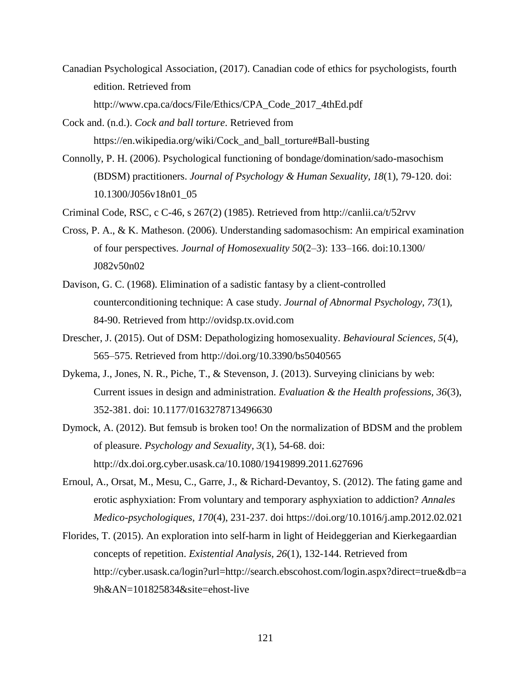- Canadian Psychological Association, (2017). Canadian code of ethics for psychologists, fourth edition. Retrieved from [http://www.cpa.ca/docs/File/Ethics/CPA\\_Code\\_2017\\_4thEd.pdf](http://www.cpa.ca/docs/File/Ethics/CPA_Code_2017_4thEd.pdf)
- Cock and. (n.d.). *Cock and ball torture*. Retrieved from [https://en.wikipedia.org/wiki/Cock\\_and\\_ball\\_torture#Ball-busting](https://en.wikipedia.org/wiki/Cock_and_ball_torture#Ball-busting)
- Connolly, P. H. (2006). Psychological functioning of bondage/domination/sado-masochism (BDSM) practitioners. *Journal of Psychology & Human Sexuality, 18*(1), 79-120. doi: 10.1300/J056v18n01\_05
- Criminal Code, RSC, c C-46, s 267(2) (1985). Retrieved from<http://canlii.ca/t/52rvv>
- Cross, P. A., & K. Matheson. (2006). Understanding sadomasochism: An empirical examination of four perspectives. *Journal of Homosexuality 50*(2–3): 133–166. doi:10.1300/ J082v50n02
- Davison, G. C. (1968). Elimination of a sadistic fantasy by a client-controlled counterconditioning technique: A case study. *Journal of Abnormal Psychology, 73*(1), 84-90. Retrieved from [http://ovidsp.tx.ovid.com](http://ovidsp.tx.ovid.com/)
- Drescher, J. (2015). Out of DSM: Depathologizing homosexuality. *Behavioural Sciences, 5*(4), 565–575. Retrieved from <http://doi.org/10.3390/bs5040565>
- Dykema, J., Jones, N. R., Piche, T., & Stevenson, J. (2013). Surveying clinicians by web: Current issues in design and administration. *Evaluation & the Health professions, 36*(3), 352-381. doi: 10.1177/0163278713496630
- Dymock, A. (2012). But femsub is broken too! On the normalization of BDSM and the problem of pleasure. *Psychology and Sexuality, 3*(1), 54-68. doi: http://dx.doi.org.cyber.usask.ca/10.1080/19419899.2011.627696
- Ernoul, A., Orsat, M., Mesu, C., Garre, J., & Richard-Devantoy, S. (2012). The fating game and erotic asphyxiation: From voluntary and temporary asphyxiation to addiction? *Annales Medico-psychologiques, 170*(4), 231-237. doi https://doi.org/10.1016/j.amp.2012.02.021
- Florides, T. (2015). An exploration into self-harm in light of Heideggerian and Kierkegaardian concepts of repetition. *Existential Analysis, 26*(1), 132-144. Retrieved from http://cyber.usask.ca/login?url=http://search.ebscohost.com/login.aspx?direct=true&db=a 9h&AN=101825834&site=ehost-live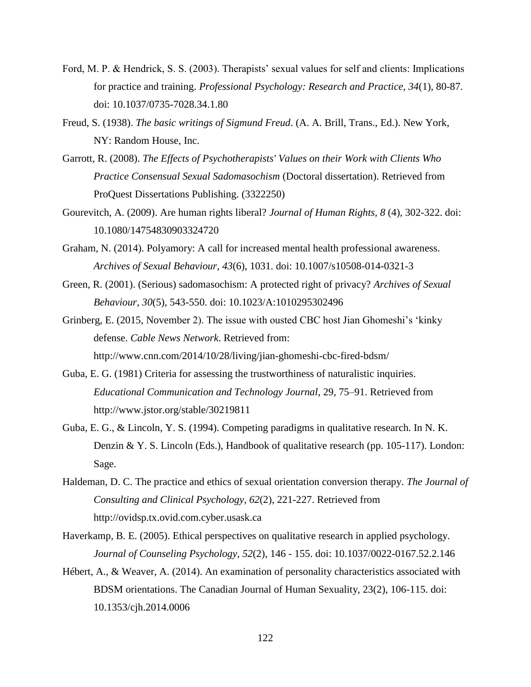- Ford, M. P. & Hendrick, S. S. (2003). Therapists' sexual values for self and clients: Implications for practice and training. *Professional Psychology: Research and Practice, 34*(1), 80-87. doi: 10.1037/0735-7028.34.1.80
- Freud, S. (1938). *The basic writings of Sigmund Freud*. (A. A. Brill, Trans., Ed.). New York, NY: Random House, Inc.
- Garrott, R. (2008). *The Effects of Psychotherapists' Values on their Work with Clients Who Practice Consensual Sexual Sadomasochism* (Doctoral dissertation). Retrieved from ProQuest Dissertations Publishing. (3322250)
- Gourevitch, A. (2009). Are human rights liberal? *Journal of Human Rights, 8* (4), 302-322. doi: 10.1080/14754830903324720
- Graham, N. (2014). Polyamory: A call for increased mental health professional awareness. *Archives of Sexual Behaviour, 43*(6), 1031. doi: 10.1007/s10508-014-0321-3
- Green, R. (2001). (Serious) sadomasochism: A protected right of privacy? *Archives of Sexual Behaviour, 30*(5), 543-550. doi: 10.1023/A:1010295302496
- Grinberg, E. (2015, November 2). The issue with ousted CBC host Jian Ghomeshi's 'kinky defense. *Cable News Network*. Retrieved from: http://www.cnn.com/2014/10/28/living/jian-ghomeshi-cbc-fired-bdsm/
- Guba, E. G. (1981) Criteria for assessing the trustworthiness of naturalistic inquiries. *Educational Communication and Technology Journal*, 29, 75–91. Retrieved from <http://www.jstor.org/stable/30219811>
- Guba, E. G., & Lincoln, Y. S. (1994). Competing paradigms in qualitative research. In N. K. Denzin & Y. S. Lincoln (Eds.), Handbook of qualitative research (pp. 105-117). London: Sage.
- Haldeman, D. C. The practice and ethics of sexual orientation conversion therapy. *The Journal of Consulting and Clinical Psychology, 62*(2), 221-227. Retrieved from [http://ovidsp.tx.ovid.com.cyber.usask.ca](http://ovidsp.tx.ovid.com.cyber.usask.ca/)
- Haverkamp, B. E. (2005). Ethical perspectives on qualitative research in applied psychology. *Journal of Counseling Psychology, 52*(2), 146 - 155. doi: 10.1037/0022-0167.52.2.146
- Hébert, A., & Weaver, A. (2014). An examination of personality characteristics associated with BDSM orientations. The Canadian Journal of Human Sexuality, 23(2), 106-115. doi: 10.1353/cjh.2014.0006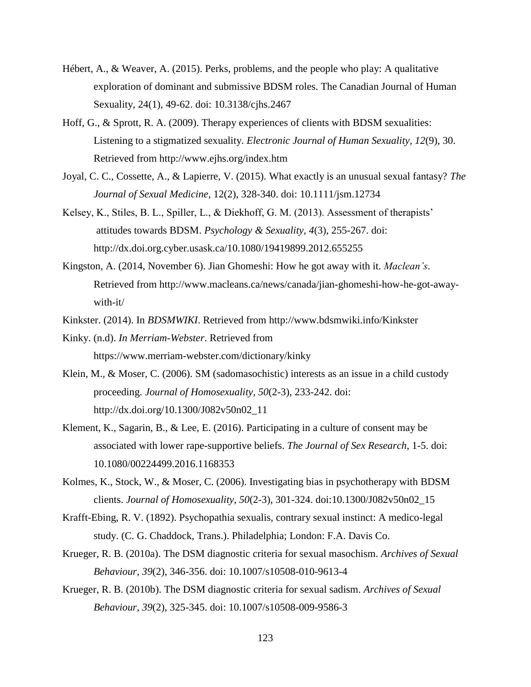- Hébert, A., & Weaver, A. (2015). Perks, problems, and the people who play: A qualitative exploration of dominant and submissive BDSM roles. The Canadian Journal of Human Sexuality, 24(1), 49-62. doi: 10.3138/cjhs.2467
- Hoff, G., & Sprott, R. A. (2009). Therapy experiences of clients with BDSM sexualities: Listening to a stigmatized sexuality. *Electronic Journal of Human Sexuality, 12*(9), 30. Retrieved from<http://www.ejhs.org/index.htm>
- Joyal, C. C., Cossette, A., & Lapierre, V. (2015). What exactly is an unusual sexual fantasy? *The Journal of Sexual Medicine*, 12(2), 328-340. doi: 10.1111/jsm.12734
- Kelsey, K., Stiles, B. L., Spiller, L., & Diekhoff, G. M. (2013). Assessment of therapists' attitudes towards BDSM. *Psychology & Sexuality, 4*(3), 255-267. doi: http://dx.doi.org.cyber.usask.ca/10.1080/19419899.2012.655255
- Kingston, A. (2014, November 6). Jian Ghomeshi: How he got away with it. *Maclean's*. Retrieved from http://www.macleans.ca/news/canada/jian-ghomeshi-how-he-got-awaywith-it/
- Kinkster. (2014). In *BDSMWIKI*. Retrieved from http://www.bdsmwiki.info/Kinkster
- Kinky. (n.d). *In Merriam-Webster*. Retrieved from <https://www.merriam-webster.com/dictionary/kinky>
- Klein, M., & Moser, C. (2006). SM (sadomasochistic) interests as an issue in a child custody proceeding. *Journal of Homosexuality, 50*(2-3), 233-242. doi: http://dx.doi.org/10.1300/J082v50n02\_11
- Klement, K., Sagarin, B., & Lee, E. (2016). Participating in a culture of consent may be associated with lower rape-supportive beliefs. *The Journal of Sex Research*, 1-5. doi: 10.1080/00224499.2016.1168353
- Kolmes, K., Stock, W., & Moser, C. (2006). Investigating bias in psychotherapy with BDSM clients. *Journal of Homosexuality, 50*(2-3), 301-324. doi:10.1300/J082v50n02\_15
- Krafft-Ebing, R. V. (1892). Psychopathia sexualis, contrary sexual instinct: A medico-legal study. (C. G. Chaddock, Trans.). Philadelphia; London: F.A. Davis Co.
- Krueger, R. B. (2010a). The DSM diagnostic criteria for sexual masochism. *Archives of Sexual Behaviour, 39*(2), 346-356. doi: 10.1007/s10508-010-9613-4
- Krueger, R. B. (2010b). The DSM diagnostic criteria for sexual sadism. *Archives of Sexual Behaviour, 39*(2), 325-345. doi: 10.1007/s10508-009-9586-3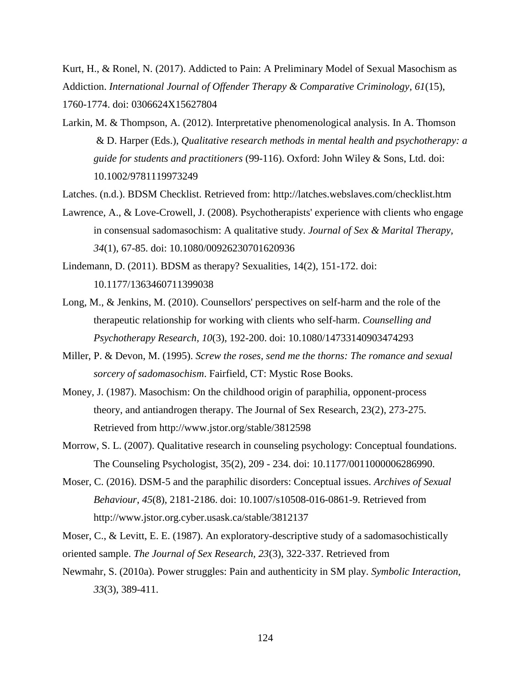Kurt, H., & Ronel, N. (2017). Addicted to Pain: A Preliminary Model of Sexual Masochism as Addiction. *International Journal of Offender Therapy & Comparative Criminology*, *61*(15), 1760-1774. doi: 0306624X15627804

Larkin, M. & Thompson, A. (2012). Interpretative phenomenological analysis. In A. Thomson & D. Harper (Eds.), *Qualitative research methods in mental health and psychotherapy: a guide for students and practitioners* (99-116). Oxford: John Wiley & Sons, Ltd. doi: 10.1002/9781119973249

Latches. (n.d.). BDSM Checklist. Retrieved from:<http://latches.webslaves.com/checklist.htm>

- Lawrence, A., & Love-Crowell, J. (2008). Psychotherapists' experience with clients who engage in consensual sadomasochism: A qualitative study. *Journal of Sex & Marital Therapy, 34*(1), 67-85. doi: 10.1080/00926230701620936
- Lindemann, D. (2011). BDSM as therapy? Sexualities, 14(2), 151-172. doi: 10.1177/1363460711399038
- Long, M., & Jenkins, M. (2010). Counsellors' perspectives on self-harm and the role of the therapeutic relationship for working with clients who self-harm. *Counselling and Psychotherapy Research, 10*(3), 192-200. doi: 10.1080/14733140903474293
- Miller, P. & Devon, M. (1995). *Screw the roses, send me the thorns: The romance and sexual sorcery of sadomasochism*. Fairfield, CT: Mystic Rose Books.
- Money, J. (1987). Masochism: On the childhood origin of paraphilia, opponent-process theory, and antiandrogen therapy. The Journal of Sex Research, 23(2), 273-275. Retrieved from<http://www.jstor.org/stable/3812598>
- Morrow, S. L. (2007). Qualitative research in counseling psychology: Conceptual foundations. The Counseling Psychologist, 35(2), 209 - 234. doi: 10.1177/0011000006286990.
- Moser, C. (2016). DSM-5 and the paraphilic disorders: Conceptual issues. *Archives of Sexual Behaviour*, *45*(8), 2181-2186. doi: 10.1007/s10508-016-0861-9. Retrieved from http://www.jstor.org.cyber.usask.ca/stable/3812137

Moser, C., & Levitt, E. E. (1987). An exploratory-descriptive study of a sadomasochistically oriented sample. *The Journal of Sex Research, 23*(3), 322-337. Retrieved from

Newmahr, S. (2010a). Power struggles: Pain and authenticity in SM play. *Symbolic Interaction, 33*(3), 389-411.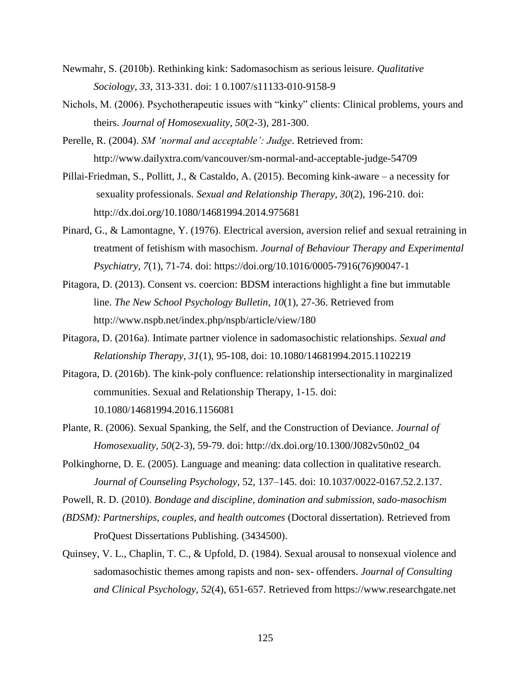- Newmahr, S. (2010b). Rethinking kink: Sadomasochism as serious leisure. *Qualitative Sociology, 33*, 313-331. doi: 1 0.1007/s11133-010-9158-9
- Nichols, M. (2006). Psychotherapeutic issues with "kinky" clients: Clinical problems, yours and theirs. *Journal of Homosexuality, 50*(2-3), 281-300.
- Perelle, R. (2004). *SM 'normal and acceptable': Judge*. Retrieved from: <http://www.dailyxtra.com/vancouver/sm-normal-and-acceptable-judge-54709>
- Pillai-Friedman, S., Pollitt, J., & Castaldo, A. (2015). Becoming kink-aware a necessity for sexuality professionals. *Sexual and Relationship Therapy, 30*(2), 196-210. doi: http://dx.doi.org/10.1080/14681994.2014.975681
- Pinard, G., & Lamontagne, Y. (1976). Electrical aversion, aversion relief and sexual retraining in treatment of fetishism with masochism. *Journal of Behaviour Therapy and Experimental Psychiatry, 7*(1), 71-74. doi: https://doi.org/10.1016/0005-7916(76)90047-1
- Pitagora, D. (2013). Consent vs. coercion: BDSM interactions highlight a fine but immutable line. *The New School Psychology Bulletin*, *10*(1), 27-36. Retrieved from <http://www.nspb.net/index.php/nspb/article/view/180>
- Pitagora, D. (2016a). Intimate partner violence in sadomasochistic relationships. *Sexual and Relationship Therapy, 31*(1), 95-108, doi: 10.1080/14681994.2015.1102219
- Pitagora, D. (2016b). The kink-poly confluence: relationship intersectionality in marginalized communities. Sexual and Relationship Therapy, 1-15. doi: 10.1080/14681994.2016.1156081
- Plante, R. (2006). Sexual Spanking, the Self, and the Construction of Deviance. *Journal of Homosexuality, 50*(2-3), 59-79. doi: [http://dx.doi.org/10.1300/J082v50n02\\_04](http://dx.doi.org/10.1300/J082v50n02_04)
- Polkinghorne, D. E. (2005). Language and meaning: data collection in qualitative research. *Journal of Counseling Psychology*, 52, 137–145. doi: 10.1037/0022-0167.52.2.137.

Powell, R. D. (2010). *Bondage and discipline, domination and submission, sado-masochism* 

- *(BDSM): Partnerships, couples, and health outcomes* (Doctoral dissertation). Retrieved from ProQuest Dissertations Publishing. (3434500).
- Quinsey, V. L., Chaplin, T. C., & Upfold, D. (1984). Sexual arousal to nonsexual violence and sadomasochistic themes among rapists and non- sex- offenders. *Journal of Consulting and Clinical Psychology, 52*(4), 651-657. Retrieved from https://www.researchgate.net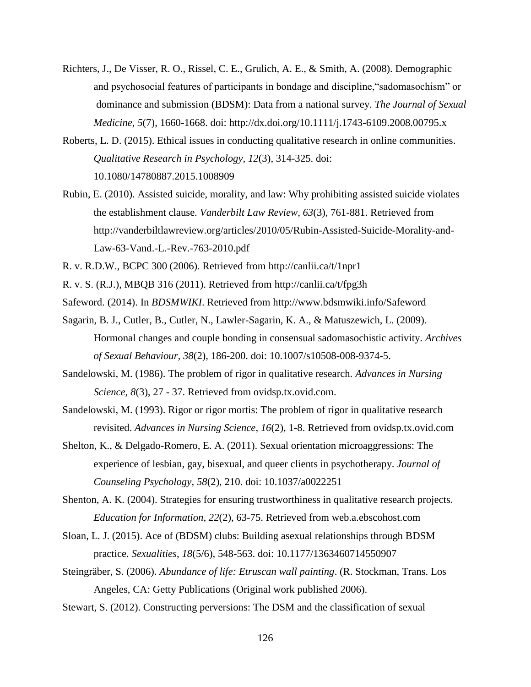- Richters, J., De Visser, R. O., Rissel, C. E., Grulich, A. E., & Smith, A. (2008). Demographic and psychosocial features of participants in bondage and discipline,"sadomasochism" or dominance and submission (BDSM): Data from a national survey. *The Journal of Sexual Medicine, 5*(7), 1660-1668. doi:<http://dx.doi.org/10.1111/j.1743-6109.2008.00795.x>
- Roberts, L. D. (2015). Ethical issues in conducting qualitative research in online communities. *Qualitative Research in Psychology, 12*(3), 314-325. doi: 10.1080/14780887.2015.1008909
- Rubin, E. (2010). Assisted suicide, morality, and law: Why prohibiting assisted suicide violates the establishment clause. *Vanderbilt Law Review, 63*(3), 761-881. Retrieved from [http://vanderbiltlawreview.org/articles/2010/05/Rubin-Assisted-Suicide-Morality-and-](http://vanderbiltlawreview.org/articles/2010/05/Rubin-Assisted-Suicide-Morality-and-%09Law-63-Vand.-L.-Rev.-763-2010.pdf)[Law-63-Vand.-L.-Rev.-763-2010.pdf](http://vanderbiltlawreview.org/articles/2010/05/Rubin-Assisted-Suicide-Morality-and-%09Law-63-Vand.-L.-Rev.-763-2010.pdf)
- R. v. R.D.W., BCPC 300 (2006). Retrieved from<http://canlii.ca/t/1npr1>
- R. v. S. (R.J.), MBQB 316 (2011). Retrieved from<http://canlii.ca/t/fpg3h>
- Safeword. (2014). In *BDSMWIKI*. Retrieved from<http://www.bdsmwiki.info/Safeword>
- Sagarin, B. J., Cutler, B., Cutler, N., Lawler-Sagarin, K. A., & Matuszewich, L. (2009). Hormonal changes and couple bonding in consensual sadomasochistic activity. *Archives of Sexual Behaviour, 38*(2), 186-200. doi: 10.1007/s10508-008-9374-5.
- Sandelowski, M. (1986). The problem of rigor in qualitative research. *Advances in Nursing Science, 8*(3), 27 - 37. Retrieved from ovidsp.tx.ovid.com.
- Sandelowski, M. (1993). Rigor or rigor mortis: The problem of rigor in qualitative research revisited. *Advances in Nursing Science*, *16*(2), 1-8. Retrieved from ovidsp.tx.ovid.com
- Shelton, K., & Delgado-Romero, E. A. (2011). Sexual orientation microaggressions: The experience of lesbian, gay, bisexual, and queer clients in psychotherapy. *Journal of Counseling Psychology*, *58*(2), 210. doi: 10.1037/a0022251
- Shenton, A. K. (2004). Strategies for ensuring trustworthiness in qualitative research projects. *Education for Information, 22*(2), 63-75. Retrieved from web.a.ebscohost.com
- Sloan, L. J. (2015). Ace of (BDSM) clubs: Building asexual relationships through BDSM practice. *Sexualities*, *18*(5/6), 548-563. doi: 10.1177/1363460714550907
- Steingräber, S. (2006). *Abundance of life: Etruscan wall painting*. (R. Stockman, Trans. Los Angeles, CA: Getty Publications (Original work published 2006).
- Stewart, S. (2012). Constructing perversions: The DSM and the classification of sexual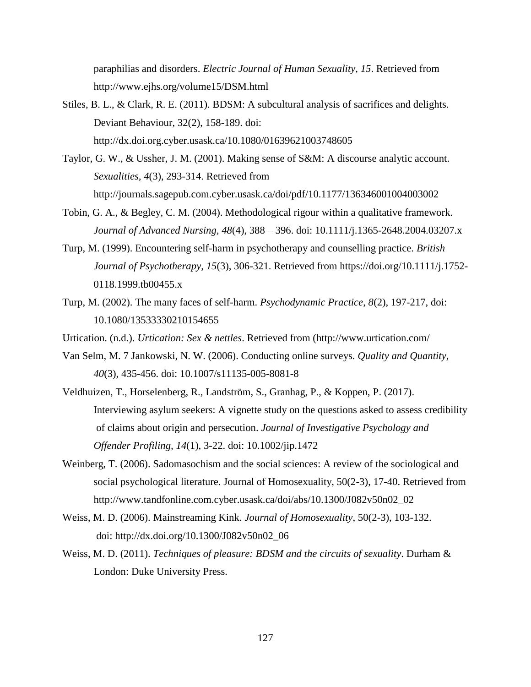paraphilias and disorders. *Electric Journal of Human Sexuality, 15*. Retrieved from http://www.ejhs.org/volume15/DSM.html

- Stiles, B. L., & Clark, R. E. (2011). BDSM: A subcultural analysis of sacrifices and delights. Deviant Behaviour, 32(2), 158-189. doi: http://dx.doi.org.cyber.usask.ca/10.1080/01639621003748605
- Taylor, G. W., & Ussher, J. M. (2001). Making sense of S&M: A discourse analytic account. *Sexualities, 4*(3), 293-314. Retrieved from http://journals.sagepub.com.cyber.usask.ca/doi/pdf/10.1177/136346001004003002
- Tobin, G. A., & Begley, C. M. (2004). Methodological rigour within a qualitative framework. *Journal of Advanced Nursing, 48*(4), 388 – 396. doi: 10.1111/j.1365-2648.2004.03207.x
- Turp, M. (1999). Encountering self-harm in psychotherapy and counselling practice. *British Journal of Psychotherapy*, *15*(3), 306-321. Retrieved from https://doi.org/10.1111/j.1752- 0118.1999.tb00455.x
- Turp, M. (2002). The many faces of self-harm. *Psychodynamic Practice*, *8*(2), 197-217, doi: 10.1080/13533330210154655
- Urtication. (n.d.). *Urtication: Sex & nettles*. Retrieved from [\(http://www.urtication.com/](http://www.urtication.com/)
- Van Selm, M. 7 Jankowski, N. W. (2006). Conducting online surveys. *Quality and Quantity, 40*(3), 435-456. doi: 10.1007/s11135-005-8081-8
- Veldhuizen, T., Horselenberg, R., Landström, S., Granhag, P., & Koppen, P. (2017). Interviewing asylum seekers: A vignette study on the questions asked to assess credibility of claims about origin and persecution. *Journal of Investigative Psychology and Offender Profiling, 14*(1), 3-22. doi: 10.1002/jip.1472
- Weinberg, T. (2006). Sadomasochism and the social sciences: A review of the sociological and social psychological literature. Journal of Homosexuality, 50(2-3), 17-40. Retrieved from http://www.tandfonline.com.cyber.usask.ca/doi/abs/10.1300/J082v50n02\_02
- Weiss, M. D. (2006). Mainstreaming Kink. *Journal of Homosexuality*, 50(2-3), 103-132. doi: [http://dx.doi.org/10.1300/J082v50n02\\_06](http://dx.doi.org/10.1300/J082v50n02_06)
- Weiss, M. D. (2011). *Techniques of pleasure: BDSM and the circuits of sexuality*. Durham & London: Duke University Press.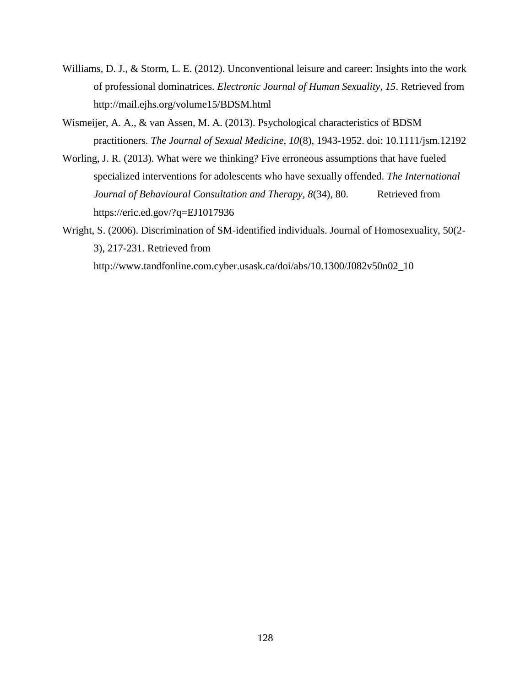- Williams, D. J., & Storm, L. E. (2012). Unconventional leisure and career: Insights into the work of professional dominatrices. *Electronic Journal of Human Sexuality, 15*. Retrieved from http://mail.ejhs.org/volume15/BDSM.html
- Wismeijer, A. A., & van Assen, M. A. (2013). Psychological characteristics of BDSM practitioners. *The Journal of Sexual Medicine, 10*(8), 1943-1952. doi: 10.1111/jsm.12192
- Worling, J. R. (2013). What were we thinking? Five erroneous assumptions that have fueled specialized interventions for adolescents who have sexually offended. *The International Journal of Behavioural Consultation and Therapy, 8(34), 80.* Retrieved from https://eric.ed.gov/?q=EJ1017936
- Wright, S. (2006). Discrimination of SM-identified individuals. Journal of Homosexuality, 50(2- 3), 217-231. Retrieved from

http://www.tandfonline.com.cyber.usask.ca/doi/abs/10.1300/J082v50n02\_10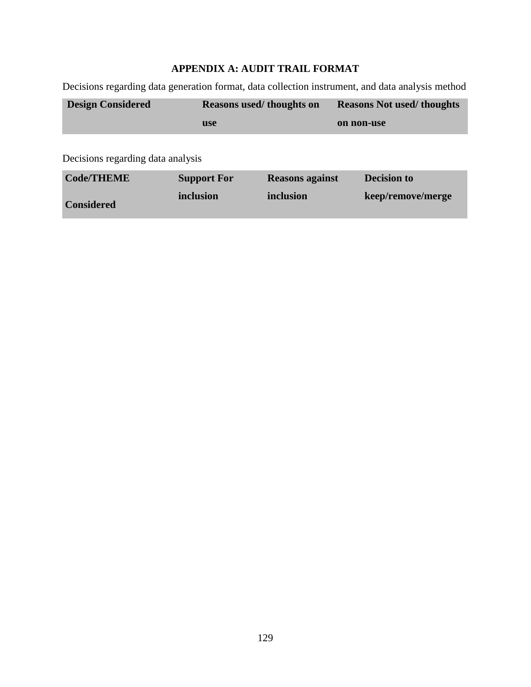# **APPENDIX A: AUDIT TRAIL FORMAT**

Decisions regarding data generation format, data collection instrument, and data analysis method

| <b>Design Considered</b>          | Reasons used/thoughts on | <b>Reasons Not used/thoughts</b> |  |
|-----------------------------------|--------------------------|----------------------------------|--|
|                                   | <b>use</b>               | on non-use                       |  |
| Decisions regarding data analysis |                          |                                  |  |

| <b>Code/THEME</b> | <b>Support For</b> | <b>Reasons against</b> | <b>Decision to</b> |
|-------------------|--------------------|------------------------|--------------------|
| <b>Considered</b> | inclusion          | inclusion              | keep/remove/merge  |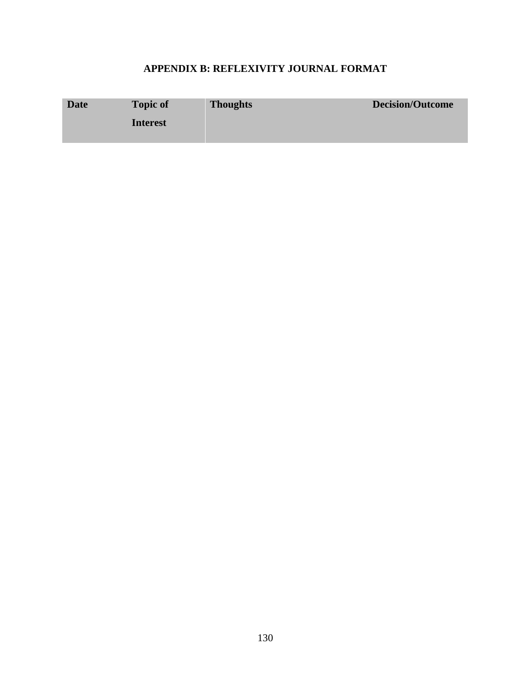# **APPENDIX B: REFLEXIVITY JOURNAL FORMAT**

| <b>Date</b> | <b>Topic of</b> | <b>Thoughts</b> | <b>Decision/Outcome</b> |
|-------------|-----------------|-----------------|-------------------------|
|             | <b>Interest</b> |                 |                         |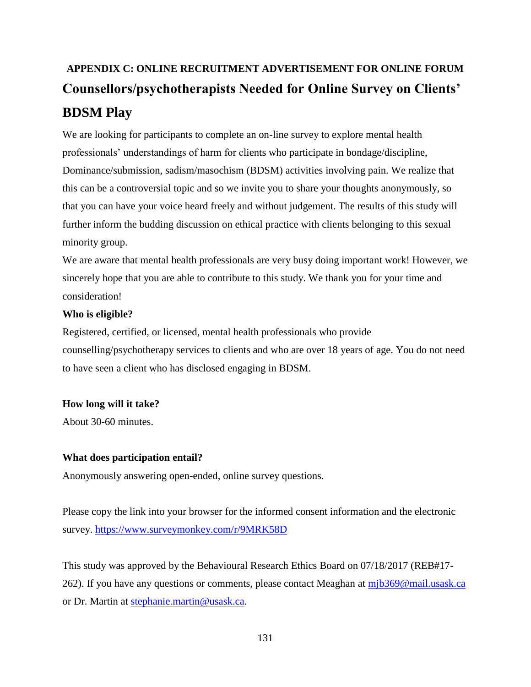# **APPENDIX C: ONLINE RECRUITMENT ADVERTISEMENT FOR ONLINE FORUM Counsellors/psychotherapists Needed for Online Survey on Clients' BDSM Play**

We are looking for participants to complete an on-line survey to explore mental health professionals' understandings of harm for clients who participate in bondage/discipline, Dominance/submission, sadism/masochism (BDSM) activities involving pain. We realize that this can be a controversial topic and so we invite you to share your thoughts anonymously, so that you can have your voice heard freely and without judgement. The results of this study will further inform the budding discussion on ethical practice with clients belonging to this sexual minority group.

We are aware that mental health professionals are very busy doing important work! However, we sincerely hope that you are able to contribute to this study. We thank you for your time and consideration!

# **Who is eligible?**

Registered, certified, or licensed, mental health professionals who provide counselling/psychotherapy services to clients and who are over 18 years of age. You do not need to have seen a client who has disclosed engaging in BDSM.

# **How long will it take?**

About 30-60 minutes.

# **What does participation entail?**

Anonymously answering open-ended, online survey questions.

Please copy the link into your browser for the informed consent information and the electronic survey.<https://www.surveymonkey.com/r/9MRK58D>

This study was approved by the Behavioural Research Ethics Board on 07/18/2017 (REB#17- 262). If you have any questions or comments, please contact Meaghan at [mjb369@mail.usask.ca](mailto:mjb369@mail.usask.ca) or Dr. Martin at stephanie.martin@usask.ca.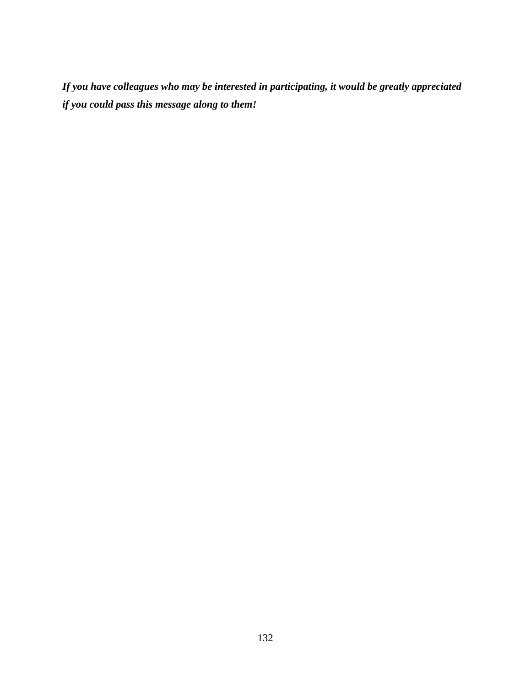*If you have colleagues who may be interested in participating, it would be greatly appreciated if you could pass this message along to them!*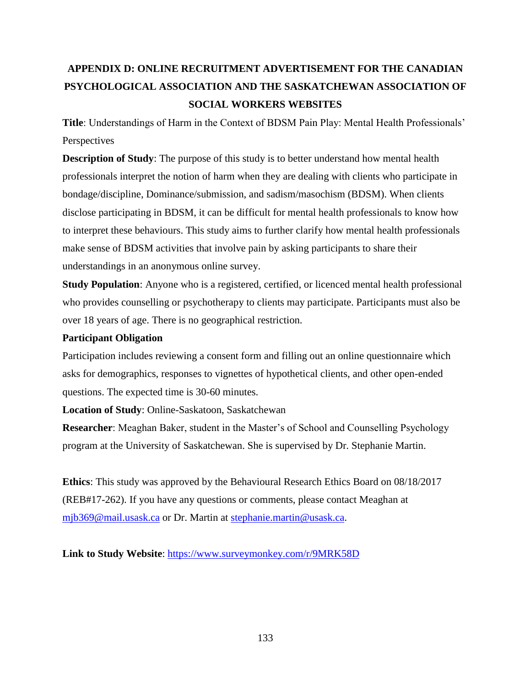# **APPENDIX D: ONLINE RECRUITMENT ADVERTISEMENT FOR THE CANADIAN PSYCHOLOGICAL ASSOCIATION AND THE SASKATCHEWAN ASSOCIATION OF SOCIAL WORKERS WEBSITES**

**Title**: Understandings of Harm in the Context of BDSM Pain Play: Mental Health Professionals' Perspectives

**Description of Study**: The purpose of this study is to better understand how mental health professionals interpret the notion of harm when they are dealing with clients who participate in bondage/discipline, Dominance/submission, and sadism/masochism (BDSM). When clients disclose participating in BDSM, it can be difficult for mental health professionals to know how to interpret these behaviours. This study aims to further clarify how mental health professionals make sense of BDSM activities that involve pain by asking participants to share their understandings in an anonymous online survey.

**Study Population**: Anyone who is a registered, certified, or licenced mental health professional who provides counselling or psychotherapy to clients may participate. Participants must also be over 18 years of age. There is no geographical restriction.

### **Participant Obligation**

Participation includes reviewing a consent form and filling out an online questionnaire which asks for demographics, responses to vignettes of hypothetical clients, and other open-ended questions. The expected time is 30-60 minutes.

**Location of Study**: Online-Saskatoon, Saskatchewan

**Researcher**: Meaghan Baker, student in the Master's of School and Counselling Psychology program at the University of Saskatchewan. She is supervised by Dr. Stephanie Martin.

**Ethics**: This study was approved by the Behavioural Research Ethics Board on 08/18/2017 (REB#17-262). If you have any questions or comments, please contact Meaghan at [mjb369@mail.usask.ca](mailto:mjb369@mail.usask.ca) or Dr. Martin at stephanie.martin@usask.ca.

**Link to Study Website**:<https://www.surveymonkey.com/r/9MRK58D>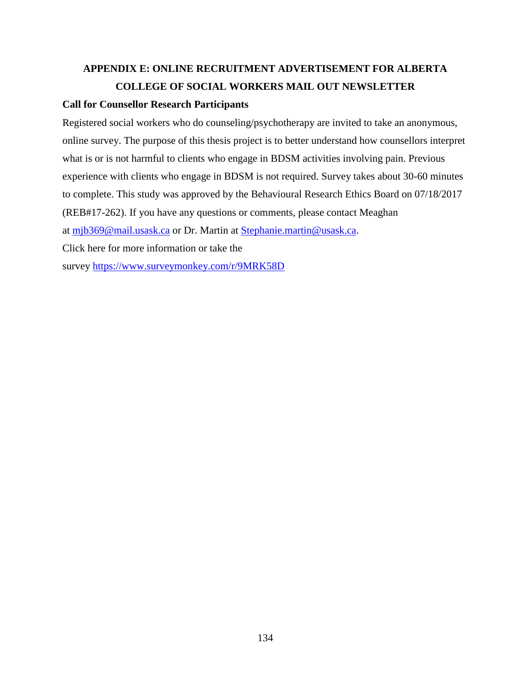# **APPENDIX E: ONLINE RECRUITMENT ADVERTISEMENT FOR ALBERTA COLLEGE OF SOCIAL WORKERS MAIL OUT NEWSLETTER**

# **Call for Counsellor Research Participants**

Registered social workers who do counseling/psychotherapy are invited to take an anonymous, online survey. The purpose of this thesis project is to better understand how counsellors interpret what is or is not harmful to clients who engage in BDSM activities involving pain. Previous experience with clients who engage in BDSM is not required. Survey takes about 30-60 minutes to complete. This study was approved by the Behavioural Research Ethics Board on 07/18/2017 (REB#17-262). If you have any questions or comments, please contact Meaghan at [mjb369@mail.usask.ca](mailto:mjb369@mail.usask.ca) or Dr. Martin at [Stephanie.martin@usask.ca.](mailto:Stephanie.martin@usask.ca) Click here for more information or take the survey <https://www.surveymonkey.com/r/9MRK58D>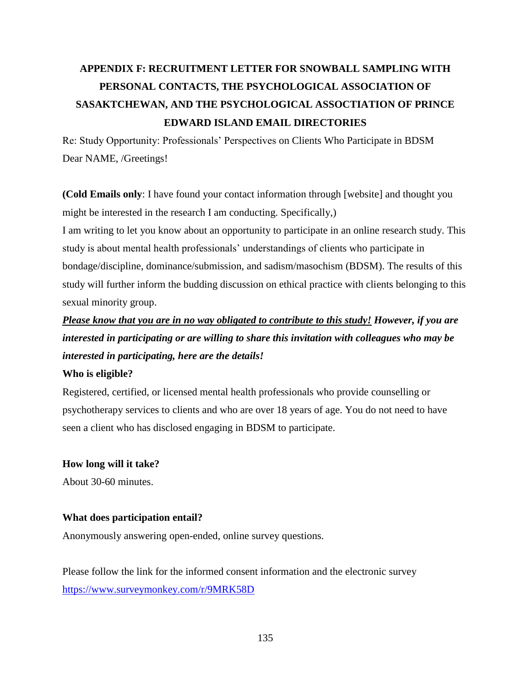# **APPENDIX F: RECRUITMENT LETTER FOR SNOWBALL SAMPLING WITH PERSONAL CONTACTS, THE PSYCHOLOGICAL ASSOCIATION OF SASAKTCHEWAN, AND THE PSYCHOLOGICAL ASSOCTIATION OF PRINCE EDWARD ISLAND EMAIL DIRECTORIES**

Re: Study Opportunity: Professionals' Perspectives on Clients Who Participate in BDSM Dear NAME, /Greetings!

**(Cold Emails only**: I have found your contact information through [website] and thought you might be interested in the research I am conducting. Specifically,)

I am writing to let you know about an opportunity to participate in an online research study. This study is about mental health professionals' understandings of clients who participate in bondage/discipline, dominance/submission, and sadism/masochism (BDSM). The results of this study will further inform the budding discussion on ethical practice with clients belonging to this sexual minority group.

*Please know that you are in no way obligated to contribute to this study! However, if you are interested in participating or are willing to share this invitation with colleagues who may be interested in participating, here are the details!*

### **Who is eligible?**

Registered, certified, or licensed mental health professionals who provide counselling or psychotherapy services to clients and who are over 18 years of age. You do not need to have seen a client who has disclosed engaging in BDSM to participate.

## **How long will it take?**

About 30-60 minutes.

## **What does participation entail?**

Anonymously answering open-ended, online survey questions.

Please follow the link for the informed consent information and the electronic survey <https://www.surveymonkey.com/r/9MRK58D>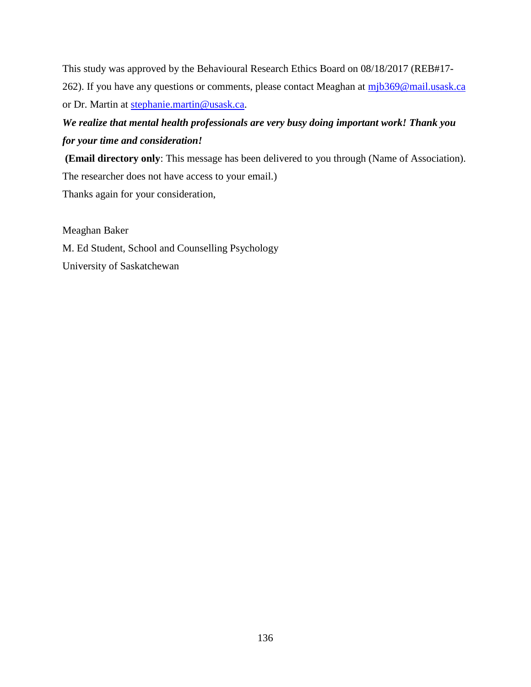This study was approved by the Behavioural Research Ethics Board on 08/18/2017 (REB#17 262). If you have any questions or comments, please contact Meaghan at [mjb369@mail.usask.ca](mailto:mjb369@mail.usask.ca) or Dr. Martin at [stephanie.martin@usask.ca.](mailto:stephanie.martin@usask.ca)

## *We realize that mental health professionals are very busy doing important work! Thank you for your time and consideration!*

**(Email directory only**: This message has been delivered to you through (Name of Association). The researcher does not have access to your email.) Thanks again for your consideration,

Meaghan Baker

M. Ed Student, School and Counselling Psychology University of Saskatchewan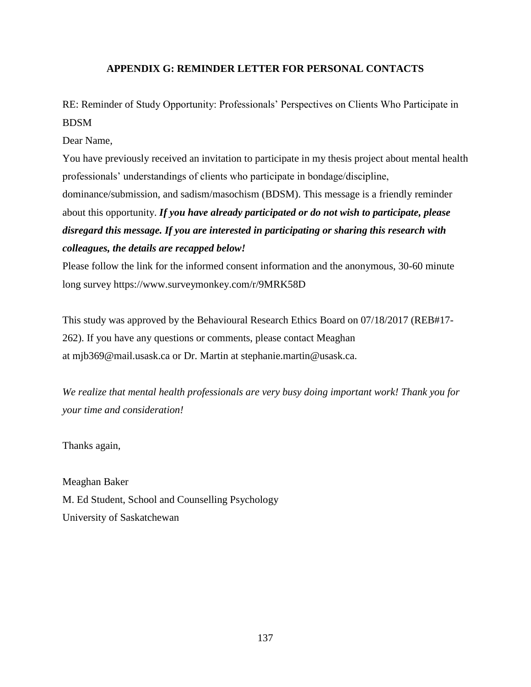### **APPENDIX G: REMINDER LETTER FOR PERSONAL CONTACTS**

RE: Reminder of Study Opportunity: Professionals' Perspectives on Clients Who Participate in BDSM

Dear Name,

You have previously received an invitation to participate in my thesis project about mental health professionals' understandings of clients who participate in bondage/discipline, dominance/submission, and sadism/masochism (BDSM). This message is a friendly reminder about this opportunity. *If you have already participated or do not wish to participate, please disregard this message. If you are interested in participating or sharing this research with colleagues, the details are recapped below!*

Please follow the link for the informed consent information and the anonymous, 30-60 minute long survey <https://www.surveymonkey.com/r/9MRK58D>

This study was approved by the Behavioural Research Ethics Board on 07/18/2017 (REB#17- 262). If you have any questions or comments, please contact Meaghan at [mjb369@mail.usask.ca](mailto:mjb369@mail.usask.ca) or Dr. Martin at [stephanie.martin@usask.ca.](mailto:stephanie.martin@usask.ca)

*We realize that mental health professionals are very busy doing important work! Thank you for your time and consideration!*

Thanks again,

Meaghan Baker M. Ed Student, School and Counselling Psychology University of Saskatchewan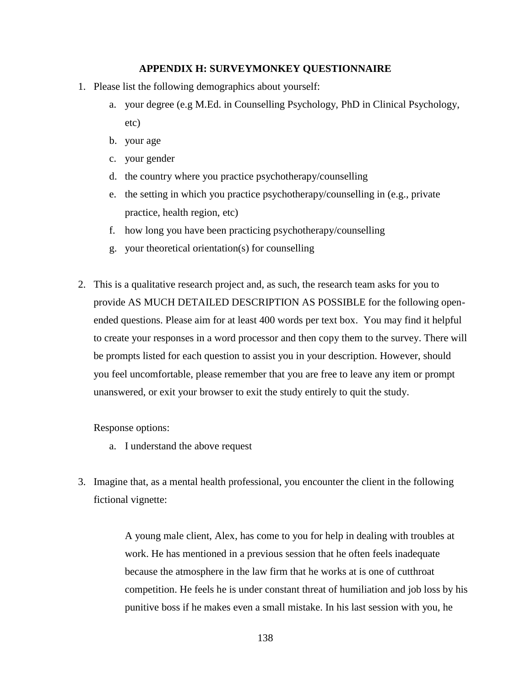### **APPENDIX H: SURVEYMONKEY QUESTIONNAIRE**

- 1. Please list the following demographics about yourself:
	- a. your degree (e.g M.Ed. in Counselling Psychology, PhD in Clinical Psychology, etc)
	- b. your age
	- c. your gender
	- d. the country where you practice psychotherapy/counselling
	- e. the setting in which you practice psychotherapy/counselling in (e.g., private practice, health region, etc)
	- f. how long you have been practicing psychotherapy/counselling
	- g. your theoretical orientation(s) for counselling
- 2. This is a qualitative research project and, as such, the research team asks for you to provide AS MUCH DETAILED DESCRIPTION AS POSSIBLE for the following openended questions. Please aim for at least 400 words per text box. You may find it helpful to create your responses in a word processor and then copy them to the survey. There will be prompts listed for each question to assist you in your description. However, should you feel uncomfortable, please remember that you are free to leave any item or prompt unanswered, or exit your browser to exit the study entirely to quit the study.

Response options:

- a. I understand the above request
- 3. Imagine that, as a mental health professional, you encounter the client in the following fictional vignette:

A young male client, Alex, has come to you for help in dealing with troubles at work. He has mentioned in a previous session that he often feels inadequate because the atmosphere in the law firm that he works at is one of cutthroat competition. He feels he is under constant threat of humiliation and job loss by his punitive boss if he makes even a small mistake. In his last session with you, he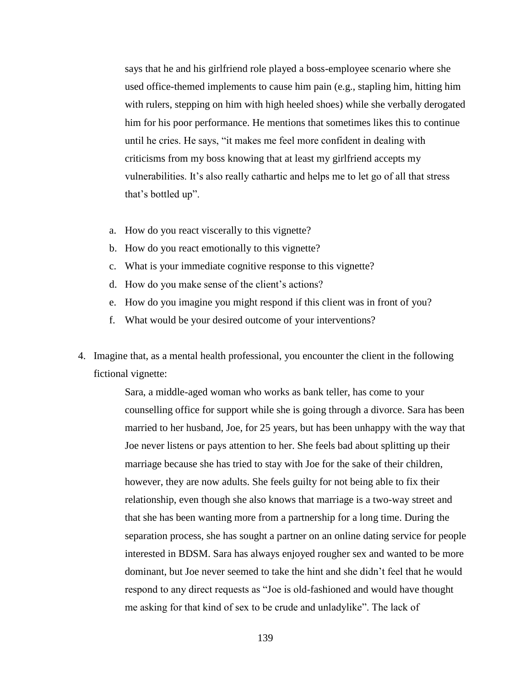says that he and his girlfriend role played a boss-employee scenario where she used office-themed implements to cause him pain (e.g., stapling him, hitting him with rulers, stepping on him with high heeled shoes) while she verbally derogated him for his poor performance. He mentions that sometimes likes this to continue until he cries. He says, "it makes me feel more confident in dealing with criticisms from my boss knowing that at least my girlfriend accepts my vulnerabilities. It's also really cathartic and helps me to let go of all that stress that's bottled up".

- a. How do you react viscerally to this vignette?
- b. How do you react emotionally to this vignette?
- c. What is your immediate cognitive response to this vignette?
- d. How do you make sense of the client's actions?
- e. How do you imagine you might respond if this client was in front of you?
- f. What would be your desired outcome of your interventions?
- 4. Imagine that, as a mental health professional, you encounter the client in the following fictional vignette:

Sara, a middle-aged woman who works as bank teller, has come to your counselling office for support while she is going through a divorce. Sara has been married to her husband, Joe, for 25 years, but has been unhappy with the way that Joe never listens or pays attention to her. She feels bad about splitting up their marriage because she has tried to stay with Joe for the sake of their children, however, they are now adults. She feels guilty for not being able to fix their relationship, even though she also knows that marriage is a two-way street and that she has been wanting more from a partnership for a long time. During the separation process, she has sought a partner on an online dating service for people interested in BDSM. Sara has always enjoyed rougher sex and wanted to be more dominant, but Joe never seemed to take the hint and she didn't feel that he would respond to any direct requests as "Joe is old-fashioned and would have thought me asking for that kind of sex to be crude and unladylike". The lack of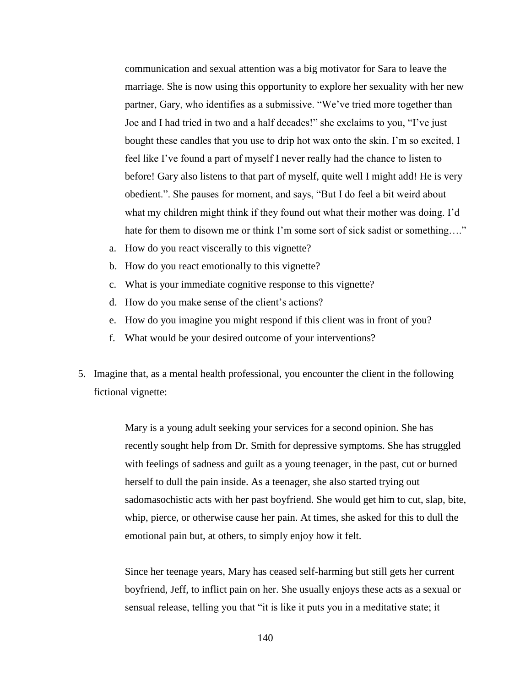communication and sexual attention was a big motivator for Sara to leave the marriage. She is now using this opportunity to explore her sexuality with her new partner, Gary, who identifies as a submissive. "We've tried more together than Joe and I had tried in two and a half decades!" she exclaims to you, "I've just bought these candles that you use to drip hot wax onto the skin. I'm so excited, I feel like I've found a part of myself I never really had the chance to listen to before! Gary also listens to that part of myself, quite well I might add! He is very obedient.". She pauses for moment, and says, "But I do feel a bit weird about what my children might think if they found out what their mother was doing. I'd hate for them to disown me or think I'm some sort of sick sadist or something...."

- a. How do you react viscerally to this vignette?
- b. How do you react emotionally to this vignette?
- c. What is your immediate cognitive response to this vignette?
- d. How do you make sense of the client's actions?
- e. How do you imagine you might respond if this client was in front of you?
- f. What would be your desired outcome of your interventions?
- 5. Imagine that, as a mental health professional, you encounter the client in the following fictional vignette:

Mary is a young adult seeking your services for a second opinion. She has recently sought help from Dr. Smith for depressive symptoms. She has struggled with feelings of sadness and guilt as a young teenager, in the past, cut or burned herself to dull the pain inside. As a teenager, she also started trying out sadomasochistic acts with her past boyfriend. She would get him to cut, slap, bite, whip, pierce, or otherwise cause her pain. At times, she asked for this to dull the emotional pain but, at others, to simply enjoy how it felt.

Since her teenage years, Mary has ceased self-harming but still gets her current boyfriend, Jeff, to inflict pain on her. She usually enjoys these acts as a sexual or sensual release, telling you that "it is like it puts you in a meditative state; it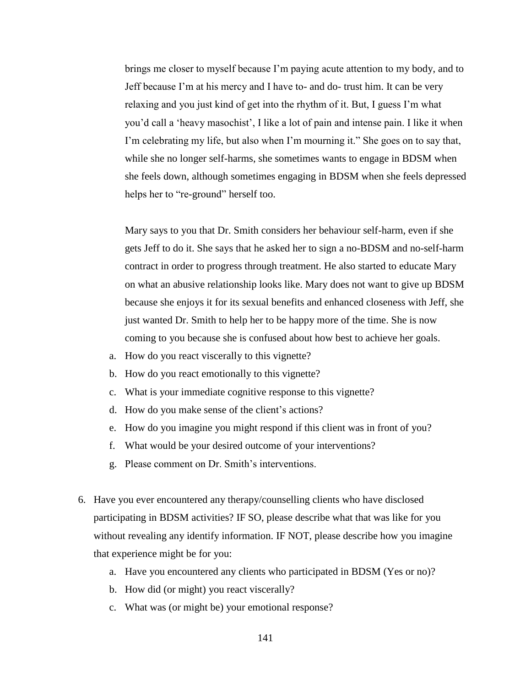brings me closer to myself because I'm paying acute attention to my body, and to Jeff because I'm at his mercy and I have to- and do- trust him. It can be very relaxing and you just kind of get into the rhythm of it. But, I guess I'm what you'd call a 'heavy masochist', I like a lot of pain and intense pain. I like it when I'm celebrating my life, but also when I'm mourning it." She goes on to say that, while she no longer self-harms, she sometimes wants to engage in BDSM when she feels down, although sometimes engaging in BDSM when she feels depressed helps her to "re-ground" herself too.

Mary says to you that Dr. Smith considers her behaviour self-harm, even if she gets Jeff to do it. She says that he asked her to sign a no-BDSM and no-self-harm contract in order to progress through treatment. He also started to educate Mary on what an abusive relationship looks like. Mary does not want to give up BDSM because she enjoys it for its sexual benefits and enhanced closeness with Jeff, she just wanted Dr. Smith to help her to be happy more of the time. She is now coming to you because she is confused about how best to achieve her goals.

- a. How do you react viscerally to this vignette?
- b. How do you react emotionally to this vignette?
- c. What is your immediate cognitive response to this vignette?
- d. How do you make sense of the client's actions?
- e. How do you imagine you might respond if this client was in front of you?
- f. What would be your desired outcome of your interventions?
- g. Please comment on Dr. Smith's interventions.
- 6. Have you ever encountered any therapy/counselling clients who have disclosed participating in BDSM activities? IF SO, please describe what that was like for you without revealing any identify information. IF NOT, please describe how you imagine that experience might be for you:
	- a. Have you encountered any clients who participated in BDSM (Yes or no)?
	- b. How did (or might) you react viscerally?
	- c. What was (or might be) your emotional response?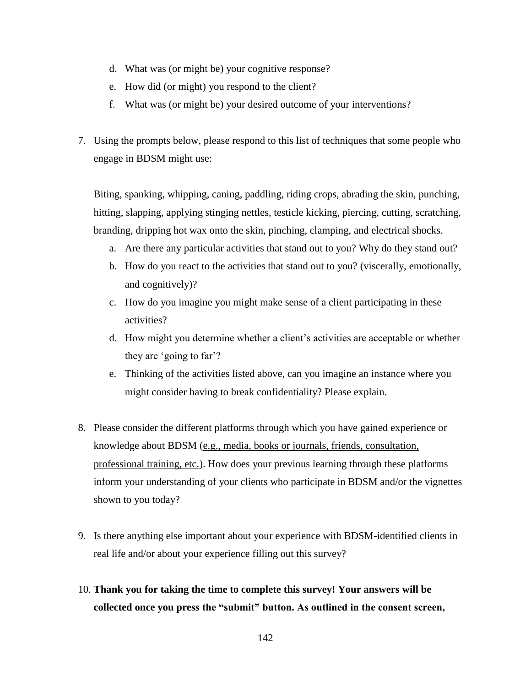- d. What was (or might be) your cognitive response?
- e. How did (or might) you respond to the client?
- f. What was (or might be) your desired outcome of your interventions?
- 7. Using the prompts below, please respond to this list of techniques that some people who engage in BDSM might use:

Biting, spanking, whipping, caning, paddling, riding crops, abrading the skin, punching, hitting, slapping, applying stinging nettles, testicle kicking, piercing, cutting, scratching, branding, dripping hot wax onto the skin, pinching, clamping, and electrical shocks.

- a. Are there any particular activities that stand out to you? Why do they stand out?
- b. How do you react to the activities that stand out to you? (viscerally, emotionally, and cognitively)?
- c. How do you imagine you might make sense of a client participating in these activities?
- d. How might you determine whether a client's activities are acceptable or whether they are 'going to far'?
- e. Thinking of the activities listed above, can you imagine an instance where you might consider having to break confidentiality? Please explain.
- 8. Please consider the different platforms through which you have gained experience or knowledge about BDSM (e.g., media, books or journals, friends, consultation, professional training, etc.). How does your previous learning through these platforms inform your understanding of your clients who participate in BDSM and/or the vignettes shown to you today?
- 9. Is there anything else important about your experience with BDSM-identified clients in real life and/or about your experience filling out this survey?
- 10. **Thank you for taking the time to complete this survey! Your answers will be collected once you press the "submit" button. As outlined in the consent screen,**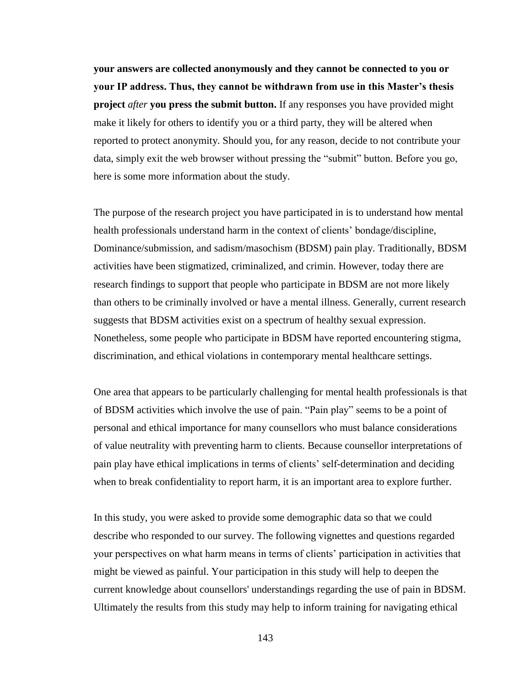**your answers are collected anonymously and they cannot be connected to you or your IP address. Thus, they cannot be withdrawn from use in this Master's thesis project** *after* **you press the submit button.** If any responses you have provided might make it likely for others to identify you or a third party, they will be altered when reported to protect anonymity. Should you, for any reason, decide to not contribute your data, simply exit the web browser without pressing the "submit" button. Before you go, here is some more information about the study.

The purpose of the research project you have participated in is to understand how mental health professionals understand harm in the context of clients' bondage/discipline, Dominance/submission, and sadism/masochism (BDSM) pain play. Traditionally, BDSM activities have been stigmatized, criminalized, and crimin. However, today there are research findings to support that people who participate in BDSM are not more likely than others to be criminally involved or have a mental illness. Generally, current research suggests that BDSM activities exist on a spectrum of healthy sexual expression. Nonetheless, some people who participate in BDSM have reported encountering stigma, discrimination, and ethical violations in contemporary mental healthcare settings.

One area that appears to be particularly challenging for mental health professionals is that of BDSM activities which involve the use of pain. "Pain play" seems to be a point of personal and ethical importance for many counsellors who must balance considerations of value neutrality with preventing harm to clients. Because counsellor interpretations of pain play have ethical implications in terms of clients' self-determination and deciding when to break confidentiality to report harm, it is an important area to explore further.

In this study, you were asked to provide some demographic data so that we could describe who responded to our survey. The following vignettes and questions regarded your perspectives on what harm means in terms of clients' participation in activities that might be viewed as painful. Your participation in this study will help to deepen the current knowledge about counsellors' understandings regarding the use of pain in BDSM. Ultimately the results from this study may help to inform training for navigating ethical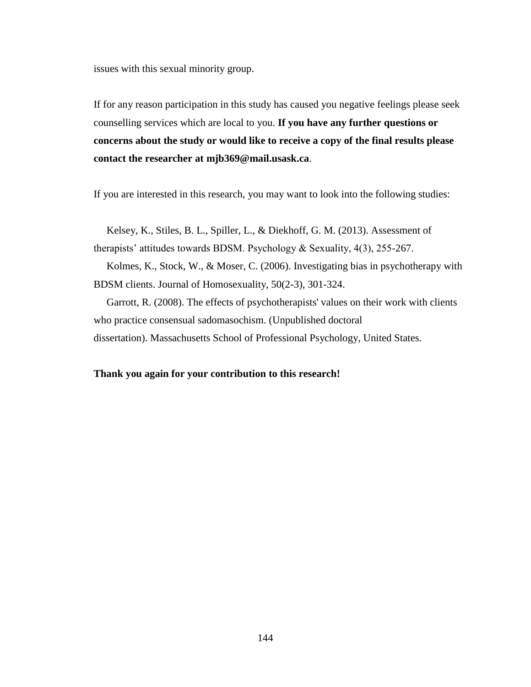issues with this sexual minority group.

If for any reason participation in this study has caused you negative feelings please seek counselling services which are local to you. **If you have any further questions or concerns about the study or would like to receive a copy of the final results please contact the researcher at mjb369@mail.usask.ca**.

If you are interested in this research, you may want to look into the following studies:

Kelsey, K., Stiles, B. L., Spiller, L., & Diekhoff, G. M. (2013). Assessment of therapists' attitudes towards BDSM. Psychology & Sexuality, 4(3), 255-267.

Kolmes, K., Stock, W., & Moser, C. (2006). Investigating bias in psychotherapy with BDSM clients. Journal of Homosexuality, 50(2-3), 301-324.

Garrott, R. (2008). The effects of psychotherapists' values on their work with clients who practice consensual sadomasochism. (Unpublished doctoral dissertation). Massachusetts School of Professional Psychology, United States.

#### **Thank you again for your contribution to this research!**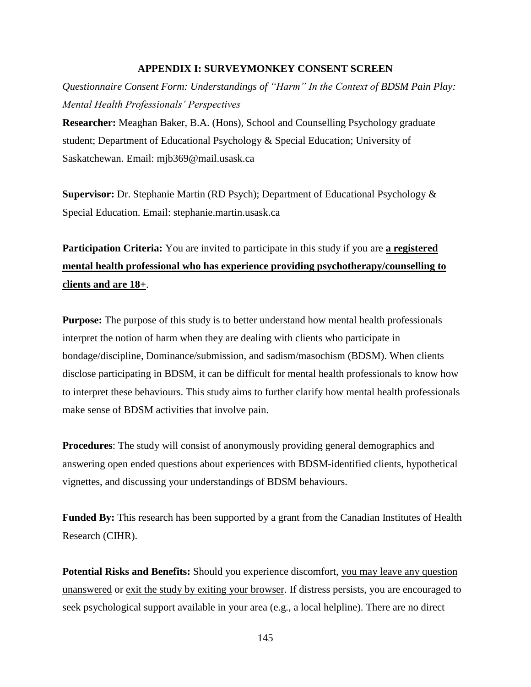#### **APPENDIX I: SURVEYMONKEY CONSENT SCREEN**

*Questionnaire Consent Form: Understandings of "Harm" In the Context of BDSM Pain Play: Mental Health Professionals' Perspectives*

**Researcher:** Meaghan Baker, B.A. (Hons), School and Counselling Psychology graduate student; Department of Educational Psychology & Special Education; University of Saskatchewan. Email: mjb369@mail.usask.ca

**Supervisor:** Dr. Stephanie Martin (RD Psych); Department of Educational Psychology & Special Education. Email: stephanie.martin.usask.ca

# **Participation Criteria:** You are invited to participate in this study if you are a registered **mental health professional who has experience providing psychotherapy/counselling to clients and are 18+**.

**Purpose:** The purpose of this study is to better understand how mental health professionals interpret the notion of harm when they are dealing with clients who participate in bondage/discipline, Dominance/submission, and sadism/masochism (BDSM). When clients disclose participating in BDSM, it can be difficult for mental health professionals to know how to interpret these behaviours. This study aims to further clarify how mental health professionals make sense of BDSM activities that involve pain.

**Procedures:** The study will consist of anonymously providing general demographics and answering open ended questions about experiences with BDSM-identified clients, hypothetical vignettes, and discussing your understandings of BDSM behaviours.

**Funded By:** This research has been supported by a grant from the Canadian Institutes of Health Research (CIHR).

**Potential Risks and Benefits:** Should you experience discomfort, you may leave any question unanswered or exit the study by exiting your browser. If distress persists, you are encouraged to seek psychological support available in your area (e.g., a local helpline). There are no direct